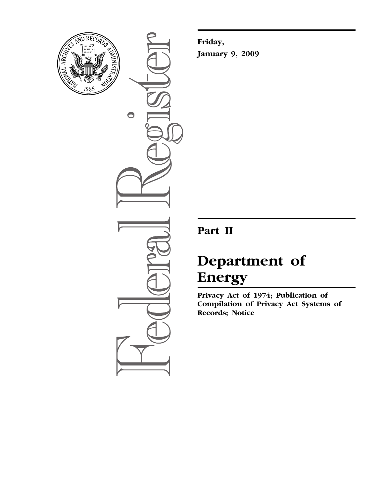

 $\bullet$ 

**Friday, January 9, 2009** 

## **Part II**

# **Department of Energy**

**Privacy Act of 1974; Publication of Compilation of Privacy Act Systems of Records; Notice**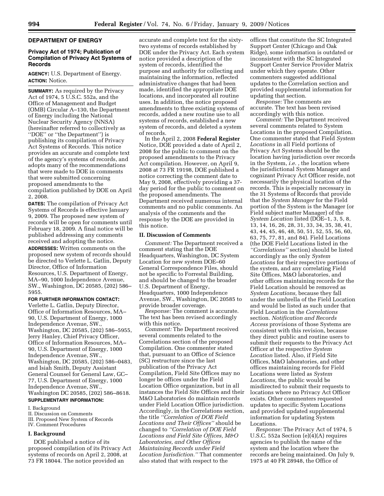## **DEPARTMENT OF ENERGY**

## **Privacy Act of 1974; Publication of Compilation of Privacy Act Systems of Records**

**AGENCY:** U.S. Department of Energy. **ACTION:** Notice.

**SUMMARY:** As required by the Privacy Act of 1974, 5 U.S.C. 552a, and the Office of Management and Budget (OMB) Circular A–130, the Department of Energy including the National Nuclear Security Agency (NNSA) (hereinafter referred to collectively as ''DOE'' or ''the Department'') is publishing its compilation of Privacy Act Systems of Records. This notice provides an accurate and complete text of the agency's systems of records, and adopts many of the recommendations that were made to DOE in comments that were submitted concerning proposed amendments to the compilation published by DOE on April 2, 2008.

**DATES:** The compilation of Privacy Act Systems of Records is effective January 9, 2009. The proposed new system of records will be open for comments until February 18, 2009. A final notice will be published addressing any comments received and adopting the notice. **ADDRESSES:** Written comments on the proposed new system of records should be directed to Verlette L. Gatlin, Deputy Director, Office of Information Resources, U.S. Department of Energy, MA–90, 1000 Independence Avenue, SW., Washington, DC 20585, (202) 586– 5955.

**FOR FURTHER INFORMATION CONTACT:**  Verlette L. Gatlin, Deputy Director, Office of Information Resources, MA– 90, U.S. Department of Energy, 1000 Independence Avenue, SW., Washington, DC 20585, (202) 586–5955, Jerry Hanley, Chief Privacy Officer, Office of Information Resources, MA– 90, U.S. Department of Energy, 1000 Independence Avenue, SW., Washington, DC 20585, (202) 586–0483, and Isiah Smith, Deputy Assistant General Counsel for General Law, GC– 77, U.S. Department of Energy, 1000 Independence Avenue, SW., Washington DC 20585, (202) 586–8618. **SUPPLEMENTARY INFORMATION:** 

## I. Background

II. Discussion on Comments

- III. Proposed New System of Records
- IV. Comment Procedures

#### **I. Background**

DOE published a notice of its proposed compilation of its Privacy Act systems of records on April 2, 2008, at 73 FR 18044. The notice provided an

accurate and complete text for the sixtytwo systems of records established by DOE under the Privacy Act. Each system notice provided a description of the system of records, identified the purpose and authority for collecting and maintaining the information, reflected administrative changes that had been made, identified the appropriate DOE locations, and incorporated all routine uses. In addition, the notice proposed amendments to three existing systems of records, added a new routine use to all systems of records, established a new system of records, and deleted a system of records.

In the April 2, 2008 **Federal Register**  Notice, DOE provided a date of April 2, 2008 for the public to comment on the proposed amendments to the Privacy Act compilation. However, on April 9, 2008 at 73 FR 19198, DOE published a notice correcting the comment date to May 9, 2008, effectively providing a 37 day period for the public to comment on the proposed amendments. The Department received numerous internal comments and no public comments. An analysis of the comments and the response by the DOE are provided in this notice.

#### **II. Discussion of Comments**

*Comment:* The Department received a comment stating that the DOE Headquarters, Washington, DC System Location for new system DOE–60 General Correspondence Files, should not be specific to Forrestal Building, and should be changed to the broader U.S. Department of Energy, Headquarters, 1000 Independence Avenue, SW., Washington, DC 20585 to provide broader coverage.

*Response:* The comment is accurate. The text has been revised accordingly with this notice.

*Comment:* The Department received several comments related to the Correlations section of the proposed Compilation. One commenter stated that, pursuant to an Office of Science (SC) restructure since the last publication of the Privacy Act Compilation, Field Site Offices may no longer be offices under the Field Location Office organization, but in all instances the Field Site Offices and their M&O Laboratories do maintain records under Field Location Office jurisdiction. Accordingly, in the Correlations section, the title *''Correlation of DOE Field Locations and Their Offices''* should be changed to *''Correlation of DOE Field Locations and Field Site Offices, M&O Laboratories, and Other Offices Maintaining Records under Field Location Jurisdiction.''* That commenter also stated that with respect to the

offices that constitute the SC Integrated Support Center (Chicago and Oak Ridge), some information is outdated or inconsistent with the SC Integrated Support Center Service Provider Matrix under which they operate. Other commenters suggested additional updates to the Correlation section and provided supplemental information for updating that section.

*Response:* The comments are accurate. The text has been revised accordingly with this notice.

*Comment:* The Department received several comments related to System Locations in the proposed Compilation. One commenter stated that Field *System Locations* in all Field portions of Privacy Act Systems should be the location having jurisdiction over records in the System, *i.e.* , the location where the jurisdictional System Manager and cognizant Privacy Act Officer reside, not necessarily the physical location of the records. This is especially necessary in the 31 Systems of Records that provide that the *System Manager* for the Field portion of the System is the Manager (or Field subject matter Manager) of the *System Location* listed (DOE–1, 3, 5, 8, 13, 14, 16, 26, 28, 31, 33, 34, 35, 38, 41, 43, 44, 45, 46, 48, 50, 51, 52, 55, 56, 60, 63, 75, 77, 81, and 84). Field Locations (the DOE Field Locations listed in the *''Correlations''* section) should be listed accordingly as the only *System Locations* for their respective portions of the system, and any correlating Field Site Offices, M&O laboratories, and other offices maintaining records for the Field Location should be removed as *System Locations,* because they fall under the umbrella of the Field Location and would be listed as such under that Field Location in the *Correlations*  section. *Notification and Records Access* provisions of those Systems are consistent with this revision, because they direct public and routine users to submit their requests to the Privacy Act Officer at the respective *System Location* listed. Also, if Field Site Offices, M&O laboratories, and other offices maintaining records for Field Locations were listed as *System Locations,* the public would be misdirected to submit their requests to locations where no Privacy Act Officer exists. Other commenters requested updates to specific System Locations and provided updated supplemental information for updating System Locations.

*Response:* The Privacy Act of 1974, 5 U.S.C. 552a Section (e)(4)(A) requires agencies to publish the name of the system and the location where the records are being maintained. On July 9, 1975 at 40 FR 28948, the Office of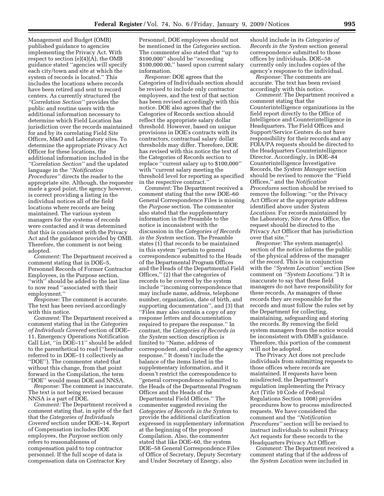Management and Budget (OMB) published guidance to agencies implementing the Privacy Act. With respect to section (e)(4)(A), the OMB guidance stated ''agencies will specify each city/town and site at which the system of records is located.'' This includes the locations where records have been retired and sent to record centers. As currently structured the *''Correlation Section''* provides the public and routine users with the additional information necessary to determine which Field Location has jurisdiction over the records maintained for and by its correlating Field Site Offices, M&O and Laboratory sites. To determine the appropriate Privacy Act Officer for these locations, the additional information included in the *''Correlation Section''* and the updated language in the *''Notification Procedures''* directs the reader to the appropriate site. Although, the requester made a good point, the agency however, is correct providing a listing in the individual notices all of the field locations where records are being maintained. The various system managers for the systems of records were contacted and it was determined that this is consistent with the Privacy Act and the guidance provided by OMB. Therefore, the comment is not being adopted.

*Comment:* The Department received a comment stating that in DOE–5, Personnel Records of Former Contractor Employees, in the Purpose section, "with" should be added to the last line to now read ''associated with their employment.''

*Response:* The comment is accurate. The text has been revised accordingly with this notice.

*Comment:* The Department received a comment stating that in the *Categories of Individuals Covered* section of DOE– 11, Emergency Operations Notification Call List, ''in DOE–11'' should be added to the parenthetical to read (''hereinafter referred to in DOE–11 collectively as ''DOE''). The commenter stated that without this change, from that point forward in the Compilation, the term ''DOE'' would mean DOE and NNSA.

*Response:* The comment is inaccurate. The text is not being revised because NNSA is a part of DOE.

*Comment:* The Department received a comment stating that, in spite of the fact that the *Categories of Individuals Covered* section under DOE–14, Report of Compensation includes DOE employees, the *Purpose* section only refers to reasonableness of compensation paid to top contractor personnel. If the full scope of data is compensation data on Contractor Key

Personnel, DOE employees should not be mentioned in the *Categories* section. The commenter also stated that ''up to \$100,000'' should be ''exceeding \$100,000.00,'' based upon current salary information.

*Response:* DOE agrees that the Categories of Individuals section should be revised to include only contractor employees, and the text of that section has been revised accordingly with this notice. DOE also agrees that the Categories of Records section should reflect the appropriate salary dollar threshold. However, based on unique provisions in DOE's contracts with its contractors, contractual salary dollar thresholds may differ. Therefore, DOE has revised with this notice the text of the Categories of Records section to replace ''current salary up to \$100,000'' with "current salary meeting the threshold level for reporting as specified in the respective contract.''

*Comment:* The Department received a comment stating that the new DOE–60 General Correspondence Files is missing the *Purpose* section. The commenter also stated that the supplementary information in the Preamble to the notice is inconsistent with the discussion in the *Categories of Records in the System* section. The Preamble states (1) that records to be maintained in this system ''pertain to general correspondence submitted to the Heads of the Departmental Program Offices and the Heads of the Departmental Field Offices,'' (2) that the categories of records to be covered by the system include ''incoming correspondence that may include name, address, telephone number, organization, date of birth, and supporting documentation'', and (3) that ''Files may also contain a copy of any response letters and documentation required to prepare the response.'' In contrast, the *Categories of Records in the System* section description is limited to ''Name, address of correspondent, and copies of the agency response.'' It doesn't include the balance of the items listed in the supplementary information, and it doesn't restrict the correspondence to ''general correspondence submitted to the Heads of the Departmental Program Offices and the Heads of the Departmental Field Offices.'' The commenter suggested revising the *Categories of Records in the System* to provide the additional clarification expressed in supplementary information at the beginning of the proposed Compilation. Also, the commenter stated that like DOE–60, the system DOE–58 General Correspondence Files of Office of Secretary, Deputy Secretary and Under Secretary of Energy, also

should include in its *Categories of Records in the System* section general correspondence submitted to those offices by individuals. DOE–58 currently only includes copies of the agency's response to the individual.

*Response:* The comments are accurate. The text has been revised accordingly with this notice.

*Comment:* The Department received a comment stating that the Counterintelligence organizations in the field report directly to the Office of Intelligence and Counterintelligence in Headquarters. The Field Offices and Support/Service Centers do not have responsibility for their records and any FOIA/PA requests should be directed to the Headquarters Counterintelligence Director. Accordingly, in DOE–84 Counterintelligence Investigative Records, the *System Manager* section should be revised to remove the ''Field Offices,'' and the *Notification Procedures* section should be revised to remove the following: ''or the Privacy Act Officer at the appropriate address identified above under *System Locations*. For records maintained by the Laboratory, Site or Area Office, the request should be directed to the Privacy Act Officer that has jurisdiction over that site.''

*Response:* The system manager(s) section of the notice informs the public of the physical address of the manager of the record. This is in conjunction with the *''System Location''* section (See comment on *''System Locations.''*) It is inaccurate to say that these field managers do not have responsibility for these records. As managers of these records they are responsible for the records and must follow the rules set by the Department for collecting, maintaining, safeguarding and storing the records. By removing the field system managers from the notice would be inconsistent with OMB's guidance. Therefore, this portion of the comment will not be adopted.

The Privacy Act does not preclude individuals from submitting requests to those offices where records are maintained. If requests have been misdirected, the Department's regulation implementing the Privacy Act (Title 10 Code of Federal Regulations Section 1008) provides procedures how to process misdirected requests. We have considered the comment and the *''Notification Procedures''* section will be revised to instruct individuals to submit Privacy Act requests for these records to the Headquarters Privacy Act Officer.

*Comment:* The Department received a comment stating that if the address of the *System Location* were included in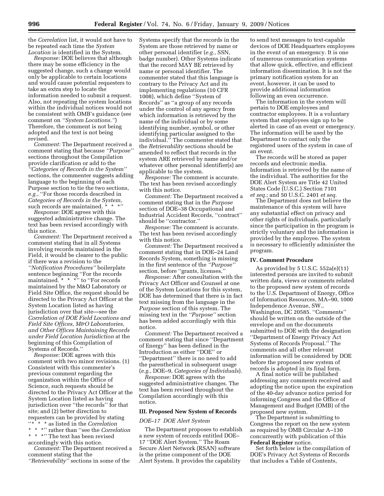the *Correlation* list, it would not have to be repeated each time the *System Location* is identified in the System.

*Response:* DOE believes that although there may be some efficiency in the suggested change, such a change would only be applicable to certain locations and would cause potential requesters to take an extra step to locate the information needed to submit a request. Also, not repeating the system locations within the individual notices would not be consistent with OMB's guidance (see comment on *''System Locations.''*) Therefore, the comment is not being adopted and the text is not being revised.

*Comment:* The Department received a comment stating that because *''Purpose''*  sections throughout the Compilation provide clarification or add to the *''Categories of Records in the System''*  sections, the commenter suggests adding language to the beginning of each Purpose section to tie the two sections, *e.g.*, ''For those records described in *Categories of Records in the System,*  such records are maintained. \* \* \*"

*Response:* DOE agrees with this suggested administrative change. The text has been revised accordingly with this notice.

*Comment:* The Department received a comment stating that in all Systems involving records maintained in the Field, it would be clearer to the public if there was a revision to the *''Notification Procedures''* boilerplate sentence beginning ''For the records maintained. \* \* \*'' to ''For records maintained by the M&O Laboratory or Field Site Office, the request should be directed to the Privacy Act Officer at the System Location listed as having jurisdiction over that site—see the *Correlation of DOE Field Locations and Field Site Offices, M&O Laboratories, and Other Offices Maintaining Records under Field Location Jurisdiction* at the beginning of this Compilation of Systems of Records.''

*Response:* DOE agrees with this comment with two minor revisions. (1) Consistent with this commenter's previous comment regarding the organization within the Office of Science, such requests should be directed to the Privacy Act Officer at the System Location listed as having jurisdiction over ''the records'' for that site; and (2) better direction to requesters can be provided by stating<br> $\cdots * * * \in \text{Bisted in the Correlation}$ ''\* \* \* as listed in the *Correlation* 

\* \* \*'' rather than ''see the *Correlation*  \* \* \*'' The text has been revised

accordingly with this notice.

*Comment:* The Department received a comment stating that the

*''Retrievability''* sections in some of the

Systems specify that the records in the System are those retrieved by name or other personal identifier (*e.g.*, SSN, badge number). Other Systems indicate that the record MAY BE retrieved by name or personal identifier. The commenter stated that this language is contrary to the Privacy Act and its implementing regulations (10 CFR 1008), which define ''System of Records'' as ''a group of any records under the control of any agency from which information is retrieved by the name of the individual or by some identifying number, symbol, or other identifying particular assigned to the individual.'' The commenter stated that the *Retrievability* sections should be amended to reflect that records in the system ARE retrieved by name and/or whatever other personal identifier(s) are applicable to the system.

*Response:* The comment is accurate. The text has been revised accordingly with this notice.

*Comment:* The Department received a comment stating that in the *Purpose*  section of DOE–38 Occupational and Industrial Accident Records, ''contract'' should be "contractor."

*Response:* The comment is accurate. The text has been revised accordingly with this notice.

*Comment:* The Department received a comment stating that in DOE–24 Land Records System, something is missing in the first sentence of the *''Purpose''*  section, before ''grants, licenses.''

*Response:* After consultation with the Privacy Act Officer and Counsel at one of the System Locations for this system, DOE has determined that there is in fact text missing from the language in the *Purpose* section of this system. The missing text in the *''Purpose''* section has been added accordingly with this notice.

*Comment:* The Department received a comment stating that since ''Department of Energy'' has been defined in the Introduction as either ''DOE'' or ''Department'' there is no need to add the parenthetical in subsequent usage (*e.g.*, DOE–9, *Categories of Individuals*).

*Response:* DOE agrees with the suggested administrative changes. The text has been revised throughout the Compilation accordingly with this notice.

## **III. Proposed New System of Records**

#### *DOE–17 DOE Alert System*

The Department proposes to establish a new system of records entitled DOE– 17 ''DOE Alert System.'' The Roam Secure Alert Network (RSAN) software is the prime component of the DOE Alert System. It provides the capability

to send text messages to text-capable devices of DOE Headquarters employees in the event of an emergency. It is one of numerous communication systems that allow quick, effective, and efficient information dissemination. It is not the primary notification system for an event, however, it can be used to provide additional information following an even occurrence.

The information in the system will pertain to DOE employees and contractor employees. It is a voluntary system that employees sign up to be alerted in case of an event or emergency. The information will be used by the Department to contact only the registered users of the system in case of an event.

The records will be stored as paper records and electronic media. Information is retrieved by the name of the individual. The authorities for the DOE Alert System are Title 42 United States Code (U.S.C.) Section 7101 *et seq.*; and 50 U.S.C. 2401 *et seq.* 

The Department does not believe the maintenance of this system will have any substantial effect on privacy and other rights of individuals, particularly since the participation in the program is strictly voluntary and the information is provided by the employee. The system is necessary to efficiently administer the program.

#### **IV. Comment Procedure**

As provided by 5 U.S.C. 552a(e)(11) interested persons are invited to submit written data, views or comments related to the proposed new system of records to the U.S. Department of Energy, Office of Information Resources, MA–90, 1000 Independence Avenue, SW., Washington, DC 20585. ''Comments'' should be written on the outside of the envelope and on the documents submitted to DOE with the designation ''Department of Energy Privacy Act Systems of Records Proposal.'' The comments and all other relevant information will be considered by DOE before the proposed new system of records is adopted in its final form.

A final notice will be published addressing any comments received and adopting the notice upon the expiration of the 40-day advance notice period for informing Congress and the Office of Management and Budget (OMB) of the proposed new system.

The Department is submitting to Congress the report on the new system as required by OMB Circular A–130 concurrently with publication of this **Federal Register** notice.

Set forth below is the compilation of DOE's Privacy Act Systems of Records that includes a Table of Contents,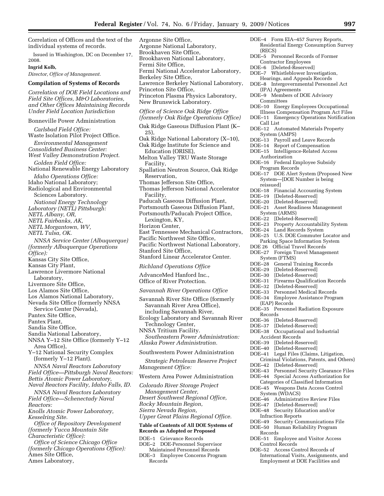Correlation of Offices and the text of the individual systems of records.

Issued in Washington, DC on December 17, 2008.

#### **Ingrid Kolb,**

*Director, Office of Management.* 

## **Compilation of Systems of Records**

*Correlation of DOE Field Locations and Field Site Offices, M&O Laboratories, and Other Offices Maintaining Records Under Field Location Jurisdiction* 

Bonneville Power Administration

*Carlsbad Field Office:*  Waste Isolation Pilot Project Office. *Environmental Management Consolidated Business Center: West Valley Demonstration Project*. *Golden Field Office:*  National Renewable Energy Laboratory *Idaho Operations Office:*  Idaho National Laboratory; Radiological and Environmental Sciences Laboratory. *National Energy Technology Laboratory (NETL) Pittsburgh: NETL Albany, OR, NETL Fairbanks, AK, NETL Morgantown, WV, NETL Tulsa, OK. NNSA Service Center (Albuquerque) (formerly Albuquerque Operations Office):*  Kansas City Site Office, Kansas City Plant, Lawrence Livermore National Laboratory, Livermore Site Office, Los Alamos Site Office, Los Alamos National Laboratory, Nevada Site Office (formerly NNSA Service Center (Nevada), Pantex Site Office, Pantex Plant, Sandia Site Office, Sandia National Laboratory, NNSA Y–12 Site Office (formerly Y–12 Area Office), Y–12 National Security Complex (formerly Y–12 Plant). *NNSA Naval Reactors Laboratory Field Office—Pittsburgh Naval Reactors: Bettis Atomic Power Laboratory, Naval Reactors Facility, Idaho Falls, ID. NNSA Naval Reactors Laboratory Field Office—Schenectady Naval Reactors: Knolls Atomic Power Laboratory, Kesselring Site. Office of Repository Development (formerly Yucca Mountain Site Characteristic Office): Office of Science Chicago Office (formerly Chicago Operations Office):*  Ames Site Office, Ames Laboratory,

Argonne Site Office, Argonne National Laboratory, Brookhaven Site Office, Brookhaven National Laboratory, Fermi Site Office, Fermi National Accelerator Laboratory, Berkeley Site Office, Lawrence Berkeley National Laboratory, Princeton Site Office, Princeton Plasma Physics Laboratory, New Brunswick Laboratory. *Office of Science Oak Ridge Office (formerly Oak Ridge Operations Office)* 

Oak Ridge Gaseous Diffusion Plant (K– 25), Oak Ridge National Laboratory (X–10),

Oak Ridge Institute for Science and Education (ORISE), Melton Valley TRU Waste Storage

Facility, Spallation Neutron Source, Oak Ridge

- Reservation,
- Thomas Jefferson Site Office,
- Thomas Jefferson National Accelerator Facility,
- Paducah Gaseous Diffusion Plant, Portsmouth Gaseous Diffusion Plant,
- Portsmouth/Paducah Project Office,
- Lexington, KY,
- Horizon Center,
- East Tennessee Mechanical Contractors,
- Pacific Northwest Site Office,
- Pacific Northwest National Laboratory,
- Stanford Site Office,
- Stanford Linear Accelerator Center.
- *Richland Operations Office*

AdvanceMed Hanford Inc., Office of River Protection.

- *Savannah River Operations Office*
- Savannah River Site Office (formerly Savannah River Area Office), including Savannah River, Ecology Laboratory and Savannah River Technology Center, NNSA Tritium Facility. *Southeastern Power Administration: Alaska Power Administration.*
- Southwestern Power Administration

*Strategic Petroleum Reserve Project Management Office:* 

#### Western Area Power Administration

*Colorado River Storage Project Management Center, Desert Southwest Regional Office, Rocky Mountain Region, Sierra Nevada Region, Upper Great Plains Regional Office.* 

## **Table of Contents of All DOE Systems of Records as Adopted or Proposed**

DOE–1 Grievance Records

- DOE–2 DOE-Personnel Supervisor Maintained Personnel Records
- DOE–3 Employee Concerns Program Records
- DOE–4 Form EIA–457 Survey Reports, Residential Energy Consumption Survey (RECS)
- DOE–5 Personnel Records of Former Contractor Employees
- DOE–6 [Deleted-Reserved]<br>DOE–7 Whistleblower Inve
- Whistleblower Investigation, Hearings, and Appeals Records
- DOE–8 Intergovernmental Personnel Act (IPA) Agreements
- DOE–9 Members of DOE Advisory Committees
- DOE–10 Energy Employees Occupational Illness Compensation Program Act Files
- DOE–11 Emergency Operations Notification
- Call List
- DOE–12 Automated Materials Property System (AMPS)
- DOE–13 Payroll and Leave Records<br>DOE–14 Report of Compensation
- Report of Compensation
- DOE–15 Intelligence-Related Access Authorization
- DOE–16 Federal Employee Subsidy
- Program Records
- DOE–17 DOE Alert System (Proposed New System—[DOE Number is being reissued]
- 
- DOE–18 Financial Accounting System<br>DOE–19 [Deleted-Reserved]
- DOE–19 [Deleted-Reserved]<br>DOE–20 [Deleted-Reserved] [Deleted-Reserved]
- DOE–21 Asset Readiness Management
- System (ARMS)<br>DOE–22 [Deleted-F
- DOE–22 [Deleted-Reserved]<br>DOE–23 Property Accounta
- DOE–23 Property Accountability System Land Records System
- 
- DOE–25 U.S. DOE Commuter Locator and Parking Space Information System
- DOE 26 Official Travel Records
- DOE–27 Foreign Travel Management System (FTMS)
- DOE–28 General Training Records
- DOE–29 [Deleted-Reserved]<br>DOE–30 [Deleted-Reserved]
- DOE–30 [Deleted-Reserved]<br>DOE–31 Firearms Qualifica
- DOE–31 Firearms Qualification Records<br>DOE–32 [Deleted-Reserved]
- DOE–32 [Deleted-Reserved]<br>DOE–33 Personnel Medical
- DOE–33 Personnel Medical Records
- Employee Assistance Program
- (EAP) Records
- DOE–35 Personnel Radiation Exposure Records
- DOE–36 [Deleted-Reserved]<br>DOE–37 [Deleted-Reserved]
- [Deleted-Reserved]
- DOE–38 Occupational and Industrial Accident Records
- 
- DOE–39 [Deleted-Reserved]<br>DOE–40 [Deleted-Reserved] [Deleted-Reserved]
- DOE–41 Legal Files (Claims, Litigation,
- Criminal Violations, Patents, and Others)
- DOE–42 [Deleted-Reserved]<br>DOE–43 Personnel Security
- DOE–43 Personnel Security Clearance Files
- Special Access Authorization for
- Categories of Classified Information DOE–45 Weapons Data Access Control
- System (WDACS)
- DOE–46 Administrative Review Files<br>DOE–47 [Deleted-Reserved]
- [Deleted-Reserved]
- DOE–48 Security Education and/or
- Infraction Reports DOE–49 Security Communications File
- DOE–50 Human Reliability Program Records
- DOE–51 Employee and Visitor Access Control Records
- DOE–52 Access Control Records of International Visits, Assignments, and Employment at DOE Facilities and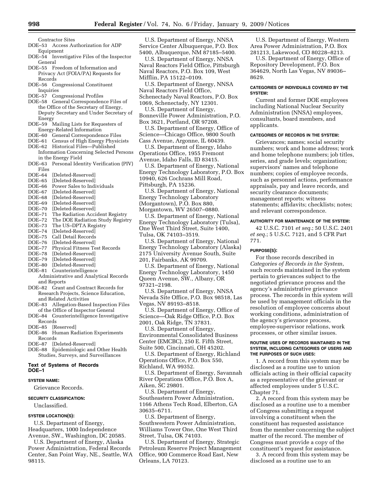Contractor Sites

- DOE–53 Access Authorization for ADP Equipment
- DOE–54 Investigative Files of the Inspector General
- DOE–55 Freedom of Information and Privacy Act (FOIA/PA) Requests for Records
- DOE–56 Congressional Constituent Inquiries

DOE–57 Congressional Profiles

- DOE–58 General Correspondence Files of the Office of the Secretary of Energy, Deputy Secretary and Under Secretary of Energy
- DOE–59 Mailing Lists for Requesters of Energy-Related Information
- DOE–60 General Correspondence Files
- DOE–61 Census of High Energy Physicists
- DOE–62 Historical Files—Published Information Concerning Selected Persons
- in the Energy Field DOE–63 Personal Identity Verification (PIV)

Files<br>DOE–64

DOE–64 [Deleted-Reserved] [Deleted-Reserved]

- DOE–66 Power Sales to Individuals<br>DOE–67 [Deleted-Reserved]
- [Deleted-Reserved]
- DOE–68 [Deleted-Reserved]
- DOE–69 [Deleted-Reserved]
- DOE–70 [Deleted-Reserved]
- DOE–71 The Radiation Accident Registry<br>DOE–72 The DOE Radiation Study Regist
- The DOE Radiation Study Registry
- DOE–73 The US–DPTA Registry
- DOE–74 [Deleted-Reserved]
- Call Detail Records
- DOE–76 [Deleted-Reserved]<br>DOE–77 Physical Fitness Te
- Physical Fitness Test Records
- DOE–78 [Deleted-Reserved]
- DOE–79 [Deleted-Reserved]
- DOE–80 [Deleted-Reserved] DOE–81 Counterintelligence
- Administrative and Analytical Records and Reports
- DOE–82 Grant and Contract Records for Research Projects, Science Education, and Related Activities
- DOE–83 Allegation-Based Inspection Files of the Office of Inspector General
- DOE–84 Counterintelligence Investigative Records<br>DOE–85 [R

[Reserved]

DOE–86 Human Radiation Experiments Records<br>DOE–87 [D

[Deleted-Reserved]

DOE–88 Epidemiologic and Other Health Studies, Surveys, and Surveillances

#### **Text of Systems of Records DOE–1**

## **SYSTEM NAME:**

Grievance Records.

## **SECURITY CLASSIFICATION:**

Unclassified.

#### **SYSTEM LOCATION(S):**

U.S. Department of Energy, Headquarters, 1000 Independence Avenue, SW., Washington, DC 20585.

U.S. Department of Energy, Alaska Power Administration, Federal Records Center, San Point Way, NE., Seattle, WA 98115.

U.S. Department of Energy, NNSA Service Center Albuquerque, P.O. Box 5400, Albuquerque, NM 87185–5400.

U.S. Department of Energy, NNSA Naval Reactors Field Office, Pittsburgh Naval Reactors, P.O. Box 109, West Mifflin, PA 15122–0109.

U.S. Department of Energy, NNSA Naval Reactors Field Office, Schenectady Naval Reactors, P.O. Box 1069, Schenectady, NY 12301.

U.S. Department of Energy, Bonneville Power Administration, P.O. Box 3621, Portland, OR 97208.

U.S. Department of Energy, Office of Science—Chicago Office, 9800 South Cass Avenue, Argonne, IL 60439.

U.S. Department of Energy, Idaho Operations Office, 1955 Fremont Avenue, Idaho Falls, ID 83415.

U.S. Department of Energy, National Energy Technology Laboratory, P.O. Box 10940, 626 Cochrans Mill Road, Pittsburgh, PA 15236.

U.S. Department of Energy, National Energy Technology Laboratory (Morgantown), P.O. Box 880, Morgantown, WV 26507–0880.

U.S. Department of Energy, National Energy Technology Laboratory (Tulsa), One West Third Street, Suite 1400, Tulsa, OK 74103–3519.

U.S. Department of Energy, National Energy Technology Laboratory (Alaska) 2175 University Avenue South, Suite 201, Fairbanks, AK 99709.

U.S. Department of Energy, National Energy Technology Laboratory, 1450 Queen Avenue, SW., Albany, OR 97321–2198.

U.S. Department of Energy, NNSA Nevada Site Office, P.O. Box 98518, Las Vegas, NV 89193–8518.

U.S. Department of Energy, Office of Science—Oak Ridge Office, P.O. Box 2001, Oak Ridge, TN 37831.

U.S. Department of Energy, Environmental Consolidated Business Center (EMCBC), 250 E. Fifth Street, Suite 500, Cincinnati, OH 45202.

U.S. Department of Energy, Richland Operations Office, P.O. Box 550,

Richland, WA 99352.

U.S. Department of Energy, Savannah River Operations Office, P.O. Box A, Aiken, SC 29801.

U.S. Department of Energy, Southeastern Power Administration, 1166 Athens Tech Road, Elberton, GA 30635–6711.

U.S. Department of Energy, Southwestern Power Administration, Williams Tower One, One West Third Street, Tulsa, OK 74103.

U.S. Department of Energy, Strategic Petroleum Reserve Project Management Office, 900 Commerce Road East, New Orleans, LA 70123.

U.S. Department of Energy, Western Area Power Administration, P.O. Box 281213, Lakewood, CO 80228–8213.

U.S. Department of Energy, Office of Repository Development, P.O. Box 364629, North Las Vegas, NV 89036– 8629.

## **CATEGORIES OF INDIVIDUALS COVERED BY THE SYSTEM:**

Current and former DOE employees including National Nuclear Security Administration (NNSA) employees, consultants, board members, and applicants.

#### **CATEGORIES OF RECORDS IN THE SYSTEM:**

Grievances; names; social security numbers; work and home address; work and home telephone numbers; job titles, series, and grade levels; organization; supervisors' names and telephone numbers; copies of employee records, such as personnel actions, performance appraisals, pay and leave records, and security clearance documents; management reports; witness statements; affidavits; checklists; notes; and relevant correspondence.

#### **AUTHORITY FOR MAINTENANCE OF THE SYSTEM:**

42 U.S.C. 7101 *et seq.*; 50 U.S.C. 2401 *et seq.*; 5 U.S.C. 7121, and 5 CFR Part 771.

#### **PURPOSE(S):**

For those records described in *Categories of Records in the System*, such records maintained in the system pertain to grievances subject to the negotiated grievance process and the agency's administrative grievance process. The records in this system will be used by management officials in the resolution of employee concerns about working conditions, administration of the agency's grievance process, employee-supervisor relations, work processes, or other similar issues.

#### **ROUTINE USES OF RECORDS MAINTAINED IN THE SYSTEM, INCLUDING CATEGORIES OF USERS AND THE PURPOSES OF SUCH USES:**

1. A record from this system may be disclosed as a routine use to union officials acting in their official capacity as a representative of the grievant or affected employees under 5 U.S.C. Chapter 71.

2. A record from this system may be disclosed as a routine use to a member of Congress submitting a request involving a constituent when the constituent has requested assistance from the member concerning the subject matter of the record. The member of Congress must provide a copy of the constituent's request for assistance.

3. A record from this system may be disclosed as a routine use to an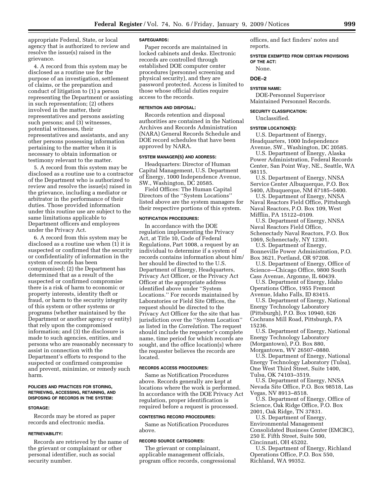appropriate Federal, State, or local agency that is authorized to review and resolve the issue(s) raised in the grievance.

4. A record from this system may be disclosed as a routine use for the purpose of an investigation, settlement of claims, or the preparation and conduct of litigation to (1) a person representing the Department or assisting in such representation; (2) others involved in the matter, their representatives and persons assisting such persons; and (3) witnesses, potential witnesses, their representatives and assistants, and any other persons possessing information pertaining to the matter when it is necessary to obtain information or testimony relevant to the matter.

5. A record from this system may be disclosed as a routine use to a contractor of the Department who is authorized to review and resolve the issue(s) raised in the grievance, including a mediator or arbitrator in the performance of their duties. Those provided information under this routine use are subject to the same limitations applicable to Department officers and employees under the Privacy Act.

6. A record from this system may be disclosed as a routine use when (1) it is suspected or confirmed that the security or confidentiality of information in the system of records has been compromised; (2) the Department has determined that as a result of the suspected or confirmed compromise there is a risk of harm to economic or property interests, identity theft or fraud, or harm to the security integrity of this system or other systems or programs (whether maintained by the Department or another agency or entity) that rely upon the compromised information; and (3) the disclosure is made to such agencies, entities, and persons who are reasonably necessary to assist in connection with the Department's efforts to respond to the suspected or confirmed compromise and prevent, minimize, or remedy such harm.

#### **POLICIES AND PRACTICES FOR STORING, RETRIEVING, ACCESSING, RETAINING, AND DISPOSING OF RECORDS IN THE SYSTEM:**

#### **STORAGE:**

Records may be stored as paper records and electronic media.

#### **RETRIEVABILITY:**

Records are retrieved by the name of the grievant or complainant or other personal identifier, such as social security number.

#### **SAFEGUARDS:**

Paper records are maintained in locked cabinets and desks. Electronic records are controlled through established DOE computer center procedures (personnel screening and physical security), and they are password protected. Access is limited to those whose official duties require access to the records.

## **RETENTION AND DISPOSAL:**

Records retention and disposal authorities are contained in the National Archives and Records Administration (NARA) General Records Schedule and DOE record schedules that have been approved by NARA.

#### **SYSTEM MANAGER(S) AND ADDRESS:**

Headquarters: Director of Human Capital Management, U.S. Department of Energy, 1000 Independence Avenue, SW., Washington, DC 20585.

Field Offices: The Human Capital Directors of the ''System Locations'' listed above are the system managers for their respective portions of this system.

#### **NOTIFICATION PROCEDURES:**

In accordance with the DOE regulation implementing the Privacy Act, at Title 10, Code of Federal Regulations, Part 1008, a request by an individual to determine if a system of records contains information about him/ her should be directed to the U.S. Department of Energy, Headquarters, Privacy Act Officer, or the Privacy Act Officer at the appropriate address identified above under ''System Locations.'' For records maintained by Laboratories or Field Site Offices, the request should be directed to the Privacy Act Officer for the site that has jurisdiction over the ''System Location'' as listed in the *Correlation*. The request should include the requester's complete name, time period for which records are sought, and the office location(s) where the requester believes the records are located.

## **RECORDS ACCESS PROCEDURES:**

Same as Notification Procedures above. Records generally are kept at locations where the work is performed. In accordance with the DOE Privacy Act regulation, proper identification is required before a request is processed.

#### **CONTESTING RECORD PROCEDURES:**

Same as Notification Procedures above.

#### **RECORD SOURCE CATEGORIES:**

The grievant or complainant, applicable management officials, program office records, congressional

offices, and fact finders' notes and reports.

**SYSTEM EXEMPTED FROM CERTAIN PROVISIONS OF THE ACT:** 

None.

## **DOE–2**

## **SYSTEM NAME:**

DOE-Personnel Supervisor Maintained Personnel Records.

#### **SECURITY CLASSIFICATION:**

Unclassified.

#### **SYSTEM LOCATION(S):**

U.S. Department of Energy, Headquarters, 1000 Independence Avenue, SW., Washington, DC 20585.

U.S. Department of Energy, Alaska Power Administration, Federal Records Center, San Point Way, NE., Seattle, WA 98115.

U.S. Department of Energy, NNSA Service Center Albuquerque, P.O. Box 5400, Albuquerque, NM 87185–5400.

U.S. Department of Energy, NNSA Naval Reactors Field Office, Pittsburgh Naval Reactors, P.O. Box 109, West Mifflin, PA 15122–0109.

U.S. Department of Energy, NNSA Naval Reactors Field Office, Schenectady Naval Reactors, P.O. Box 1069, Schenectady, NY 12301.

U.S. Department of Energy, Bonneville Power Administration, P.O. Box 3621, Portland, OR 97208.

U.S. Department of Energy, Office of Science—Chicago Office, 9800 South Cass Avenue, Argonne, IL 60439.

U.S. Department of Energy, Idaho Operations Office, 1955 Fremont Avenue, Idaho Falls, ID 83415.

U.S. Department of Energy, National Energy Technology Laboratory (Pittsburgh), P.O. Box 10940, 626 Cochrans Mill Road, Pittsburgh, PA 15236.

U.S. Department of Energy, National Energy Technology Laboratory (Morgantown), P.O. Box 880, Morgantown, WV 26507–0880.

U.S. Department of Energy, National Energy Technology Laboratory (Tulsa), One West Third Street, Suite 1400, Tulsa, OK 74103–3519.

U.S. Department of Energy, NNSA Nevada Site Office, P.O. Box 98518, Las Vegas, NV 8913–8518.

U.S. Department of Energy, Office of Science, Oak Ridge Office, P.O. Box 2001, Oak Ridge, TN 37831.

U.S. Department of Energy, Environmental Management Consolidated Business Center (EMCBC), 250 E. Fifth Street, Suite 500, Cincinnati, OH 45202.

U.S. Department of Energy, Richland Operations Office, P.O. Box 550, Richland, WA 99352.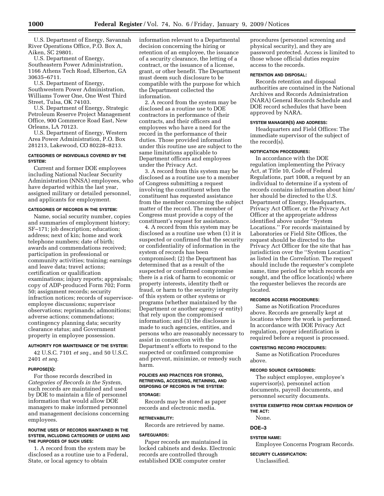U.S. Department of Energy, Savannah River Operations Office, P.O. Box A, Aiken, SC 29801.

U.S. Department of Energy, Southeastern Power Administration, 1166 Athens Tech Road, Elberton, GA 30635–6711.

U.S. Department of Energy, Southwestern Power Administration, Williams Tower One, One West Third Street, Tulsa, OK 74103.

U.S. Department of Energy, Strategic Petroleum Reserve Project Management Office, 900 Commerce Road East, New Orleans, LA 70123.

U.S. Department of Energy, Western Area Power Administration, P.O. Box 281213, Lakewood, CO 80228–8213.

## **CATEGORIES OF INDIVIDUALS COVERED BY THE SYSTEM:**

Current and former DOE employees including National Nuclear Security Administration (NNSA) employees, who have departed within the last year, assigned military or detailed personnel, and applicants for employment.

#### **CATEGORIES OF RECORDS IN THE SYSTEM:**

Name, social security number, copies and summaries of employment history; SF–171; job description; education; address; next of kin; home and work telephone numbers; date of birth; awards and commendations received; participation in professional or community activities; training; earnings and leave data; travel actions; certification or qualification examinations; injury reports; appraisals; copy of ADP-produced Form 702; Form 50; assignment records; security infraction notices; records of supervisoremployee discussions; supervisor observations; reprimands; admonitions; adverse actions; commendations; contingency planning data; security clearance status; and Government property in employee possession.

## **AUTHORITY FOR MAINTENANCE OF THE SYSTEM:**

42 U.S.C. 7101 *et seq.*, and 50 U.S.C. 2401 *et seq.* 

## **PURPOSE(S):**

For those records described in *Categories of Records in the System*, such records are maintained and used by DOE to maintain a file of personnel information that would allow DOE managers to make informed personnel and management decisions concerning employees.

## **ROUTINE USES OF RECORDS MAINTAINED IN THE SYSTEM, INCLUDING CATEGORIES OF USERS AND THE PURPOSES OF SUCH USES:**

1. A record from the system may be disclosed as a routine use to a Federal, State, or local agency to obtain

information relevant to a Departmental decision concerning the hiring or retention of an employee, the issuance of a security clearance, the letting of a contract, or the issuance of a license, grant, or other benefit. The Department must deem such disclosure to be compatible with the purpose for which the Department collected the information.

2. A record from the system may be disclosed as a routine use to DOE contractors in performance of their contracts, and their officers and employees who have a need for the record in the performance of their duties. Those provided information under this routine use are subject to the same limitations applicable to Department officers and employees under the Privacy Act.

3. A record from this system may be disclosed as a routine use to a member of Congress submitting a request involving the constituent when the constituent has requested assistance from the member concerning the subject matter of the record. The member of Congress must provide a copy of the constituent's request for assistance.

4. A record from this system may be disclosed as a routine use when (1) it is suspected or confirmed that the security or confidentiality of information in the system of records has been compromised; (2) the Department has determined that as a result of the suspected or confirmed compromise there is a risk of harm to economic or property interests, identity theft or fraud, or harm to the security integrity of this system or other systems or programs (whether maintained by the Department or another agency or entity) that rely upon the compromised information; and (3) the disclosure is made to such agencies, entities, and persons who are reasonably necessary to assist in connection with the Department's efforts to respond to the suspected or confirmed compromise and prevent, minimize, or remedy such harm.

## **POLICIES AND PRACTICES FOR STORING, RETRIEVING, ACCESSING, RETAINING, AND DISPOSING OF RECORDS IN THE SYSTEM:**

## **STORAGE:**

Records may be stored as paper records and electronic media.

#### **RETRIEVABILITY:**

Records are retrieved by name.

#### **SAFEGUARDS:**

Paper records are maintained in locked cabinets and desks. Electronic records are controlled through established DOE computer center

procedures (personnel screening and physical security), and they are password protected. Access is limited to those whose official duties require access to the records.

## **RETENTION AND DISPOSAL:**

Records retention and disposal authorities are contained in the National Archives and Records Administration (NARA) General Records Schedule and DOE record schedules that have been approved by NARA.

## **SYSTEM MANAGER(S) AND ADDRESS:**

Headquarters and Field Offices: The immediate supervisor of the subject of the record(s).

## **NOTIFICATION PROCEDURES:**

In accordance with the DOE regulation implementing the Privacy Act, at Title 10, Code of Federal Regulations, part 1008, a request by an individual to determine if a system of records contains information about him/ her should be directed to the U.S. Department of Energy, Headquarters, Privacy Act Officer, or the Privacy Act Officer at the appropriate address identified above under ''System Locations.'' For records maintained by Laboratories or Field Site Offices, the request should be directed to the Privacy Act Officer for the site that has jurisdiction over the ''System Location'' as listed in the *Correlation*. The request should include the requester's complete name, time period for which records are sought, and the office location(s) where the requester believes the records are located.

## **RECORDS ACCESS PROCEDURES:**

Same as Notification Procedures above. Records are generally kept at locations where the work is performed. In accordance with DOE Privacy Act regulation, proper identification is required before a request is processed.

#### **CONTESTING RECORD PROCEDURES:**

Same as Notification Procedures above.

## **RECORD SOURCE CATEGORIES:**

The subject employee, employee's supervisor(s), personnel action documents, payroll documents, and personnel security documents.

## **SYSTEM EXEMPTED FROM CERTAIN PROVISION OF THE ACT:**

None.

## **DOE–3**

#### **SYSTEM NAME:**

Employee Concerns Program Records.

**SECURITY CLASSIFICATION:**  Unclassified.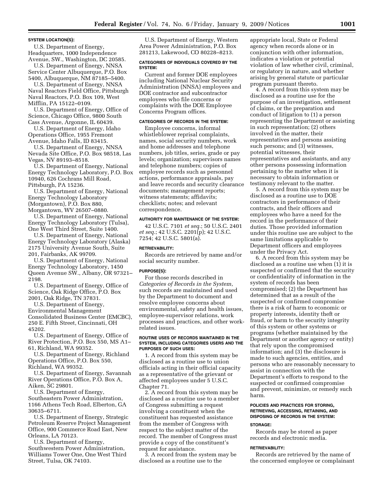#### **SYSTEM LOCATION(S):**

U.S. Department of Energy, Headquarters, 1000 Independence Avenue, SW., Washington, DC 20585.

U.S. Department of Energy, NNSA Service Center Albuquerque, P.O. Box 5400, Albuquerque, NM 87185–5400.

U.S. Department of Energy, NNSA Naval Reactors Field Office, Pittsburgh Naval Reactors, P.O. Box 109, West Mifflin, PA 15122–0109.

U.S. Department of Energy, Office of Science, Chicago Office, 9800 South Cass Avenue, Argonne, IL 60439.

U.S. Department of Energy, Idaho Operations Office, 1955 Fremont Avenue, Idaho Falls, ID 83415.

U.S. Department of Energy, NNSA Nevada Site Office, P.O. Box 98518, Las Vegas, NV 89193–8518.

U.S. Department of Energy, National Energy Technology Laboratory, P.O. Box 10940, 626 Cochrans Mill Road, Pittsburgh, PA 15236.

U.S. Department of Energy, National Energy Technology Laboratory (Morgantown), P.O. Box 880, Morgantown, WV 26507–0880.

U.S. Department of Energy, National Energy Technology Laboratory (Tulsa), One West Third Street, Suite 1400.

U.S. Department of Energy, National Energy Technology Laboratory (Alaska) 2175 University Avenue South, Suite 201, Fairbanks, AK 99709.

U.S. Department of Energy, National Energy Technology Laboratory, 1450 Queen Avenue SW., Albany, OR 97321– 2198.

U.S. Department of Energy, Office of Science, Oak Ridge Office, P.O. Box 2001, Oak Ridge, TN 37831.

U.S. Department of Energy, Environmental Management Consolidated Business Center (EMCBC), 250 E. Fifth Street, Cincinnati, OH 45202.

U.S. Department of Energy, Office of River Protection, P.O. Box 550, MS A1– 61, Richland, WA 99352.

U.S. Department of Energy, Richland Operations Office, P.O. Box 550, Richland, WA 99352.

U.S. Department of Energy, Savannah River Operations Office, P.O. Box A, Aiken, SC 29801.

U.S. Department of Energy, Southeastern Power Administration, 1166 Athens Tech Road, Elberton, GA 30635–6711.

U.S. Department of Energy, Strategic Petroleum Reserve Project Management Office, 900 Commerce Road East, New Orleans, LA 70123.

U.S. Department of Energy, Southwestern Power Administration, Williams Tower One, One West Third Street, Tulsa, OK 74103.

U.S. Department of Energy, Western Area Power Administration, P.O. Box 281213, Lakewood, CO 80228–8213.

#### **CATEGORIES OF INDIVIDUALS COVERED BY THE SYSTEM:**

Current and former DOE employees including National Nuclear Security Administration (NNSA) employees and DOE contractor and subcontractor employees who file concerns or complaints with the DOE Employee Concerns Program offices.

## **CATEGORIES OF RECORDS IN THE SYSTEM:**

Employee concerns, informal whistleblower reprisal complaints, names, social security numbers, work and home addresses and telephone numbers, job titles, series, grade or pay levels; organization; supervisors names and telephone numbers; copies of employee records such as personnel actions, performance appraisals, pay and leave records and security clearance documents; management reports; witness statements; affidavits; checklists; notes; and relevant correspondence.

#### **AUTHORITY FOR MAINTENANCE OF THE SYSTEM:**

42 U.S.C. 7101 *et seq.*; 50 U.S.C. 2401 *et seq.*; 42 U.S.C. 2201(p); 42 U.S.C. 7254; 42 U.S.C. 5801(a).

## **RETRIEVABILITY:**

Records are retrieved by name and/or social security number.

#### **PURPOSE(S):**

For those records described in *Categories of Records in the System*, such records are maintained and used by the Department to document and resolve employee concerns about environmental, safety and health issues, employee-supervisor relations, work processes and practices, and other workrelated issues.

#### **ROUTINE USES OF RECORDS MAINTAINED IN THE SYSTEM, INCLUDING CATEGORIES USERS AND THE PURPOSES OF SUCH USES:**

1. A record from this system may be disclosed as a routine use to union officials acting in their official capacity as a representative of the grievant or affected employees under 5 U.S.C. Chapter 71.

2. A record from this system may be disclosed as a routine use to a member of Congress submitting a request involving a constituent when the constituent has requested assistance from the member of Congress with respect to the subject matter of the record. The member of Congress must provide a copy of the constituent's request for assistance.

3. A record from the system may be disclosed as a routine use to the

appropriate local, State or Federal agency when records alone or in conjunction with other information, indicates a violation or potential violation of law whether civil, criminal, or regulatory in nature, and whether arising by general statute or particular program pursuant thereto.

4. A record from this system may be disclosed as a routine use for the purpose of an investigation, settlement of claims, or the preparation and conduct of litigation to (1) a person representing the Department or assisting in such representation; (2) others involved in the matter, their representatives and persons assisting such persons; and (3) witnesses, potential witnesses, their representatives and assistants, and any other persons possessing information pertaining to the matter when it is necessary to obtain information or testimony relevant to the matter.

5. A record from this system may be disclosed as a routine use to DOE contractors in performance of their contracts, and their officers and employees who have a need for the record in the performance of their duties. Those provided information under this routine use are subject to the same limitations applicable to Department officers and employees under the Privacy Act.

6. A record from this system may be disclosed as a routine use when (1) it is suspected or confirmed that the security or confidentiality of information in the system of records has been compromised; (2) the Department has determined that as a result of the suspected or confirmed compromise there is a risk of harm to economic or property interests, identity theft or fraud, or harm to the security integrity of this system or other systems or programs (whether maintained by the Department or another agency or entity) that rely upon the compromised information; and (3) the disclosure is made to such agencies, entities, and persons who are reasonably necessary to assist in connection with the Department's efforts to respond to the suspected or confirmed compromise and prevent, minimize, or remedy such harm.

## **POLICIES AND PRACTICES FOR STORING, RETRIEVING, ACCESSING, RETAINING, AND DISPOSING OF RECORDS IN THE SYSTEM:**

#### **STORAGE:**

Records may be stored as paper records and electronic media.

#### **RETRIEVABILITY:**

Records are retrieved by the name of the concerned employee or complainant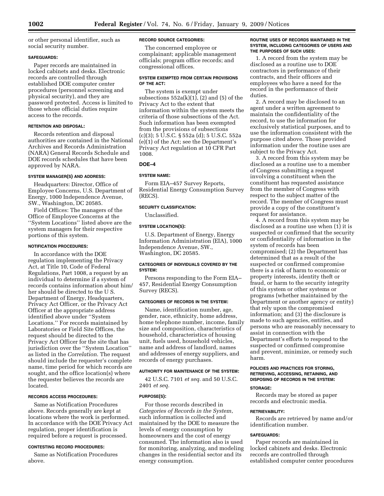or other personal identifier, such as social security number.

## **SAFEGUARDS:**

Paper records are maintained in locked cabinets and desks. Electronic records are controlled through established DOE computer center procedures (personnel screening and physical security), and they are password protected. Access is limited to those whose official duties require access to the records.

## **RETENTION AND DISPOSAL:**

Records retention and disposal authorities are contained in the National Archives and Records Administration (NARA) General Records Schedule and DOE records schedules that have been approved by NARA.

#### **SYSTEM MANAGER(S) AND ADDRESS:**

Headquarters: Director, Office of Employee Concerns, U.S. Department of Energy, 1000 Independence Avenue, SW., Washington, DC 20585.

Field Offices: The managers of the Office of Employee Concerns at the ''System Locations'' listed above are the system managers for their respective portions of this system.

#### **NOTIFICATION PROCEDURES:**

In accordance with the DOE regulation implementing the Privacy Act, at Title 10, Code of Federal Regulations, Part 1008, a request by an individual to determine if a system of records contains information about him/ her should be directed to the U S. Department of Energy, Headquarters, Privacy Act Officer, or the Privacy Act Officer at the appropriate address identified above under ''System Locations.'' For records maintained by Laboratories or Field Site Offices, the request should be directed to the Privacy Act Officer for the site that has jurisdiction over the ''System Location'' as listed in the *Correlation*. The request should include the requester's complete name, time period for which records are sought, and the office location(s) where the requester believes the records are located.

## **RECORDS ACCESS PROCEDURES:**

Same as Notification Procedures above. Records generally are kept at locations where the work is performed. In accordance with the DOE Privacy Act regulation, proper identification is required before a request is processed.

#### **CONTESTING RECORD PROCEDURES:**

Same as Notification Procedures above.

#### **RECORD SOURCE CATEGORIES:**

The concerned employee or complainant; applicable management officials; program office records; and congressional offices.

## **SYSTEM EXEMPTED FROM CERTAIN PROVISIONS OF THE ACT:**

The system is exempt under subsections  $552a(k)(1)$ ,  $(2)$  and  $(5)$  of the Privacy Act to the extent that information within the system meets the criteria of those subsections of the Act. Such information has been exempted from the provisions of subsections (c)(3); 5 U.S.C. § 552a (d); 5 U.S.C. 552a (e)(1) of the Act; see the Department's Privacy Act regulation at 10 CFR Part 1008.

## **DOE–4**

## **SYSTEM NAME:**

Form EIA–457 Survey Reports, Residential Energy Consumption Survey (RECS).

## **SECURITY CLASSIFICATION:**

Unclassified.

## **SYSTEM LOCATION(S):**

U.S. Department of Energy, Energy Information Administration (EIA), 1000 Independence Avenue, SW., Washington, DC 20585.

## **CATEGORIES OF INDIVIDUALS COVERED BY THE SYSTEM:**

Persons responding to the Form EIA– 457, Residential Energy Consumption Survey (RECS).

## **CATEGORIES OF RECORDS IN THE SYSTEM:**

Name, identification number, age, gender, race, ethnicity, home address, home telephone number, income, family size and composition, characteristics of household, characteristics of housing unit, fuels used, household vehicles, name and address of landlord, names and addresses of energy suppliers, and records of energy purchases.

## **AUTHORITY FOR MAINTENANCE OF THE SYSTEM:**

42 U.S.C. 7101 *et seq.* and 50 U.S.C. 2401 *et seq.* 

## **PURPOSE(S):**

For those records described in *Categories of Records in the System*, such information is collected and maintained by the DOE to measure the levels of energy consumption by homeowners and the cost of energy consumed. The information also is used for monitoring, analyzing, and modeling changes in the residential sector and its energy consumption.

## **ROUTINE USES OF RECORDS MAINTAINED IN THE SYSTEM, INCLUDING CATEGORIES OF USERS AND THE PURPOSES OF SUCH USES:**

1. A record from the system may be disclosed as a routine use to DOE contractors in performance of their contracts, and their officers and employees who have a need for the record in the performance of their duties.

2. A record may be disclosed to an agent under a written agreement to maintain the confidentiality of the record, to use the information for exclusively statistical purposes, and to use the information consistent with the purpose cited above. Those provided information under the routine uses are subject to the Privacy Act.

3. A record from this system may be disclosed as a routine use to a member of Congress submitting a request involving a constituent when the constituent has requested assistance from the member of Congress with respect to the subject matter of the record. The member of Congress must provide a copy of the constituent's request for assistance.

4. A record from this system may be disclosed as a routine use when (1) it is suspected or confirmed that the security or confidentiality of information in the system of records has been compromised; (2) the Department has determined that as a result of the suspected or confirmed compromise there is a risk of harm to economic or property interests, identity theft or fraud, or harm to the security integrity of this system or other systems or programs (whether maintained by the Department or another agency or entity) that rely upon the compromised information; and (3) the disclosure is made to such agencies, entities, and persons who are reasonably necessary to assist in connection with the Department's efforts to respond to the suspected or confirmed compromise and prevent, minimize, or remedy such harm.

#### **POLICIES AND PRACTICES FOR STORING, RETRIEVING, ACCESSING, RETAINING, AND DISPOSING OF RECORDS IN THE SYSTEM:**

#### **STORAGE:**

Records may be stored as paper records and electronic media.

## **RETRIEVABILITY:**

Records are retrieved by name and/or identification number.

#### **SAFEGUARDS:**

Paper records are maintained in locked cabinets and desks. Electronic records are controlled through established computer center procedures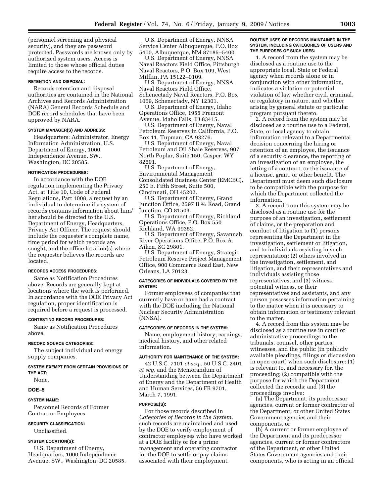(personnel screening and physical security), and they are password protected. Passwords are known only by authorized system users. Access is limited to those whose official duties require access to the records.

## **RETENTION AND DISPOSAL:**

Records retention and disposal authorities are contained in the National Archives and Records Administration (NARA) General Records Schedule and DOE record schedules that have been approved by NARA.

## **SYSTEM MANAGER(S) AND ADDRESS:**

Headquarters: Administrator, Energy Information Administration, U.S. Department of Energy, 1000 Independence Avenue, SW., Washington, DC 20585.

#### **NOTIFICATION PROCEDURES:**

In accordance with the DOE regulation implementing the Privacy Act, at Title 10, Code of Federal Regulations, Part 1008, a request by an individual to determine if a system of records contains information about him/ her should be directed to the U.S. Department of Energy, Headquarters, Privacy Act Officer. The request should include the requester's complete name, time period for which records are sought, and the office location(s) where the requester believes the records are located.

#### **RECORDS ACCESS PROCEDURES:**

Same as Notification Procedures above. Records are generally kept at locations where the work is performed. In accordance with the DOE Privacy Act regulation, proper identification is required before a request is processed.

#### **CONTESTING RECORD PROCEDURES:**

Same as Notification Procedures above.

#### **RECORD SOURCE CATEGORIES:**

The subject individual and energy supply companies.

## **SYSTEM EXEMPT FROM CERTAIN PROVISIONS OF THE ACT:**

None.

## **DOE–5**

#### **SYSTEM NAME:**

Personnel Records of Former Contractor Employees.

#### **SECURITY CLASSIFICATION:**

Unclassified.

## **SYSTEM LOCATION(S):**

U.S. Department of Energy, Headquarters, 1000 Independence Avenue, SW., Washington, DC 20585.

U.S. Department of Energy, NNSA Service Center Albuquerque, P.O. Box 5400, Albuquerque, NM 87185–5400.

U.S. Department of Energy, NNSA Naval Reactors Field Office, Pittsburgh Naval Reactors, P.O. Box 109, West Mifflin, PA 15122–0109.

U.S. Department of Energy, NNSA Naval Reactors Field Office, Schenectady Naval Reactors, P.O. Box 1069, Schenectady, NY 12301.

U.S. Department of Energy, Idaho Operations Office, 1955 Fremont Avenue, Idaho Falls, ID 83415.

U.S. Department of Energy, Naval Petroleum Reserves in California, P.O. Box 11, Tupman, CA 93276.

U.S. Department of Energy, Naval Petroleum and Oil Shale Reserves, 907 North Poplar, Suite 150, Casper, WY 82601.

U.S. Department of Energy, Environmental Management Consolidated Business Center (EMCBC), 250 E. Fifth Street, Suite 500, Cincinnati, OH 45202.

U.S. Department of Energy, Grand Junction Office, 2597 B 3⁄4 Road, Grand Junction, CO 81503.

U.S. Department of Energy, Richland Operations Office, P.O. Box 550 Richland, WA 99352.

U.S. Department of Energy, Savannah River Operations Office, P.O. Box A, Aiken, SC 29801.

U.S. Department of Energy, Strategic Petroleum Reserve Project Management Office, 900 Commerce Road East, New Orleans, LA 70123.

#### **CATEGORIES OF INDIVIDUALS COVERED BY THE SYSTEM:**

Former employees of companies that currently have or have had a contract with the DOE including the National Nuclear Security Administration (NNSA).

#### **CATEGORIES OF RECORDS IN THE SYSTEM:**

Name, employment history, earnings, medical history, and other related information.

#### **AUTHORITY FOR MAINTENANCE OF THE SYSTEM:**

42 U.S.C. 7101 *et seq.*, 50 U.S.C. 2401 *et seq.* and the Memorandum of Understanding between the Department of Energy and the Department of Health and Human Services, 56 FR 9701, March 7, 1991.

#### **PURPOSE(S):**

For those records described in *Categories of Records in the System,*  such records are maintained and used by the DOE to verify employment of contractor employees who have worked at a DOE facility or for a prime management and operating contractor for the DOE to settle or pay claims associated with their employment.

#### **ROUTINE USES OF RECORDS MAINTAINED IN THE SYSTEM, INCLUDING CATEGORIES OF USERS AND THE PURPOSES OF SUCH USES:**

1. A record from the system may be disclosed as a routine use to the appropriate local, State or Federal agency when records alone or in conjunction with other information, indicates a violation or potential violation of law whether civil, criminal, or regulatory in nature, and whether arising by general statute or particular program pursuant thereto.

2. A record from the system may be disclosed as a routine use to a Federal, State, or local agency to obtain information relevant to a Departmental decision concerning the hiring or retention of an employee, the issuance of a security clearance, the reporting of an investigation of an employee, the letting of a contract, or the issuance of a license, grant, or other benefit. The Department must deem such disclosure to be compatible with the purpose for which the Department collected the information.

3. A record from this system may be disclosed as a routine use for the purpose of an investigation, settlement of claims, or the preparation and conduct of litigation to (1) persons representing the Department in the investigation, settlement or litigation, and to individuals assisting in such representation; (2) others involved in the investigation, settlement, and litigation, and their representatives and individuals assisting those representatives; and (3) witness, potential witness, or their representatives and assistants, and any person possesses information pertaining to the matter when it is necessary to obtain information or testimony relevant to the matter.

4. A record from this system may be disclosed as a routine use in court or administrative proceedings to the tribunals, counsel, other parties, witnesses, and the public (in publicly available pleadings, filings or discussion in open court) when such disclosure: (1) is relevant to, and necessary for, the proceeding; (2) compatible with the purpose for which the Department collected the records; and (3) the proceedings involve:

(a) The Department, its predecessor agencies, current or former contractor of the Department, or other United States Government agencies and their components, or

(b) A current or former employee of the Department and its predecessor agencies, current or former contractors of the Department, or other United States Government agencies and their components, who is acting in an official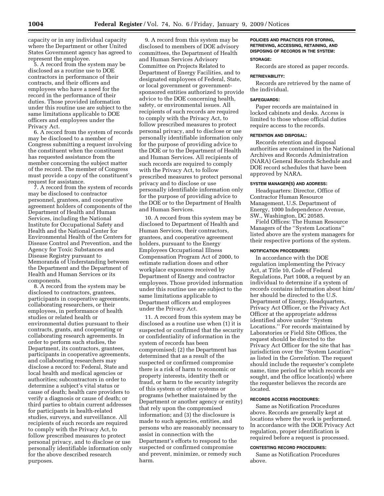capacity or in any individual capacity where the Department or other United States Government agency has agreed to represent the employee.

5. A record from the system may be disclosed as a routine use to DOE contractors in performance of their contracts, and their officers and employees who have a need for the record in the performance of their duties. Those provided information under this routine use are subject to the same limitations applicable to DOE officers and employees under the Privacy Act.

6. A record from the system of records may be disclosed to a member of Congress submitting a request involving the constituent when the constituent has requested assistance from the member concerning the subject matter of the record. The member of Congress must provide a copy of the constituent's request for assistance.

7. A record from the system of records may be disclosed to contractor personnel, grantees, and cooperative agreement holders of components of the Department of Health and Human Services, including the National Institute for Occupational Safety and Health and the National Center for Environmental Health of the Centers for Disease Control and Prevention, and the Agency for Toxic Substances and Disease Registry pursuant to Memoranda of Understanding between the Department and the Department of Health and Human Services or its components.

8. A record from the system may be disclosed to contractors, grantees, participants in cooperative agreements, collaborating researchers, or their employees, in performance of health studies or related health or environmental duties pursuant to their contracts, grants, and cooperating or collaborating research agreements. In order to perform such studies, the Department, its contractors, grantees, participants in cooperative agreements, and collaborating researchers may disclose a record to: Federal, State and local health and medical agencies or authorities; subcontractors in order to determine a subject's vital status or cause of death; health care providers to verify a diagnosis or cause of death; or third parties to obtain current addresses for participants in health-related studies, surveys, and surveillance. All recipients of such records are required to comply with the Privacy Act, to follow prescribed measures to protect personal privacy, and to disclose or use personally identifiable information only for the above described research purposes.

9. A record from this system may be disclosed to members of DOE advisory committees, the Department of Health and Human Services Advisory Committee on Projects Related to Department of Energy Facilities, and to designated employees of Federal, State, or local government or governmentsponsored entities authorized to provide advice to the DOE concerning health, safety, or environmental issues. All recipients of such records are required to comply with the Privacy Act, to follow prescribed measures to protect personal privacy, and to disclose or use personally identifiable information only for the purpose of providing advice to the DOE or to the Department of Health and Human Services. All recipients of such records are required to comply with the Privacy Act, to follow prescribed measures to protect personal privacy and to disclose or use personally identifiable information only for the purpose of providing advice to the DOE or to the Department of Health and Human Services.

10. A record from this system may be disclosed to Department of Health and Human Services, their contractors, grantees, and cooperative agreement holders, pursuant to the Energy Employees Occupational Illness Compensation Program Act of 2000, to estimate radiation doses and other workplace exposures received by Department of Energy and contractor employees. Those provided information under this routine use are subject to the same limitations applicable to Department officers and employees under the Privacy Act.

11. A record from this system may be disclosed as a routine use when (1) it is suspected or confirmed that the security or confidentiality of information in the system of records has been compromised; (2) the Department has determined that as a result of the suspected or confirmed compromise there is a risk of harm to economic or property interests, identity theft or fraud, or harm to the security integrity of this system or other systems or programs (whether maintained by the Department or another agency or entity) that rely upon the compromised information; and (3) the disclosure is made to such agencies, entities, and persons who are reasonably necessary to assist in connection with the Department's efforts to respond to the suspected or confirmed compromise and prevent, minimize, or remedy such harm.

## **POLICIES AND PRACTICES FOR STORING, RETRIEVING, ACCESSING, RETAINING, AND DISPOSING OF RECORDS IN THE SYSTEM:**

## **STORAGE:**  Records are stored as paper records.

## **RETRIEVABILITY:**

Records are retrieved by the name of the individual.

#### **SAFEGUARDS:**

Paper records are maintained in locked cabinets and desks. Access is limited to those whose official duties require access to the records.

#### **RETENTION AND DISPOSAL:**

Records retention and disposal authorities are contained in the National Archives and Records Administration (NARA) General Records Schedule and DOE record schedules that have been approved by NARA.

## **SYSTEM MANAGER(S) AND ADDRESS:**

Headquarters: Director, Office of Contractor Human Resource Management, U.S. Department of Energy, 1000 Independence Avenue, SW., Washington, DC 20585.

Field Offices: The Human Resource Managers of the ''System Locations'' listed above are the system managers for their respective portions of the system.

#### **NOTIFICATION PROCEDURES:**

In accordance with the DOE regulation implementing the Privacy Act, at Title 10, Code of Federal Regulations, Part 1008, a request by an individual to determine if a system of records contains information about him/ her should be directed to the U.S. Department of Energy, Headquarters, Privacy Act Officer, or the Privacy Act Officer at the appropriate address identified above under ''System Locations.'' For records maintained by Laboratories or Field Site Offices, the request should be directed to the Privacy Act Officer for the site that has jurisdiction over the ''System Location'' as listed in the *Correlation*. The request should include the requester's complete name, time period for which records are sought, and the office location(s) where the requester believes the records are located.

## **RECORDS ACCESS PROCEDURES:**

Same as Notification Procedures above. Records are generally kept at locations where the work is performed. In accordance with the DOE Privacy Act regulation, proper identification is required before a request is processed.

#### **CONTESTING RECORD PROCEDURES:**

Same as Notification Procedures above.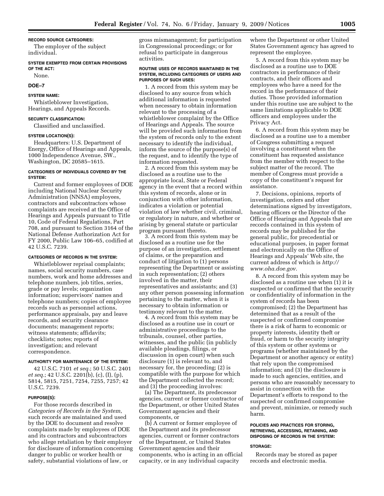#### **RECORD SOURCE CATEGORIES:**

The employer of the subject individual.

## **SYSTEM EXEMPTED FROM CERTAIN PROVISIONS OF THE ACT:**

None.

## **DOE–7**

## **SYSTEM NAME:**

Whistleblower Investigation, Hearings, and Appeals Records.

## **SECURITY CLASSIFICATION:**

Classified and unclassified.

#### **SYSTEM LOCATION(S):**

Headquarters: U.S. Department of Energy, Office of Hearings and Appeals, 1000 Independence Avenue, SW., Washington, DC 20585–1615.

## **CATEGORIES OF INDIVIDUALS COVERED BY THE SYSTEM:**

Current and former employees of DOE including National Nuclear Security Administration (NNSA) employees, contractors and subcontractors whose complaints are received at the Office of Hearings and Appeals pursuant to Title 10, Code of Federal Regulations, Part 708, and pursuant to Section 3164 of the National Defense Authorization Act for FY 2000, Public Law 106–65, codified at 42 U.S.C. 7239.

#### **CATEGORIES OF RECORDS IN THE SYSTEM:**

Whistleblower reprisal complaints; names, social security numbers, case numbers, work and home addresses and telephone numbers, job titles, series, grade or pay levels; organization information; supervisors' names and telephone numbers; copies of employee records such as personnel actions, performance appraisals, pay and leave records, and security clearance documents; management reports; witness statements; affidavits; checklists; notes; reports of investigation; and relevant correspondence.

#### **AUTHORITY FOR MAINTENANCE OF THE SYSTEM:**

42 U.S.C. 7101 *et seq.*; 50 U.S.C. 2401 *et seq.*; 42 U.S.C. 2201(b), (c), (I), (p), 5814, 5815, 7251, 7254, 7255, 7257; 42 U.S.C. 7239.

#### **PURPOSE(S):**

For those records described in *Categories of Records in the System*, such records are maintained and used by the DOE to document and resolve complaints made by employees of DOE and its contractors and subcontractors who allege retaliation by their employer for disclosure of information concerning danger to public or worker health or safety, substantial violations of law, or

gross mismanagement; for participation in Congressional proceedings; or for refusal to participate in dangerous activities.

#### **ROUTINE USES OF RECORDS MAINTAINED IN THE SYSTEM, INCLUDING CATEGORIES OF USERS AND PURPOSES OF SUCH USES:**

1. A record from this system may be disclosed to any source from which additional information is requested when necessary to obtain information relevant to the processing of a whistleblower complaint by the Office of Hearings and Appeals. The source will be provided such information from the system of records only to the extent necessary to identify the individual, inform the source of the purpose(s) of the request, and to identify the type of information requested.

2. A record from this system may be disclosed as a routine use to the appropriate local, State or Federal agency in the event that a record within this system of records, alone or in conjunction with other information, indicates a violation or potential violation of law whether civil, criminal, or regulatory in nature, and whether or arising by general statute or particular program pursuant thereto.

3. A record from this system may be disclosed as a routine use for the purpose of an investigation, settlement of claims, or the preparation and conduct of litigation to (1) persons representing the Department or assisting in such representation; (2) others involved in the matter, their representatives and assistants; and (3) any other person possessing information pertaining to the matter, when it is necessary to obtain information or testimony relevant to the matter.

4. A record from this system may be disclosed as a routine use in court or administrative proceedings to the tribunals, counsel, other parties, witnesses, and the public (in publicly available pleadings, filings, or discussion in open court) when such disclosure (1) is relevant to, and necessary for, the proceeding; (2) is compatible with the purpose for which the Department collected the record; and (3) the proceeding involves:

(a) The Department, its predecessor agencies, current or former contractor of the Department, or other United States Government agencies and their components, or

(b) A current or former employee of the Department and its predecessor agencies, current or former contractors of the Department, or United States Government agencies and their components, who is acting in an official capacity, or in any individual capacity

where the Department or other United States Government agency has agreed to represent the employee.

5. A record from this system may be disclosed as a routine use to DOE contractors in performance of their contracts, and their officers and employees who have a need for the record in the performance of their duties. Those provided information under this routine use are subject to the same limitations applicable to DOE officers and employees under the Privacy Act.

6. A record from this system may be disclosed as a routine use to a member of Congress submitting a request involving a constituent when the constituent has requested assistance from the member with respect to the subject matter of the record. The member of Congress must provide a copy of the constituent's request for assistance.

7. Decisions, opinions, reports of investigation, orders and other determinations signed by investigators, hearing officers or the Director of the Office of Hearings and Appeals that are records contained in this system of records may be published for the general public, for precedential or educational purposes, in paper format and electronically on the Office of Hearings and Appeals' Web site, the current address of which is *http:// www.oha.doe.gov*.

8. A record from this system may be disclosed as a routine use when (1) it is suspected or confirmed that the security or confidentiality of information in the system of records has been compromised; (2) the Department has determined that as a result of the suspected or confirmed compromise there is a risk of harm to economic or property interests, identity theft or fraud, or harm to the security integrity of this system or other systems or programs (whether maintained by the Department or another agency or entity) that rely upon the compromised information; and (3) the disclosure is made to such agencies, entities, and persons who are reasonably necessary to assist in connection with the Department's efforts to respond to the suspected or confirmed compromise and prevent, minimize, or remedy such harm.

#### **POLICIES AND PRACTICES FOR STORING, RETRIEVING, ACCESSING, RETAINING, AND DISPOSING OF RECORDS IN THE SYSTEM:**

#### **STORAGE:**

Records may be stored as paper records and electronic media.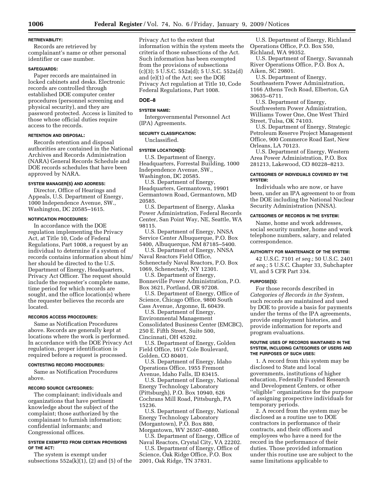## **RETRIEVABILITY:**

Records are retrieved by complainant's name or other personal identifier or case number.

## **SAFEGUARDS:**

Paper records are maintained in locked cabinets and desks. Electronic records are controlled through established DOE computer center procedures (personnel screening and physical security), and they are password protected. Access is limited to those whose official duties require access to the records.

## **RETENTION AND DISPOSAL:**

Records retention and disposal authorities are contained in the National Archives and Records Administration (NARA) General Records Schedule and DOE records schedules that have been approved by NARA.

## **SYSTEM MANAGER(S) AND ADDRESS:**

Director, Office of Hearings and Appeals, U.S. Department of Energy, 1000 Independence Avenue, SW., Washington, DC 20585–1615.

## **NOTIFICATION PROCEDURES:**

In accordance with the DOE regulation implementing the Privacy Act, at Title 10, Code of Federal Regulations, Part 1008, a request by an individual to determine if a system of records contains information about him/ her should be directed to the U.S. Department of Energy, Headquarters, Privacy Act Officer. The request should include the requester's complete name, time period for which records are sought, and the office location(s) where the requester believes the records are located.

## **RECORDS ACCESS PROCEDURES:**

Same as Notification Procedures above. Records are generally kept at locations where the work is performed. In accordance with the DOE Privacy Act regulation, proper identification is required before a request is processed.

## **CONTESTING RECORD PROCEDURES:**

Same as Notification Procedures above.

## **RECORD SOURCE CATEGORIES:**

The complainant; individuals and organizations that have pertinent knowledge about the subject of the complaint; those authorized by the complainant to furnish information; confidential informants; and Congressional offices.

## **SYSTEM EXEMPTED FROM CERTAIN PROVISIONS OF THE ACT:**

The system is exempt under subsections  $552a(k)(1)$ ,  $(2)$  and  $(5)$  of the Privacy Act to the extent that information within the system meets the criteria of those subsections of the Act. Such information has been exempted from the provisions of subsections (c)(3); 5 U.S.C. 552a(d); 5 U.S.C. 552a(d) and (e)(1) of the Act; see the DOE Privacy Act regulation at Title 10, Code Federal Regulations, Part 1008.

## **DOE–8**

## **SYSTEM NAME:**

Intergovernmental Personnel Act (IPA) Agreements.

## **SECURITY CLASSIFICATION:**

Unclassified.

## **SYSTEM LOCATION(S):**

U.S. Department of Energy, Headquarters, Forrestal Building, 1000 Independence Avenue, SW.,

Washington, DC 20585. U.S. Department of Energy,

Headquarters, Germantown, 19901 Germantown Road, Germantown, MD 20585.

U.S. Department of Energy, Alaska Power Administration, Federal Records Center, San Point Way, NE, Seattle, WA 98115.

U.S. Department of Energy, NNSA Service Center Albuquerque, P.O. Box 5400, Albuquerque, NM 87185–5400.

U.S. Department of Energy, NNSA Naval Reactors Field Office, Schenectady Naval Reactors, P.O. Box 1069, Schenectady, NY 12301.

U.S. Department of Energy, Bonneville Power Administration, P.O. Box 3621, Portland, OR 97208.

U.S. Department of Energy, Office of Science, Chicago Office, 9800 South Cass Avenue, Argonne, IL 60439.

U.S. Department of Energy, Environmental Management Consolidated Business Center (EMCBC), 250 E. Fifth Street, Suite 500, Cincinnati, OH 45202.

U.S. Department of Energy, Golden Field Office, 1617 Cole Boulevard, Golden, CO 80401.

U.S. Department of Energy, Idaho Operations Office, 1955 Fremont Avenue, Idaho Falls, ID 83415.

U.S. Department of Energy, National Energy Technology Laboratory (Pittsburgh), P.O. Box 10940, 626 Cochrans Mill Road, Pittsburgh, PA 15236.

U.S. Department of Energy, National Energy Technology Laboratory (Morgantown), P.O. Box 880, Morgantown, WV 26507–0880.

U.S. Department of Energy, Office of Naval Reactors, Crystal City, VA 22202.

U.S. Department of Energy, Office of Science, Oak Ridge Office, P.O. Box 2001, Oak Ridge, TN 37831.

U.S. Department of Energy, Richland Operations Office, P.O. Box 550, Richland, WA 99352.

U.S. Department of Energy, Savannah River Operations Office, P.O. Box A, Aiken, SC 29801.

U.S. Department of Energy, Southeastern Power Administration, 1166 Athens Tech Road, Elberton, GA 30635–6711.

U.S. Department of Energy, Southwestern Power Administration, Williams Tower One, One West Third Street, Tulsa, OK 74103.

U.S. Department of Energy, Strategic Petroleum Reserve Project Management Office, 900 Commerce Road East, New Orleans, LA 70123.

U.S. Department of Energy, Western Area Power Administration, P.O. Box 281213, Lakewood, CO 80228–8213.

## **CATEGORIES OF INDIVIDUALS COVERED BY THE SYSTEM:**

Individuals who are now, or have been, under an IPA agreement to or from the DOE including the National Nuclear Security Administration (NNSA).

## **CATEGORIES OF RECORDS IN THE SYSTEM:**

Name, home and work addresses, social security number, home and work telephone numbers, salary, and related correspondence.

## **AUTHORITY FOR MAINTENANCE OF THE SYSTEM:**

42 U.S.C. 7101 *et seq.*; 50 U.S.C. 2401 *et seq.*; 5 U.S.C. Chapter 33, Subchapter VI, and 5 CFR Part 334.

## **PURPOSE(S):**

For those records described in *Categories of Records in the System*, such records are maintained and used by DOE to provide a basis for payments under the terms of the IPA agreements, provide employment histories, and provide information for reports and program evaluations.

#### **ROUTINE USES OF RECORDS MAINTAINED IN THE SYSTEM, INCLUDING CATEGORIES OF USERS AND THE PURPOSES OF SUCH USES:**

1. A record from this system may be disclosed to State and local governments, institutions of higher education, Federally Funded Research and Development Centers, or other ''eligible'' organizations for the purpose of assigning prospective individuals for temporary periods.

2. A record from the system may be disclosed as a routine use to DOE contractors in performance of their contracts, and their officers and employees who have a need for the record in the performance of their duties. Those provided information under this routine use are subject to the same limitations applicable to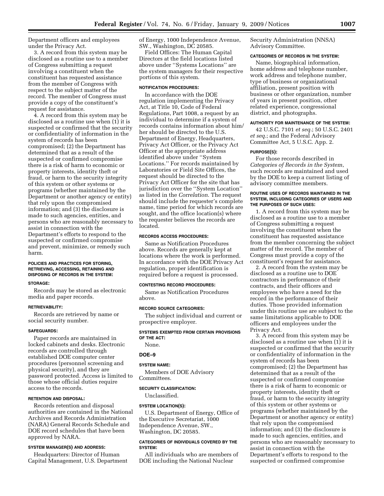Department officers and employees under the Privacy Act.

3. A record from this system may be disclosed as a routine use to a member of Congress submitting a request involving a constituent when the constituent has requested assistance from the member of Congress with respect to the subject matter of the record. The member of Congress must provide a copy of the constituent's request for assistance.

4. A record from this system may be disclosed as a routine use when (1) it is suspected or confirmed that the security or confidentiality of information in the system of records has been compromised; (2) the Department has determined that as a result of the suspected or confirmed compromise there is a risk of harm to economic or property interests, identity theft or fraud, or harm to the security integrity of this system or other systems or programs (whether maintained by the Department or another agency or entity) that rely upon the compromised information; and (3) the disclosure is made to such agencies, entities, and persons who are reasonably necessary to assist in connection with the Department's efforts to respond to the suspected or confirmed compromise and prevent, minimize, or remedy such harm.

## **POLICIES AND PRACTICES FOR STORING, RETRIEVING, ACCESSING, RETAINING AND DISPOSING OF RECORDS IN THE SYSTEM:**

#### **STORAGE:**

Records may be stored as electronic media and paper records.

#### **RETRIEVABILITY:**

Records are retrieved by name or social security number.

#### **SAFEGUARDS:**

Paper records are maintained in locked cabinets and desks. Electronic records are controlled through established DOE computer center procedures (personnel screening and physical security), and they are password protected. Access is limited to those whose official duties require access to the records.

## **RETENTION AND DISPOSAL:**

Records retention and disposal authorities are contained in the National Archives and Records Administration (NARA) General Records Schedule and DOE record schedules that have been approved by NARA.

#### **SYSTEM MANAGER(S) AND ADDRESS:**

Headquarters: Director of Human Capital Management, U.S. Department of Energy, 1000 Independence Avenue, SW., Washington, DC 20585.

Field Offices: The Human Capital Directors at the field locations listed above under ''Systems Locations'' are the system managers for their respective portions of this system.

## **NOTIFICATION PROCEDURES:**

In accordance with the DOE regulation implementing the Privacy Act, at Title 10, Code of Federal Regulations, Part 1008, a request by an individual to determine if a system of records contains information about him/ her should be directed to the U.S. Department of Energy, Headquarters, Privacy Act Officer, or the Privacy Act Officer at the appropriate address identified above under ''System Locations.'' For records maintained by Laboratories or Field Site Offices, the request should be directed to the Privacy Act Officer for the site that has jurisdiction over the ''System Location'' as listed in the *Correlation*. The request should include the requester's complete name, time period for which records are sought, and the office location(s) where the requester believes the records are located.

## **RECORDS ACCESS PROCEDURES:**

Same as Notification Procedures above. Records are generally kept at locations where the work is performed. In accordance with the DOE Privacy Act regulation, proper identification is required before a request is processed.

## **CONTESTING RECORD PROCEDURES:**

Same as Notification Procedures above.

#### **RECORD SOURCE CATEGORIES:**

The subject individual and current or prospective employer.

#### **SYSTEMS EXEMPTED FROM CERTAIN PROVISIONS OF THE ACT:**

None.

## **DOE–9**

## **SYSTEM NAME:**

Members of DOE Advisory Committees.

#### **SECURITY CLASSIFICATION:**

Unclassified.

## **SYSTEM LOCATION(S):**

U.S. Department of Energy, Office of the Executive Secretariat, 1000 Independence Avenue, SW., Washington, DC 20585.

## **CATEGORIES OF INDIVIDUALS COVERED BY THE SYSTEM:**

All individuals who are members of DOE including the National Nuclear

Security Administration (NNSA) Advisory Committee.

## **CATEGORIES OF RECORDS IN THE SYSTEM:**

Name, biographical information, home address and telephone number, work address and telephone number, type of business or organizational affiliation, present position with business or other organization, number of years in present position, other related experience, congressional district, and photographs.

## **AUTHORITY FOR MAINTENANCE OF THE SYSTEM:**

42 U.S.C. 7101 *et seq.*; 50 U.S.C. 2401 *et seq.*; and the Federal Advisory Committee Act, 5 U.S.C. App. 2.

#### **PURPOSE(S):**

For those records described in *Categories of Records in the System*, such records are maintained and used by the DOE to keep a current listing of advisory committee members.

#### **ROUTINE USES OF RECORDS MAINTAINED IN THE SYSTEM, INCLUDING CATEGORIES OF USERS AND THE PURPOSES OF SUCH USES:**

1. A record from this system may be disclosed as a routine use to a member of Congress submitting a request involving the constituent when the constituent has requested assistance from the member concerning the subject matter of the record. The member of Congress must provide a copy of the constituent's request for assistance.

2. A record from the system may be disclosed as a routine use to DOE contractors in performance of their contracts, and their officers and employees who have a need for the record in the performance of their duties. Those provided information under this routine use are subject to the same limitations applicable to DOE officers and employees under the Privacy Act.

3. A record from this system may be disclosed as a routine use when (1) it is suspected or confirmed that the security or confidentiality of information in the system of records has been compromised; (2) the Department has determined that as a result of the suspected or confirmed compromise there is a risk of harm to economic or property interests, identity theft or fraud, or harm to the security integrity of this system or other systems or programs (whether maintained by the Department or another agency or entity) that rely upon the compromised information; and (3) the disclosure is made to such agencies, entities, and persons who are reasonably necessary to assist in connection with the Department's efforts to respond to the suspected or confirmed compromise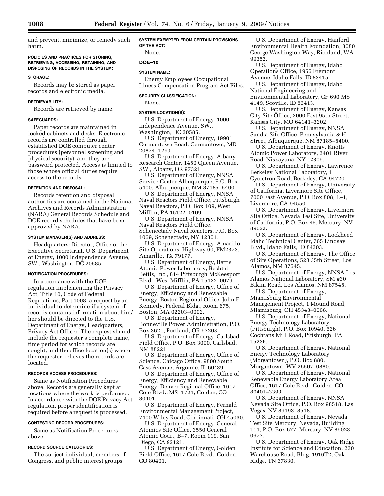and prevent, minimize, or remedy such harm.

#### **POLICIES AND PRACTICES FOR STORING, RETRIEVING, ACCESSING, RETAINING, AND DISPOSING OF RECORDS IN THE SYSTEM:**

#### **STORAGE:**

Records may be stored as paper records and electronic media.

#### **RETRIEVABILITY:**

Records are retrieved by name.

#### **SAFEGUARDS:**

Paper records are maintained in locked cabinets and desks. Electronic records are controlled through established DOE computer center procedures (personnel screening and physical security), and they are password protected. Access is limited to those whose official duties require access to the records.

#### **RETENTION AND DISPOSAL:**

Records retention and disposal authorities are contained in the National Archives and Records Administration (NARA) General Records Schedule and DOE record schedules that have been approved by NARA.

#### **SYSTEM MANAGER(S) AND ADDRESS:**

Headquarters: Director, Office of the Executive Secretariat, U.S. Department of Energy, 1000 Independence Avenue, SW., Washington, DC 20585.

#### **NOTIFICATION PROCEDURES:**

In accordance with the DOE regulation implementing the Privacy Act, Title 10, Code of Federal Regulations, Part 1008, a request by an individual to determine if a system of records contains information about him/ her should be directed to the U.S. Department of Energy, Headquarters, Privacy Act Officer. The request should include the requester's complete name, time period for which records are sought, and the office location(s) where the requester believes the records are located.

## **RECORDS ACCESS PROCEDURES:**

Same as Notification Procedures above. Records are generally kept at locations where the work is performed. In accordance with the DOE Privacy Act regulation, proper identification is required before a request is processed.

#### **CONTESTING RECORD PROCEDURES:**

Same as Notification Procedures above.

## **RECORD SOURCE CATEGORIES:**

The subject individual, members of Congress, and public interest groups.

## **SYSTEM EXEMPTED FROM CERTAIN PROVISIONS OF THE ACT:**

None.

## **DOE–10**

## **SYSTEM NAME:**

Energy Employees Occupational Illness Compensation Program Act Files.

#### **SECURITY CLASSIFICATION:**

None.

#### **SYSTEM LOCATION(S):**

U.S. Department of Energy, 1000 Independence Avenue, SW., Washington, DC 20585.

U.S. Department of Energy, 19901

Germantown Road, Germantown, MD 20874–1290.

U.S. Department of Energy, Albany Research Center, 1450 Queen Avenue, SW., Albany, OR 97321.

U.S. Department of Energy, NNSA Service Center Albuquerque, P.O. Box 5400, Albuquerque, NM 87185–5400.

U.S. Department of Energy, NNSA Naval Reactors Field Office, Pittsburgh Naval Reactors, P.O. Box 109, West Mifflin, PA 15122–0109.

U.S. Department of Energy, NNSA Naval Reactors Field Office, Schenectady Naval Reactors, P.O. Box 1069, Schenectady, NY 12301.

U.S. Department of Energy, Amarillo Site Operations, Highway 60, FM2373, Amarillo, TX 79177.

U.S. Department of Energy, Bettis Atomic Power Laboratory, Bechtel Bettis, Inc., 814 Pittsburgh McKeesport Blvd., West Mifflin, PA 15122–0079.

U.S. Department of Energy, Office of Energy, Efficiency and Renewable Energy, Boston Regional Office, John F. Kennedy, Federal Bldg., Room 675, Boston, MA 02203–0002.

U.S. Department of Energy, Bonneville Power Administration, P.O. Box 3621, Portland, OR 97208.

U.S. Department of Energy, Carlsbad Field Office, P.O. Box 3090, Carlsbad, NM 88221.

U.S. Department of Energy, Office of Science, Chicago Office, 9800 South Cass Avenue, Argonne, IL 60439.

U.S. Department of Energy, Office of Energy, Efficiency and Renewable Energy, Denver Regional Office, 1617 Cole Blvd., MS–1721, Golden, CO 80401.

U.S. Department of Energy, Fernald Environmental Management Project, 7400 Wiley Road, Cincinnati, OH 45030.

U.S. Department of Energy, General Atomics Site Office, 3550 General Atomic Court, B–7, Room 119, San Diego, CA 92121.

U.S. Department of Energy, Golden Field Office, 1617 Cole Blvd., Golden, CO 80401.

U.S. Department of Energy, Hanford Environmental Health Foundation, 3080 George Washington Way, Richland, WA 99352.

U.S. Department of Energy, Idaho Operations Office, 1955 Fremont Avenue, Idaho Falls, ID 83415.

U.S. Department of Energy, Idaho National Engineering and Environmental Laboratory, CF 690 MS 4149, Scoville, ID 83415.

U.S. Department of Energy, Kansas City Site Office, 2000 East 95th Street, Kansas City, MO 64141–3202.

U.S. Department of Energy, NNSA Sandia Site Office, Pennsylvania & H Street, Albuquerque, NM 87185–5400.

U.S. Department of Energy, Knolls Atomic Power Laboratory, 2401 River Road, Niskayuna, NY 12309.

U.S. Department of Energy, Lawrence Berkeley National Laboratory, 1 Cyclotron Road, Berkeley, CA 94720.

U.S. Department of Energy, University of California, Livermore Site Office, 7000 East Avenue, P.O. Box 808, L–1, Livermore, CA 94550.

U.S. Department of Energy, Livermore Site Office, Nevada Test Site, University of California, P.O. Box 45, Mercury, NV 89023.

U.S. Department of Energy, Lockheed Idaho Technical Center, 765 Lindsay Blvd., Idaho Falls, ID 84303.

U.S. Department of Energy, The Office of Site Operations, 528 35th Street, Los Alamos, NM 87545.

U.S. Department of Energy, NNSA Los Alamos National Laboratory, SM #30 Bikini Road, Los Alamos, NM 87545.

U.S. Department of Energy, Miamisburg Environmental Management Project, 1 Mound Road, Miamisburg, OH 45343–0066.

U.S. Department of Energy, National Energy Technology Laboratory (Pittsburgh), P.O. Box 10940, 626 Cochrans Mill Road, Pittsburgh, PA 15236.

U.S. Department of Energy, National Energy Technology Laboratory (Morgantown), P.O. Box 880, Morgantown, WV 26507–0880.

U.S. Department of Energy, National Renewable Energy Laboratory Area Office, 1617 Cole Blvd., Golden, CO 80401–3393.

U.S. Department of Energy, NNSA Nevada Site Office, P.O. Box 98518, Las Vegas, NV 89193–8518.

U.S. Department of Energy, Nevada Test Site Mercury, Nevada, Building 111, P.O. Box 677, Mercury, NV 89023– 0677.

U.S. Department of Energy, Oak Ridge Institute for Science and Education, 230 Warehouse Road, Bldg. 1916T2, Oak Ridge, TN 37830.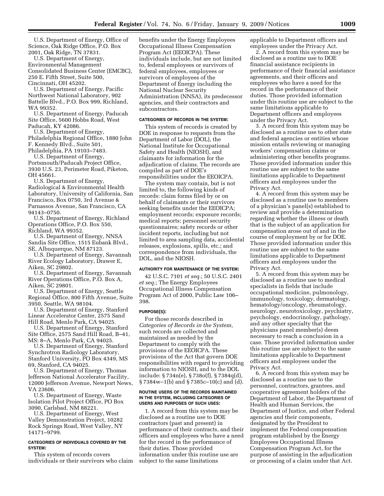U.S. Department of Energy, Office of Science, Oak Ridge Office, P.O. Box 2001, Oak Ridge, TN 37831.

U.S. Department of Energy, Environmental Management Consolidated Business Center (EMCBC), 250 E. Fifth Street, Suite 500, Cincinnati, OH 45202.

U.S. Department of Energy, Pacific Northwest National Laboratory, 902 Battelle Blvd., P.O. Box 999, Richland, WA 99352.

U.S. Department of Energy, Paducah Site Office, 5600 Hobbs Road, West Paducah, KY 42086.

U.S. Department of Energy, Philadelphia Regional Office, 1880 John F. Kennedy Blvd., Suite 501, Philadelphia, PA 19103–7483.

U.S. Department of Energy, Portsmouth/Paducah Project Office, 3930 U.S. 23, Perimeter Road, Piketon, OH 45661.

U.S. Department of Energy, Radiological & Environmental Health Laboratory, University of California, San Francisco, Box 0750, 3rd Avenue & Parnassos Avenue, San Francisco, CA 94143–0750.

U.S. Department of Energy, Richland Operations Office, P.O. Box 550, Richland, WA 99352.

U.S. Department of Energy, NNSA Sandia Site Office, 1515 Eubank Blvd., SE, Albuquerque, NM 87123.

U.S. Department of Energy, Savannah River Ecology Laboratory, Drawer E, Aiken, SC 29802.

U.S. Department of Energy, Savannah River Operations Office, P.O. Box A, Aiken, SC 29801.

U.S. Department of Energy, Seattle Regional Office, 800 Fifth Avenue, Suite 3950, Seattle, WA 98104.

U.S. Department of Energy, Stanford Linear Accelerator Center, 2575 Sand Hill Road, Menlo Park, CA 94025.

U.S. Department of Energy, Stanford Site Office, 2575 Sand Hill Road, B–41, MS: 8–A, Menlo Park, CA 94025.

U.S. Department of Energy, Stanford Synchrotron Radiology Laboratory, Stanford University, PO Box 4349, MS 69, Stanford, CA 94025.

U.S. Department of Energy, Thomas Jefferson National Accelerator Facility, 12000 Jefferson Avenue, Newport News, VA 23606.

U.S. Department of Energy, Waste Isolation Pilot Project Office, PO Box 3090, Carlsbad, NM 88221.

U.S. Department of Energy, West Valley Demonstration Project, 10282 Rock Springs Road, West Valley, NY 14171–9799.

#### **CATEGORIES OF INDIVIDUALS COVERED BY THE SYSTEM:**

This system of records covers individuals or their survivors who claim benefits under the Energy Employees Occupational Illness Compensation Program Act (EEOICPA). These individuals include, but are not limited to, federal employees or survivors of federal employees, employees or survivors of employees of the Department of Energy including the National Nuclear Security Administration (NNSA), its predecessor agencies, and their contractors and subcontractors.

## **CATEGORIES OF RECORDS IN THE SYSTEM:**

This system of records is created by DOE in response to requests from the Department of Labor (DOL), the National Institute for Occupational Safety and Health (NIOSH), and claimants for information for the adjudication of claims. The records are compiled as part of DOE's responsibilities under the EEOICPA.

The system may contain, but is not limited to, the following kinds of records: claim forms filed by or on behalf of claimants or their survivors seeking benefits under the EEOICPA; employment records; exposure records; medical reports; personnel security questionnaires; safety records or other incident reports, including but not limited to area sampling data, accidental releases, explosions, spills, etc.; and correspondence from individuals, the DOL, and the NIOSH.

#### **AUTHORITY FOR MAINTENANCE OF THE SYSTEM:**

42 U.S.C. 7101 *et seq.*; 50 U.S.C. 2401 *et seq.*; The Energy Employees Occupational Illness Compensation Program Act of 2000, Public Law 106– 398.

#### **PURPOSE(S):**

For those records described in *Categories of Records in the System,*  such records are collected and maintained as needed by the Department to comply with the provisions of the EEOICPA. These provisions of the Act that govern DOE responsibilities with regard to providing information to NIOSH, and to the DOL include: § 734n(e), § 738o(f), § 7384q(d), § 7384w–1(b) and § 7385c–10(c) and (d).

#### **ROUTINE USERS OF THE RECORDS MAINTAINED IN THE SYSTEM, INCLUDING CATEGORIES OF USERS AND PURPOSES OF SUCH USES:**

1. A record from this system may be disclosed as a routine use to DOE contractors (past and present) in performance of their contracts, and their officers and employees who have a need for the record in the performance of their duties. Those provided information under this routine use are subject to the same limitations

applicable to Department officers and employees under the Privacy Act.

2. A record from this system may be disclosed as a routine use to DOE financial assistance recipients in performance of their financial assistance agreements, and their officers and employees who have a need for the record in the performance of their duties. Those provided information under this routine use are subject to the same limitations applicable to Department officers and employees under the Privacy Act.

3. A record from this system may be disclosed as a routine use to other state and federal agencies or entities whose mission entails reviewing or managing workers' compensation claims or administering other benefits programs. Those provided information under this routine use are subject to the same limitations applicable to Department officers and employees under the Privacy Act.

4. A record from this system may be disclosed as a routine use to members of a physician's panel(s) established to review and provide a determination regarding whether the illness or death that is the subject of an application for compensation arose out of and in the course of employment by or for DOE. Those provided information under this routine use are subject to the same limitations applicable to Department officers and employees under the Privacy Act.

5. A record from this system may be disclosed as a routine use to medical specialists in fields that include occupational medicine, pulmonology, immunology, toxicology, dermatology, hematology/oncology, rheumatology, neurology, neurotoxicology, psychiatry, psychology, endocrinology, pathology, and any other specialty that the physicians panel member(s) deem necessary to reach a conclusion in a case. Those provided information under this routine use are subject to the same limitations applicable to Department officers and employees under the Privacy Act.

6. A record from this system may be disclosed as a routine use to the personnel, contractors, grantees, and cooperative agreement holders of the Department of Labor, the Department of Health and Human Services, the Department of Justice, and other Federal agencies and their components, designated by the President to implement the Federal compensation program established by the Energy Employees Occupational Illness Compensation Program Act, for the purpose of assisting in the adjudication or processing of a claim under that Act.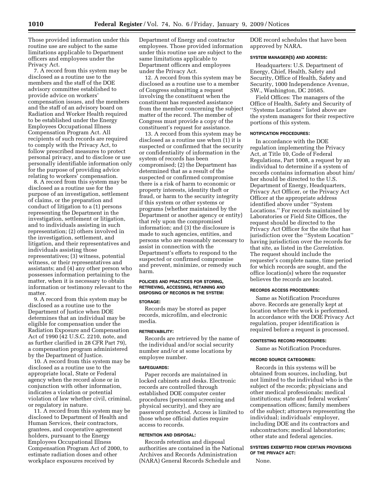Those provided information under this routine use are subject to the same limitations applicable to Department officers and employees under the Privacy Act.

7. A record from this system may be disclosed as a routine use to the members and the staff of the DOE advisory committee established to provide advice on workers' compensation issues, and the members and the staff of an advisory board on Radiation and Worker Health required to be established under the Energy Employees Occupational Illness Compensation Program Act. All recipients of such records are required to comply with the Privacy Act, to follow prescribed measures to protect personal privacy, and to disclose or use personally identifiable information only for the purpose of providing advice relating to workers' compensation.

8. A record from this system may be disclosed as a routine use for the purpose of an investigation, settlement of claims, or the preparation and conduct of litigation to a (1) persons representing the Department in the investigation, settlement or litigation, and to individuals assisting in such representation; (2) others involved in the investigation, settlement, and litigation, and their representatives and individuals assisting those representatives; (3) witness, potential witness, or their representatives and assistants; and (4) any other person who possesses information pertaining to the matter, when it is necessary to obtain information or testimony relevant to the matter.

9. A record from this system may be disclosed as a routine use to the Department of Justice when DOE determines that an individual may be eligible for compensation under the Radiation Exposure and Compensation Act of 1990 (42 U.S.C. 2210, note, and as further clarified in 28 CFR Part 79), a compensation program administered by the Department of Justice.

10. A record from this system may be disclosed as a routine use to the appropriate local, State or Federal agency when the record alone or in conjunction with other information, indicates a violation or potential violation of law whether civil, criminal, or regulatory in nature.

11. A record from this system may be disclosed to Department of Health and Human Services, their contractors, grantees, and cooperative agreement holders, pursuant to the Energy Employees Occupational Illness Compensation Program Act of 2000, to estimate radiation doses and other workplace exposures received by

Department of Energy and contractor employees. Those provided information under this routine use are subject to the same limitations applicable to Department officers and employees under the Privacy Act.

12. A record from this system may be disclosed as a routine use to a member of Congress submitting a request involving the constituent when the constituent has requested assistance from the member concerning the subject matter of the record. The member of Congress must provide a copy of the constituent's request for assistance.

13. A record from this system may be disclosed as a routine use when (1) it is suspected or confirmed that the security or confidentiality of information in the system of records has been compromised; (2) the Department has determined that as a result of the suspected or confirmed compromise there is a risk of harm to economic or property interests, identity theft or fraud, or harm to the security integrity if this system or other systems or programs (whether maintained by the Department or another agency or entity) that rely upon the compromised information; and (3) the disclosure is made to such agencies, entities, and persons who are reasonably necessary to assist in connection with the Department's efforts to respond to the suspected or confirmed compromise and prevent, minimize, or remedy such harm.

## **POLICIES AND PRACTICES FOR STORING, RETRIEVING, ACCESSING, RETAINING AND DISPOSING OF RECORDS IN THE SYSTEM:**

#### **STORAGE:**

Records may be stored as paper records, microfilm, and electronic media.

#### **RETRIEVABILITY:**

Records are retrieved by the name of the individual and/or social security number and/or at some locations by employee number.

#### **SAFEGUARDS:**

Paper records are maintained in locked cabinets and desks. Electronic records are controlled through established DOE computer center procedures (personnel screening and physical security), and they are password protected. Access is limited to those whose official duties require access to records.

#### **RETENTION AND DISPOSAL:**

Records retention and disposal authorities are contained in the National Archives and Records Administration (NARA) General Records Schedule and

DOE record schedules that have been approved by NARA.

#### **SYSTEM MANAGER(S) AND ADDRESS:**

Headquarters: U.S. Department of Energy, Chief, Health, Safety and Security, Office of Health, Safety and Security, 1000 Independence Avenue, SW., Washington, DC 20585.

Field Offices: The managers of the Office of Health, Safety and Security of ''Systems Locations'' listed above are the system managers for their respective portions of this system.

#### **NOTIFICATION PROCEDURES:**

In accordance with the DOE regulation implementing the Privacy Act, at Title 10, Code of Federal Regulations, Part 1008, a request by an individual to determine if a system of records contains information about him/ her should be directed to the U.S. Department of Energy, Headquarters, Privacy Act Officer, or the Privacy Act Officer at the appropriate address identified above under ''System Locations.'' For records maintained by Laboratories or Field Site Offices, the request should be directed to the Privacy Act Officer for the site that has jurisdiction over the ''System Location'' having jurisdiction over the records for that site, as listed in the *Correlation.*  The request should include the requester's complete name, time period for which records are sought, and the office location(s) where the requester believes the records are located.

## **RECORDS ACCESS PROCEDURES:**

Same as Notification Procedures above. Records are generally kept at location where the work is performed. In accordance with the DOE Privacy Act regulation, proper identification is required before a request is processed.

#### **CONTESTING RECORD PROCEDURES:**

Same as Notification Procedures.

#### **RECORD SOURCE CATEGORIES:**

Records in this systems will be obtained from sources, including, but not limited to the individual who is the subject of the records; physicians and other medical professionals; medical institutions; state and federal workers' compensation offices; family members of the subject; attorneys representing the individual; individuals' employer, including DOE and its contractors and subcontractors; medical laboratories; other state and federal agencies.

## **SYSTEMS EXEMPTED FROM CERTAIN PROVISIONS OF THE PRIVACY ACT:**

None.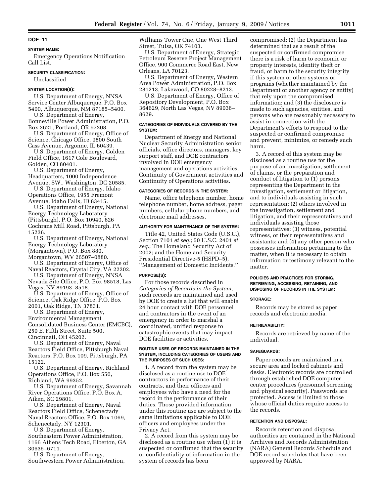#### **SYSTEM NAME:**

Emergency Operations Notification Call List.

#### **SECURITY CLASSIFICATION:**

Unclassified.

#### **SYSTEM LOCATION(S):**

U.S. Department of Energy, NNSA Service Center Albuquerque, P.O. Box 5400, Albuquerque, NM 87185–5400.

U.S. Department of Energy, Bonneville Power Administration, P.O. Box 3621, Portland, OR 97208.

U.S. Department of Energy, Office of Science, Chicago Office, 9800 South Cass Avenue, Argonne, IL 60439.

U.S. Department of Energy, Golden Field Office, 1617 Cole Boulevard, Golden, CO 80401.

U.S. Department of Energy, Headquarters, 1000 Independence Avenue, SW., Washington, DC 20585.

U.S. Department of Energy, Idaho Operations Office, 1955 Fremont Avenue, Idaho Falls, ID 83415.

U.S. Department of Energy, National Energy Technology Laboratory (Pittsburgh), P.O. Box 10940, 626 Cochrans Mill Road, Pittsburgh, PA 15236.

U.S. Department of Energy, National Energy Technology Laboratory (Morgantown), P.O. Box 880, Morgantown, WV 26507–0880.

U.S. Department of Energy, Office of Naval Reactors, Crystal City, VA 22202.

U.S. Department of Energy, NNSA Nevada Site Office, P.O. Box 98518, Las Vegas, NV 89193–8518.

U.S. Department of Energy, Office of Science, Oak Ridge Office, P.O. Box 2001, Oak Ridge, TN 37831.

U.S. Department of Energy, Environmental Management Consolidated Business Center (EMCBC), 250 E. Fifth Street, Suite 500, Cincinnati, OH 45202.

U.S. Department of Energy, Naval Reactors Field Office, Pittsburgh Naval Reactors, P.O. Box 109, Pittsburgh, PA 15122.

U.S. Department of Energy, Richland Operations Office, P.O. Box 550, Richland, WA 99352.

U.S. Department of Energy, Savannah River Operations Office, P.O. Box A, Aiken, SC 29801.

U.S. Department of Energy, Naval Reactors Field Office, Schenectady Naval Reactors Office, P.O. Box 1069, Schenectady, NY 12301.

U.S. Department of Energy, Southeastern Power Administration, 1166 Athens Tech Road, Elberton, GA 30635–6711.

U.S. Department of Energy, Southwestern Power Administration, Williams Tower One, One West Third Street, Tulsa, OK 74103.

U.S. Department of Energy, Strategic Petroleum Reserve Project Management Office, 900 Commerce Road East, New Orleans, LA 70123.

U.S. Department of Energy, Western Area Power Administration, P.O. Box 281213, Lakewood, CO 80228–8213.

U.S. Department of Energy, Office of Repository Development, P.O. Box 364629, North Las Vegas, NV 89036– 8629.

#### **CATEGORIES OF INDIVIDUALS COVERED BY THE SYSTEM:**

Department of Energy and National Nuclear Security Administration senior officials, office directors, managers, key support staff, and DOE contractors involved in DOE emergency management and operations activities, Continuity of Government activities and Continuity of Operations activities.

#### **CATEGORIES OF RECORDS IN THE SYSTEM:**

Name, office telephone number, home telephone number, home address, pager numbers, cellular phone numbers, and electronic mail addresses.

#### **AUTHORITY FOR MAINTENANCE OF THE SYSTEM:**

Title 42, United States Code (U.S.C.), Section 7101 *et seq.*; 50 U.S.C. 2401 *et seq.*; The Homeland Security Act of 2002; and the Homeland Security Presidential Directive-5 (HSPD–5), ''Management of Domestic Incidents.''

#### **PURPOSE(S):**

For those records described in *Categories of Records in the System,*  such records are maintained and used by DOE to create a list that will enable 24 hour contact with DOE personnel and contractors in the event of an emergency in order to marshal a coordinated, unified response to catastrophic events that may impact DOE facilities or activities.

#### **ROUTINE USES OF RECORDS MAINTAINED IN THE SYSTEM, INCLUDING CATEGORIES OF USERS AND THE PURPOSES OF SUCH USES:**

1. A record from the system may be disclosed as a routine use to DOE contractors in performance of their contracts, and their officers and employees who have a need for the record in the performance of their duties. Those provided information under this routine use are subject to the same limitations applicable to DOE officers and employees under the Privacy Act.

2. A record from this system may be disclosed as a routine use when (1) it is suspected or confirmed that the security or confidentiality of information in the system of records has been

compromised; (2) the Department has determined that as a result of the suspected or confirmed compromise there is a risk of harm to economic or property interests, identity theft or fraud, or harm to the security integrity if this system or other systems or programs (whether maintained by the Department or another agency or entity) that rely upon the compromised information; and (3) the disclosure is made to such agencies, entities, and persons who are reasonably necessary to assist in connection with the Department's efforts to respond to the suspected or confirmed compromise and prevent, minimize, or remedy such harm.

3. A record of this system may be disclosed as a routine use for the purpose of an investigation, settlement of claims, or the preparation and conduct of litigation to (1) persons representing the Department in the investigation, settlement or litigation, and to individuals assisting in such representation; (2) others involved in the investigation, settlement and litigation, and their representatives and individuals assisting those representatives; (3) witness, potential witness, or their representatives and assistants; and (4) any other person who possesses information pertaining to the matter, when it is necessary to obtain information or testimony relevant to the matter.

#### **POLICIES AND PRACTICES FOR STORING, RETRIEVING, ACCESSING, RETAINING, AND DISPOSING OF RECORDS IN THE SYSTEM:**

#### **STORAGE:**

Records may be stored as paper records and electronic media.

#### **RETRIEVABILITY:**

Records are retrieved by name of the individual.

#### **SAFEGUARDS:**

Paper records are maintained in a secure area and locked cabinets and desks. Electronic records are controlled through established DOE computer center procedures (personnel screening and physical security). Passwords are protected. Access is limited to those whose official duties require access to the records.

#### **RETENTION AND DISPOSAL:**

Records retention and disposal authorities are contained in the National Archives and Records Administration (NARA) General Records Schedule and DOE record schedules that have been approved by NARA.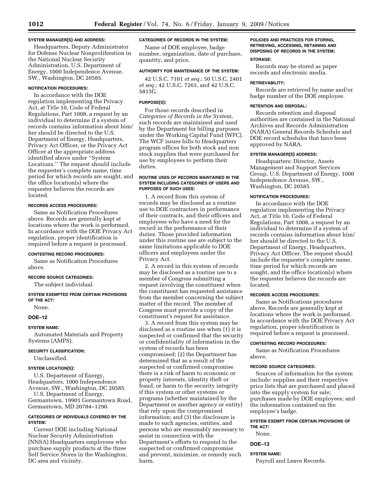#### **SYSTEM MANAGER(S) AND ADDRESS:**

Headquarters, Deputy Administrator for Defense Nuclear Nonproliferation in the National Nuclear Security Administration, U.S. Department of Energy, 1000 Independence Avenue, SW., Washington, DC 20585.

## **NOTIFICATION PROCEDURES:**

In accordance with the DOE regulation implementing the Privacy Act, at Title 10, Code of Federal Regulations, Part 1008, a request by an individual to determine if a system of records contains information about him/ her should be directed to the U.S. Department of Energy, Headquarters, Privacy Act Officer, or the Privacy Act Officer at the appropriate address identified above under ''System Locations.'' The request should include the requester's complete name, time period for which records are sought, and the office location(s) where the requester believes the records are located.

## **RECORDS ACCESS PROCEDURES:**

Same as Notification Procedures above. Records are generally kept at locations where the work is performed. In accordance with the DOE Privacy Act regulation, proper identification is required before a request is processed.

#### **CONTESTING RECORD PROCEDURES:**

Same as Notification Procedures above.

#### **RECORD SOURCE CATEGORIES:**

The subject individual.

**SYSTEM EXEMPTED FROM CERTAIN PROVISIONS OF THE ACT:** 

None.

## **DOE–12**

## **SYSTEM NAME:**

Automated Materials and Property Systems (AMPS).

## **SECURITY CLASSIFICATION:**

Unclassified.

#### **SYSTEM LOCATION(S):**

U.S. Department of Energy, Headquarters, 1000 Independence Avenue, SW., Washington, DC 20585. U.S. Department of Energy,

Germantown, 19901 Germantown Road, Germantown, MD 20784–1290.

## **CATEGORIES OF INDIVIDUALS COVERED BY THE SYSTEM:**

Current DOE including National Nuclear Security Administration (NNSA) Headquarters employees who purchase supply products at the three Self Service Stores in the Washington, DC area and vicinity.

## **CATEGORIES OF RECORDS IN THE SYSTEM:**

Name of DOE employee, badge number, organization, date of purchase, quantity, and price.

## **AUTHORITY FOR MAINTENANCE OF THE SYSTEM:**

42 U.S.C. 7101 *et seq.*; 50 U.S.C. 2401 *et seq.*; 42 U.S.C. 7263, and 42 U.S.C. 5815G.

## **PURPOSE(S):**

For those records described in *Categories of Records in the System,*  such records are maintained and used by the Department for billing purposes under the Working Capital Fund (WFC). The WCF issues bills to Headquarters program offices for both stock and non stock supplies that were purchased for use by employees to perform their duties.

#### **ROUTINE USES OF RECORDS MAINTAINED IN THE SYSTEM INCLUDING CATEGORIES OF USERS AND PURPOSES OF SUCH USES:**

1. A record from this system of records may be disclosed as a routine use to DOE contractors in performance of their contracts, and their officers and employees who have a need for the record in the performance of their duties. Those provided information under this routine use are subject to the same limitations applicable to DOE officers and employees under the Privacy Act.

2. A record in this system of records may be disclosed as a routine use to a member of Congress submitting a request involving the constituent when the constituent has requested assistance from the member concerning the subject matter of the record. The member of Congress must provide a copy of the constituent's request for assistance.

3. A record from this system may be disclosed as a routine use when (1) it is suspected or confirmed that the security or confidentiality of information in the system of records has been compromised; (2) the Department has determined that as a result of the suspected or confirmed compromise there is a risk of harm to economic or property interests, identity theft or fraud, or harm to the security integrity if this system or other systems or programs (whether maintained by the Department or another agency or entity) that rely upon the compromised information; and (3) the disclosure is made to such agencies, entities, and persons who are reasonably necessary to assist in connection with the Department's efforts to respond to the suspected or confirmed compromise and prevent, minimize, or remedy such harm.

## **POLICIES AND PRACTICES FOR STORING, RETRIEVING, ACCESSING, RETAINING AND DISPOSING OF RECORDS IN THE SYSTEM:**

#### **STORAGE:**

Records may be stored as paper records and electronic media.

## **RETRIEVABILITY:**

Records are retrieved by name and/or badge number of the DOE employee.

#### **RETENTION AND DISPOSAL:**

Records retention and disposal authorities are contained in the National Archives and Records Administration (NARA) General Records Schedule and DOE record schedules that have been approved by NARA.

## **SYSTEM MANAGER(S) ADDRESS:**

Headquarters: Director, Assets Management and Support Services Group, U.S. Department of Energy, 1000 Independence Avenue, SW., Washington, DC 20585.

## **NOTIFICATION PROCEDURES:**

In accordance with the DOE regulation implementing the Privacy Act, at Title 10, Code of Federal Regulations, Part 1008, a request by an individual to determine if a system of records contains information about him/ her should be directed to the U.S. Department of Energy, Headquarters, Privacy Act Officer. The request should include the requester's complete name, time period for which records are sought, and the office location(s) where the requester believes the records are located.

#### **RECORDS ACCESS PROCEDURES:**

Same as Notifications procedures above. Records are generally kept at locations where the work is performed. In accordance with the DOE Privacy Act regulation, proper identification is required before a request is processed.

#### **CONTESTING RECORD PROCEDURES:**

Same as Notification Procedures above.

#### **RECORD SOURCE CATEGORIES:**

Sources of information for the system include: supplies and their respective price lists that are purchased and placed into the supply system for sale; purchases made by DOE employees; and the information contained on the employee's badge.

## **SYSTEM EXEMPT FROM CERTAIN PROVISIONS OF THE ACT:**

None.

## **DOE–13**

#### **SYSTEM NAME:**

Payroll and Leave Records.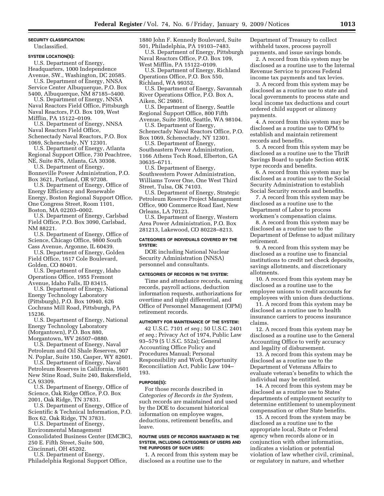## **SECURITY CLASSIFICATION:**

Unclassified.

## **SYSTEM LOCATION(S):**

U.S. Department of Energy, Headquarters, 1000 Independence Avenue, SW., Washington, DC 20585.

U.S. Department of Energy, NNSA Service Center Albuquerque, P.O. Box 5400, Albuquerque, NM 87185–5400.

U.S. Department of Energy, NNSA Naval Reactors Field Office, Pittsburgh Naval Reactors, P.O. Box 109, West Mifflin, PA 15122–0109.

U.S. Department of Energy, NNSA Naval Reactors Field Office, Schenectady Naval Reactors, P.O. Box 1069, Schenectady, NY 12301.

U.S. Department of Energy, Atlanta Regional Support Office, 730 Peachtree, NE, Suite 876, Atlanta, GA 30308.

U.S. Department of Energy, Bonneville Power Administration, P.O. Box 3621, Portland, OR 97208.

U.S. Department of Energy, Office of Energy Efficiency and Renewable Energy, Boston Regional Support Office, One Congress Street, Room 1101, Boston, MA 02203–0002.

U.S. Department of Energy, Carlsbad Field Office, P.O. Box 3090, Carlsbad, NM 88221.

U.S. Department of Energy, Office of Science, Chicago Office, 9800 South Cass Avenue, Argonne, IL 60439.

U.S. Department of Energy, Golden Field Office, 1617 Cole Boulevard, Golden, CO 80401.

U.S. Department of Energy, Idaho Operations Office, 1955 Fremont Avenue, Idaho Falls, ID 83415.

U.S. Department of Energy, National Energy Technology Laboratory (Pittsburgh), P.O. Box 10940, 626 Cochrans Mill Road, Pittsburgh, PA 15236.

U.S. Department of Energy, National Energy Technology Laboratory (Morgantown), P.O. Box 880, Morgantown, WV 26507–0880.

U.S. Department of Energy, Naval Petroleum and Oil Shale Reserves, 907 N. Poplar, Suite 150, Casper, WY 82601.

U.S. Department of Energy, Naval Petroleum Reserves in California, 1601 New Stine Road, Suite 240, Bakersfield, CA 93309.

U.S. Department of Energy, Office of Science, Oak Ridge Office, P.O. Box 2001, Oak Ridge, TN 37831.

U.S. Department of Energy, Office of Scientific & Technical Information, P.O. Box 62, Oak Ridge, TN 37831.

U.S. Department of Energy, Environmental Management Consolidated Business Center (EMCBC), 250 E. Fifth Street, Suite 500, Cincinnati, OH 45202.

U.S. Department of Energy,

Philadelphia Regional Support Office,

1880 John F. Kennedy Boulevard, Suite 501, Philadelphia, PA 19103–7483.

U.S. Department of Energy, Pittsburgh Naval Reactors Office, P.O. Box 109, West Mifflin, PA 15122–0109.

U.S. Department of Energy, Richland Operations Office, P.O. Box 550, Richland, WA 99352.

U.S. Department of Energy, Savannah River Operations Office, P.O. Box A, Aiken, SC 29801.

U.S. Department of Energy, Seattle Regional Support Office, 800 Fifth Avenue, Suite 3950, Seattle, WA 98104. U.S. Department of Energy,

Schenectady Naval Reactors Office, P.O. Box 1069, Schenectady, NY 12301.

U.S. Department of Energy, Southeastern Power Administration, 1166 Athens Tech Road, Elberton, GA 30635–6711.

U.S. Department of Energy, Southwestern Power Administration, Williams Tower One, One West Third Street, Tulsa, OK 74103.

U.S. Department of Energy, Strategic Petroleum Reserve Project Management Office, 900 Commerce Road East, New Orleans, LA 70123.

U.S. Department of Energy, Western Area Power Administration, P.O. Box 281213, Lakewood, CO 80228–8213.

#### **CATEGORIES OF INDIVIDUALS COVERED BY THE SYSTEM:**

DOE including National Nuclear Security Administration (NNSA) personnel and consultants.

#### **CATEGORIES OF RECORDS IN THE SYSTEM:**

Time and attendance records, earning records, payroll actions, deduction information requests, authorizations for overtime and night differential, and Office of Personnel Management (OPM) retirement records.

#### **AUTHORITY FOR MAINTENANCE OF THE SYSTEM:**

42 U.S.C. 7101 *et seq.*; 50 U.S.C. 2401 *et seq.*; Privacy Act of 1974, Public Law 93–579 (5 U.S.C. 552a); General Accounting Office Policy and Procedures Manual; Personal Responsibility and Work Opportunity Reconciliation Act, Public Law 104– 193.

#### **PURPOSE(S):**

For those records described in *Categories of Records in the System*, such records are maintained and used by the DOE to document historical information on employee wages, deductions, retirement benefits, and leave.

## **ROUTINE USES OF RECORDS MAINTAINED IN THE SYSTEM, INCLUDING CATEGORIES OF USERS AND THE PURPOSES OF SUCH USES:**

1. A record from this system may be disclosed as a routine use to the

Department of Treasury to collect withheld taxes, process payroll payments, and issue savings bonds.

2. A record from this system may be disclosed as a routine use to the Internal Revenue Service to process Federal income tax payments and tax levies.

3. A record from this system may be disclosed as a routine use to state and local governments to process state and local income tax deductions and court ordered child support or alimony payments.

4. A record from this system may be disclosed as a routine use to OPM to establish and maintain retirement records and benefits.

5. A record from this system may be disclosed as a routine use to the Thrift Savings Board to update Section 401K type records and benefits.

6. A record from this system may be disclosed as a routine use to the Social Security Administration to establish Social Security records and benefits.

7. A record from this system may be disclosed as a routine use to the Department of Labor to process workmen's compensation claims.

8. A record from this system may be disclosed as a routine use to the Department of Defense to adjust military retirement.

9. A record from this system may be disclosed as a routine use to financial institutions to credit net check deposits, savings allotments, and discretionary allotments.

10. A record from this system may be disclosed as a routine use to the employee unions to credit accounts for employees with union dues deductions.

11. A record from this system may be disclosed as a routine use to health insurance carriers to process insurance claims.

12. A record from this system may be disclosed as a routine use to the General Accounting Office to verify accuracy and legality of disbursement.

13. A record from this system may be disclosed as a routine use to the Department of Veterans Affairs to evaluate veteran's benefits to which the individual may be entitled.

14. A record from this system may be disclosed as a routine use to States' departments of employment security to determine entitlement to unemployment compensation or other State benefits.

15. A record from the system may be disclosed as a routine use to the appropriate local, State or Federal agency when records alone or in conjunction with other information, indicates a violation or potential violation of law whether civil, criminal, or regulatory in nature, and whether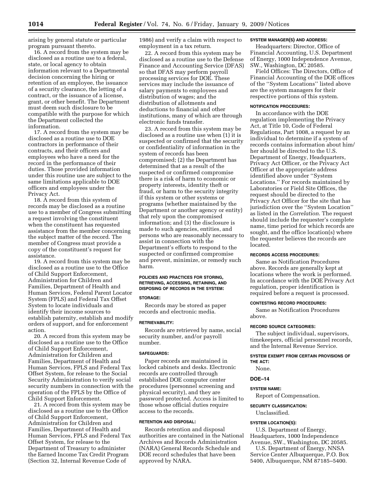arising by general statute or particular program pursuant thereto.

16. A record from the system may be disclosed as a routine use to a federal, state, or local agency to obtain information relevant to a Departmental decision concerning the hiring or retention of an employee, the issuance of a security clearance, the letting of a contract, or the issuance of a license, grant, or other benefit. The Department must deem such disclosure to be compatible with the purpose for which the Department collected the information.

17. A record from the system may be disclosed as a routine use to DOE contractors in performance of their contracts, and their officers and employees who have a need for the record in the performance of their duties. Those provided information under this routine use are subject to the same limitations applicable to DOE officers and employees under the Privacy Act.

18. A record from this system of records may be disclosed as a routine use to a member of Congress submitting a request involving the constituent when the constituent has requested assistance from the member concerning the subject matter of the record. The member of Congress must provide a copy of the constituent's request for assistance.

19. A record from this system may be disclosed as a routine use to the Office of Child Support Enforcement, Administration for Children and Families, Department of Health and Human Services, Federal Parent Locator System (FPLS) and Federal Tax Offset System to locate individuals and identify their income sources to establish paternity, establish and modify orders of support, and for enforcement action.

20. A record from this system may be disclosed as a routine use to the Office of Child Support Enforcement, Administration for Children and Families, Department of Health and Human Services, FPLS and Federal Tax Offset System, for release to the Social Security Administration to verify social security numbers in connection with the operation of the FPLS by the Office of Child Support Enforcement.

21. A record from this system may be disclosed as a routine use to the Office of Child Support Enforcement, Administration for Children and Families, Department of Health and Human Services, FPLS and Federal Tax Offset System, for release to the Department of Treasury to administer the Earned Income Tax Credit Program (Section 32, Internal Revenue Code of

1986) and verify a claim with respect to employment in a tax return.

22. A record from this system may be disclosed as a routine use to the Defense Finance and Accounting Service (DFAS) so that DFAS may perform payroll processing services for DOE. These services may include the issuance of salary payments to employees and distribution of wages; and the distribution of allotments and deductions to financial and other institutions, many of which are through electronic funds transfer.

23. A record from this system may be disclosed as a routine use when (1) it is suspected or confirmed that the security or confidentiality of information in the system of records has been compromised; (2) the Department has determined that as a result of the suspected or confirmed compromise there is a risk of harm to economic or property interests, identity theft or fraud, or harm to the security integrity if this system or other systems or programs (whether maintained by the Department or another agency or entity) that rely upon the compromised information; and (3) the disclosure is made to such agencies, entities, and persons who are reasonably necessary to assist in connection with the Department's efforts to respond to the suspected or confirmed compromise and prevent, minimize, or remedy such harm.

## **POLICIES AND PRACTICES FOR STORING, RETRIEVING, ACCESSING, RETAINING, AND DISPOSING OF RECORDS IN THE SYSTEM:**

#### **STORAGE:**

Records may be stored as paper records and electronic media.

#### **RETRIEVABILITY:**

Records are retrieved by name, social security number, and/or payroll number.

#### **SAFEGUARDS:**

Paper records are maintained in locked cabinets and desks. Electronic records are controlled through established DOE computer center procedures (personnel screening and physical security), and they are password protected. Access is limited to those whose official duties require access to the records.

#### **RETENTION AND DISPOSAL:**

Records retention and disposal authorities are contained in the National Archives and Records Administration (NARA) General Records Schedule and DOE record schedules that have been approved by NARA.

#### **SYSTEM MANAGER(S) AND ADDRESS:**

Headquarters: Director, Office of Financial Accounting, U.S. Department of Energy, 1000 Independence Avenue, SW., Washington, DC 20585.

Field Offices: The Directors, Office of Financial Accounting of the DOE offices of the ''System Locations'' listed above are the system managers for their respective portions of this system.

#### **NOTIFICATION PROCEDURES:**

In accordance with the DOE regulation implementing the Privacy Act, at Title 10, Code of Federal Regulations, Part 1008, a request by an individual to determine if a system of records contains information about him/ her should be directed to the U.S. Department of Energy, Headquarters, Privacy Act Officer, or the Privacy Act Officer at the appropriate address identified above under ''System Locations.'' For records maintained by Laboratories or Field Site Offices, the request should be directed to the Privacy Act Officer for the site that has jurisdiction over the ''System Location'' as listed in the *Correlation*. The request should include the requester's complete name, time period for which records are sought, and the office location(s) where the requester believes the records are located.

## **RECORDS ACCESS PROCEDURES:**

Same as Notification Procedures above. Records are generally kept at locations where the work is performed. In accordance with the DOE Privacy Act regulation, proper identification is required before a request is processed.

#### **CONTESTING RECORD PROCEDURES:**

Same as Notification Procedures above.

#### **RECORD SOURCE CATEGORIES:**

The subject individual, supervisors, timekeepers, official personnel records, and the Internal Revenue Service.

## **SYSTEM EXEMPT FROM CERTAIN PROVISIONS OF THE ACT:**

None.

#### **DOE–14**

### **SYSTEM NAME:**

Report of Compensation.

## **SECURITY CLASSIFICATION:**

Unclassified.

## **SYSTEM LOCATION(S):**

U.S. Department of Energy, Headquarters, 1000 Independence Avenue, SW., Washington, DC 20585.

U.S. Department of Energy, NNSA Service Center Albuquerque, P.O. Box 5400, Albuquerque, NM 87185–5400.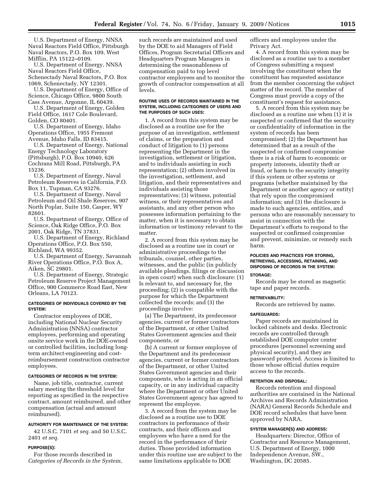U.S. Department of Energy, NNSA Naval Reactors Field Office, Pittsburgh Naval Reactors, P.O. Box 109, West Mifflin, PA 15122–0109.

U.S. Department of Energy, NNSA Naval Reactors Field Office, Schenectady Naval Reactors, P.O. Box 1069, Schenectady, NY 12301.

U.S. Department of Energy, Office of Science, Chicago Office, 9800 South Cass Avenue, Argonne, IL 60439.

U.S. Department of Energy, Golden Field Office, 1617 Cole Boulevard, Golden, CO 80401.

U.S. Department of Energy, Idaho Operations Office, 1955 Fremont Avenue, Idaho Falls, ID 83415.

U.S. Department of Energy, National Energy Technology Laboratory (Pittsburgh), P.O. Box 10940, 626 Cochrans Mill Road, Pittsburgh, PA 15236.

U.S. Department of Energy, Naval Petroleum Reserves in California, P.O. Box 11, Tupman, CA 93276.

U.S. Department of Energy, Naval Petroleum and Oil Shale Reserves, 907 North Poplar, Suite 150, Casper, WY 82601.

U.S. Department of Energy, Office of Science, Oak Ridge Office, P.O. Box 2001, Oak Ridge, TN 37831.

U.S. Department of Energy, Richland Operations Office, P.O. Box 550, Richland, WA 99352.

U.S. Department of Energy, Savannah River Operations Office, P.O. Box A, Aiken, SC 29801.

U.S. Department of Energy, Strategic Petroleum Reserve Project Management Office, 900 Commerce Road East, New Orleans, LA 70123.

## **CATEGORIES OF INDIVIDUALS COVERED BY THE SYSTEM:**

Contractor employees of DOE, including National Nuclear Security Administration (NNSA) contractor employees, performing and operating onsite service work in the DOE-owned or controlled facilities, including longterm architect-engineering and costreimbursement construction contractor employees.

#### **CATEGORIES OF RECORDS IN THE SYSTEM:**

Name, job title, contractor, current salary meeting the threshold level for reporting as specified in the respective contract, amount reimbursed, and other compensation (actual and amount reimbursed).

#### **AUTHORITY FOR MAINTENANCE OF THE SYSTEM:**

42 U.S.C. 7101 *et seq.* and 50 U.S.C. 2401 *et seq.* 

## **PURPOSE(S):**

For those records described in *Categories of Records in the System*, such records are maintained and used by the DOE to aid Managers of Field Offices, Program Secretarial Officers and Headquarters Program Managers in determining the reasonableness of compensation paid to top level contractor employees and to monitor the growth of contractor compensation at all levels.

#### **ROUTINE USES OF RECORDS MAINTAINED IN THE SYSTEM, INCLUDING CATEGORIES OF USERS AND THE PURPOSES OF SUCH USES:**

1. A record from this system may be disclosed as a routine use for the purpose of an investigation, settlement of claims, or the preparation and conduct of litigation to (1) persons representing the Department in the investigation, settlement or litigation, and to individuals assisting in such representation; (2) others involved in the investigation, settlement, and litigation, and their representatives and individuals assisting those representatives; (3) witness, potential witness, or their representatives and assistants, and any other person who possesses information pertaining to the matter, when it is necessary to obtain information or testimony relevant to the matter.

2. A record from this system may be disclosed as a routine use in court or administrative proceedings to the tribunals, counsel, other parties, witnesses, and the public (in publicly available pleadings, filings or discussion in open court) when such disclosure: (1) Is relevant to, and necessary for, the proceeding; (2) is compatible with the purpose for which the Department collected the records; and (3) the proceedings involve:

(a) The Department, its predecessor agencies, current or former contractors of the Department, or other United States Government agencies and their components, or

(b) A current or former employee of the Department and its predecessor agencies, current or former contractors of the Department, or other United States Government agencies and their components, who is acting in an official capacity, or in any individual capacity where the Department or other United States Government agency has agreed to represent the employee.

3. A record from the system may be disclosed as a routine use to DOE contractors in performance of their contracts, and their officers and employees who have a need for the record in the performance of their duties. Those provided information under this routine use are subject to the same limitations applicable to DOE

officers and employees under the Privacy Act.

4. A record from this system may be disclosed as a routine use to a member of Congress submitting a request involving the constituent when the constituent has requested assistance from the member concerning the subject matter of the record. The member of Congress must provide a copy of the constituent's request for assistance.

5. A record from this system may be disclosed as a routine use when (1) it is suspected or confirmed that the security or confidentiality of information in the system of records has been compromised; (2) the Department has determined that as a result of the suspected or confirmed compromise there is a risk of harm to economic or property interests, identity theft or fraud, or harm to the security integrity if this system or other systems or programs (whether maintained by the Department or another agency or entity) that rely upon the compromised information; and (3) the disclosure is made to such agencies, entities, and persons who are reasonably necessary to assist in connection with the Department's efforts to respond to the suspected or confirmed compromise and prevent, minimize, or remedy such harm.

#### **POLICIES AND PRACTICES FOR STORING, RETRIEVING, ACCESSING, RETAINING, AND DISPOSING OF RECORDS IN THE SYSTEM:**

#### **STORAGE:**

Records may be stored as magnetic tape and paper records.

#### **RETRIEVABILITY:**

Records are retrieved by name.

#### **SAFEGUARDS:**

Paper records are maintained in locked cabinets and desks. Electronic records are controlled through established DOE computer center procedures (personnel screening and physical security), and they are password protected. Access is limited to those whose official duties require access to the records.

## **RETENTION AND DISPOSAL:**

Records retention and disposal authorities are contained in the National Archives and Records Administration (NARA) General Records Schedule and DOE record schedules that have been approved by NARA.

#### **SYSTEM MANAGER(S) AND ADDRESS:**

Headquarters: Director, Office of Contractor and Resource Management, U.S. Department of Energy, 1000 Independence Avenue, SW., Washington, DC 20585.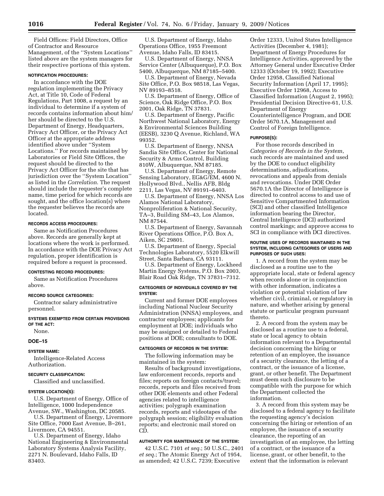Field Offices: Field Directors, Office of Contractor and Resource Management, of the ''System Locations'' listed above are the system managers for their respective portions of this system.

#### **NOTIFICATION PROCEDURES:**

In accordance with the DOE regulation implementing the Privacy Act, at Title 10, Code of Federal Regulations, Part 1008, a request by an individual to determine if a system of records contains information about him/ her should be directed to the U.S. Department of Energy, Headquarters, Privacy Act Officer, or the Privacy Act Officer at the appropriate address identified above under ''System Locations.'' For records maintained by Laboratories or Field Site Offices, the request should be directed to the Privacy Act Officer for the site that has jurisdiction over the ''System Location'' as listed in the *Correlation*. The request should include the requester's complete name, time period for which records are sought, and the office location(s) where the requester believes the records are located.

#### **RECORDS ACCESS PROCEDURES:**

Same as Notification Procedures above. Records are generally kept at locations where the work is performed. In accordance with the DOE Privacy Act regulation, proper identification is required before a request is processed.

#### **CONTESTING RECORD PROCEDURES:**

Same as Notification Procedures above.

#### **RECORD SOURCE CATEGORIES:**

Contractor salary administrative personnel.

#### **SYSTEMS EXEMPTED FROM CERTAIN PROVISIONS OF THE ACT:**

None.

#### **DOE–15**

#### **SYSTEM NAME:**

Intelligence-Related Access Authorization.

## **SECURITY CLASSIFICATION:**

Classified and unclassified.

## **SYSTEM LOCATION(S):**

U.S. Department of Energy, Office of Intelligence, 1000 Independence Avenue, SW., Washington, DC 20585.

U.S. Department of Energy, Livermore Site Office, 7000 East Avenue, B–261, Livermore, CA 94551.

U.S. Department of Energy, Idaho National Engineering & Environmental Laboratory Systems Analysis Facility, 2271 N. Boulevard, Idaho Falls, ID 83403.

U.S. Department of Energy, Idaho Operations Office, 1955 Freemont Avenue, Idaho Falls, ID 83415.

U.S. Department of Energy, NNSA Service Center (Albuquerque), P.O. Box 5400, Albuquerque, NM 87185–5400.

U.S. Department of Energy, Nevada Site Office, P.O. Box 98518, Las Vegas, NV 89193–8518.

U.S. Department of Energy, Office of Science, Oak Ridge Office, P.O. Box 2001, Oak Ridge, TN 37831.

U.S. Department of Energy, Pacific Northwest National Laboratory, Energy & Environmental Sciences Building (EESB), 3230 Q Avenue, Richland, WA 99352.

U.S. Department of Energy, NNSA Sandia Site Office, Center for National Security & Arms Control, Building 810W, Albuquerque, NM 87185.

U.S. Department of Energy, Remote Sensing Laboratory, EG&G/EM, 4600 N. Hollywood Blvd., Nellis AFB, Bldg 2211, Las Vegas, NV 89191–6403.

U.S. Department of Energy, NNSA Los Alamos National Laboratory, Nonproliferation & National Security, TA–3, Building SM–43, Los Alamos, NM 87544.

U.S. Department of Energy, Savannah River Operations Office, P.O. Box A, Aiken, SC 29801.

U.S. Department of Energy, Special Technologies Laboratory, 5520 Elkwill Street, Santa Barbara, CA 93111.

U.S. Department of Energy, Lockheed Martin Energy Systems, P.O. Box 2003, Blair Road Oak Ridge, TN 37831–7312.

## **CATEGORIES OF INDIVIDUALS COVERED BY THE SYSTEM:**

Current and former DOE employees including National Nuclear Security Administration (NNSA) employees, and contractor employees; applicants for employment at DOE; individuals who may be assigned or detailed to Federal positions at DOE; consultants to DOE.

#### **CATEGORIES OF RECORDS IN THE SYSTEM:**

The following information may be maintained in the system:

Results of background investigations, law enforcement records, reports and files; reports on foreign contacts/travel; records, reports and files received from other DOE elements and other Federal agencies related to intelligence activities; polygraph examination records, reports and videotapes of the polygraph session; eligibility evaluation reports; and electronic mail stored on CD.

## **AUTHORITY FOR MAINTENANCE OF THE SYSTEM:**

42 U.S.C. 7101 *et seq.*; 50 U.S.C., 2401 *et seq.*; The Atomic Energy Act of 1954, as amended; 42 U.S.C. 7239; Executive

Order 12333, United States Intelligence Activities (December 4, 1981); Department of Energy Procedures for Intelligence Activities, approved by the Attorney General under Executive Order 12333 (October 19, 1992); Executive Order 12958, Classified National Security Information (April 17, 1995); Executive Order 12968, Access to Classified Information (August 2, 1995); Presidential Decision Directive-61, U.S. Department of Energy Counterintelligence Program, and DOE Order 5670.1A, Management and Control of Foreign Intelligence.

#### **PURPOSE(S):**

For those records described in *Categories of Records in the System*, such records are maintained and used by the DOE to conduct eligibility determinations, adjudications, revocations and appeals from denials and revocations. Under DOE Order 5670.1A the Director of Intelligence is directed to control access to and use of Sensitive Compartmented Information (SCI) and other classified Intelligence information bearing the Director, Central Intelligence (DCI) authorized control markings; and approve access to SCI in compliance with DCI directives.

#### **ROUTINE USES OF RECORDS MAINTAINED IN THE SYSTEM, INCLUDING CATEGORIES OF USERS AND PURPOSES OF SUCH USES:**

1. A record from the system may be disclosed as a routine use to the appropriate local, state or federal agency when records alone or in conjunction with other information, indicates a violation or potential violation of law whether civil, criminal, or regulatory in nature, and whether arising by general statute or particular program pursuant thereto.

2. A record from the system may be disclosed as a routine use to a federal, state or local agency to obtain information relevant to a Departmental decision concerning the hiring or retention of an employee, the issuance of a security clearance, the letting of a contract, or the issuance of a license, grant, or other benefit. The Department must deem such disclosure to be compatible with the purpose for which the Department collected the information.

3. A record from this system may be disclosed to a federal agency to facilitate the requesting agency's decision concerning the hiring or retention of an employee, the issuance of a security clearance, the reporting of an investigation of an employee, the letting of a contract, or the issuance of a license, grant, or other benefit, to the extent that the information is relevant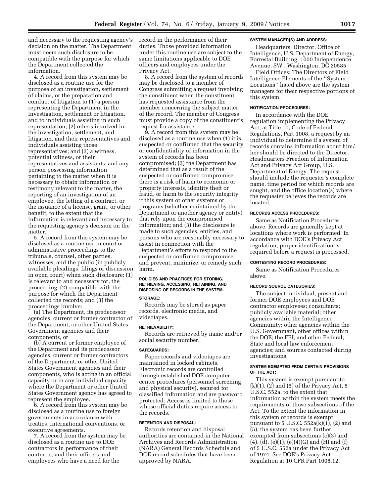and necessary to the requesting agency's decision on the matter. The Department must deem such disclosure to be compatible with the purpose for which the Department collected the information.

4. A record from this system may be disclosed as a routine use for the purpose of an investigation, settlement of claims, or the preparation and conduct of litigation to (1) a person representing the Department in the investigation, settlement or litigation, and to individuals assisting in such representation; (2) others involved in the investigation, settlement, and litigation, and their representatives and individuals assisting those representatives; and (3) a witness, potential witness, or their representatives and assistants, and any person possessing information pertaining to the matter when it is necessary to obtain information or testimony relevant to the matter, the reporting of an investigation of an employee, the letting of a contract, or the issuance of a license, grant, or other benefit, to the extent that the information is relevant and necessary to the requesting agency's decision on the matter.

5. A record from this system may be disclosed as a routine use in court or administrative proceedings to the tribunals, counsel, other parties, witnesses, and the public (in publicly available pleadings, filings or discussion in open court) when such disclosure: (1) Is relevant to and necessary for, the proceeding; (2) compatible with the purpose for which the Department collected the records; and (3) the proceedings involve:

(a) The Department, its predecessor agencies, current or former contractor of the Department, or other United States Government agencies and their components, or

(b) A current or former employee of the Department and its predecessor agencies, current or former contractors of the Department, or other United States Government agencies and their components, who is acting in an official capacity or in any individual capacity where the Department or other United States Government agency has agreed to represent the employee.

6. A record from this system may be disclosed as a routine use to foreign governments in accordance with treaties, international conventions, or executive agreements.

7. A record from the system may be disclosed as a routine use to DOE contractors in performance of their contracts, and their officers and employees who have a need for the

record in the performance of their duties. Those provided information under this routine use are subject to the same limitations applicable to DOE officers and employees under the Privacy Act.

8. A record from the system of records may be disclosed to a member of Congress submitting a request involving the constituent when the constituent has requested assistance from the member concerning the subject matter of the record. The member of Congress must provide a copy of the constituent's request for assistance.

9. A record from this system may be disclosed as a routine use when (1) it is suspected or confirmed that the security or confidentiality of information in the system of records has been compromised; (2) the Department has determined that as a result of the suspected or confirmed compromise there is a risk of harm to economic or property interests, identity theft or fraud, or harm to the security integrity if this system or other systems or programs (whether maintained by the Department or another agency or entity) that rely upon the compromised information; and (3) the disclosure is made to such agencies, entities, and persons who are reasonably necessary to assist in connection with the Department's efforts to respond to the suspected or confirmed compromise and prevent, minimize, or remedy such harm.

## **POLICIES AND PRACTICES FOR STORING, RETRIEVING, ACCESSING, RETAINING, AND DISPOSING OF RECORDS IN THE SYSTEM. STORAGE:**

Records may be stored as paper records, electronic media, and videotapes.

## **RETRIEVABILITY:**

Records are retrieved by name and/or social security number.

## **SAFEGUARDS:**

Paper records and videotapes are maintained in locked cabinets. Electronic records are controlled through established DOE computer center procedures (personnel screening and physical security), secured for classified information and are password protected. Access is limited to those whose official duties require access to the records.

#### **RETENTION AND DISPOSAL:**

Records retention and disposal authorities are contained in the National Archives and Records Administration (NARA) General Records Schedule and DOE record schedules that have been approved by NARA.

## **SYSTEM MANAGER(S) AND ADDRESS:**

Headquarters: Director, Office of Intelligence, U.S. Department of Energy, Forrestal Building, 1000 Independence Avenue, SW., Washington, DC 20585.

Field Offices: The Directors of Field Intelligence Elements of the ''System Locations'' listed above are the system managers for their respective portions of this system.

## **NOTIFICATION PROCEDURES:**

In accordance with the DOE regulation implementing the Privacy Act, at Title 10, Code of Federal Regulations, Part 1008, a request by an individual to determine if a system of records contains information about him/ her should be directed to the Director, Headquarters Freedom of Information Act and Privacy Act Group, U.S. Department of Energy. The request should include the requester's complete name, time period for which records are sought, and the office location(s) where the requester believes the records are located.

## **RECORDS ACCESS PROCEDURES:**

Same as Notification Procedures above. Records are generally kept at locations where work is performed. In accordance with DOE's Privacy Act regulation, proper identification is required before a request is processed.

#### **CONTESTING RECORD PROCEDURES:**

Same as Notification Procedures above.

## **RECORD SOURCE CATEGORIES:**

The subject individual, present and former DOE employees and DOE contractor employees; consultants; publicly available material; other agencies within the Intelligence Community; other agencies within the U.S. Government, other offices within the DOE; the FBI, and other Federal, State and local law enforcement agencies; and sources contacted during investigations.

#### **SYSTEM EXEMPTED FROM CERTAIN PROVISIONS OF THE ACT:**

This system is exempt pursuant to  $(k)(1)$ ,  $(2)$  and  $(5)$  of the Privacy Act, 5 U.S.C. 552a, to the extent that information within the system meets the requirements of those subsections of the Act. To the extent the information in this system of records is exempt pursuant to  $5$  U.S.C.  $552a(k)(1)$ ,  $(2)$  and (5), the system has been further exempted from subsections (c)(3) and  $(4)$ ,  $(d)$ ,  $(e)(1)$ ,  $(e)(4)(G)$  and  $(H)$  and  $(f)$ of 5 U.S.C. 552a under the Privacy Act of 1974. See DOE's Privacy Act Regulation at 10 CFR Part 1008.12.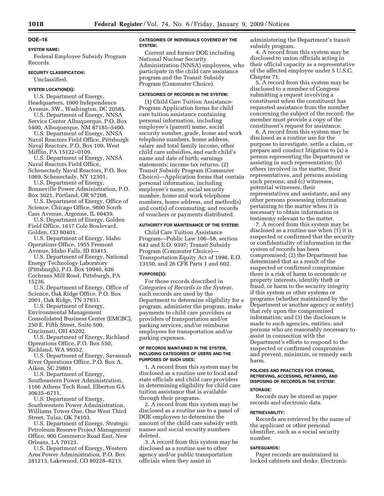## **DOE–16**

## **SYSTEM NAME:**

Federal Employee Subsidy Program Records.

## **SECURITY CLASSIFICATION:**

Unclassified.

## **SYSTEM LOCATION(S):**

U.S. Department of Energy, Headquarters, 1000 Independence Avenue, SW., Washington, DC 20585.

U.S. Department of Energy, NNSA Service Center Albuquerque, P.O. Box 5400, Albuquerque, NM 87185–5400.

U.S. Department of Energy, NNSA Naval Reactors Field Office, Pittsburgh Naval Reactors, P.O. Box 109, West Mifflin, PA 15122–0109.

U.S. Department of Energy, NNSA Naval Reactors Field Office, Schenectady Naval Reactors, P.O. Box 1069, Schenectady, NY 12301.

U.S. Department of Energy,

Bonneville Power Administration, P.O. Box 3621, Portland, OR 97208.

U.S. Department of Energy, Office of Science, Chicago Office, 9800 South Cass Avenue, Argonne, IL 60439.

U.S. Department of Energy, Golden Field Office, 1617 Cole Boulevard, Golden, CO 80401.

U.S. Department of Energy, Idaho Operations Office, 1955 Fremont Avenue, Idaho Falls, ID 83415.

U.S. Department of Energy, National Energy Technology Laboratory (Pittsburgh), P.O. Box 10940, 626 Cochrans Mill Road, Pittsburgh, PA 15236.

U.S. Department of Energy, Office of Science, Oak Ridge Office, P.O. Box 2001, Oak Ridge, TN 37831.

U.S. Department of Energy, Environmental Management Consolidated Business Center (EMCBC), 250 E. Fifth Street, Suite 500, Cincinnati, OH 45202.

U.S. Department of Energy, Richland Operations Office, P.O. Box 550, Richland, WA 99352.

U.S. Department of Energy, Savannah River Operations Office, P.O. Box A, Aiken, SC 29801.

U.S. Department of Energy, Southeastern Power Administration, 1166 Athens Tech Road, Elberton GA 30635–6711.

U.S. Department of Energy, Southwestern Power Administration, Williams Tower One, One West Third Street, Tulsa, OK 74103.

U.S. Department of Energy, Strategic Petroleum Reserve Project Management Office, 900 Commerce Road East, New Orleans, LA 70123.

U.S. Department of Energy, Western Area Power Administration, P.O. Box 281213, Lakewood, CO 80228–8213.

## **CATEGORIES OF INDIVIDUALS COVERED BY THE SYSTEM:**

Current and former DOE including National Nuclear Security Administration (NNSA) employees, who participate in the child care assistance program and the Transit Subsidy Program (Commuter Choice).

## **CATEGORIES OF RECORDS IN THE SYSTEM:**

(1) Child Care Tuition Assistance-Program Application forms for child care tuition assistance containing personal information, including employee's (parent) name, social security number, grade, home and work telephone numbers, home address, salary and total family income, other child care subsidies, and each child's name and date of birth; earnings statements; income tax returns. (2) Transit Subsidy Program (Commuter Choice)—Application forms that contain personal information, including employee's name, social security number, home and work telephone numbers, home address, and method(s) and cost(s) of commuting; and records of vouchers or payments distributed.

#### **AUTHORITY FOR MAINTENANCE OF THE SYSTEM:**

Child Care Tuition Assistance Program—Public Law 106–58, section 643 and E.O. 9397; Transit Subsidy Program (Commuter Choice)— Transportation Equity Act of 1998, E.O. 13150, and 26 CFR Parts 1 and 602.

#### **PURPOSE(S):**

For those records described in *Categories of Records in the System*, such records are used by the Department to determine eligibility for a program, administer the program, make payments to child care providers or providers of transportation and/or parking services, and/or reimburse employees for transportation and/or parking expenses.

#### **OF RECORDS MAINTAINED IN THE SYSTEM, INCLUDING CATEGORIES OF USERS AND THE PURPOSES OF SUCH USES:**

1. A record from this system may be disclosed as a routine use to local and state officials and child care providers in determining eligibility for child care tuition assistance that is available through their programs.

2. A record from this system may be disclosed as a routine use to a panel of DOE employees to determine the amount of the child care subsidy with names and social security numbers deleted.

3. A record from this system may be disclosed as a routine use to other agency and/or public transportation officials when they assist in

administering the Department's transit subsidy program.

4. A record from this system may be disclosed to union officials acting in their official capacity as a representative of the affected employee under 5 U.S.C. Chapter 71.

5. A record from this system may be disclosed to a member of Congress submitting a request involving a constituent when the constituent has requested assistance from the member concerning the subject of the record; the member must provide a copy of the constituent's request for assistance.

6. A record from this system may be disclosed as a routine use for the purpose to investigate, settle a claim, or prepare and conduct litigation to (a) a person representing the Department or assisting in such representation; (b) others involved in the matter, their representatives, and persons assisting such persons; and (c) witnesses, potential witnesses, their representatives and assistants, and any other persons possessing information pertaining to the matter when it is necessary to obtain information or testimony relevant to the matter.

7. A record from this system may be disclosed as a routine use when (1) it is suspected or confirmed that the security or confidentiality of information in the system of records has been compromised; (2) the Department has determined that as a result of the suspected or confirmed compromise there is a risk of harm to economic or property interests, identity theft or fraud, or harm to the security integrity if this system or other systems or programs (whether maintained by the Department or another agency or entity) that rely upon the compromised information; and (3) the disclosure is made to such agencies, entities, and persons who are reasonably necessary to assist in connection with the Department's efforts to respond to the suspected or confirmed compromise and prevent, minimize, or remedy such harm.

## **POLICIES AND PRACTICES FOR STORING, RETRIEVING, ACCESSING, RETAINING, AND DISPOSING OF RECORDS IN THE SYSTEM: STORAGE:**

Records may be stored as paper records and electronic data.

#### **RETRIEVABILITY:**

Records are retrieved by the name of the applicant or other personal identifier, such as a social security number.

#### **SAFEGUARDS:**

Paper records are maintained in locked cabinets and desks. Electronic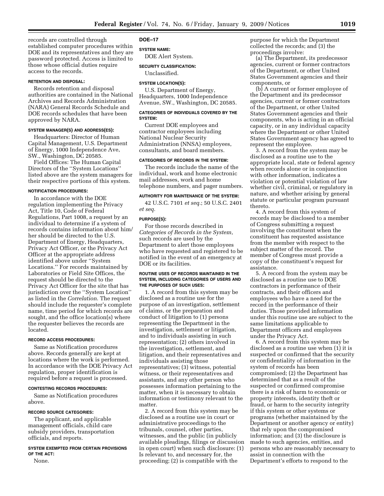records are controlled through established computer procedures within DOE and its representatives and they are password protected. Access is limited to those whose official duties require access to the records.

## **RETENTION AND DISPOSAL:**

Records retention and disposal authorities are contained in the National Archives and Records Administration (NARA) General Records Schedule and DOE records schedules that have been approved by NARA.

## **SYSTEM MANAGER(S) AND ADDRESS(ES):**

Headquarters: Director of Human Capital Management, U.S. Department of Energy, 1000 Independence Ave, SW., Washington, DC 20585.

Field Offices: The Human Capital Directors of the ''System Locations'' listed above are the system managers for their respective portions of this system.

#### **NOTIFICATION PROCEDURES:**

In accordance with the DOE regulation implementing the Privacy Act, Title 10, Code of Federal Regulations, Part 1008, a request by an individual to determine if a system of records contains information about him/ her should be directed to the U.S. Department of Energy, Headquarters, Privacy Act Officer, or the Privacy Act Officer at the appropriate address identified above under ''System Locations.'' For records maintained by Laboratories or Field Site Offices, the request should be directed to the Privacy Act Officer for the site that has jurisdiction over the ''System Location'' as listed in the *Correlation*. The request should include the requester's complete name, time period for which records are sought, and the office location(s) where the requester believes the records are located.

#### **RECORD ACCESS PROCEDURES:**

Same as Notification procedures above. Records generally are kept at locations where the work is performed. In accordance with the DOE Privacy Act regulation, proper identification is required before a request is processed.

### **CONTESTING RECORDS PROCEDURES:**

Same as Notification procedures above.

#### **RECORD SOURCE CATEGORIES:**

The applicant, and applicable management officials, child care subsidy providers, transportation officials, and reports.

## **SYSTEM EXEMPTED FROM CERTAIN PROVISIONS OF THE ACT:**

None.

#### **DOE–17**

**SYSTEM NAME:** 

DOE Alert System.

## **SECURITY CLASSIFICATION:**

Unclassified.

#### **SYSTEM LOCATION(S):**

U.S. Department of Energy, Headquarters, 1000 Independence Avenue, SW., Washington, DC 20585.

#### **CATEGORIES OF INDIVIDUALS COVERED BY THE SYSTEM:**

Current DOE employees and contractor employees including National Nuclear Security Administration (NNSA) employees, consultants, and board members.

## **CATEGORIES OF RECORDS IN THE SYSTEM:**

The records include the name of the individual, work and home electronic mail addresses, work and home telephone numbers, and pager numbers.

## **AUTHORITY FOR MAINTENANCE OF THE SYSTEM:**

42 U.S.C. 7101 *et seq.*; 50 U.S.C. 2401 *et seq.* 

#### **PURPOSE(S):**

For those records described in *Categories of Records in the System*, such records are used by the Department to alert those employees who have requested and registered to be notified in the event of an emergency at DOE or its facilities.

#### **ROUTINE USES OF RECORDS MAINTAINED IN THE SYSTEM, INCLUDING CATEGORIES OF USERS AND THE PURPOSES OF SUCH USES:**

1. A record from this system may be disclosed as a routine use for the purpose of an investigation, settlement of claims, or the preparation and conduct of litigation to (1) persons representing the Department in the investigation, settlement or litigation, and to individuals assisting in such representation; (2) others involved in the investigation, settlement, and litigation, and their representatives and individuals assisting those representatives; (3) witness, potential witness, or their representatives and assistants, and any other person who possesses information pertaining to the matter, when it is necessary to obtain information or testimony relevant to the matter.

2. A record from this system may be disclosed as a routine use in court or administrative proceedings to the tribunals, counsel, other parties, witnesses, and the public (in publicly available pleadings, filings or discussion in open court) when such disclosure: (1) Is relevant to, and necessary for, the proceeding; (2) is compatible with the

purpose for which the Department collected the records; and (3) the proceedings involve:

(a) The Department, its predecessor agencies, current or former contractors of the Department, or other United States Government agencies and their components, or

(b) A current or former employee of the Department and its predecessor agencies, current or former contractors of the Department, or other United States Government agencies and their components, who is acting in an official capacity, or in any individual capacity where the Department or other United States Government agency has agreed to represent the employee.

3. A record from the system may be disclosed as a routine use to the appropriate local, state or federal agency when records alone or in conjunction with other information, indicates a violation or potential violation of law whether civil, criminal, or regulatory in nature, and whether arising by general statute or particular program pursuant thereto.

4. A record from this system of records may be disclosed to a member of Congress submitting a request involving the constituent when the constituent has requested assistance from the member with respect to the subject matter of the record. The member of Congress must provide a copy of the constituent's request for assistance.

5. A record from the system may be disclosed as a routine use to DOE contractors in performance of their contracts, and their officers and employees who have a need for the record in the performance of their duties. Those provided information under this routine use are subject to the same limitations applicable to Department officers and employees under the Privacy Act.

6. A record from this system may be disclosed as a routine use when (1) it is suspected or confirmed that the security or confidentiality of information in the system of records has been compromised; (2) the Department has determined that as a result of the suspected or confirmed compromise there is a risk of harm to economic or property interests, identity theft or fraud, or harm to the security integrity if this system or other systems or programs (whether maintained by the Department or another agency or entity) that rely upon the compromised information; and (3) the disclosure is made to such agencies, entities, and persons who are reasonably necessary to assist in connection with the Department's efforts to respond to the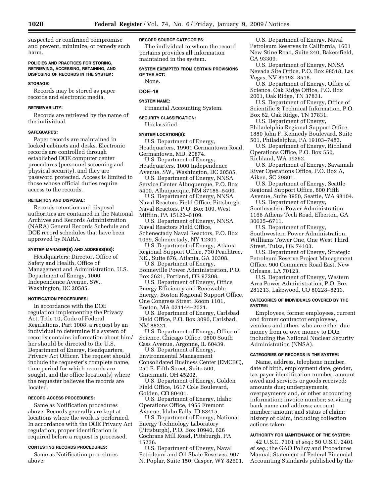suspected or confirmed compromise and prevent, minimize, or remedy such harm.

#### **POLICIES AND PRACTICES FOR STORING, RETRIEVING, ACCESSING, RETAINING, AND DISPOSING OF RECORDS IN THE SYSTEM:**

## **STORAGE:**

Records may be stored as paper records and electronic media.

## **RETRIEVABILITY:**

Records are retrieved by the name of the individual.

#### **SAFEGUARDS:**

Paper records are maintained in locked cabinets and desks. Electronic records are controlled through established DOE computer center procedures (personnel screening and physical security), and they are password protected. Access is limited to those whose official duties require access to the records.

#### **RETENTION AND DISPOSAL:**

Records retention and disposal authorities are contained in the National Archives and Records Administration (NARA) General Records Schedule and DOE record schedules that have been approved by NARA.

#### **SYSTEM MANAGER(S) AND ADDRESS(ES):**

Headquarters: Director, Office of Safety and Health, Office of Management and Administration, U.S. Department of Energy, 1000 Independence Avenue, SW., Washington, DC 20585.

#### **NOTIFICATION PROCEDURES:**

In accordance with the DOE regulation implementing the Privacy Act, Title 10, Code of Federal Regulations, Part 1008, a request by an individual to determine if a system of records contains information about him/ her should be directed to the U.S. Department of Energy, Headquarters, Privacy Act Officer. The request should include the requester's complete name, time period for which records are sought, and the office location(s) where the requester believes the records are located.

#### **RECORD ACCESS PROCEDURES:**

Same as Notification procedures above. Records generally are kept at locations where the work is performed. In accordance with the DOE Privacy Act regulation, proper identification is required before a request is processed.

## **CONTESTING RECORDS PROCEDURES:**

Same as Notification procedures above.

#### **RECORD SOURCE CATEGORIES:**

The individual to whom the record pertains provides all information maintained in the system.

**SYSTEM EXEMPTED FROM CERTAIN PROVISIONS OF THE ACT:** 

## None.

## **DOE–18**

## **SYSTEM NAME:**

Financial Accounting System.

## **SECURITY CLASSIFICATION:**

Unclassified.

#### **SYSTEM LOCATION(S):**

U.S. Department of Energy, Headquarters, 19901 Germantown Road, Germantown, MD, 20874.

U.S. Department of Energy, Headquarters, 1000 Independence

Avenue, SW., Washington, DC 20585. U.S. Department of Energy, NNSA

Service Center Albuquerque, P.O. Box 5400, Albuquerque, NM 87185–5400.

U.S. Department of Energy, NNSA Naval Reactors Field Office, Pittsburgh Naval Reactors, P.O. Box 109, West Mifflin, PA 15122–0109.

U.S. Department of Energy, NNSA Naval Reactors Field Office, Schenectady Naval Reactors, P.O. Box 1069, Schenectady, NY 12301.

U.S. Department of Energy, Atlanta Regional Support Office, 730 Peachtree, NE., Suite 876, Atlanta, GA 30308.

U.S. Department of Energy, Bonneville Power Administration, P.O. Box 3621, Portland, OR 97208.

U.S. Department of Energy, Office Energy Efficiency and Renewable Energy, Boston Regional Support Office, One Congress Street, Room 1101, Boston, MA 021144–2021.

U.S. Department of Energy, Carlsbad Field Office, P.O. Box 3090, Carlsbad, NM 88221.

U.S. Department of Energy, Office of Science, Chicago Office, 9800 South Cass Avenue, Argonne, IL 60439.

U.S. Department of Energy, Environmental Management Consolidated Business Center (EMCBC), 250 E. Fifth Street, Suite 500, Cincinnati, OH 45202.

U.S. Department of Energy, Golden Field Office, 1617 Cole Boulevard, Golden, CO 80401.

U.S. Department of Energy, Idaho Operations Office, 1955 Fremont Avenue, Idaho Falls, ID 83415.

U.S. Department of Energy, National Energy Technology Laboratory (Pittsburgh), P.O. Box 10940, 626 Cochrans Mill Road, Pittsburgh, PA 15236.

U.S. Department of Energy, Naval Petroleum and Oil Shale Reserves, 907 N. Poplar, Suite 150, Casper, WY 82601.

U.S. Department of Energy, Naval Petroleum Reserves in California, 1601 New Stine Road, Suite 240, Bakersfield, CA 93309.

U.S. Department of Energy, NNSA Nevada Site Office, P.O. Box 98518, Las Vegas, NV 89193–8518.

U.S. Department of Energy, Office of Science, Oak Ridge Office, P.O. Box 2001, Oak Ridge, TN 37831.

U.S. Department of Energy, Office of Scientific & Technical Information, P.O. Box 62, Oak Ridge, TN 37831.

U.S. Department of Energy, Philadelphia Regional Support Office, 1880 John F. Kennedy Boulevard, Suite 501, Philadelphia, PA 19103–7483.

U.S. Department of Energy, Richland Operations Office, P.O. Box 550,

Richland, WA 99352.

U.S. Department of Energy, Savannah River Operations Office, P.O. Box A, Aiken, SC 29801.

U.S. Department of Energy, Seattle Regional Support Office, 800 Fifth

Avenue, Suite 3950, Seattle, WA 98104. U.S. Department of Energy,

Southeastern Power Administration, 1166 Athens Tech Road, Elberton, GA 30635–6711.

U.S. Department of Energy, Southwestern Power Administration, Williams Tower One, One West Third Street, Tulsa, OK 74103.

U.S. Department of Energy, Strategic Petroleum Reserve Project Management Office, 900 Commerce Road East, New Orleans, LA 70123.

U.S. Department of Energy, Western Area Power Administration, P.O. Box 281213, Lakewood, CO 80228–8213.

#### **CATEGORIES OF INDIVIDUALS COVERED BY THE SYSTEM:**

Employees, former employees, current and former contractor employees, vendors and others who are either due money from or owe money to DOE including the National Nuclear Security Administration (NNSA).

#### **CATEGORIES OF RECORDS IN THE SYSTEM:**

Name, address, telephone number, date of birth, employment date, gender, tax payer identification number; amount owed and services or goods received; amounts due; underpayments, overpayments and, or other accounting information; invoice number; servicing bank name and address; account number; amount and status of claim; history of claim, including collection actions taken.

## **AUTHORITY FOR MAINTENANCE OF THE SYSTEM:**

42 U.S.C. 7101 *et seq.*; 50 U.S.C. 2401 *et seq.*; the GAO Policy and Procedures Manual; Statement of Federal Financial Accounting Standards published by the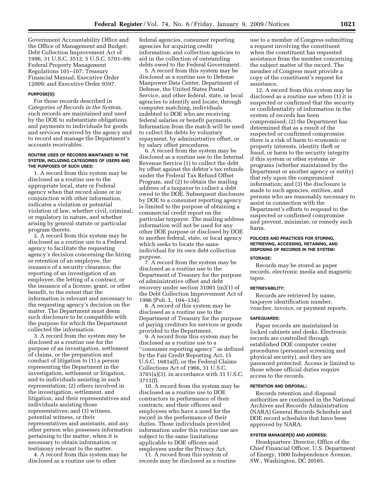Government Accountability Office and the Office of Management and Budget; Debt Collection Improvement Act of 1996, 31 U.S.C. 3512; 5 U.S.C. 5701–09; Federal Property Management Regulations 101–107; Treasury Financial Manual; Executive Order 12009; and Executive Order 9397.

#### **PURPOSE(S):**

For those records described in *Categories of Records in the System,*  such records are maintained and used by the DOE to substantiate obligations and payments to individuals for goods and services received by the agency and to record and manage the Department's accounts receivables.

#### **ROUTINE USES OF RECORDS MAINTAINED IN THE SYSTEM, INCLUDING CATEGORIES OF USERS AND THE PURPOSES OF SUCH USES:**

1. A record from this system may be disclosed as a routine use to the appropriate local, state or Federal agency when that record alone or in conjunction with other information, indicates a violation or potential violation of law, whether civil, criminal, or regulatory in nature, and whether arising by general statute or particular program thereto.

2. A record from this system may be disclosed as a routine use to a Federal agency to facilitate the requesting agency's decision concerning the hiring or retention of an employee, the issuance of a security clearance, the reporting of an investigation of an employee, the letting of a contract, or the issuance of a license, grant, or other benefit, to the extent that the information is relevant and necessary to the requesting agency's decision on the matter. The Department must deem such disclosure to be compatible with the purpose for which the Department collected the information.

3. A record from the system may be disclosed as a routine use for the purpose of an investigation, settlement of claims, or the preparation and conduct of litigation to (1) a person representing the Department in the investigation, settlement or litigation, and to individuals assisting in such representation; (2) others involved in the investigation, settlement, and litigation, and their representatives and individuals assisting those representatives; and (3) witness, potential witness, or their representatives and assistants, and any other person who possesses information pertaining to the matter, when it is necessary to obtain information or testimony relevant to the matter.

4. A record from this system may be disclosed as a routine use to other

federal agencies, consumer reporting agencies for acquiring credit information, and collection agencies to aid in the collection of outstanding debts owed to the Federal Government.

5. A record from this system may be disclosed as a routine use to Defense Manpower Data Center, Department of Defense, the United States Postal Service, and other federal, state, or local agencies to identify and locate, through computer matching, individuals indebted to DOE who are receiving federal salaries or benefit payments. Information from the match will be used to collect the debts by voluntary repayment, by administrative offset, or by salary offset procedures.

6. A record from the system may be disclosed as a routine use to the Internal Revenue Service (1) to collect the debt by offset against the debtor's tax refunds under the Federal Tax Refund Offset Program, and (2) to obtain the mailing address of a taxpayer to collect a debt owed to the DOE. Subsequent disclosure by DOE to a consumer reporting agency is limited to the purpose of obtaining a commercial credit report on the particular taxpayer. The mailing address information will not be used for any other DOE purpose or disclosed by DOE to another federal, state, or local agency which seeks to locate the same individual for its own debt collection purpose.

7. A record from the system may be disclosed as a routine use to the Department of Treasury for the purpose of administrative offset and debt recovery under section 31001 (m)(1) of the Debt Collection Improvement Act of 1996 (Pub. L. 104–134).

8. A record of this system may be disclosed as a routine use to the Department of Treasury for the purpose of paying creditors for services or goods provided to the Department.

9. A record from this system may be disclosed as a routine use to a ''consumer reporting agency'' as defined by the Fair Credit Reporting Act, 15 U.S.C. 1681a(f), or the Federal Claims Collections Act of 1966, 31 U.S.C. 3701(a)(3), in accordance with 31 U.S.C. 3711(f).

10. A record from the system may be disclosed as a routine use to DOE contractors in performance of their contracts, and their officers and employees who have a need for the record in the performance of their duties. Those individuals provided information under this routine use are subject to the same limitations applicable to DOE officers and employees under the Privacy Act.

11. A record from this system of records may be disclosed as a routine

use to a member of Congress submitting a request involving the constituent when the constituent has requested assistance from the member concerning the subject matter of the record. The member of Congress must provide a copy of the constituent's request for assistance.

12. A record from this system may be disclosed as a routine use when (1) it is suspected or confirmed that the security or confidentiality of information in the system of records has been compromised; (2) the Department has determined that as a result of the suspected or confirmed compromise there is a risk of harm to economic or property interests, identity theft or fraud, or harm to the security integrity if this system or other systems or programs (whether maintained by the Department or another agency or entity) that rely upon the compromised information; and (3) the disclosure is made to such agencies, entities, and persons who are reasonably necessary to assist in connection with the Department's efforts to respond to the suspected or confirmed compromise and prevent, minimize, or remedy such harm.

## **POLICIES AND PRACTICES FOR STORING, RETRIEVING, ACCESSING, RETAINING, AND DISPOSING OF RECORDS IN THE SYSTEM:**

## **STORAGE:**

Records may be stored as paper records, electronic media and magnetic tapes.

## **RETRIEVABILITY:**

Records are retrieved by name, taxpayer identification number, voucher, invoice, or payment reports.

#### **SAFEGUARDS:**

Paper records are maintained in locked cabinets and desks. Electronic records are controlled through established DOE computer center procedures (personnel screening and physical security), and they are password protected. Access is limited to those whose official duties require access to the records.

#### **RETENTION AND DISPOSAL:**

Records retention and disposal authorities are contained in the National Archives and Records Administration (NARA) General Records Schedule and DOE record schedules that have been approved by NARA.

#### **SYSTEM MANAGER(S) AND ADDRESS:**

Headquarters: Director, Office of the Chief Financial Officer, U.S. Department of Energy, 1000 Independence Avenue, SW., Washington, DC 20585.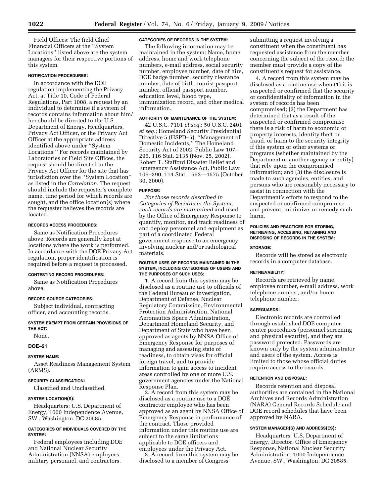Field Offices: The field Chief Financial Officers at the ''System Locations'' listed above are the system managers for their respective portions of this system.

## **NOTIFICATION PROCEDURES:**

In accordance with the DOE regulation implementing the Privacy Act, at Title 10, Code of Federal Regulations, Part 1008, a request by an individual to determine if a system of records contains information about him/ her should be directed to the U.S. Department of Energy, Headquarters, Privacy Act Officer, or the Privacy Act Officer at the appropriate address identified above under ''System Locations.'' For records maintained by Laboratories or Field Site Offices, the request should be directed to the Privacy Act Officer for the site that has jurisdiction over the ''System Location'' as listed in the *Correlation.* The request should include the requester's complete name, time period for which records are sought, and the office location(s) where the requester believes the records are located.

## **RECORDS ACCESS PROCEDURES:**

Same as Notification Procedures above. Records are generally kept at locations where the work is performed. In accordance with the DOE Privacy Act regulation, proper identification is required before a request is processed.

## **CONTESTING RECORD PROCEDURES:**

Same as Notification Procedures above.

## **RECORD SOURCE CATEGORIES:**

Subject individual, contracting officer, and accounting records.

## **SYSTEM EXEMPT FROM CERTAIN PROVISIONS OF THE ACT:**

None.

## **DOE–21**

## **SYSTEM NAME:**

Asset Readiness Management System (ARMS).

## **SECURITY CLASSIFICATION:**

Classified and Unclassified.

## **SYSTEM LOCATION(S):**

Headquarters: U.S. Department of Energy, 1000 Independence Avenue, SW., Washington, DC 20585.

## **CATEGORIES OF INDIVIDUALS COVERED BY THE SYSTEM:**

Federal employees including DOE and National Nuclear Security Administration (NNSA) employees, military personnel, and contractors.

## **CATEGORIES OF RECORDS IN THE SYSTEM:**

The following information may be maintained in the system: Name, home address, home and work telephone numbers, e-mail address, social security number, employee number, date of hire, DOE badge number, security clearance number, date of birth, tourist passport number, official passport number, education level, blood type, immunization record, and other medical information.

## **AUTHORITY OF MAINTENANCE OF THE SYSTEM:**

42 U.S.C. 7101 *et seq.*; 50 U.S.C. 2401 *et seq.*; Homeland Security Presidential Directive 5 (HSPD–5), ''Management of Domestic Incidents,'' The Homeland Security Act of 2002, Public Law 107– 296, 116 Stat. 2135 (Nov. 25, 2002), Robert T. Stafford Disaster Relief and Emergency Assistance Act, Public Law 106–390, 114 Stat. 1552—1575 (October 30, 2000).

## **PURPOSE:**

*For those records described in Categories of Records in the System, such records are maintained* and used by the Office of Emergency Response to quantify, monitor, and track readiness of and deploy personnel and equipment as part of a coordinated Federal government response to an emergency involving nuclear and/or radiological materials.

#### **ROUTINE USES OF RECORDS MAINTAINED IN THE SYSTEM, INCLUDING CATEGORIES OF USERS AND THE PURPOSES OF SUCH USES:**

1. A record from this system may be disclosed as a routine use to officials of the Federal Bureau of Investigation, Department of Defense, Nuclear Regulatory Commission, Environmental Protection Administration, National Aeronautics Space Administration, Department Homeland Security, and Department of State who have been approved as agents by NNSA Office of Emergency Response for purposes of managing and assessing state of readiness, to obtain visas for official foreign travel, and to provide information to gain access to incident areas controlled by one or more U.S. government agencies under the National Response Plan.

2. A record from this system may be disclosed as a routine use to a DOE contractor employee who has been approved as an agent by NNSA Office of Emergency Response in performance of the contract. Those provided information under this routine use are subject to the same limitations applicable to DOE officers and employees under the Privacy Act.

3. A record from this system may be disclosed to a member of Congress

submitting a request involving a constituent when the constituent has requested assistance from the member concerning the subject of the record; the member must provide a copy of the constituent's request for assistance.

4. A record from this system may be disclosed as a routine use when (1) it is suspected or confirmed that the security or confidentiality of information in the system of records has been compromised; (2) the Department has determined that as a result of the suspected or confirmed compromise there is a risk of harm to economic or property interests, identity theft or fraud, or harm to the security integrity if this system or other systems or programs (whether maintained by the Department or another agency or entity) that rely upon the compromised information; and (3) the disclosure is made to such agencies, entities, and persons who are reasonably necessary to assist in connection with the Department's efforts to respond to the suspected or confirmed compromise and prevent, minimize, or remedy such harm.

## **POLICIES AND PRACTICES FOR STORING, RETRIEVING, ACCESSING, RETAINING AND DISPOSING OF RECORDS IN THE SYSTEM:**

#### **STORAGE:**

Records will be stored as electronic records in a computer database.

#### **RETRIEVABILITY:**

Records are retrieved by name, employee number, e-mail address, work telephone number, and/or home telephone number.

## **SAFEGUARDS:**

Electronic records are controlled through established DOE computer center procedures (personnel screening and physical security), and they are password protected. Passwords are known only by the system administrator and users of the system. Access is limited to those whose official duties require access to the records.

## **RETENTION AND DISPOSAL:**

Records retention and disposal authorities are contained in the National Archives and Records Administration (NARA) General Records Schedule and DOE record schedules that have been approved by NARA.

#### **SYSTEM MANAGER(S) AND ADDRESS(ES):**

Headquarters: U.S. Department of Energy, Director, Office of Emergency Response, National Nuclear Security Administration, 1000 Independence Avenue, SW., Washington, DC 20585.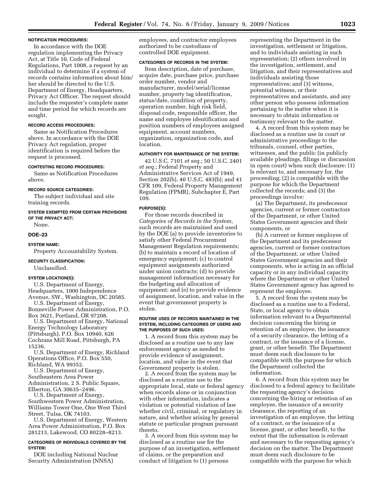#### **NOTIFICATION PROCEDURES:**

In accordance with the DOE regulation implementing the Privacy Act, at Title 10, Code of Federal Regulations, Part 1008, a request by an individual to determine if a system of records contains information about him/ her should be directed to the U.S. Department of Energy, Headquarters, Privacy Act Officer. The request should include the requester's complete name and time period for which records are sought.

#### **RECORD ACCESS PROCEDURES:**

Same as Notification Procedures above. In accordance with the DOE Privacy Act regulation, proper identification is required before the request is processed.

#### **CONTESTING RECORD PROCEDURES:**

Same as Notification Procedures above.

#### **RECORD SOURCE CATEGORIES:**

The subject individual and site training records.

## **SYSTEM EXEMPTED FROM CERTAIN PROVISIONS OF THE PRIVACY ACT:**

None.

## **DOE–23**

## **SYSTEM NAME:**

Property Accountability System.

#### **SECURITY CLASSIFICATION:**

Unclassified.

#### **SYSTEM LOCATION(S):**

U.S. Department of Energy, Headquarters, 1000 Independence Avenue, SW., Washington, DC 20585.

U.S. Department of Energy, Bonneville Power Administration, P.O. Box 3621, Portland, OR 97208.

U.S. Department of Energy, National Energy Technology Laboratory (Pittsburgh), P.O. Box 10940, 626 Cochrans Mill Road, Pittsburgh, PA 15236.

U.S. Department of Energy, Richland Operations Office, P.O. Box 550, Richland, WA 99352.

U.S. Department of Energy,

Southeastern Area Power Administration, 2 S. Public Square,

Elberton, GA 30635–2496.

U.S. Department of Energy, Southwestern Power Administration, Williams Tower One, One West Third Street, Tulsa, OK 74103.

U.S. Department of Energy, Western Area Power Administration, P.O. Box 281213, Lakewood, CO 80228–8213.

## **CATEGORIES OF INDIVIDUALS COVERED BY THE SYSTEM:**

DOE including National Nuclear Security Administration (NNSA)

employees, and contractor employees authorized to be custodians of controlled DOE equipment.

#### **CATEGORIES OF RECORDS IN THE SYSTEM:**

Item description, date of purchase, acquire date, purchase price, purchase order number, vendor and manufacturer, model/serial/license number, property tag identification, status/date, condition of property, operation number, high risk field, disposal code, responsible officer, the name and employee identification and position numbers of employees assigned equipment, account numbers, organization, organization code, and location.

## **AUTHORITY FOR MAINTENANCE OF THE SYSTEM:**

42 U.S.C. 7101 *et seq.*; 50 U.S.C. 2401 *et seq.*; Federal Property and Administrative Services Act of 1949, Section 202(b), 40 U.S.C. 483(b); and 41 CFR 109, Federal Property Management Regulation (FPMR), Subchapter E, Part 109.

#### **PURPOSE(S):**

For those records described in *Categories of Records in the System,*  such records are maintained and used by the DOE (a) to provide inventories to satisfy other Federal Procurement Management Regulation requirements; (b) to maintain a record of location of emergency equipment; (c) to control equipment assignments authorized under union contracts; (d) to provide management information necessary for the budgeting and allocation of equipment; and (e) to provide evidence of assignment, location, and value in the event that government property is stolen.

#### **ROUTINE USES OF RECORDS MAINTAINED IN THE SYSTEM, INCLUDING CATEGORIES OF USERS AND THE PURPOSES OF SUCH USES:**

1. A record from this system may be disclosed as a routine use to any law enforcement agency as needed to provide evidence of assignment, location, and value in the event that Government property is stolen.

2. A record from the system may be disclosed as a routine use to the appropriate local, state or federal agency when records alone or in conjunction with other information, indicates a violation or potential violation of law whether civil, criminal, or regulatory in nature, and whether arising by general statute or particular program pursuant thereto.

3. A record from this system may be disclosed as a routine use for the purpose of an investigation, settlement of claims, or the preparation and conduct of litigation to (1) persons

representing the Department in the investigation, settlement or litigation, and to individuals assisting in such representation; (2) others involved in the investigation, settlement, and litigation, and their representatives and individuals assisting those representatives; and (3) witness, potential witness, or their representatives and assistants, and any other person who possess information pertaining to the matter when it is necessary to obtain information or testimony relevant to the matter.

4. A record from this system may be disclosed as a routine use in court or administrative proceedings to the tribunals, counsel, other parties, witnesses, and the public (in publicly available pleadings, filings or discussion in open court) when such disclosure: (1) Is relevant to, and necessary for, the proceeding; (2) is compatible with the purpose for which the Department collected the records; and (3) the proceedings involve:

(a) The Department, its predecessor agencies, current or former contractors of the Department, or other United States Government agencies and their components, or

(b) A current or former employee of the Department and its predecessor agencies, current or former contractors of the Department, or other United States Government agencies and their components, who is acting in an official capacity or in any individual capacity where the Department or other United States Government agency has agreed to represent the employee.

5. A record from the system may be disclosed as a routine use to a Federal, State, or local agency to obtain information relevant to a Departmental decision concerning the hiring or retention of an employee, the issuance of a security clearance, the letting of a contract, or the issuance of a license, grant, or other benefit. The Department must deem such disclosure to be compatible with the purpose for which the Department collected the information.

6. A record from this system may be disclosed to a federal agency to facilitate the requesting agency's decision concerning the hiring or retention of an employee, the issuance of a security clearance, the reporting of an investigation of an employee, the letting of a contract, or the issuance of a license, grant, or other benefit, to the extent that the information is relevant and necessary to the requesting agency's decision on the matter. The Department must deem such disclosure to be compatible with the purpose for which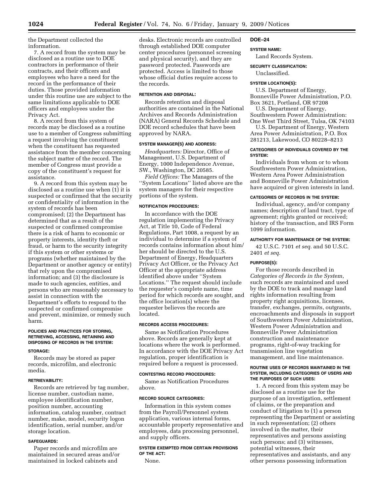the Department collected the information.

7. A record from the system may be disclosed as a routine use to DOE contractors in performance of their contracts, and their officers and employees who have a need for the record in the performance of their duties. Those provided information under this routine use are subject to the same limitations applicable to DOE officers and employees under the Privacy Act.

8. A record from this system of records may be disclosed as a routine use to a member of Congress submitting a request involving the constituent when the constituent has requested assistance from the member concerning the subject matter of the record. The member of Congress must provide a copy of the constituent's request for assistance.

9. A record from this system may be disclosed as a routine use when (1) it is suspected or confirmed that the security or confidentiality of information in the system of records has been compromised; (2) the Department has determined that as a result of the suspected or confirmed compromise there is a risk of harm to economic or property interests, identity theft or fraud, or harm to the security integrity if this system or other systems or programs (whether maintained by the Department or another agency or entity) that rely upon the compromised information; and (3) the disclosure is made to such agencies, entities, and persons who are reasonably necessary to assist in connection with the Department's efforts to respond to the suspected or confirmed compromise and prevent, minimize, or remedy such harm.

## **POLICIES AND PRACTICES FOR STORING, RETRIEVING, ACCESSING, RETAINING AND DISPOSING OF RECORDS IN THE SYSTEM:**

#### **STORAGE:**

Records may be stored as paper records, microfilm, and electronic media.

#### **RETRIEVABILITY:**

Records are retrieved by tag number, license number, custodian name, employee identification number, position number, accounting information, catalog number, contract number, make, model, security logon identification, serial number, and/or storage location.

## **SAFEGUARDS:**

Paper records and microfilm are maintained in secured areas and/or maintained in locked cabinets and

desks. Electronic records are controlled through established DOE computer center procedures (personnel screening and physical security), and they are password protected. Passwords are protected. Access is limited to those whose official duties require access to the records.

## **RETENTION AND DISPOSAL:**

Records retention and disposal authorities are contained in the National Archives and Records Administration (NARA) General Records Schedule and DOE record schedules that have been approved by NARA.

#### **SYSTEM MANAGER(S) AND ADDRESS:**

*Headquarters:* Director, Office of Management, U.S. Department of Energy, 1000 Independence Avenue, SW., Washington, DC 20585.

*Field Offices:* The Managers of the ''System Locations'' listed above are the system managers for their respective portions of the system.

#### **NOTIFICATION PROCEDURES:**

In accordance with the DOE regulation implementing the Privacy Act, at Title 10, Code of Federal Regulations, Part 1008, a request by an individual to determine if a system of records contains information about him/ her should be directed to the U.S. Department of Energy, Headquarters Privacy Act Officer, or the Privacy Act Officer at the appropriate address identified above under ''System Locations.'' The request should include the requester's complete name, time period for which records are sought, and the office location(s) where the requester believes the records are located.

#### **RECORDS ACCESS PROCEDURES:**

Same as Notification Procedures above. Records are generally kept at locations where the work is performed. In accordance with the DOE Privacy Act regulation, proper identification is required before a request is processed.

#### **CONTESTING RECORD PROCEDURES:**

Same as Notification Procedures above.

#### **RECORD SOURCE CATEGORIES:**

Information in this system comes from the Payroll/Personnel system application, various internal forms, accountable property representative and employees, data processing personnel, and supply officers.

## **SYSTEM EXEMPTED FROM CERTAIN PROVISIONS OF THE ACT:**

None.

#### **DOE–24**

#### **SYSTEM NAME:**

Land Records System.

## **SECURITY CLASSIFICATION:**

Unclassified.

#### **SYSTEM LOCATION(S):**

U.S. Department of Energy, Bonneville Power Administration, P.O. Box 3621, Portland, OR 97208

U.S. Department of Energy, Southwestern Power Administration:

One West Third Street, Tulsa, OK 74103 U.S. Department of Energy, Western

Area Power Administration, P.O. Box 281213, Lakewood, CO 80228–8213

## **CATEGORIES OF INDIVIDUALS COVERED BY THE SYSTEM:**

Individuals from whom or to whom Southwestern Power Administration, Western Area Power Administration and Bonneville Power Administration have acquired or given interests in land.

#### **CATEGORIES OF RECORDS IN THE SYSTEM:**

Individual, agency, and/or company names; description of land tract, type of agreement; rights granted or received; history of the transaction, and IRS Form 1099 information.

#### **AUTHORITY FOR MAINTENANCE OF THE SYSTEM:**

42 U.S.C. 7101 *et seq.* and 50 U.S.C. 2401 *et seq.* 

#### **PURPOSE(S):**

For those records described in *Categories of Records in the System*, such records are maintained and used by the DOE to track and manage land rights information resulting from property right acquisitions, licenses, transfer, exchanges, permits, outgrants, encroachments and disposals in support of Southwestern Power Administration, Western Power Administration and Bonneville Power Administration construction and maintenance programs, right-of-way tracking for transmission line vegetation management, and line maintenance.

#### **ROUTINE USES OF RECORDS MAINTAINED IN THE SYSTEM, INCLUDING CATEGORIES OF USERS AND THE PURPOSES OF SUCH USES:**

1. A record from this system may be disclosed as a routine use for the purpose of an investigation, settlement of claims, or the preparation and conduct of litigation to (1) a person representing the Department or assisting in such representation; (2) others involved in the matter, their representatives and persons assisting such persons; and (3) witnesses, potential witnesses, their representatives and assistants, and any other persons possessing information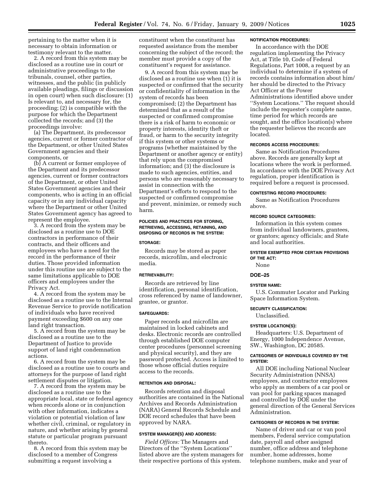pertaining to the matter when it is necessary to obtain information or testimony relevant to the matter.

2. A record from this system may be disclosed as a routine use in court or administrative proceedings to the tribunals, counsel, other parties, witnesses, and the public (in publicly available pleadings, filings or discussion in open court) when such disclosure: (1) Is relevant to, and necessary for, the proceeding; (2) is compatible with the purpose for which the Department collected the records; and (3) the proceedings involve:

(a) The Department, its predecessor agencies, current or former contractor of the Department, or other United States Government agencies and their components, or

(b) A current or former employee of the Department and its predecessor agencies, current or former contractors of the Department, or other United States Government agencies and their components, who is acting in an official capacity or in any individual capacity where the Department or other United States Government agency has agreed to represent the employee.

3. A record from the system may be disclosed as a routine use to DOE contractors in performance of their contracts, and their officers and employees who have a need for the record in the performance of their duties. Those provided information under this routine use are subject to the same limitations applicable to DOE officers and employees under the Privacy Act.

4. A record from the system may be disclosed as a routine use to the Internal Revenue Service to provide notification of individuals who have received payment exceeding \$600 on any one land right transaction.

5. A record from the system may be disclosed as a routine use to the Department of Justice to provide support of land right condemnation actions.

6. A record from the system may be disclosed as a routine use to courts and attorneys for the purpose of land right settlement disputes or litigation.

7. A record from the system may be disclosed as a routine use to the appropriate local, state or federal agency when records alone or in conjunction with other information, indicates a violation or potential violation of law whether civil, criminal, or regulatory in nature, and whether arising by general statute or particular program pursuant thereto.

8. A record from this system may be disclosed to a member of Congress submitting a request involving a

constituent when the constituent has requested assistance from the member concerning the subject of the record; the member must provide a copy of the constituent's request for assistance.

9. A record from this system may be disclosed as a routine use when (1) it is suspected or confirmed that the security or confidentiality of information in the system of records has been compromised; (2) the Department has determined that as a result of the suspected or confirmed compromise there is a risk of harm to economic or property interests, identity theft or fraud, or harm to the security integrity if this system or other systems or programs (whether maintained by the Department or another agency or entity) that rely upon the compromised information; and (3) the disclosure is made to such agencies, entities, and persons who are reasonably necessary to assist in connection with the Department's efforts to respond to the suspected or confirmed compromise and prevent, minimize, or remedy such harm.

#### **POLICIES AND PRACTICES FOR STORING, RETRIEVING, ACCESSING, RETAINING, AND DISPOSING OF RECORDS IN THE SYSTEM:**

#### **STORAGE:**

Records may be stored as paper records, microfilm, and electronic media.

## **RETRIEVABILITY:**

Records are retrieved by line identification, personal identification, cross referenced by name of landowner, grantee, or grantor.

#### **SAFEGUARDS:**

Paper records and microfilm are maintained in locked cabinets and desks. Electronic records are controlled through established DOE computer center procedures (personnel screening and physical security), and they are password protected. Access is limited to those whose official duties require access to the records.

#### **RETENTION AND DISPOSAL:**

Records retention and disposal authorities are contained in the National Archives and Records Administration (NARA) General Records Schedule and DOE record schedules that have been approved by NARA.

#### **SYSTEM MANAGER(S) AND ADDRESS:**

*Field Offices:* The Managers and Directors of the ''System Locations'' listed above are the system managers for their respective portions of this system.

#### **NOTIFICATION PROCEDURES:**

In accordance with the DOE regulation implementing the Privacy Act, at Title 10, Code of Federal Regulations, Part 1008, a request by an individual to determine if a system of records contains information about him/ her should be directed to the Privacy Act Officer at the Power Administrations identified above under ''System Locations.'' The request should include the requester's complete name, time period for which records are sought, and the office location(s) where the requester believes the records are located.

#### **RECORDS ACCESS PROCEDURES:**

Same as Notification Procedures above. Records are generally kept at locations where the work is performed. In accordance with the DOE Privacy Act regulation, proper identification is required before a request is processed.

#### **CONTESTING RECORD PROCEDURES:**

Same as Notification Procedures above.

## **RECORD SOURCE CATEGORIES:**

Information in this system comes from individual landowners, grantees, or grantors; agency officials; and State and local authorities.

#### **SYSTEM EXEMPTED FROM CERTAIN PROVISIONS OF THE ACT:**

None

## **DOE–25**

#### **SYSTEM NAME:**

U.S. Commuter Locator and Parking Space Information System.

#### **SECURITY CLASSIFICATION:**

Unclassified.

#### **SYSTEM LOCATION(S):**

Headquarters: U.S. Department of Energy, 1000 Independence Avenue, SW., Washington, DC 20585.

## **CATEGORIES OF INDIVIDUALS COVERED BY THE SYSTEM:**

All DOE including National Nuclear Security Administration (NNSA) employees, and contractor employees who apply as members of a car pool or van pool for parking spaces managed and controlled by DOE under the general direction of the General Services Administration.

## **CATEGORIES OF RECORDS IN THE SYSTEM:**

Name of driver and car or van pool members, Federal service computation date, payroll and other assigned number, office address and telephone number, home addresses, home telephone numbers, make and year of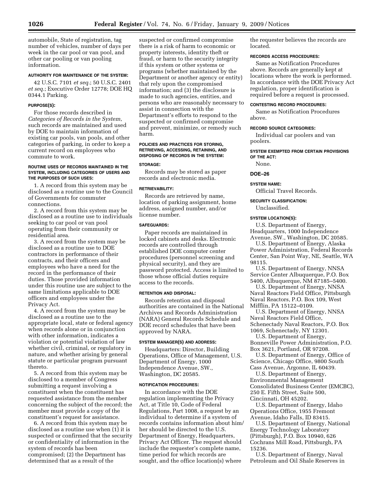automobile, State of registration, tag number of vehicles, number of days per week in the car pool or van pool, and other car pooling or van pooling information.

#### **AUTHORITY FOR MAINTENANCE OF THE SYSTEM:**

42 U.S.C. 7101 *et seq.*; 50 U.S.C. 2401 *et seq.*; Executive Order 12778; DOE HQ 0344.1 Parking.

#### **PURPOSE(S):**

For those records described in *Categories of Records in the System*, such records are maintained and used by DOE to maintain information of existing car pools, van pools, and other categories of parking, in order to keep a current record on employees who commute to work.

#### **ROUTINE USES OF RECORDS MAINTAINED IN THE SYSTEM, INCLUDING CATEGORIES OF USERS AND THE PURPOSES OF SUCH USES:**

1. A record from this system may be disclosed as a routine use to the Council of Governments for commuter connections.

2. A record from this system may be disclosed as a routine use to individuals seeking to car pool or van pool operating from their community or residential area.

3. A record from the system may be disclosed as a routine use to DOE contractors in performance of their contracts, and their officers and employees who have a need for the record in the performance of their duties. Those provided information under this routine use are subject to the same limitations applicable to DOE officers and employees under the Privacy Act.

4. A record from the system may be disclosed as a routine use to the appropriate local, state or federal agency when records alone or in conjunction with other information, indicates a violation or potential violation of law whether civil, criminal, or regulatory in nature, and whether arising by general statute or particular program pursuant thereto.

5. A record from this system may be disclosed to a member of Congress submitting a request involving a constituent when the constituent has requested assistance from the member concerning the subject of the record; the member must provide a copy of the constituent's request for assistance.

6. A record from this system may be disclosed as a routine use when (1) it is suspected or confirmed that the security or confidentiality of information in the system of records has been compromised; (2) the Department has determined that as a result of the

suspected or confirmed compromise there is a risk of harm to economic or property interests, identity theft or fraud, or harm to the security integrity if this system or other systems or programs (whether maintained by the Department or another agency or entity) that rely upon the compromised information; and (3) the disclosure is made to such agencies, entities, and persons who are reasonably necessary to assist in connection with the Department's efforts to respond to the suspected or confirmed compromise and prevent, minimize, or remedy such harm.

## **POLICIES AND PRACTICES FOR STORING, RETRIEVING, ACCESSING, RETAINING, AND DISPOSING OF RECORDS IN THE SYSTEM:**

## **STORAGE:**

Records may be stored as paper records and electronic media.

## **RETRIEVABILITY:**

Records are retrieved by name, location of parking assignment, home address, assigned number, and/or license number.

## **SAFEGUARDS:**

Paper records are maintained in locked cabinets and desks. Electronic records are controlled through established DOE computer center procedures (personnel screening and physical security), and they are password protected. Access is limited to those whose official duties require access to the records.

#### **RETENTION AND DISPOSAL:**

Records retention and disposal authorities are contained in the National Archives and Records Administration (NARA) General Records Schedule and DOE record schedules that have been approved by NARA.

## **SYSTEM MANAGER(S) AND ADDRESS:**

Headquarters: Director, Building Operations, Office of Management, U.S. Department of Energy, 1000 Independence Avenue, SW., Washington, DC 20585.

#### **NOTIFICATION PROCEDURES:**

In accordance with the DOE regulation implementing the Privacy Act, at Title 10, Code of Federal Regulations, Part 1008, a request by an individual to determine if a system of records contains information about him/ her should be directed to the U.S. Department of Energy, Headquarters, Privacy Act Officer. The request should include the requester's complete name, time period for which records are sought, and the office location(s) where

the requester believes the records are located.

## **RECORDS ACCESS PROCEDURES:**

Same as Notification Procedures above. Records are generally kept at locations where the work is performed. In accordance with the DOE Privacy Act regulation, proper identification is required before a request is processed.

## **CONTESTING RECORD PROCEDURES:**

Same as Notification Procedures above.

## **RECORD SOURCE CATEGORIES:**

Individual car poolers and van poolers.

#### **SYSTEM EXEMPTED FROM CERTAIN PROVISIONS OF THE ACT:**  None.

## **DOE–26**

## **SYSTEM NAME:**

Official Travel Records.

## **SECURITY CLASSIFICATION:**

Unclassified.

#### **SYSTEM LOCATION(S):**

U.S. Department of Energy, Headquarters, 1000 Independence Avenue, SW., Washington, DC 20585.

U.S. Department of Energy, Alaska Power Administration, Federal Records Center, San Point Way, NE, Seattle, WA 98115.

U.S. Department of Energy, NNSA Service Center Albuquerque, P.O. Box 5400, Albuquerque, NM 87185–5400.

U.S. Department of Energy, NNSA Naval Reactors Field Office, Pittsburgh Naval Reactors, P.O. Box 109, West Mifflin, PA 15122–0109.

U.S. Department of Energy, NNSA Naval Reactors Field Office, Schenectady Naval Reactors, P.O. Box 1069, Schenectady, NY 12301.

U.S. Department of Energy, Bonneville Power Administration, P.O. Box 3621, Portland, OR 97208.

U.S. Department of Energy, Office of Science, Chicago Office, 9800 South Cass Avenue, Argonne, IL 60439.

U.S. Department of Energy, Environmental Management Consolidated Business Center (EMCBC), 250 E. Fifth Street, Suite 500, Cincinnati, OH 45202.

U.S. Department of Energy, Idaho Operations Office, 1955 Fremont Avenue, Idaho Falls, ID 83415.

U.S. Department of Energy, National Energy Technology Laboratory (Pittsburgh), P.O. Box 10940, 626 Cochrans Mill Road, Pittsburgh, PA 15236.

U.S. Department of Energy, Naval Petroleum and Oil Shale Reserves in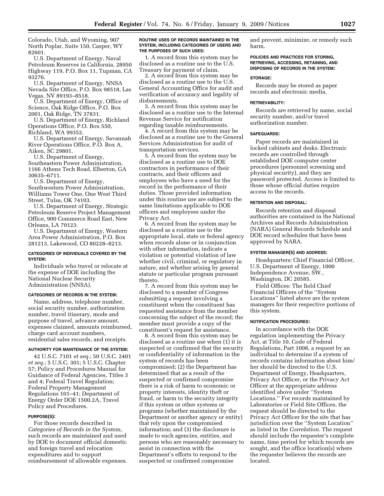Colorado, Utah, and Wyoming, 907 North Poplar, Suite 150, Casper, WY 82601.

U.S. Department of Energy, Naval Petroleum Reserves in California, 28950 Highway 119, P.O. Box 11, Tupman, CA 93276.

U.S. Department of Energy, NNSA Nevada Site Office, P.O. Box 98518, Las Vegas, NV 89193–8518.

U.S. Department of Energy, Office of Science, Oak Ridge Office, P.O. Box 2001, Oak Ridge, TN 37831.

U.S. Department of Energy, Richland Operations Office, P.O. Box 550, Richland, WA 99352.

U.S. Department of Energy, Savannah River Operations Office, P.O. Box A, Aiken, SC 29801.

U.S. Department of Energy, Southeastern Power Administration, 1166 Athens Tech Road, Elberton, GA 30635–6711.

U.S. Department of Energy, Southwestern Power Administration, Williams Tower One, One West Third Street, Tulsa, OK 74103.

U.S. Department of Energy, Strategic Petroleum Reserve Project Management Office, 900 Commerce Road East, New Orleans, LA 70123.

U.S. Department of Energy, Western Area Power Administration, P.O. Box 281213, Lakewood, CO 80228–8213.

## **CATEGORIES OF INDIVIDUALS COVERED BY THE SYSTEM:**

Individuals who travel or relocate at the expense of DOE including the National Nuclear Security Administration (NNSA).

#### **CATEGORIES OF RECORDS IN THE SYSTEM:**

Name, address, telephone number, social security number, authorization number, travel itinerary, mode and purpose of travel, advance amount, expenses claimed, amounts reimbursed, charge card account numbers, residential sales records, and receipts.

#### **AUTHORITY FOR MAINTENANCE OF THE SYSTEM:**

42 U.S.C. 7101 *et seq.*; 50 U.S.C. 2401 *et seq.*; 5 U.S.C. 301; 5 U.S.C. Chapter 57; Policy and Procedures Manual for Guidance of Federal Agencies, Titles 3 and 4; Federal Travel Regulation; Federal Property Management Regulations 101–41; Department of Energy Order DOE 1500.2A, Travel Policy and Procedures.

## **PURPOSE(S):**

For those records described in *Categories of Records in the System*, such records are maintained and used by DOE to document official domestic and foreign travel and relocation expenditures and to support reimbursement of allowable expenses.

#### **ROUTINE USES OF RECORDS MAINTAINED IN THE SYSTEM, INCLUDING CATEGORIES OF USERS AND THE PURPOSES OF SUCH USES:**

1. A record from this system may be disclosed as a routine use to the U.S. Treasury for payment of claim.

2. A record from this system may be disclosed as a routine use to the U.S. General Accounting Office for audit and verification of accuracy and legality of disbursements.

3. A record from this system may be disclosed as a routine use to the Internal Revenue Service for notification regarding taxable reimbursements.

4. A record from this system may be disclosed as a routine use to the General Services Administration for audit of transportation services.

5. A record from the system may be disclosed as a routine use to DOE contractors in performance of their contracts, and their officers and employees who have a need for the record in the performance of their duties. Those provided information under this routine use are subject to the same limitations applicable to DOE officers and employees under the Privacy Act.

6. A record from the system may be disclosed as a routine use to the appropriate local, state or federal agency when records alone or in conjunction with other information, indicate a violation or potential violation of law whether civil, criminal, or regulatory in nature, and whether arising by general statute or particular program pursuant thereto.

7. A record from this system may be disclosed to a member of Congress submitting a request involving a constituent when the constituent has requested assistance from the member concerning the subject of the record; the member must provide a copy of the constituent's request for assistance.

8. A record from this system may be disclosed as a routine use when (1) it is suspected or confirmed that the security or confidentiality of information in the system of records has been compromised; (2) the Department has determined that as a result of the suspected or confirmed compromise there is a risk of harm to economic or property interests, identity theft or fraud, or harm to the security integrity if this system or other systems or programs (whether maintained by the Department or another agency or entity) that rely upon the compromised information; and (3) the disclosure is made to such agencies, entities, and persons who are reasonably necessary to assist in connection with the Department's efforts to respond to the suspected or confirmed compromise

and prevent, minimize, or remedy such harm.

#### **POLICIES AND PRACTICES FOR STORING, RETRIEVING, ACCESSING, RETAINING, AND DISPOSING OF RECORDS IN THE SYSTEM:**

#### **STORAGE:**

Records may be stored as paper records and electronic media.

#### **RETRIEVABILITY:**

Records are retrieved by name, social security number, and/or travel authorization number.

## **SAFEGUARDS:**

Paper records are maintained in locked cabinets and desks. Electronic records are controlled through established DOE computer center procedures (personnel screening and physical security), and they are password protected. Access is limited to those whose official duties require access to the records.

## **RETENTION AND DISPOSAL:**

Records retention and disposal authorities are contained in the National Archives and Records Administration (NARA) General Records Schedule and DOE record schedules that have been approved by NARA.

#### **SYSTEM MANAGER(S) AND ADDRESS:**

Headquarters: Chief Financial Officer, U.S. Department of Energy, 1000 Independence Avenue, SW., Washington, DC 20585.

Field Offices: The field Chief Financial Officers of the ''System Locations'' listed above are the system managers for their respective portions of this system.

#### **NOTIFICATION PROCEDURES:**

In accordance with the DOE regulation implementing the Privacy Act, at Title 10, Code of Federal Regulations, Part 1008, a request by an individual to determine if a system of records contains information about him/ her should be directed to the U.S. Department of Energy, Headquarters, Privacy Act Officer, or the Privacy Act Officer at the appropriate address identified above under ''System Locations.'' For records maintained by Laboratories or Field Site Offices, the request should be directed to the Privacy Act Officer for the site that has jurisdiction over the ''System Location'' as listed in the *Correlation*. The request should include the requester's complete name, time period for which records are sought, and the office location(s) where the requester believes the records are located.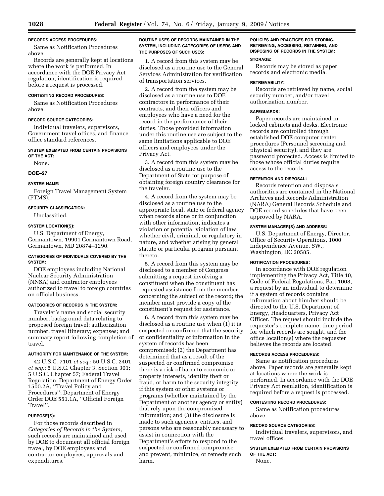## **RECORDS ACCESS PROCEDURES:**

Same as Notification Procedures above.

Records are generally kept at locations where the work is performed. In accordance with the DOE Privacy Act regulation, identification is required before a request is processed.

## **CONTESTING RECORD PROCEDURES:**

Same as Notification Procedures above.

## **RECORD SOURCE CATEGORIES:**

Individual travelers, supervisors, Government travel offices, and finance office standard references.

## **SYSTEM EXEMPTED FROM CERTAIN PROVISIONS OF THE ACT:**

None.

#### **DOE–27**

#### **SYSTEM NAME:**

Foreign Travel Management System (FTMS).

## **SECURITY CLASSIFICATION:**

Unclassified.

## **SYSTEM LOCATION(S):**

U.S. Department of Energy, Germantown, 19901 Germantown Road, Germantown, MD 20874–1290.

## **CATEGORIES OF INDIVIDUALS COVERED BY THE SYSTEM:**

DOE employees including National Nuclear Security Administration (NNSA) and contractor employees authorized to travel to foreign countries on official business.

## **CATEGORIES OF RECORDS IN THE SYSTEM:**

Traveler's name and social security number, background data relating to proposed foreign travel; authorization number, travel itinerary; expenses; and summary report following completion of travel.

## **AUTHORITY FOR MAINTENANCE OF THE SYSTEM:**

42 U.S.C. 7101 *et seq.*; 50 U.S.C. 2401 *et seq.*; 5 U.S.C. Chapter 3, Section 301; 5 U.S.C. Chapter 57; Federal Travel Regulation; Department of Energy Order 1500.2A, ''Travel Policy and Procedures''; Department of Energy Order DOE 551.1A, ''Official Foreign Travel''.

## **PURPOSE(S):**

For those records described in *Categories of Records in the System*, such records are maintained and used by DOE to document all official foreign travel, by DOE employees and contractor employees, approvals and expenditures.

## **ROUTINE USES OF RECORDS MAINTAINED IN THE SYSTEM, INCLUDING CATEGORIES OF USERS AND THE PURPOSES OF SUCH USES:**

1. A record from this system may be disclosed as a routine use to the General Services Administration for verification of transportation services.

2. A record from the system may be disclosed as a routine use to DOE contractors in performance of their contracts, and their officers and employees who have a need for the record in the performance of their duties. Those provided information under this routine use are subject to the same limitations applicable to DOE officers and employees under the Privacy Act.

3. A record from this system may be disclosed as a routine use to the Department of State for purpose of obtaining foreign country clearance for the traveler.

4. A record from the system may be disclosed as a routine use to the appropriate local, state or federal agency when records alone or in conjunction with other information, indicates a violation or potential violation of law whether civil, criminal, or regulatory in nature, and whether arising by general statute or particular program pursuant thereto.

5. A record from this system may be disclosed to a member of Congress submitting a request involving a constituent when the constituent has requested assistance from the member concerning the subject of the record; the member must provide a copy of the constituent's request for assistance.

6. A record from this system may be disclosed as a routine use when (1) it is suspected or confirmed that the security or confidentiality of information in the system of records has been compromised; (2) the Department has determined that as a result of the suspected or confirmed compromise there is a risk of harm to economic or property interests, identity theft or fraud, or harm to the security integrity if this system or other systems or programs (whether maintained by the Department or another agency or entity) that rely upon the compromised information; and (3) the disclosure is made to such agencies, entities, and persons who are reasonably necessary to assist in connection with the Department's efforts to respond to the suspected or confirmed compromise and prevent, minimize, or remedy such harm.

## **POLICIES AND PRACTICES FOR STORING, RETRIEVING, ACCESSING, RETAINING, AND DISPOSING OF RECORDS IN THE SYSTEM:**

#### **STORAGE:**

Records may be stored as paper records and electronic media.

#### **RETRIEVABILITY:**

Records are retrieved by name, social security number, and/or travel authorization number.

#### **SAFEGUARDS:**

Paper records are maintained in locked cabinets and desks. Electronic records are controlled through established DOE computer center procedures (Personnel screening and physical security), and they are password protected. Access is limited to those whose official duties require access to the records.

#### **RETENTION AND DISPOSAL:**

Records retention and disposals authorities are contained in the National Archives and Records Administration (NARA) General Records Schedule and DOE record schedules that have been approved by NARA.

## **SYSTEM MANAGER(S) AND ADDRESS:**

U.S. Department of Energy, Director, Office of Security Operations, 1000 Independence Avenue, SW., Washington, DC 20585.

#### **NOTIFICATION PROCEDURES:**

In accordance with DOE regulation implementing the Privacy Act, Title 10, Code of Federal Regulations, Part 1008, a request by an individual to determine if a system of records contains information about him/her should be directed to the U.S. Department of Energy, Headquarters, Privacy Act Officer. The request should include the requester's complete name, time period for which records are sought, and the office location(s) where the requester believes the records are located.

## **RECORDS ACCESS PROCEDURES:**

Same as notification procedures above. Paper records are generally kept at locations where the work is performed. In accordance with the DOE Privacy Act regulation, identification is required before a request is processed.

#### **CONTESTING RECORD PROCEDURES:**

Same as Notification procedures above.

## **RECORD SOURCE CATEGORIES:**

Individual travelers, supervisors, and travel offices.

**SYSTEM EXEMPTED FROM CERTAIN PROVISIONS OF THE ACT:** 

None.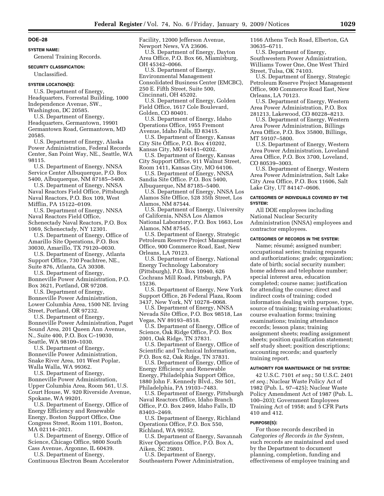#### **SYSTEM NAME:**

General Training Records.

#### **SECURITY CLASSIFICATION:**

Unclassified.

#### **SYSTEM LOCATION(S):**

U.S. Department of Energy, Headquarters, Forrestal Building, 1000 Independence Avenue, SW., Washington, DC 20585.

U.S. Department of Energy,

Headquarters, Germantown, 19901 Germantown Road, Germantown, MD 20585.

U.S. Department of Energy, Alaska Power Administration, Federal Records Center, San Point Way, NE., Seattle, WA 98115.

U.S. Department of Energy, NNSA Service Center Albuquerque, P.O. Box 5400, Albuquerque, NM 87185–5400.

U.S. Department of Energy, NNSA Naval Reactors Field Office, Pittsburgh Naval Reactors, P.O. Box 109, West Mifflin, PA 15122–0109.

U.S. Department of Energy, NNSA Naval Reactors Field Office, Schenectady Naval Reactors, P.O. Box 1069, Schenectady, NY 12301.

U.S. Department of Energy, Office of Amarillo Site Operations, P.O. Box 30030, Amarillo, TX 79120–0030.

U.S. Department of Energy, Atlanta Support Office, 730 Peachtree, NE., Suite 876, Atlanta, GA 30308.

U.S. Department of Energy, Bonneville Power Administration, P.O. Box 3621, Portland, OR 97208.

U.S. Department of Energy, Bonneville Power Administration, Lower Columbia Area, 1500 NE. Irving Street, Portland, OR 97232.

U.S. Department of Energy, Bonneville Power Administration, Puget Sound Area, 201 Queen Ann Avenue, N., Suite 400, P.O. Box C–19030, Seattle, WA 98109–1030.

U.S. Department of Energy, Bonneville Power Administration, Snake River Area, 101 West Poplar, Walla Walla, WA 99362.

U.S. Department of Energy, Bonneville Power Administration, Upper Columbia Area, Room 561, U.S. Court House, W. 920 Riverside Avenue, Spokane, WA 99201.

U.S. Department of Energy, Office of Energy Efficiency and Renewable Energy, Boston Support Office, One Congress Street, Room 1101, Boston, MA 02114–2021.

U.S. Department of Energy, Office of Science, Chicago Office, 9800 South Cass Avenue, Argonne, IL 60439.

U.S. Department of Energy, Continuous Electron Beam Accelerator Facility, 12000 Jefferson Avenue, Newport News, VA 23606.

U.S. Department of Energy, Dayton Area Office, P.O. Box 66, Miamisburg, OH 45342–0066.

U.S. Department of Energy,

Environmental Management Consolidated Business Center (EMCBC),

250 E. Fifth Street, Suite 500,

Cincinnati, OH 45202.

U.S. Department of Energy, Golden Field Office, 1617 Cole Boulevard, Golden, CO 80401.

U.S. Department of Energy, Idaho Operations Office, 1955 Fremont Avenue, Idaho Falls, ID 83415.

U.S. Department of Energy, Kansas City Site Office, P.O. Box 410202, Kansas City, MO 64141–0202.

U.S. Department of Energy, Kansas City Support Office, 911 Walnut Street, Room 1411, Kansas City, MO 64106.

U.S. Department of Energy, NNSA Sandia Site Office. P.O. Box 5400, Albuquerque, NM 87185–5400.

U.S. Department of Energy, NNSA Los Alamos Site Office, 528 35th Street, Los Alamos, NM 87544.

U.S. Department of Energy, University of California, NNSA Los Alamos National Laboratory, P.O. Box 1663, Los Alamos, NM 87545.

U.S. Department of Energy, Strategic Petroleum Reserve Project Management Office, 900 Commerce Road, East, New Orleans, LA 70123.

U.S. Department of Energy, National Energy Technology Laboratory (Pittsburgh), P.O. Box 10940, 626 Cochrans Mill Road, Pittsburgh, PA 15236.

U.S. Department of Energy, New York Support Office, 26 Federal Plaza, Room 3437, New York, NY 10278–0068.

U.S. Department of Energy, NNSA Nevada Site Office, P.O. Box 98518, Las Vegas, NV 89193–8518.

U.S. Department of Energy, Office of Science, Oak Ridge Office, P.O. Box 2001, Oak Ridge, TN 37831.

U.S. Department of Energy, Office of Scientific and Technical Information, P.O. Box 62, Oak Ridge, TN 37831.

U.S. Department of Energy, Office of Energy Efficiency and Renewable Energy, Philadelphia Support Office, 1880 John F. Kennedy Blvd., Ste 501, Philadelphia, PA 19103–7483.

U.S. Department of Energy, Pittsburgh Naval Reactors Office, Idaho Branch Office, P.O. Box 2469, Idaho Falls, ID 83403–2469.

U.S. Department of Energy, Richland Operations Office, P.O. Box 550, Richland, WA 99352.

U.S. Department of Energy, Savannah River Operations Office, P.O. Box A, Aiken, SC 29801.

U.S. Department of Energy, Southeastern Power Administration, 1166 Athens Tech Road, Elberton, GA 30635–6711.

U.S. Department of Energy, Southwestern Power Administration, Williams Tower One, One West Third Street, Tulsa, OK 74103.

U.S. Department of Energy, Strategic Petroleum Reserve Project Management Office, 900 Commerce Road East, New Orleans, LA 70123.

U.S. Department of Energy, Western Area Power Administration, P.O. Box 281213, Lakewood, CO 80228–8213.

U.S. Department of Energy, Western Area Power Administration, Billings Area Office, P.O. Box 35800, Billings, MT 59107–5800.

U.S. Department of Energy, Western Area Power Administration, Loveland Area Office, P.O. Box 3700, Loveland, CO 80539–3003.

U.S. Department of Energy, Western Area Power Administration, Salt Lake City Area Office, P.O. Box 11606, Salt Lake City, UT 84147–0606.

#### **CATEGORIES OF INDIVIDUALS COVERED BY THE SYSTEM:**

All DOE employees including National Nuclear Security Administration (NNSA) employees and contractor employees.

#### **CATEGORIES OF RECORDS IN THE SYSTEM:**

Name; résumé; assigned number; occupational series; training requests and authorizations; grade; organization; date of birth; social security number; home address and telephone number; special interest area, education completed; course name; justification for attending the course; direct and indirect costs of training; coded information dealing with purpose, type, source of training; training evaluations; course evaluation forms; training examinations; training attendance records; lesson plans; training assignment sheets; reading assignment sheets; position qualification statement; self study sheet; position descriptions; accounting records; and quarterly training report.

### **AUTHORITY FOR MAINTENANCE OF THE SYSTEM:**

42 U.S.C. 7101 *et seq.*; 50 U.S.C. 2401 *et seq.*; Nuclear Waste Policy Act of 1982 (Pub. L. 97–425); Nuclear Waste Policy Amendment Act of 1987 (Pub. L. 100–203); Government Employees Training Act of 1958; and 5 CFR Parts 410 and 412.

#### **PURPOSE(S):**

For those records described in *Categories of Records in the System,*  such records are maintained and used by the Department to document planning, completion, funding and effectiveness of employee training and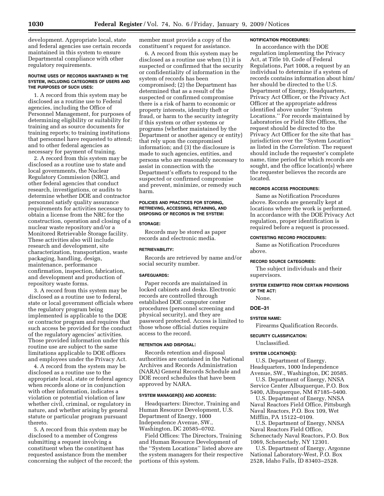development. Appropriate local, state and federal agencies use certain records maintained in this system to ensure Departmental compliance with other regulatory requirements.

#### **ROUTINE USES OF RECORDS MAINTAINED IN THE SYSTEM, INCLUDING CATEGORIES OF USERS AND THE PURPOSES OF SUCH USES:**

1. A record from this system may be disclosed as a routine use to Federal agencies, including the Office of Personnel Management, for purposes of determining eligibility or suitability for training and as source documents for training reports; to training institutions that personnel have requested to attend; and to other federal agencies as necessary for payment of training.

2. A record from this system may be disclosed as a routine use to state and local governments, the Nuclear Regulatory Commission (NRC), and other federal agencies that conduct research, investigations, or audits to determine whether DOE and contractor personnel satisfy quality assurance requirements for activities necessary to obtain a license from the NRC for the construction, operation and closing of a nuclear waste repository and/or a Monitored Retrievable Storage facility. These activities also will include research and development, site characterization, transportation, waste packaging, handling, design, maintenance, performance confirmation, inspection, fabrication, and development and production of repository waste forms.

3. A record from this system may be disclosed as a routine use to federal, state or local government officials where the regulatory program being implemented is applicable to the DOE or contractor program and requires that such access be provided for the conduct of the regulatory agencies' activities. Those provided information under this routine use are subject to the same limitations applicable to DOE officers and employees under the Privacy Act.

4. A record from the system may be disclosed as a routine use to the appropriate local, state or federal agency when records alone or in conjunction with other information, indicates a violation or potential violation of law whether civil, criminal, or regulatory in nature, and whether arising by general statute or particular program pursuant thereto.

5. A record from this system may be disclosed to a member of Congress submitting a request involving a constituent when the constituent has requested assistance from the member concerning the subject of the record; the member must provide a copy of the constituent's request for assistance.

6. A record from this system may be disclosed as a routine use when (1) it is suspected or confirmed that the security or confidentiality of information in the system of records has been compromised; (2) the Department has determined that as a result of the suspected or confirmed compromise there is a risk of harm to economic or property interests, identity theft or fraud, or harm to the security integrity if this system or other systems or programs (whether maintained by the Department or another agency or entity) that rely upon the compromised information; and (3) the disclosure is made to such agencies, entities, and persons who are reasonably necessary to assist in connection with the Department's efforts to respond to the suspected or confirmed compromise and prevent, minimize, or remedy such harm.

### **POLICIES AND PRACTICES FOR STORING, RETRIEVING, ACCESSING, RETAINING, AND DISPOSING OF RECORDS IN THE SYSTEM:**

#### **STORAGE:**

Records may be stored as paper records and electronic media.

#### **RETRIEVABILITY:**

Records are retrieved by name and/or social security number.

### **SAFEGUARDS:**

Paper records are maintained in locked cabinets and desks. Electronic records are controlled through established DOE computer center procedures (personnel screening and physical security), and they are password protected. Access is limited to those whose official duties require access to the record.

#### **RETENTION AND DISPOSAL:**

Records retention and disposal authorities are contained in the National Archives and Records Administration (NARA) General Records Schedule and DOE record schedules that have been approved by NARA.

### **SYSTEM MANAGER(S) AND ADDRESS:**

Headquarters: Director, Training and Human Resource Development, U.S. Department of Energy, 1000 Independence Avenue, SW., Washington, DC 20585–0702.

Field Offices: The Directors, Training and Human Resource Development of the ''System Locations'' listed above are the system managers for their respective portions of this system.

### **NOTIFICATION PROCEDURES:**

In accordance with the DOE regulation implementing the Privacy Act, at Title 10, Code of Federal Regulations, Part 1008, a request by an individual to determine if a system of records contains information about him/ her should be directed to the U.S. Department of Energy, Headquarters, Privacy Act Officer, or the Privacy Act Officer at the appropriate address identified above under ''System Locations.'' For records maintained by Laboratories or Field Site Offices, the request should be directed to the Privacy Act Officer for the site that has jurisdiction over the ''System Location'' as listed in the *Correlation.* The request should include the requester's complete name, time period for which records are sought, and the office location(s) where the requester believes the records are located.

#### **RECORDS ACCESS PROCEDURES:**

Same as Notification Procedures above. Records are generally kept at locations where the work is performed. In accordance with the DOE Privacy Act regulation, proper identification is required before a request is processed.

### **CONTESTING RECORD PROCEDURES:**

Same as Notification Procedures above.

#### **RECORD SOURCE CATEGORIES:**

The subject individuals and their supervisors.

#### **SYSTEM EXEMPTED FROM CERTAIN PROVISIONS OF THE ACT:**

None.

**DOE–31** 

#### **SYSTEM NAME:**

Firearms Qualification Records.

### **SECURITY CLASSIFICATION:**

Unclassified.

#### **SYSTEM LOCATION(S):**

U.S. Department of Energy, Headquarters, 1000 Independence Avenue, SW., Washington, DC 20585. U.S. Department of Energy, NNSA

Service Center Albuquerque, P.O. Box 5400, Albuquerque, NM 87185–5400.

U.S. Department of Energy, NNSA Naval Reactors Field Office, Pittsburgh Naval Reactors, P.O. Box 109, Wet Mifflin, PA 15122–0109.

U.S. Department of Energy, NNSA Naval Reactors Field Office, Schenectady Naval Reactors, P.O. Box 1069, Schenectady, NY 12301.

U.S. Department of Energy, Argonne National Laboratory-West, P.O. Box 2528, Idaho Falls, ID 83403–2528.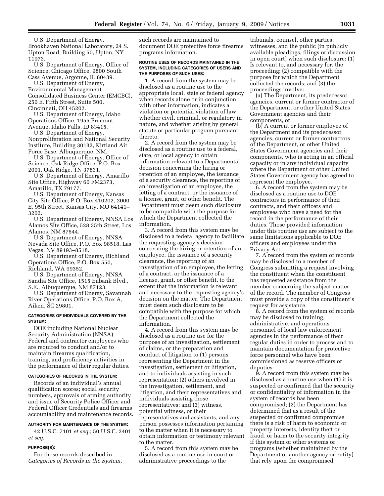U.S. Department of Energy, Brookhaven National Laboratory, 24 S. Upton Road, Building 50, Upton, NY 11973.

U.S. Department of Energy, Office of Science, Chicago Office, 9800 South Cass Avenue, Argonne, IL 60439.

U.S. Department of Energy, Environmental Management Consolidated Business Center (EMCBC), 250 E. Fifth Street, Suite 500, Cincinnati, OH 45202.

U.S. Department of Energy, Idaho Operations Office, 1955 Fremont Avenue, Idaho Falls, ID 83415.

U.S. Department of Energy, Nonproliferation and National Security Institute, Building 30132, Kirtland Air Force Base, Albuquerque, NM.

U.S. Department of Energy, Office of Science, Oak Ridge Office, P.O. Box 2001, Oak Ridge, TN 37831.

U.S. Department of Energy, Amarillo Site Office, Highway 60 FM2373, Amarillo, TX 79177.

U.S. Department of Energy, Kansas City Site Office, P.O. Box 410202, 2000 E. 95th Street, Kansas City, MO 64141– 3202.

U.S. Department of Energy, NNSA Los Alamos Site Office, 528 35th Street, Los Alamos, NM 87544.

U.S. Department of Energy, NNSA Nevada Site Office, P.O. Box 98518, Las Vegas, NV 89193–8518.

U.S. Department of Energy, Richland Operations Office, P.O. Box 550, Richland, WA 99352.

U.S. Department of Energy, NNSA Sandia Site Office, 1515 Eubank Blvd., S.E., Albuquerque, NM 87123.

U.S. Department of Energy, Savannah River Operations Office, P.O. Box A, Aiken, SC 29801.

### **CATEGORIES OF INDIVIDUALS COVERED BY THE SYSTEM:**

DOE including National Nuclear Security Administration (NNSA) Federal and contractor employees who are required to conduct and/or to maintain firearms qualification, training, and proficiency activities in the performance of their regular duties.

## **CATEGORIES OF RECORDS IN THE SYSTEM:**

Records of an individual's annual qualification scores; social security numbers, approvals of arming authority and issue of Security Police Officer and Federal Officer Credentials and firearms accountability and maintenance records.

#### **AUTHORITY FOR MAINTENANCE OF THE SYSTEM:**

42 U.S.C. 7101 *et seq.*; 50 U.S.C. 2401 *et seq.* 

### **PURPOSE(S):**

For those records described in *Categories of Records in the System,*  such records are maintained to document DOE protective force firearms programs information.

#### **ROUTINE USES OF RECORDS MAINTAINED IN THE SYSTEM, INCLUDING CATEGORIES OF USERS AND THE PURPOSES OF SUCH USES:**

1. A record from the system may be disclosed as a routine use to the appropriate local, state or federal agency when records alone or in conjunction with other information, indicates a violation or potential violation of law whether civil, criminal, or regulatory in nature, and whether arising by general statute or particular program pursuant thereto.

2. A record from the system may be disclosed as a routine use to a federal, state, or local agency to obtain information relevant to a Departmental decision concerning the hiring or retention of an employee, the issuance of a security clearance, the reporting of an investigation of an employee, the letting of a contract, or the issuance of a license, grant, or other benefit. The Department must deem such disclosure to be compatible with the purpose for which the Department collected the information.

3. A record from this system may be disclosed to a federal agency to facilitate the requesting agency's decision concerning the hiring or retention of an employee, the issuance of a security clearance, the reporting of an investigation of an employee, the letting of a contract, or the issuance of a license, grant, or other benefit, to the extent that the information is relevant and necessary to the requesting agency's decision on the matter. The Department must deem such disclosure to be compatible with the purpose for which the Department collected the information.

4. A record from this system may be disclosed as a routine use for the purpose of an investigation, settlement of claims, or the preparation and conduct of litigation to (1) persons representing the Department in the investigation, settlement or litigation, and to individuals assisting in such representation; (2) others involved in the investigation, settlement, and litigation, and their representatives and individuals assisting those representatives; and (3) witness, potential witness, or their representatives and assistants, and any person possesses information pertaining to the matter when it is necessary to obtain information or testimony relevant to the matter.

5. A record from this system may be disclosed as a routine use in court or administrative proceedings to the

tribunals, counsel, other parties, witnesses, and the public (in publicly available pleadings, filings or discussion in open court) when such disclosure: (1) Is relevant to, and necessary for, the proceeding; (2) compatible with the purpose for which the Department collected the records; and (3) the proceedings involve:

(a) The Department, its predecessor agencies, current or former contractor of the Department, or other United States Government agencies and their components, or

(b) A current or former employee of the Department and its predecessor agencies, current or former contractors of the Department, or other United States Government agencies and their components, who is acting in an official capacity or in any individual capacity where the Department or other United States Government agency has agreed to represent the employee.

6. A record from the system may be disclosed as a routine use to DOE contractors in performance of their contracts, and their officers and employees who have a need for the record in the performance of their duties. Those provided information under this routine use are subject to the same limitations applicable to DOE officers and employees under the Privacy Act.

7. A record from the system of records may be disclosed to a member of Congress submitting a request involving the constituent when the constituent has requested assistance from the member concerning the subject matter of the record. The member of Congress must provide a copy of the constituent's request for assistance.

8. A record from the system of records may be disclosed to training, administrative, and operations personnel of local law enforcement agencies in the performance of their regular duties in order to process and to maintain documentation for protective force personnel who have been commissioned as reserve officers or deputies.

9. A record from this system may be disclosed as a routine use when (1) it is suspected or confirmed that the security or confidentiality of information in the system of records has been compromised; (2) the Department has determined that as a result of the suspected or confirmed compromise there is a risk of harm to economic or property interests, identity theft or fraud, or harm to the security integrity if this system or other systems or programs (whether maintained by the Department or another agency or entity) that rely upon the compromised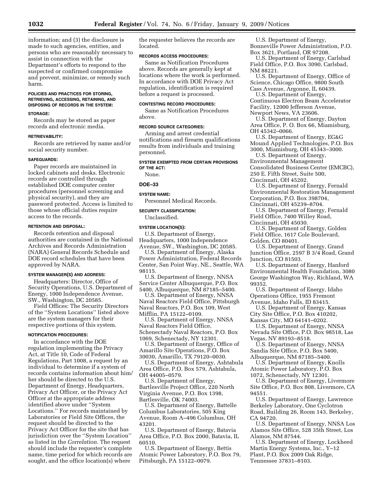information; and (3) the disclosure is made to such agencies, entities, and persons who are reasonably necessary to assist in connection with the Department's efforts to respond to the suspected or confirmed compromise and prevent, minimize, or remedy such harm.

#### **POLICIES AND PRACTICES FOR STORING, RETRIEVING, ACCESSING, RETAINING, AND DISPOSING OF RECORDS IN THE SYSTEM:**

#### **STORAGE:**

Records may be stored as paper records and electronic media.

#### **RETRIEVABILITY:**

Records are retrieved by name and/or social security number.

#### **SAFEGUARDS:**

Paper records are maintained in locked cabinets and desks. Electronic records are controlled through established DOE computer center procedures (personnel screening and physical security), and they are password protected. Access is limited to those whose official duties require access to the records.

### **RETENTION AND DISPOSAL:**

Records retention and disposal authorities are contained in the National Archives and Records Administration (NARA) General Records Schedule and DOE record schedules that have been approved by NARA.

### **SYSTEM MANAGER(S) AND ADDRESS:**

Headquarters: Director, Office of Security Operations, U.S. Department of Energy, 1000 Independence Avenue, SW., Washington, DC 20585.

Field Offices: The Security Directors of the ''System Locations'' listed above are the system managers for their respective portions of this system.

#### **NOTIFICATION PROCEDURES:**

In accordance with the DOE regulation implementing the Privacy Act, at Title 10, Code of Federal Regulations, Part 1008, a request by an individual to determine if a system of records contains information about him/ her should be directed to the U.S. Department of Energy, Headquarters, Privacy Act Officer, or the Privacy Act Officer at the appropriate address identified above under ''System Locations.'' For records maintained by Laboratories or Field Site Offices, the request should be directed to the Privacy Act Officer for the site that has jurisdiction over the ''System Location'' as listed in the *Correlation.* The request should include the requester's complete name, time period for which records are sought, and the office location(s) where

the requester believes the records are located.

### **RECORDS ACCESS PROCEDURES:**

Same as Notification Procedures above. Records are generally kept at locations where the work is performed. In accordance with DOE Privacy Act regulation, identification is required before a request is processed.

### **CONTESTING RECORD PROCEDURES:**

Same as Notification Procedures above.

### **RECORD SOURCE CATEGORIES:**

Arming and arrest credential notifications and firearm qualifications results from individuals and training personnel.

**SYSTEM EXEMPTED FROM CERTAIN PROVISIONS OF THE ACT:**  None.

### **DOE–33**

# **SYSTEM NAME:**

Personnel Medical Records.

### **SECURITY CLASSIFICATION:**

Unclassified.

### **SYSTEM LOCATION(S):**

U.S. Department of Energy, Headquarters, 1000 Independence Avenue, SW., Washington, DC 20585.

U.S. Department of Energy, Alaska Power Administration, Federal Records Center, San Point Way, NE., Seattle, WA 98115.

U.S. Department of Energy, NNSA Service Center Albuquerque, P.O. Box 5400, Albuquerque, NM 87185–5400.

U.S. Department of Energy, NNSA Naval Reactors Field Office, Pittsburgh Naval Reactors, P.O. Box 109, West Mifflin, PA 15122–0109.

U.S. Department of Energy, NNSA Naval Reactors Field Office, Schenectady Naval Reactors, P.O. Box 1069, Schenectady, NY 12301.

U.S. Department of Energy, Office of Amarillo Site Operations, P.O. Box 30030, Amarillo, TX 79120–0030.

U.S. Department of Energy, Ashtabula Area Office, P.O. Box 579, Ashtabula, OH 44005–0579.

U.S. Department of Energy, Bartlesville Project Office, 220 North Virginia Avenue, P.O. Box 1398, Bartlesville, OK 74003.

U.S. Department of Energy, Battelle Columbus Laboratories, 505 King Avenue, Room A–496 Columbus, OH 43201.

U.S. Department of Energy, Batavia Area Office, P.O. Box 2000, Batavia, IL 60510.

U.S. Department of Energy, Bettis Atomic Power Laboratory, P.O. Box 79, Pittsburgh, PA 15122–0079.

U.S. Department of Energy, Bonneville Power Administration, P.O. Box 3621, Portland, OR 97208.

U.S. Department of Energy, Carlsbad Field Office, P.O. Box 3090, Carlsbad, NM 88221.

U.S. Department of Energy, Office of Science, Chicago Office, 9800 South Cass Avenue, Argonne, IL 60439.

U.S. Department of Energy, Continuous Electron Beam Accelerator Facility, 12000 Jefferson Avenue, Newport News, VA 23606.

U.S. Department of Energy, Dayton Area Office, P. O. Box 66, Miamisburg, OH 45342–0066.

U.S. Department of Energy, EG&G Mound Applied Technologies, P.O. Box 3000, Miamisburg, OH 45343–3000.

U.S. Department of Energy, Environmental Management Consolidated Business Center (EMCBC), 250 E. Fifth Street, Suite 500, Cincinnati, OH 45202.

U.S. Department of Energy, Fernald Environmental Restoration Management Corporation, P.O. Box 398704, Cincinnati, OH 45239–8704.

U.S. Department of Energy, Fernald Field Office, 7400 Willey Road, Cincinnati, OH 45030.

U.S. Department of Energy, Golden Field Office, 1617 Cole Boulevard, Golden, CO 80401.

U.S. Department of Energy, Grand Junction Office, 2597 B 3/4 Road, Grand Junction, CO 81503.

U.S. Department of Energy, Hanford Environmental Health Foundation, 3080 George Washington Way, Richland, WA 99352.

U.S. Department of Energy, Idaho Operations Office, 1955 Fremont Avenue, Idaho Falls, ID 83415.

U.S. Department of Energy, Kansas City Site Office, P.O. Box 410202,

Kansas City, MO 64141–0202.

U.S. Department of Energy, NNSA Nevada Site Office, P.O. Box 98518, Las Vegas, NV 89193–8518.

U.S. Department of Energy, NNSA Sandia Site Office, P.O. Box 5400, Albuquerque, NM 87185–5400.

U.S. Department of Energy, Knolls Atomic Power Laboratory, P.O. Box 1072, Schenectady, NY 12301.

U.S. Department of Energy, Livermore Site Office, P.O. Box 808, Livermore, CA 94551.

U.S. Department of Energy, Lawrence Berkeley Laboratory, One Cyclotron Road, Building 26, Room 143, Berkeley, CA 94720.

U.S. Department of Energy, NNSA Los Alamos Site Office, 528 35th Street, Los Alamos, NM 87544.

U.S. Department of Energy, Lockheed Martin Energy Systems, Inc., Y–12 Plant, P.O. Box 2009 Oak Ridge, Tennessee 37831–8103.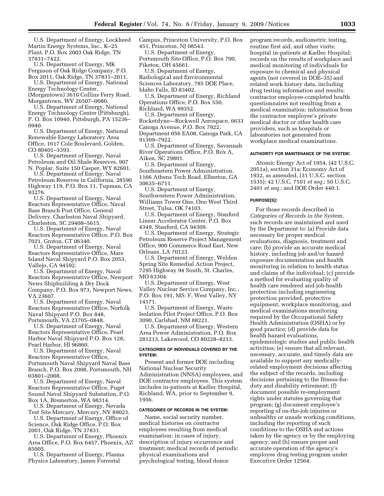U.S. Department of Energy, Lockheed Martin Energy Systems, Inc., K–25 Plant, P.O. Box 2003 Oak Ridge, TN 37831–7422.

U.S. Department of Energy, MK Ferguson of Oak Ridge Company, P.O. Box 2011, Oak Ridge, TN 37831–2011.

U.S. Department of Energy, National Energy Technology Center, (Morgantown) 3610 Collins Ferry Road, Morgantown, WV 26507–0080.

U.S. Department of Energy, National Energy Technology Center (Pittsburgh), P. O. Box 10940, Pittsburgh, PA 15236– 0940.

U.S. Department of Energy, National Renewable Energy Laboratory Area Office, 1617 Cole Boulevard, Golden, CO 80401–3393.

U.S. Department of Energy, Naval Petroleum and Oil Shale Reserves, 907 N. Poplar, Suite 150 Casper, WY 82601.

U.S. Department of Energy, Naval Petroleum Reserves in California, 28590 Highway 119, P.O. Box 11, Tupman, CA 93276.

U.S. Department of Energy, Naval Reactors Representative Office, Naval Base Branch Post Office, General Delivery, Charleston Naval Shipyard, Charleston, SC 29408–5615.

U.S. Department of Energy, Naval Reactors Representative Office, P.O. Box 7021, Groton, CT 06340.

U.S. Department of Energy, Naval Reactors Representative Office, Mare Island Naval Shipyard P.O. Box 2053, Vallejo, CA 94592.

U.S. Department of Energy, Naval Reactors Representative Office, Newport News Shipbuilding & Dry Dock Company, P.O. Box 973, Newport News, VA 23607.

U.S. Department of Energy, Naval Reactors Representative Office, Norfolk Naval Shipyard P.O. Box 848, Portsmouth, VA 23705–0848.

U.S. Department of Energy, Naval Reactors Representative Office, Pearl Harbor Naval Shipyard P.O. Box 128, Pearl Harbor, HI 96860.

U.S. Department of Energy, Naval Reactors Representative Office, Portsmouth Naval Shipyard Naval Base Branch, P.O. Box 2008, Portsmouth, NH 03801–2008.

U.S. Department of Energy, Naval Reactors Representative Office, Puget Sound Naval Shipyard Substation, P.O. Box 1A, Bremerton, WA 98314.

U.S. Department of Energy, Nevada Test Site Mercury, Mercury, NV 89023.

U.S. Department of Energy, Office of Science, Oak Ridge Office, P.O. Box 2001, Oak Ridge, TN 37831.

U.S. Department of Energy, Phoenix

Area Office, P.O. Box 6457, Phoenix, AZ 85005. U.S. Department of Energy, Plasma

Physics Laboratory, James Forrestal

Campus, Princeton University, P.O. Box 451, Princeton, NJ 08543.

U.S. Department of Energy, Portsmouth Site Office, P.O. Box 700, Piketon, OH 45661.

U.S. Department of Energy, Radiological and Environmental Sciences Laboratory, 785 DOE Place, Idaho Falls, ID 83402.

U.S. Department of Energy, Richland Operations Office, P.O. Box 550, Richland, WA 99352.

U.S. Department of Energy, Rocketdyne—Rockwell Aerospace, 6633 Canoga Avenue, P.O. Box 7922, Department 056 EA08, Canoga Park, CA 91309–7922.

U.S. Department of Energy, Savannah River Operations Office, P.O. Box A, Aiken, SC 29801.

U.S. Department of Energy, Southeastern Power Administration, 1166 Athens Tech Road, Elberton, GA 30635–6711.

U.S. Department of Energy, Southwestern Power Administration, Williams Tower One, One West Third Street, Tulsa, OK 74103.

U.S. Department of Energy, Stanford Linear Accelerator Center, P.O. Box 4349, Stanford, CA 94309.

U.S. Department of Energy, Strategic Petroleum Reserve Project Management Office, 900 Commerce Road East, New Orleans, LA 70123.

U.S. Department of Energy, Weldon Spring Site Remedial Action Project, 7295 Highway 94 South, St. Charles, MO 63304.

U.S. Department of Energy, West Valley Nuclear Service Company, Inc., P.O. Box 191, MS: F, West Valley, NY 14171.

U.S. Department of Energy, Waste Isolation Pilot Project Office, P.O. Box 3090, Carlsbad, NM 88221.

U.S. Department of Energy, Western Area Power Administration, P.O. Box 281213, Lakewood, CO 80228–8213.

### **CATEGORIES OF INDIVIDUALS COVERED BY THE SYSTEM:**

Present and former DOE including National Nuclear Security Administration (NNSA) employees, and DOE contractor employees. This system includes in-patients at Kadlec Hospital, Richland, WA, prior to September 9, 1956.

### **CATEGORIES OF RECORDS IN THE SYSTEM:**

Name, social security number, medical histories on contractor employees resulting from medical examination; in cases of injury, description of injury occurrence and treatment; medical records of periodic physical examinations and psychological testing, blood donor

program records, audiometric testing, routine first aid, and other visits; hospital in-patients at Kadlec Hospital; records on the results of workplace and medical monitoring of individuals for exposure to chemical and physical agents (not covered in DOE–35) and related work history data, including drug testing information and results; contractor employee-completed health questionnaires not resulting from a medical examination; information from the contractor employee's private medical doctor or other health care providers, such as hospitals or laboratories not generated from workplace medical examinations.

#### **AUTHORITY FOR MAINTENANCE OF THE SYSTEM:**

Atomic Energy Act of 1954, (42 U.S.C. 2051a), section 31a; Economy Act of 1932, as amended, (31 U.S.C. section 1535); 42 U.S.C. 7101 *et seq.*; 50 U.S.C. 2401 *et seq.*; and DOE Order 440.1.

### **PURPOSE(S):**

For those records described in *Categories of Records in the System,*  such records are maintained and used by the Department to: (a) Provide data necessary for proper medical evaluations, diagnosis, treatment and care; (b) provide an accurate medical history, including job and/or hazard exposure documentation and health monitoring in relation to health status and claims of the individual; (c) provide a method for evaluating quality of health care rendered and job-health protection including engineering protection provided, protective equipment, workplace monitoring, and medical examinations monitoring required by the Occupational Safety Health Administration (OSHA) or by good practice; (d) provide data for health hazard evaluations, epidemiologic studies and public health activities; (e) ensure that all relevant, necessary, accurate, and timely data are available to support any medicallyrelated employment decisions affecting the subject of the records, including decisions pertaining to the fitness-forduty and disability retirement; (f) document possible re-employment rights under statutes governing that program; (g) document employee's reporting of on-the-job injuries or unhealthy or unsafe working conditions, including the reporting of such conditions to the OSHA and actions taken by the agency or by the employing agency; and (h) ensure proper and accurate operation of the agency's employee drug testing program under Executive Order 12564.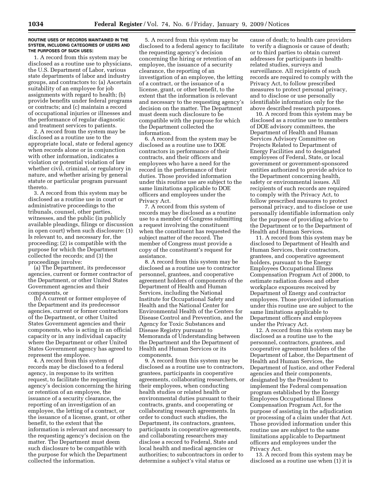#### **ROUTINE USES OF RECORDS MAINTAINED IN THE SYSTEM, INCLUDING CATEGORIES OF USERS AND THE PURPOSES OF SUCH USES:**

1. A record from this system may be disclosed as a routine use to physicians, the U.S. Department of Labor, various state departments of labor and industry groups, and contractors to: (a) Ascertain suitability of an employee for job assignments with regard to health; (b) provide benefits under federal programs or contracts; and (c) maintain a record of occupational injuries or illnesses and the performance of regular diagnostic and treatment services to patients.

2. A record from the system may be disclosed as a routine use to the appropriate local, state or federal agency when records alone or in conjunction with other information, indicates a violation or potential violation of law whether civil, criminal, or regulatory in nature, and whether arising by general statute or particular program pursuant thereto.

3. A record from this system may be disclosed as a routine use in court or administrative proceedings to the tribunals, counsel, other parties, witnesses, and the public (in publicly available pleadings, filings or discussion in open court) when such disclosure: (1) Is relevant to, and necessary for, the proceeding; (2) is compatible with the purpose for which the Department collected the records; and (3) the proceedings involve:

(a) The Department, its predecessor agencies, current or former contractor of the Department, or other United States Government agencies and their components, or

(b) A current or former employee of the Department and its predecessor agencies, current or former contractors of the Department, or other United States Government agencies and their components, who is acting in an official capacity or in any individual capacity where the Department or other United States Government agency has agreed to represent the employee.

4. A record from this system of records may be disclosed to a federal agency, in response to its written request, to facilitate the requesting agency's decision concerning the hiring or retention of an employee, the issuance of a security clearance, the reporting of an investigation of an employee, the letting of a contract, or the issuance of a license, grant, or other benefit, to the extent that the information is relevant and necessary to the requesting agency's decision on the matter. The Department must deem such disclosure to be compatible with the purpose for which the Department collected the information.

5. A record from this system may be disclosed to a federal agency to facilitate the requesting agency's decision concerning the hiring or retention of an employee, the issuance of a security clearance, the reporting of an investigation of an employee, the letting of a contract, or the issuance of a license, grant, or other benefit, to the extent that the information is relevant and necessary to the requesting agency's decision on the matter. The Department must deem such disclosure to be compatible with the purpose for which the Department collected the information.

6. A record from the system may be disclosed as a routine use to DOE contractors in performance of their contracts, and their officers and employees who have a need for the record in the performance of their duties. Those provided information under this routine use are subject to the same limitations applicable to DOE officers and employees under the Privacy Act.

7. A record from this system of records may be disclosed as a routine use to a member of Congress submitting a request involving the constituent when the constituent has requested the subject matter of the record. The member of Congress must provide a copy of the constituent's request for assistance.

8. A record from this system may be disclosed as a routine use to contractor personnel, grantees, and cooperative agreement holders of components of the Department of Health and Human Services, including the National Institute for Occupational Safety and Health and the National Center for Environmental Health of the Centers for Disease Control and Prevention, and the Agency for Toxic Substances and Disease Registry pursuant to Memoranda of Understanding between the Department and the Department of Health and Human Services or its components.

9. A record from this system may be disclosed as a routine use to contractors, grantees, participants in cooperative agreements, collaborating researchers, or their employees, when conducting health studies or related health or environmental duties pursuant to their contracts, grants, and cooperating or collaborating research agreements. In order to conduct such studies, the Department, its contractors, grantees, participants in cooperative agreements, and collaborating researchers may disclose a record to Federal, State and local health and medical agencies or authorities; to subcontractors in order to determine a subject's vital status or

cause of death; to health care providers to verify a diagnosis or cause of death; or to third parties to obtain current addresses for participants in healthrelated studies, surveys and surveillance. All recipients of such records are required to comply with the Privacy Act, to follow prescribed measures to protect personal privacy, and to disclose or use personally identifiable information only for the above described research purposes.

10. A record from this system may be disclosed as a routine use to members of DOE advisory committees, the Department of Health and Human Services Advisory Committee on Projects Related to Department of Energy Facilities and to designated employees of Federal, State, or local government or government-sponsored entities authorized to provide advice to the Department concerning health, safety or environmental issues. All recipients of such records are required to comply with the Privacy Act, to follow prescribed measures to protect personal privacy, and to disclose or use personally identifiable information only for the purpose of providing advice to the Department or to the Department of Health and Human Services.

11. A record from this system may be disclosed to Department of Health and Human Services, their contractors, grantees, and cooperative agreement holders, pursuant to the Energy Employees Occupational Illness Compensation Program Act of 2000, to estimate radiation doses and other workplace exposures received by Department of Energy and contractor employees. Those provided information under this routine use are subject to the same limitations applicable to Department officers and employees under the Privacy Act.

12. A record from this system may be disclosed as a routine use to the personnel, contractors, grantees, and cooperative agreement holders of the Department of Labor, the Department of Health and Human Services, the Department of Justice, and other Federal agencies and their components, designated by the President to implement the Federal compensation program established by the Energy Employees Occupational Illness Compensation Program Act, for the purpose of assisting in the adjudication or processing of a claim under that Act. Those provided information under this routine use are subject to the same limitations applicable to Department officers and employees under the Privacy Act.

13. A record from this system may be disclosed as a routine use when (1) it is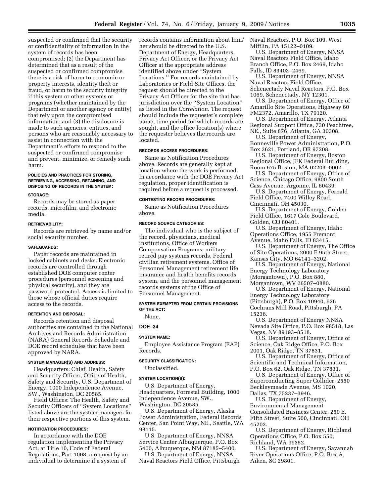suspected or confirmed that the security or confidentiality of information in the system of records has been compromised; (2) the Department has determined that as a result of the suspected or confirmed compromise there is a risk of harm to economic or property interests, identity theft or fraud, or harm to the security integrity if this system or other systems or programs (whether maintained by the Department or another agency or entity) that rely upon the compromised information; and (3) the disclosure is made to such agencies, entities, and persons who are reasonably necessary to assist in connection with the Department's efforts to respond to the suspected or confirmed compromise and prevent, minimize, or remedy such harm.

# **POLICIES AND PRACTICES FOR STORING, RETRIEVING, ACCESSING, RETAINING, AND DISPOSING OF RECORDS IN THE SYSTEM:**

#### **STORAGE:**

Records may be stored as paper records, microfilm, and electronic media.

#### **RETRIEVABILITY:**

Records are retrieved by name and/or social security number.

#### **SAFEGUARDS:**

Paper records are maintained in locked cabinets and desks. Electronic records are controlled through established DOE computer center procedures (personnel screening and physical security), and they are password protected. Access is limited to those whose official duties require access to the records.

### **RETENTION AND DISPOSAL:**

Records retention and disposal authorities are contained in the National Archives and Records Administration (NARA) General Records Schedule and DOE record schedules that have been approved by NARA.

### **SYSTEM MANAGER(S) AND ADDRESS:**

Headquarters: Chief, Health, Safety and Security Officer, Office of Health, Safety and Security, U.S. Department of Energy, 1000 Independence Avenue, SW., Washington, DC 20585.

Field Offices: The Health, Safety and Security Officers of ''System Locations'' listed above are the system managers for their respective portions of this system.

#### **NOTIFICATION PROCEDURES:**

In accordance with the DOE regulation implementing the Privacy Act, at Title 10, Code of Federal Regulations, Part 1008, a request by an individual to determine if a system of

records contains information about him/ her should be directed to the U.S. Department of Energy, Headquarters, Privacy Act Officer, or the Privacy Act Officer at the appropriate address identified above under ''System Locations.'' For records maintained by Laboratories or Field Site Offices, the request should be directed to the Privacy Act Officer for the site that has jurisdiction over the ''System Location'' as listed in the *Correlation.* The request should include the requester's complete name, time period for which records are sought, and the office location(s) where the requester believes the records are located.

### **RECORDS ACCESS PROCEDURES:**

Same as Notification Procedures above. Records are generally kept at location where the work is performed. In accordance with the DOE Privacy Act regulation, proper identification is required before a request is processed.

### **CONTESTING RECORD PROCEDURES:**

Same as Notification Procedures above.

### **RECORD SOURCE CATEGORIES:**

The individual who is the subject of the record, physicians, medical institutions, Office of Workers Compensation Programs, military retired pay systems records, Federal civilian retirement systems, Office of Personnel Management retirement life insurance and health benefits records system, and the personnel management records systems of the Office of Personnel Management.

### **SYSTEM EXEMPTED FROM CERTAIN PROVISIONS OF THE ACT:**

None.

### **DOE–34**

### **SYSTEM NAME:**

Employee Assistance Program (EAP) Records.

#### **SECURITY CLASSIFICATION:**

Unclassified.

### **SYSTEM LOCATION(S):**

U.S. Department of Energy, Headquarters, Forrestal Building, 1000 Independence Avenue, SW., Washington, DC 20585.

U.S. Department of Energy, Alaska Power Administration, Federal Records Center, San Point Way, NE., Seattle, WA 98115.

U.S. Department of Energy, NNSA Service Center Albuquerque, P.O. Box 5400, Albuquerque, NM 87185–5400.

U.S. Department of Energy, NNSA Naval Reactors Field Office, Pittsburgh Naval Reactors, P.O. Box 109, West Mifflin, PA 15122–0109.

U.S. Department of Energy, NNSA Naval Reactors Field Office, Idaho Branch Office, P.O. Box 2469, Idaho Falls, ID 83403–2469.

U.S. Department of Energy, NNSA Naval Reactors Field Office, Schenectady Naval Reactors, P.O. Box 1069, Schenectady, NY 12301.

U.S. Department of Energy, Office of Amarillo Site Operations, Highway 60 FM2372, Amarillo, TX 79120.

U.S. Department of Energy, Atlanta Regional Support Office, 730 Peachtree, NE., Suite 876, Atlanta, GA 30308.

U.S. Department of Energy, Bonneville Power Administration, P.O. Box 3621, Portland, OR 97208.

U.S. Department of Energy, Boston Regional Office, JFK Federal Building, Room 675 Boston, MA 02203–0002.

U.S. Department of Energy, Office of Science, Chicago Office, 9800 South

Cass Avenue, Argonne, IL 60439. U.S. Department of Energy, Fernald Field Office, 7400 Willey Road,

Cincinnati, OH 45030. U.S. Department of Energy, Golden

Field Office, 1617 Cole Boulevard, Golden, CO 80401.

U.S. Department of Energy, Idaho Operations Office, 1955 Fremont Avenue, Idaho Falls, ID 83415.

U.S. Department of Energy, The Office of Site Operations, 2000 E 95th Street, Kansas City, MO 64141–3202.

U.S. Department of Energy, National Energy Technology Laboratory (Morgantown), P.O. Box 880, Morgantown, WV 26507–0880.

U.S. Department of Energy, National Energy Technology Laboratory (Pittsburgh), P.O. Box 10940, 626 Cochrans Mill Road, Pittsburgh, PA 15236.

U.S. Department of Energy NNSA Nevada Site Office, P.O. Box 98518, Las Vegas, NV 89193–8518.

U.S. Department of Energy, Office of Science, Oak Ridge Office, P.O. Box 2001, Oak Ridge, TN 37831.

U.S. Department of Energy, Office of Scientific and Technical Information, P.O. Box 62, Oak Ridge, TN 37831.

U.S. Department of Energy, Office of Superconducting Super Collider, 2550 Beckleymeade Avenue, MS 1020, Dallas, TX 75237–3946.

U.S. Department of Energy, Environmental Management Consolidated Business Center, 250 E. Fifth Street, Suite 500, Cincinnati, OH 45202.

U.S. Department of Energy, Richland Operations Office, P.O. Box 550, Richland, WA 99352.

U.S. Department of Energy, Savannah River Operations Office, P.O. Box A, Aiken, SC 29801.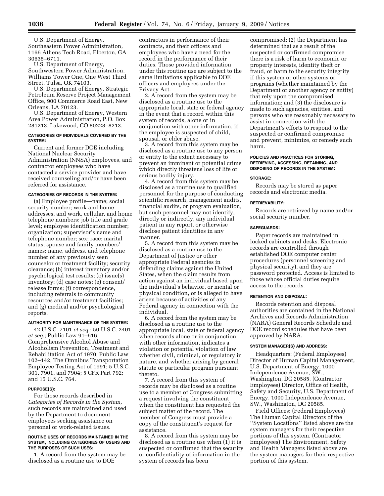U.S. Department of Energy, Southeastern Power Administration, 1166 Athens Tech Road, Elberton, GA 30635–6711.

U.S. Department of Energy, Southwestern Power Administration, Williams Tower One, One West Third Street, Tulsa, OK 74103.

U.S. Department of Energy, Strategic Petroleum Reserve Project Management Office, 900 Commerce Road East, New Orleans, LA 70123.

U.S. Department of Energy, Western Area Power Administration, P.O. Box 281213, Lakewood, CO 80228–8213.

#### **CATEGORIES OF INDIVIDUALS COVERED BY THE SYSTEM:**

Current and former DOE including National Nuclear Security Administration (NNSA) employees, and contractor employees who have contacted a service provider and have received counseling and/or have been referred for assistance.

#### **CATEGORIES OF RECORDS IN THE SYSTEM:**

(a) Employee profile—name; social security number; work and home addresses, and work, cellular, and home telephone numbers; job title and grade level; employee identification number; organization; supervisor's name and telephone number; sex; race; marital status; spouse and family members' names; name, address, and telephone number of any previously seen counselor or treatment facility; security clearance; (b) interest inventory and/or psychological test results; (c) issue(s) inventory; (d) case notes; (e) consent/ release forms; (f) correspondence, including referrals to community resources and/or treatment facilities; and (g) medical and/or psychological reports.

### **AUTHORITY FOR MAINTENANCE OF THE SYSTEM:**

42 U.S.C. 7101 *et seq.*; 50 U.S.C. 2401 *et seq.*; Public Law 91–616, Comprehensive Alcohol Abuse and Alcoholism Prevention, Treatment and Rehabilitation Act of 1970; Public Law 102–142, The Omnibus Transportation Employee Testing Act of 1991; 5 U.S.C. 301, 7901, and 7904; 5 CFR Part 792; and 15 U.S.C. 764.

### **PURPOSE(S):**

For those records described in *Categories of Records in the System,*  such records are maintained and used by the Department to document employees seeking assistance on personal or work-related issues.

#### **ROUTINE USES OF RECORDS MAINTAINED IN THE SYSTEM, INCLUDING CATEGORIES OF USERS AND THE PURPOSES OF SUCH USES:**

1. A record from the system may be disclosed as a routine use to DOE

contractors in performance of their contracts, and their officers and employees who have a need for the record in the performance of their duties. Those provided information under this routine use are subject to the same limitations applicable to DOE officers and employees under the Privacy Act.

2. A record from the system may be disclosed as a routine use to the appropriate local, state or federal agency in the event that a record within this system of records, alone or in conjunction with other information, if the employee is suspected of child, spousal, or elder abuse.

3. A record from this system may be disclosed as a routine use to any person or entity to the extent necessary to prevent an imminent or potential crime which directly threatens loss of life or serious bodily injury.

4. A record from this system may be disclosed as a routine use to qualified personnel for the purpose of conducting scientific research, management audits, financial audits, or program evaluation, but such personnel may not identify, directly or indirectly, any individual patient in any report, or otherwise disclose patient identities in any manner.

5. A record from this system may be disclosed as a routine use to the Department of Justice or other appropriate Federal agencies in defending claims against the United States, when the claim results from action against an individual based upon the individual's behavior, or mental or physical condition, or is alleged to have arisen because of activities of any Federal agency in connection with the individual.

6. A record from the system may be disclosed as a routine use to the appropriate local, state or federal agency when records alone or in conjunction with other information, indicates a violation or potential violation of law whether civil, criminal, or regulatory in nature, and whether arising by general statute or particular program pursuant thereto.

7. A record from this system of records may be disclosed as a routine use to a member of Congress submitting a request involving the constituent when the constituent has requested the subject matter of the record. The member of Congress must provide a copy of the constituent's request for assistance.

8. A record from this system may be disclosed as a routine use when (1) it is suspected or confirmed that the security or confidentiality of information in the system of records has been

compromised; (2) the Department has determined that as a result of the suspected or confirmed compromise there is a risk of harm to economic or property interests, identity theft or fraud, or harm to the security integrity if this system or other systems or programs (whether maintained by the Department or another agency or entity) that rely upon the compromised information; and (3) the disclosure is made to such agencies, entities, and persons who are reasonably necessary to assist in connection with the Department's efforts to respond to the suspected or confirmed compromise and prevent, minimize, or remedy such harm.

### **POLICIES AND PRACTICES FOR STORING, RETRIEVING, ACCESSING, RETAINING, AND DISPOSING OF RECORDS IN THE SYSTEM:**

#### **STORAGE:**

Records may be stored as paper records and electronic media.

#### **RETRIEVABILITY:**

Records are retrieved by name and/or social security number.

#### **SAFEGUARDS:**

Paper records are maintained in locked cabinets and desks. Electronic records are controlled through established DOE computer center procedures (personnel screening and physical security), and they are password protected. Access is limited to those whose official duties require access to the records.

### **RETENTION AND DISPOSAL:**

Records retention and disposal authorities are contained in the National Archives and Records Administration (NARA) General Records Schedule and DOE record schedules that have been approved by NARA.

#### **SYSTEM MANAGER(S) AND ADDRESS:**

Headquarters: (Federal Employees) Director of Human Capital Management, U.S. Department of Energy, 1000 Independence Avenue, SW., Washington, DC 20585. (Contractor Employees) Director, Office of Health, Safety and Security, U.S. Department of Energy, 1000 Independence Avenue, SW., Washington, DC 20585.

Field Offices: (Federal Employees) The Human Capital Directors of the ''System Locations'' listed above are the system managers for their respective portions of this system. (Contractor Employees) The Environment, Safety and Health Managers listed above are the system managers for their respective portion of this system.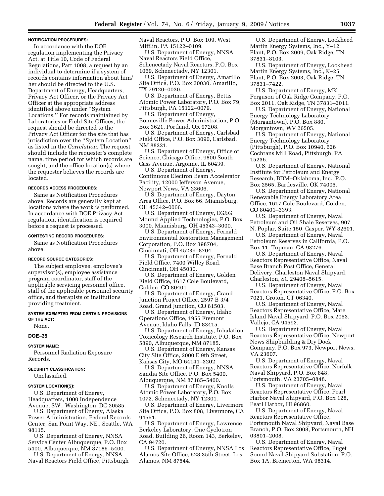#### **NOTIFICATION PROCEDURES:**

In accordance with the DOE regulation implementing the Privacy Act, at Title 10, Code of Federal Regulations, Part 1008, a request by an individual to determine if a system of records contains information about him/ her should be directed to the U.S. Department of Energy, Headquarters, Privacy Act Officer, or the Privacy Act Officer at the appropriate address identified above under ''System Locations.'' For records maintained by Laboratories or Field Site Offices, the request should be directed to the Privacy Act Officer for the site that has jurisdiction over the ''System Location'' as listed in the *Correlation*. The request should include the requester's complete name, time period for which records are sought, and the office location(s) where the requester believes the records are located.

#### **RECORDS ACCESS PROCEDURES:**

Same as Notification Procedures above. Records are generally kept at locations where the work is performed. In accordance with DOE Privacy Act regulation, identification is required before a request is processed.

#### **CONTESTING RECORD PROCEDURES:**

Same as Notification Procedures above.

#### **RECORD SOURCE CATEGORIES:**

The subject employee, employee's supervisor(s), employee assistance program coordinator, staff of the applicable servicing personnel office, staff of the applicable personnel security office, and therapists or institutions providing treatment.

#### **SYSTEM EXEMPTED FROM CERTAIN PROVISIONS OF THE ACT:**

None.

### **DOE–35**

#### **SYSTEM NAME:**

Personnel Radiation Exposure Records.

#### **SECURITY CLASSIFICATION:**

Unclassified.

#### **SYSTEM LOCATION(S):**

U.S. Department of Energy, Headquarters, 1000 Independence Avenue, SW., Washington, DC 20585.

U.S. Department of Energy, Alaska Power Administration, Federal Records Center, San Point Way, NE., Seattle, WA 98115.

U.S. Department of Energy, NNSA Service Center Albuquerque, P.O. Box 5400, Albuquerque, NM 87185–5400.

U.S. Department of Energy, NNSA Naval Reactors Field Office, Pittsburgh Naval Reactors, P.O. Box 109, West Mifflin, PA 15122–0109.

U.S. Department of Energy, NNSA Naval Reactors Field Office, Schenectady Naval Reactors, P.O. Box 1069, Schenectady, NY 12301.

U.S. Department of Energy, Amarillo Site Office, P.O. Box 30030, Amarillo, TX 79120–0030.

U.S. Department of Energy, Bettis Atomic Power Laboratory, P.O. Box 79, Pittsburgh, PA 15122–0079.

U.S. Department of Energy, Bonneville Power Administration, P.O. Box 3621, Portland, OR 97208.

U.S. Department of Energy, Carlsbad Field Office, P.O. Box 3090, Carlsbad, NM 88221.

U.S. Department of Energy, Office of Science, Chicago Office, 9800 South Cass Avenue, Argonne, IL 60439.

U.S. Department of Energy, Continuous Electron Beam Accelerator Facility, 12000 Jefferson Avenue, Newport News, VA 23606.

U.S. Department of Energy, Dayton Area Office, P.O. Box 66, Miamisburg, OH 45342–0066.

U.S. Department of Energy, EG&G Mound Applied Technologies, P.O. Box 3000, Miamisburg, OH 45343–3000.

U.S. Department of Energy, Fernald Environmental Restoration Management Corporation, P.O. Box 398704, Cincinnati, OH 45239–8704.

U.S. Department of Energy, Fernald Field Office, 7400 Willey Road, Cincinnati, OH 45030.

U.S. Department of Energy, Golden Field Office, 1617 Cole Boulevard, Golden, CO 80401.

U.S. Department of Energy, Grand Junction Project Office, 2597 B 3/4 Road, Grand Junction, CO 81503.

U.S. Department of Energy, Idaho Operations Office, 1955 Fremont Avenue, Idaho Falls, ID 83415.

U.S. Department of Energy, Inhalation Toxicology Research Institute, P.O. Box 5890, Albuquerque, NM 87185.

U.S. Department of Energy, Kansas City Site Office, 2000 E 9th Street, Kansas City, MO 64141–3202.

U.S. Department of Energy, NNSA Sandia Site Office, P.O. Box 5400, Albuquerque, NM 87185–5400.

U.S. Department of Energy, Knolls Atomic Power Laboratory, P.O. Box 1072, Schenectady, NY 12301.

U.S. Department of Energy, Livermore Site Office, P.O. Box 808, Livermore, CA 94551.

U.S. Department of Energy, Lawrence Berkeley Laboratory, One Cyclotron Road, Building 26, Room 143, Berkeley, CA 94720.

U.S. Department of Energy, NNSA Los Alamos Site Office, 528 35th Street, Los Alamos, NM 87544.

U.S. Department of Energy, Lockheed Martin Energy Systems, Inc., Y–12 Plant, P.O. Box 2009, Oak Ridge, TN 37831–8103.

U.S. Department of Energy, Lockheed Martin Energy Systems, Inc., K–25 Plant, P.O. Box 2003, Oak Ridge, TN 37831–7422.

U.S. Department of Energy, MK Ferguson of Oak Ridge Company, P.O. Box 2011, Oak Ridge, TN 37831–2011.

U.S. Department of Energy, National Energy Technology Laboratory (Morgantown), P.O. Box 880, Morgantown, WV 26505.

U.S. Department of Energy, National Energy Technology Laboratory (Pittsburgh), P.O. Box 10940, 626 Cochrans Mill Road, Pittsburgh, PA 15236.

U.S. Department of Energy, National Institute for Petroleum and Energy Research, BDM–Oklahoma, Inc., P.O. Box 2565, Bartlesville, OK 74005.

U.S. Department of Energy, National Renewable Energy Laboratory Area Office, 1617 Cole Boulevard, Golden, CO 80401–3393.

U.S. Department of Energy, Naval Petroleum and Oil Shale Reserves, 907 N. Poplar, Suite 150, Casper, WY 82601.

U.S. Department of Energy, Naval Petroleum Reserves in California, P.O. Box 11, Tupman, CA 93276.

U.S. Department of Energy, Naval Reactors Representative Office, Naval Base Branch Post Office, General Delivery, Charleston Naval Shipyard, Charleston, SC 29408–5615.

U.S. Department of Energy, Naval Reactors Representative Office, P.O. Box 7021, Groton, CT 06340.

U.S. Department of Energy, Naval Reactors Representative Office, Mare Island Naval Shipyard, P.O. Box 2053, Vallejo, CA 94592.

U.S. Department of Energy, Naval Reactors Representative Office, Newport News Shipbuilding & Dry Dock Company, P.O. Box 973, Newport News, VA 23607.

U.S. Department of Energy, Naval Reactors Representative Office, Norfolk Naval Shipyard, P.O. Box 848, Portsmouth, VA 23705–0848.

U.S. Department of Energy, Naval Reactors Representative Office, Pearl Harbor Naval Shipyard, P.O. Box 128, Pearl Harbor, HI 96860.

U.S. Department of Energy, Naval Reactors Representative Office, Portsmouth Naval Shipyard, Naval Base Branch, P.O. Box 2008, Portsmouth, NH 03801–2008.

U.S. Department of Energy, Naval Reactors Representative Office, Puget Sound Naval Shipyard Substation, P.O. Box 1A, Bremerton, WA 98314.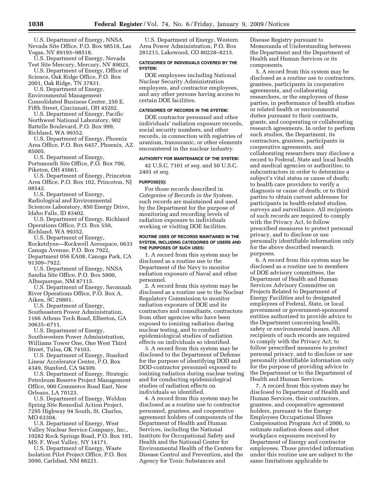U.S. Department of Energy, NNSA Nevada Site Office, P.O. Box 98518, Las Vegas, NV 89193–98518.

U.S. Department of Energy, Nevada Test Site Mercury, Mercury, NV 89023.

U.S. Department of Energy, Office of Science, Oak Ridge Office, P.O. Box 2001, Oak Ridge, TN 37831.

U.S. Department of Energy, Environmental Management Consolidated Business Center, 250 E.

Fifth Street, Cincinnati, OH 45202. U.S. Department of Energy, Pacific

Northwest National Laboratory, 902 Battelle Boulevard, P.O. Box 999, Richland, WA 99352. U.S. Department of Energy, Phoenix

Area Office, P.O. Box 6457, Phoenix, AZ 85005.

U.S. Department of Energy, Portsmouth Site Office, P.O. Box 700, Piketon, OH 45661.

U.S. Department of Energy, Princeton Area Office, P.O. Box 102, Princeton, NJ 08542.

U.S. Department of Energy, Radiological and Environmental Sciences Laboratory, 850 Energy Drive, Idaho Falls, ID 83402.

U.S. Department of Energy, Richland Operations Office, P.O. Box 550, Richland, WA 99352.

U.S. Department of Energy,

Rocketdyne—Rockwell Aerospace, 6633 Canoga Avenue, P.O. Box 7922,

Department 056 EA08, Canoga Park, CA 91309–7922.

U.S. Department of Energy, NNSA Sandia Site Office, P.O. Box 5800, Albuquerque, NM 87115.

U.S. Department of Energy, Savannah River Operations Office, P.O. Box A, Aiken, SC 29801.

U.S. Department of Energy, Southeastern Power Administration, 1166 Athens Tech Road, Elberton, GA 30635–6711.

U.S. Department of Energy, Southwestern Power Administration, Williams Tower One, One West Third Street, Tulsa, OK 74103.

U.S. Department of Energy, Stanford Linear Accelerator Center, P.O. Box 4349, Stanford, CA 94309.

U.S. Department of Energy, Strategic Petroleum Reserve Project Management Office, 900 Commerce Road East, New Orleans, LA 70123.

U.S. Department of Energy, Weldon Spring Site Remedial Action Project, 7295 Highway 94 South, St. Charles, MO 63304.

U.S. Department of Energy, West Valley Nuclear Service Company, Inc., 10282 Rock Springs Road, P.O. Box 191, MS: F, West Valley, NY 14171.

U.S. Department of Energy, Waste Isolation Pilot Project Office, P.O. Box 3090, Carlsbad, NM 88221.

U.S. Department of Energy, Western Area Power Administration, P.O. Box 281213, Lakewood, CO 80228–8213.

#### **CATEGORIES OF INDIVIDUALS COVERED BY THE SYSTEM:**

DOE employees including National Nuclear Security Administration employees, and contractor employees, and any other persons having access to certain DOE facilities.

### **CATEGORIES OF RECORDS IN THE SYSTEM:**

DOE contractor personnel and other individuals' radiation exposure records, social security numbers, and other records, in connection with registries of uranium, transuranic, or other elements encountered in the nuclear industry.

## **AUTHORITY FOR MAINTENANCE OF THE SYSTEM:**

42 U.S.C. 7101 *et seq.* and 50 U.S.C. 2401 *et seq.* 

### **PURPOSE(S):**

For those records described in *Categories of Records in the System*, such records are maintained and used by the Department for the purpose of monitoring and recording levels of radiation exposure to individuals working or visiting DOE facilities.

#### **ROUTINE USES OF RECORDS MAINTAINED IN THE SYSTEM, INCLUDING CATEGORIES OF USERS AND THE PURPOSES OF SUCH USES:**

1. A record from this system may be disclosed as a routine use to the Department of the Navy to monitor radiation exposure of Naval and other personnel.

2. A record from this system may be disclosed as a routine use to the Nuclear Regulatory Commission to monitor radiation exposure of DOE and its contractors and consultants, contractors from other agencies who have been exposed to ionizing radiation during nuclear testing, and to conduct epidemiological studies of radiation effects on individuals so identified.

3. A record from this system may be disclosed to the Department of Defense for the purpose of identifying DOD and DOD-contractor personnel exposed to ionizing radiation during nuclear testing and for conducting epidemiological studies of radiation effects on individuals so identified.

4. A record from this system may be disclosed as a routine use to contractor personnel, grantees, and cooperative agreement holders of components of the Department of Health and Human Services, including the National Institute for Occupational Safety and Health and the National Center for Environmental Health of the Centers for Disease Control and Prevention, and the Agency for Toxic Substances and

Disease Registry pursuant to Memoranda of Understanding between the Department and the Department of Health and Human Services or its components.

5. A record from this system may be disclosed as a routine use to contractors, grantees, participants in cooperative agreements, and collaborating researchers, or the employees of these parties, in performance of health studies or related health or environmental duties pursuant to their contracts, grants, and cooperating or collaborating research agreements. In order to perform such studies, the Department, its contractors, grantees, participants in cooperative agreements, and collaborating researchers may disclose a record to Federal, State and local health and medical agencies or authorities; to subcontractors in order to determine a subject's vital status or cause of death; to health care providers to verify a diagnosis or cause of death; or to third parties to obtain current addresses for participants in health-related studies, surveys and surveillance. All recipients of such records are required to comply with the Privacy Act, to follow prescribed measures to protect personal privacy, and to disclose or use personally identifiable information only for the above described research purposes.

6. A record from this system may be disclosed as a routine use to members of DOE advisory committees, the Department of Health and Human Services Advisory Committee on Projects Related to Department of Energy Facilities and to designated employees of Federal, State, or local government or government-sponsored entities authorized to provide advice to the Department concerning health, safety or environmental issues. All recipients of such records are required to comply with the Privacy Act, to follow prescribed measures to protect personal privacy, and to disclose or use personally identifiable information only for the purpose of providing advice to the Department or to the Department of Health and Human Services.

7. A record from this system may be disclosed to Department of Health and Human Services, their contractors, grantees, and cooperative agreement holders, pursuant to the Energy Employees Occupational Illness Compensation Program Act of 2000, to estimate radiation doses and other workplace exposures received by Department of Energy and contractor employees. Those provided information under this routine use are subject to the same limitations applicable to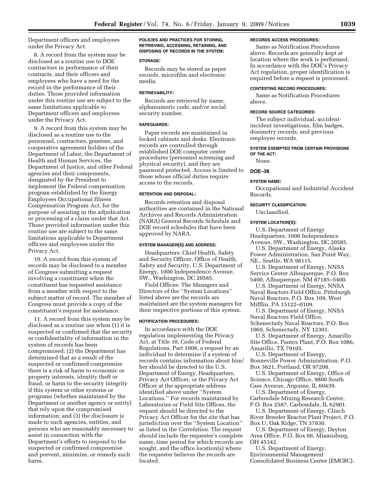Department officers and employees under the Privacy Act.

8. A record from the system may be disclosed as a routine use to DOE contractors in performance of their contracts, and their officers and employees who have a need for the record in the performance of their duties. Those provided information under this routine use are subject to the same limitations applicable to Department officers and employees under the Privacy Act.

9. A record from this system may be disclosed as a routine use to the personnel, contractors, grantees, and cooperative agreement holders of the Department of Labor, the Department of Health and Human Services, the Department of Justice, and other Federal agencies and their components, designated by the President to implement the Federal compensation program established by the Energy Employees Occupational Illness Compensation Program Act, for the purpose of assisting in the adjudication or processing of a claim under that Act. Those provided information under this routine use are subject to the same limitations applicable to Department officers and employees under the Privacy Act.

10. A record from this system of records may be disclosed to a member of Congress submitting a request involving a constituent when the constituent has requested assistance from a member with respect to the subject matter of record. The member of Congress must provide a copy of the constituent's request for assistance.

11. A record from this system may be disclosed as a routine use when (1) it is suspected or confirmed that the security or confidentiality of information in the system of records has been compromised; (2) the Department has determined that as a result of the suspected or confirmed compromise there is a risk of harm to economic or property interests, identity theft or fraud, or harm to the security integrity if this system or other systems or programs (whether maintained by the Department or another agency or entity) that rely upon the compromised information; and (3) the disclosure is made to such agencies, entities, and persons who are reasonably necessary to assist in connection with the Department's efforts to respond to the suspected or confirmed compromise and prevent, minimize, or remedy such harm.

#### **POLICIES AND PRACTICES FOR STORING, RETRIEVING, ACCESSING, RETAINING, AND DISPOSING OF RECORDS IN THE SYSTEM:**

### **STORAGE:**

Records may be stored as paper records, microfilm and electronic media.

#### **RETRIEVABILITY:**

Records are retrieved by name, alphanumeric code, and/or social security number.

#### **SAFEGUARDS:**

Paper records are maintained in locked cabinets and desks. Electronic records are controlled through established DOE computer center procedures (personnel screening and physical security), and they are password protected. Access is limited to those whose official duties require access to the records.

### **RETENTION AND DISPOSAL:**

Records retention and disposal authorities are contained in the National Archives and Records Administration (NARA) General Records Schedule and DOE record schedules that have been approved by NARA.

### **SYSTEM MANAGER(S) AND ADDRESS:**

Headquarters: Chief Health, Safety and Security Officer, Office of Health, Safety and Security, U.S. Department of Energy, 1000 Independence Avenue, SW., Washington, DC 20585.

Field Offices: The Managers and Directors of the ''System Locations'' listed above are the records are maintained are the system managers for their respective portions of this system.

#### **NOTIFICATION PROCEDURES:**

In accordance with the DOE regulation implementing the Privacy Act, at Title 10, Code of Federal Regulations, Part 1008, a request by an individual to determine if a system of records contains information about him/ her should be directed to the U.S. Department of Energy, Headquarters, Privacy Act Officer, or the Privacy Act Officer at the appropriate address identified above under ''System Locations.'' For records maintained by Laboratories or Field Site Offices, the request should be directed to the Privacy Act Officer for the site that has jurisdiction over the ''System Location'' as listed in the *Correlation*. The request should include the requester's complete name, time period for which records are sought, and the office location(s) where the requester believes the records are located.

#### **RECORDS ACCESS PROCEDURES:**

Same as Notification Procedures above. Records are generally kept at location where the work is performed. In accordance with the DOE's Privacy Act regulation, proper identification is required before a request is processed.

### **CONTESTING RECORD PROCEDURES:**

Same as Notification Procedures above.

#### **RECORD SOURCE CATEGORIES:**

The subject individual, accidentincident investigations, film badges, dosimetry records, and previous employee records.

### **SYSTEM EXEMPTED FROM CERTAIN PROVISIONS OF THE ACT:**

None.

### **DOE–38**

#### **SYSTEM NAME:**

Occupational and Industrial Accident Records.

### **SECURITY CLASSIFICATION:**

Unclassified.

#### **SYSTEM LOCATION(S):**

U.S. Department of Energy Headquarters, 1000 Independence Avenue, SW., Washington, DC 20585.

U.S. Department of Energy, Alaska Power Administration, San Point Way, NE., Seattle, WA 98115.

U.S. Department of Energy, NNSA Service Center Albuquerque, P.O. Box 5400, Albuquerque, NM 87185–5400.

U.S. Department of Energy, NNSA Naval Reactors Field Office, Pittsburgh Naval Reactors, P.O. Box 109, West Mifflin, PA 15122–0109.

U.S. Department of Energy, NNSA Naval Reactors Field Office, Schenectady Naval Reactors, P.O. Box 1069, Schenectady, NY 12301.

U.S. Department of Energy, Amarillo Site Office, Pantex Plant, P.O. Box 1086, Amarillo, TX 79105.

U.S. Department of Energy, Bonneville Power Administration, P.O. Box 3621, Portland, OR 97208.

U.S. Department of Energy, Office of Science, Chicago Office, 9800 South Cass Avenue, Argonne, IL 60439.

U.S. Department of Energy, Carbondale Mining Research Center, P.O. Box 2587, Carbondale, IL 62901.

U.S. Department of Energy, Clinch River Breeder Reactor Plant Project, P.O. Box U, Oak Ridge, TN 37830.

U.S. Department of Energy, Dayton Area Office, P.O. Box 66, Miamisburg, OH 45342.

U.S. Department of Energy, Environmental Management Consolidated Business Center (EMCBC),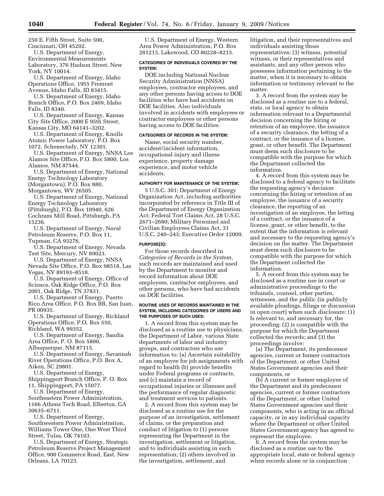250 E. Fifth Street, Suite 500, Cincinnati, OH 45202.

U.S. Department of Energy, Environmental Measurements Laboratory, 376 Hudson Street, New York, NY 10014.

U.S. Department of Energy, Idaho Operations Office, 1955 Fremont Avenue, Idaho Falls, ID 83415.

U.S. Department of Energy, Idaho Branch Office, P.O. Box 2469, Idaho Falls, ID 8340.

U.S. Department of Energy, Kansas City Site Office, 2000 E 95th Street, Kansas City, MO 64141–3202.

U.S. Department of Energy, Knolls Atomic Power Laboratory, P.O. Box 1072, Schenectady, NY 12301.

U.S. Department of Energy, NNSA Los Alamos Site Office, P.O. Box 5800, Los Alamos, NM 87544.

U.S. Department of Energy, National Energy Technology Laboratory (Morgantown), P.O. Box 880, Morgantown, WV 26505.

U.S. Department of Energy, National Energy Technology Laboratory (Pittsburgh), P.O. Box 10940, 626 Cochrans Mill Road, Pittsburgh, PA 15236.

U.S. Department of Energy, Naval Petroleum Reserve, P.O. Box 11, Tupman, CA 93276.

U.S. Department of Energy, Nevada Test Site, Mercury, NV 89023.

U.S. Department of Energy, NNSA Nevada Site Office, P.O. Box 98518, Las Vegas, NV 89193–8518.

U.S. Department of Energy, Office of Science, Oak Ridge Office, P.O. Box 2001, Oak Ridge, TN 37831.

U.S. Department of Energy, Puerto Rico Area Office, P.O. Box BB, San Juan, PR 00935.

U.S. Department of Energy, Richland Operations Office, P.O. Box 550, Richland, WA 99352.

U.S. Department of Energy, Sandia Area Office, P. O. Box 5800,

Albuquerque, NM 87115.

U.S. Department of Energy, Savannah River Operations Office, P.O. Box A, Aiken, SC 29801.

U.S. Department of Energy, Shippingport Branch Office, P. O. Box 11, Shippingport, PA 15077.

U.S. Department of Energy, Southeastern Power Administration, 1166 Athens Tech Road, Elberton, GA 30635–6711.

U.S. Department of Energy, Southwestern Power Administration, Williams Tower One, One West Third Street, Tulsa, OK 74103.

U.S. Department of Energy, Strategic Petroleum Reserve Project Management Office, 900 Commerce Road, East, New Orleans, LA 70123.

U.S. Department of Energy, Western Area Power Administration, P.O. Box 281213, Lakewood, CO 80228–8213.

### **CATEGORIES OF INDIVIDUALS COVERED BY THE SYSTEM:**

DOE including National Nuclear Security Administration (NNSA) employees, contractor employees, and any other persons having access to DOE facilities who have had accidents on DOE facilities. Also individuals involved in accidents with employees or contractor employees or other persons having access to DOE facilities.

#### **CATEGORIES OF RECORDS IN THE SYSTEM:**

Name, social security number, accident/incident information, occupational injury and illness experience, property damage experience, and motor vehicle accidents.

### **AUTHORITY FOR MAINTENANCE OF THE SYSTEM:**

5 U.S.C. 301; Department of Energy Organization Act, including authorities incorporated by reference in Title III of the Department of Energy Organization Act; Federal Tort Claims Act, 28 U.S.C. 2671–2680; Military Personnel and Civilian Employees Claims Act, 31 U.S.C. 240–243; Executive Order 12009.

#### **PURPOSE(S):**

For those records described in *Categories of Records in the System*, such records are maintained and used by the Department to monitor and record information about DOE employees, contractor employees, and other persons, who have had accidents on DOE facilities.

#### **ROUTINE USES OF RECORDS MAINTAINED IN THE SYSTEM, INCLUDING CATEGORIES OF USERS AND THE PURPOSES OF SUCH USES:**

1. A record from this system may be disclosed as a routine use to physicians, the Department of Labor, various State departments of labor and industry groups, and contractors who use information to: (a) Ascertain suitability of an employee for job assignments with regard to health (b) provide benefits under Federal programs or contracts, and (c) maintain a record of occupational injuries or illnesses and the performance of regular diagnostic and treatment services to patients.

2. A record from this system may be disclosed as a routine use for the purpose of an investigation, settlement of claims, or the preparation and conduct of litigation to (1) persons representing the Department in the investigation, settlement or litigation, and to individuals assisting in such representation; (2) others involved in the investigation, settlement, and

litigation, and their representatives and individuals assisting those representatives; (3) witness, potential witness, or their representatives and assistants, and any other person who possesses information pertaining to the matter, when it is necessary to obtain information or testimony relevant to the matter.

3. A record from the system may be disclosed as a routine use to a federal, state, or local agency to obtain information relevant to a Departmental decision concerning the hiring or retention of an employee, the issuance of a security clearance, the letting of a contract, or the issuance of a license, grant, or other benefit. The Department must deem such disclosure to be compatible with the purpose for which the Department collected the information.

4. A record from this system may be disclosed to a federal agency to facilitate the requesting agency's decision concerning the hiring or retention of an employee, the issuance of a security clearance, the reporting of an investigation of an employee, the letting of a contract, or the issuance of a license, grant, or other benefit, to the extent that the information is relevant and necessary to the requesting agency's decision on the matter. The Department must deem such disclosure to be compatible with the purpose for which the Department collected the information.

5. A record from this system may be disclosed as a routine use in court or administrative proceedings to the tribunals, counsel, other parties, witnesses, and the public (in publicly available pleadings, filings or discussion in open court) when such disclosure: (1) Is relevant to, and necessary for, the proceeding; (2) is compatible with the purpose for which the Department collected the records; and (3) the proceedings involve:

(a) The Department, its predecessor agencies, current or former contractors of the Department, or other United States Government agencies and their components, or

(b) A current or former employee of the Department and its predecessor agencies, current or former contractors of the Department, or other United States Government agencies and their components, who is acting in an official capacity, or in any individual capacity where the Department or other United States Government agency has agreed to represent the employee.

6. A record from the system may be disclosed as a routine use to the appropriate local, state or federal agency when records alone or in conjunction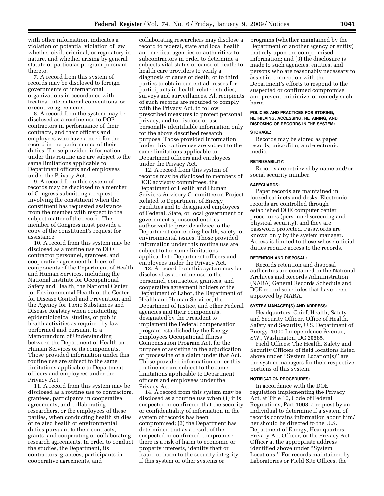with other information, indicates a violation or potential violation of law whether civil, criminal, or regulatory in nature, and whether arising by general statute or particular program pursuant thereto.

7. A record from this system of records may be disclosed to foreign governments or international organizations in accordance with treaties, international conventions, or executive agreements.

8. A record from the system may be disclosed as a routine use to DOE contractors in performance of their contracts, and their officers and employees who have a need for the record in the performance of their duties. Those provided information under this routine use are subject to the same limitations applicable to Department officers and employees under the Privacy Act.

9. A record from this system of records may be disclosed to a member of Congress submitting a request involving the constituent when the constituent has requested assistance from the member with respect to the subject matter of the record. The member of Congress must provide a copy of the constituent's request for assistance.

10. A record from this system may be disclosed as a routine use to DOE contractor personnel, grantees, and cooperative agreement holders of components of the Department of Health and Human Services, including the National Institute for Occupational Safety and Health, the National Center for Environmental Health of the Center for Disease Control and Prevention, and the Agency for Toxic Substances and Disease Registry when conducting epidemiological studies, or public health activities as required by law performed and pursuant to a Memorandum of Understanding between the Department of Health and Human Services or its components. Those provided information under this routine use are subject to the same limitations applicable to Department officers and employees under the Privacy Act.

11. A record from this system may be disclosed as a routine use to contractors, grantees, participants in cooperative agreements, and collaborating researchers, or the employees of these parties, when conducting health studies or related health or environmental duties pursuant to their contracts, grants, and cooperating or collaborating research agreements. In order to conduct the studies, the Department, its contractors, grantees, participants in cooperative agreements, and

collaborating researchers may disclose a record to federal, state and local health and medical agencies or authorities; to subcontractors in order to determine a subjects vital status or cause of death; to health care providers to verify a diagnosis or cause of death; or to third parties to obtain current addresses for participants in health-related studies, surveys and surveillances. All recipients of such records are required to comply with the Privacy Act, to follow prescribed measures to protect personal privacy, and to disclose or use personally identifiable information only for the above described research purpose. Those provided information under this routine use are subject to the same limitations applicable to Department officers and employees under the Privacy Act.

12. A record from this system of records may be disclosed to members of DOE advisory committees, the Department of Health and Human Services Advisory Committee on Project Related to Department of Energy Facilities and to designated employees of Federal, State, or local government or government-sponsored entities authorized to provide advice to the Department concerning health, safety, or environmental issues. Those provided information under this routine use are subject to the same limitations applicable to Department officers and employees under the Privacy Act.

13. A record from this system may be disclosed as a routine use to the personnel, contractors, grantees, and cooperative agreement holders of the Department of Labor, the Department of Health and Human Services, the Department of Justice, and other Federal agencies and their components, designated by the President to implement the Federal compensation program established by the Energy Employees Occupational Illness Compensation Program Act, for the purpose of assisting in the adjudication or processing of a claim under that Act. Those provided information under this routine use are subject to the same limitations applicable to Department officers and employees under the Privacy Act.

14. A record from this system may be disclosed as a routine use when (1) it is suspected or confirmed that the security or confidentiality of information in the system of records has been compromised; (2) the Department has determined that as a result of the suspected or confirmed compromise there is a risk of harm to economic or property interests, identity theft or fraud, or harm to the security integrity if this system or other systems or

programs (whether maintained by the Department or another agency or entity) that rely upon the compromised information; and (3) the disclosure is made to such agencies, entities, and persons who are reasonably necessary to assist in connection with the Department's efforts to respond to the suspected or confirmed compromise and prevent, minimize, or remedy such harm.

### **POLICIES AND PRACTICES FOR STORING, RETRIEVING, ACCESSING, RETAINING, AND DISPOSING OF RECORDS IN THE SYSTEM:**

#### **STORAGE:**

Records may be stored as paper records, microfilm, and electronic media.

#### **RETRIEVABILITY:**

Records are retrieved by name and/or social security number.

#### **SAFEGUARDS:**

Paper records are maintained in locked cabinets and desks. Electronic records are controlled through established DOE computer center procedures (personnel screening and physical security), and they are password protected. Passwords are known only by the system manager. Access is limited to those whose official duties require access to the records.

### **RETENTION AND DISPOSAL:**

Records retention and disposal authorities are contained in the National Archives and Records Administration (NARA) General Records Schedule and DOE record schedules that have been approved by NARA.

### **SYSTEM MANAGER(S) AND ADDRESS:**

Headquarters: Chief, Health, Safety and Security Officer, Office of Health, Safety and Security, U.S. Department of Energy, 1000 Independence Avenue, SW., Washington, DC 20585.

Field Offices: The Health, Safety and Security Officers of field locations listed above under ''System Location(s)'' are the system managers for their respective portions of this system.

### **NOTIFICATION PROCEDURES:**

In accordance with the DOE regulation implementing the Privacy Act, at Title 10, Code of Federal Regulations, Part 1008, a request by an individual to determine if a system of records contains information about him/ her should be directed to the U.S. Department of Energy, Headquarters, Privacy Act Officer, or the Privacy Act Officer at the appropriate address identified above under ''System Locations.'' For records maintained by Laboratories or Field Site Offices, the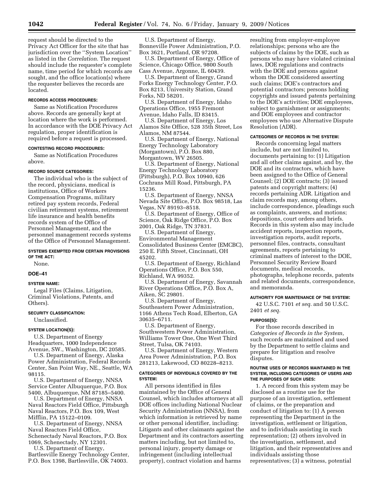request should be directed to the Privacy Act Officer for the site that has jurisdiction over the ''System Location'' as listed in the *Correlation*. The request should include the requester's complete name, time period for which records are sought, and the office location(s) where the requester believes the records are located.

### **RECORDS ACCESS PROCEDURES:**

Same as Notification Procedures above. Records are generally kept at location where the work is performed. In accordance with the DOE Privacy Act regulation, proper identification is required before a request is processed.

### **CONTESTING RECORD PROCEDURES:**

Same as Notification Procedures above.

### **RECORD SOURCE CATEGORIES:**

The individual who is the subject of the record, physicians, medical is institutions, Office of Workers Compensation Programs, military retired pay system records, Federal civilian retirement systems, retirement life insurance and health benefits records system of the Office of Personnel Management, and the personnel management records systems of the Office of Personnel Management.

#### **SYSTEMS EXEMPTED FROM CERTAIN PROVISIONS OF THE ACT:**

None.

#### **DOE–41**

### **SYSTEM NAME:**

Legal Files (Claims, Litigation, Criminal Violations, Patents, and Others).

### **SECURITY CLASSIFICATION:**

Unclassified.

### **SYSTEM LOCATION(S):**

U.S. Department of Energy Headquarters, 1000 Independence Avenue, SW., Washington, DC 20585.

U.S. Department of Energy, Alaska Power Administration, Federal Records Center, San Point Way, NE., Seattle, WA 98115.

U.S. Department of Energy, NNSA Service Center Albuquerque, P.O. Box 5400, Albuquerque, NM 87185–5400.

U.S. Department of Energy, NNSA Naval Reactors Field Office, Pittsburgh Naval Reactors, P.O. Box 109, West Mifflin, PA 15122–0109.

U.S. Department of Energy, NNSA Naval Reactors Field Office, Schenectady Naval Reactors, P.O. Box 1069, Schenectady, NY 12301.

U.S. Department of Energy, Bartlesville Energy Technology Center, P.O. Box 1398, Bartlesville, OK 74003.

U.S. Department of Energy, Bonneville Power Administration, P.O. Box 3621, Portland, OR 97208.

U.S. Department of Energy, Office of Science, Chicago Office, 9800 South Cass Avenue, Argonne, IL 60439.

U.S. Department of Energy, Grand Forks Energy Technology Center, P.O. Box 8213, University Station, Grand Forks, ND 58201.

U.S. Department of Energy, Idaho Operations Office, 1955 Fremont Avenue, Idaho Falls, ID 83415.

U.S. Department of Energy, Los Alamos Site Office, 528 35th Street, Los Alamos, NM 87544.

U.S. Department of Energy, National Energy Technology Laboratory (Morgantown), P.O. Box 880, Morgantown, WV 26505.

U.S. Department of Energy, National Energy Technology Laboratory (Pittsburgh), P.O. Box 10940, 626 Cochrans Mill Road, Pittsburgh, PA 15236.

U.S. Department of Energy, NNSA Nevada Site Office, P.O. Box 98518, Las Vegas, NV 89193–8518.

U.S. Department of Energy, Office of Science, Oak Ridge Office, P.O. Box 2001, Oak Ridge, TN 37831.

U.S. Department of Energy, Environmental Management Consolidated Business Center (EMCBC), 250 E. Fifth Street, Cincinnati, OH 45202.

U.S. Department of Energy, Richland Operations Office, P.O. Box 550, Richland, WA 99352.

U.S. Department of Energy, Savannah River Operations Office, P.O. Box A, Aiken, SC 29801.

U.S. Department of Energy, Southeastern Power Administration, 1166 Athens Tech Road, Elberton, GA 30635–6711.

U.S. Department of Energy, Southwestern Power Administration, Williams Tower One, One West Third Street, Tulsa, OK 74103.

U.S. Department of Energy, Western Area Power Administration, P.O. Box 281213, Lakewood, CO 80228–8213.

#### **CATEGORIES OF INDIVIDUALS COVERED BY THE SYSTEM:**

All persons identified in files maintained by the Office of General Counsel, which includes attorneys at all DOE offices including National Nuclear Security Administration (NNSA), from which information is retrieved by name or other personal identifier, including: Litigants and other claimants against the Department and its contractors asserting matters including, but not limited to, personal injury, property damage or infringement (including intellectual property), contract violation and harms

resulting from employer-employee relationships; persons who are the subjects of claims by the DOE, such as persons who may have violated criminal laws, DOE regulations and contracts with the DOE and persons against whom the DOE considered asserting such claims; DOE's contractors and potential contractors; persons holding copyrights and issued patents pertaining to the DOE's activities; DOE employees, subject to garnishment or assignments; and DOE employees and contractor employees who use Alternative Dispute Resolution (ADR).

### **CATEGORIES OF RECORDS IN THE SYSTEM:**

Records concerning legal matters include, but are not limited to, documents pertaining to: (1) Litigation and all other claims against, and by, the DOE and its contractors, which have been assigned to the Office of General Counsel; (2) DOE contracts; (3) issued patents and copyright matters; (4) records pertaining ADR. Litigation and claim records may, among others, include correspondence, pleadings such as complaints, answers, and motions; depositions, court orders and briefs. Records in this system also may include accident reports, inspection reports, investigation reports, audit reports, personnel files, contracts, consultant agreements, reports pertaining to criminal matters of interest to the DOE, Personnel Security Review Board documents, medical records, photographs, telephone records, patents and related documents, correspondence, and memoranda.

#### **AUTHORITY FOR MAINTENANCE OF THE SYSTEM:**

42 U.S.C. 7101 *et seq.* and 50 U.S.C. 2401 *et seq.* 

#### **PURPOSE(S):**

For those records described in *Categories of Records in the System*, such records are maintained and used by the Department to settle claims and prepare for litigation and resolve disputes.

#### **ROUTINE USES OF RECORDS MAINTAINED IN THE SYSTEM, INCLUDING CATEGORIES OF USERS AND THE PURPOSES OF SUCH USES:**

1. A record from this system may be disclosed as a routine use for the purpose of an investigation, settlement of claims, or the preparation and conduct of litigation to: (1) A person representing the Department in the investigation, settlement or litigation, and to individuals assisting in such representation; (2) others involved in the investigation, settlement, and litigation, and their representatives and individuals assisting those representatives; (3) a witness, potential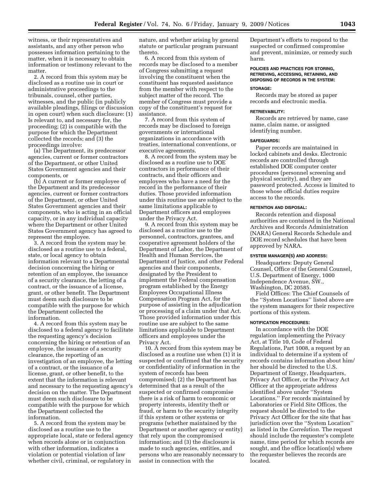witness, or their representatives and assistants, and any other person who possesses information pertaining to the matter, when it is necessary to obtain information or testimony relevant to the matter.

2. A record from this system may be disclosed as a routine use in court or administrative proceedings to the tribunals, counsel, other parties, witnesses, and the public (in publicly available pleadings, filings or discussion in open court) when such disclosure: (1) Is relevant to, and necessary for, the proceeding; (2) is compatible with the purpose for which the Department collected the records; and (3) the proceedings involve:

(a) The Department, its predecessor agencies, current or former contractors of the Department, or other United States Government agencies and their components, or

(b) A current or former employee of the Department and its predecessor agencies, current or former contractors of the Department, or other United States Government agencies and their components, who is acting in an official capacity, or in any individual capacity where the Department or other United States Government agency has agreed to represent the employee.

3. A record from the system may be disclosed as a routine use to a federal, state, or local agency to obtain information relevant to a Departmental decision concerning the hiring or retention of an employee, the issuance of a security clearance, the letting of a contract, or the issuance of a license, grant, or other benefit. The Department must deem such disclosure to be compatible with the purpose for which the Department collected the information.

4. A record from this system may be disclosed to a federal agency to facilitate the requesting agency's decision concerning the hiring or retention of an employee, the issuance of a security clearance, the reporting of an investigation of an employee, the letting of a contract, or the issuance of a license, grant, or other benefit, to the extent that the information is relevant and necessary to the requesting agency's decision on the matter. The Department must deem such disclosure to be compatible with the purpose for which the Department collected the information.

5. A record from the system may be disclosed as a routine use to the appropriate local, state or federal agency when records alone or in conjunction with other information, indicates a violation or potential violation of law whether civil, criminal, or regulatory in

nature, and whether arising by general statute or particular program pursuant thereto.

6. A record from this system of records may be disclosed to a member of Congress submitting a request involving the constituent when the constituent has requested assistance from the member with respect to the subject matter of the record. The member of Congress must provide a copy of the constituent's request for assistance.

7. A record from this system of records may be disclosed to foreign governments or international organizations in accordance with treaties, international conventions, or executive agreements.

8. A record from the system may be disclosed as a routine use to DOE contractors in performance of their contracts, and their officers and employees who have a need for the record in the performance of their duties. Those provided information under this routine use are subject to the same limitations applicable to Department officers and employees under the Privacy Act.

9. A record from this system may be disclosed as a routine use to the personnel, contractors, grantees, and cooperative agreement holders of the Department of Labor, the Department of Health and Human Services, the Department of Justice, and other Federal agencies and their components, designated by the President to implement the Federal compensation program established by the Energy Employees Occupational Illness Compensation Program Act, for the purpose of assisting in the adjudication or processing of a claim under that Act. Those provided information under this routine use are subject to the same limitations applicable to Department officers and employees under the Privacy Act.

10. A record from this system may be disclosed as a routine use when (1) it is suspected or confirmed that the security or confidentiality of information in the system of records has been compromised; (2) the Department has determined that as a result of the suspected or confirmed compromise there is a risk of harm to economic or property interests, identity theft or fraud, or harm to the security integrity if this system or other systems or programs (whether maintained by the Department or another agency or entity) that rely upon the compromised information; and (3) the disclosure is made to such agencies, entities, and persons who are reasonably necessary to assist in connection with the

Department's efforts to respond to the suspected or confirmed compromise and prevent, minimize, or remedy such harm.

### **POLICIES AND PRACTICES FOR STORING, RETRIEVING, ACCESSING, RETAINING, AND DISPOSING OF RECORDS IN THE SYSTEM:**

#### **STORAGE:**

Records may be stored as paper records and electronic media.

#### **RETRIEVABILITY:**

Records are retrieved by name, case name, claim name, or assigned identifying number.

### **SAFEGUARDS:**

Paper records are maintained in locked cabinets and desks. Electronic records are controlled through established DOE computer center procedures (personnel screening and physical security), and they are password protected. Access is limited to those whose official duties require access to the records.

#### **RETENTION AND DISPOSAL:**

Records retention and disposal authorities are contained in the National Archives and Records Administration (NARA) General Records Schedule and DOE record schedules that have been approved by NARA.

#### **SYSTEM MANAGER(S) AND ADDRESS:**

Headquarters: Deputy General Counsel, Office of the General Counsel, U.S. Department of Energy, 1000 Independence Avenue, SW., Washington, DC 20585.

Field Offices: The Chief Counsels of the ''System Locations'' listed above are the system managers for their respective portions of this system.

#### **NOTIFICATION PROCEDURES:**

In accordance with the DOE regulation implementing the Privacy Act, at Title 10, Code of Federal Regulations, Part 1008, a request by an individual to determine if a system of records contains information about him/ her should be directed to the U.S. Department of Energy, Headquarters, Privacy Act Officer, or the Privacy Act Officer at the appropriate address identified above under ''System Locations.'' For records maintained by Laboratories or Field Site Offices, the request should be directed to the Privacy Act Officer for the site that has jurisdiction over the ''System Location'' as listed in the *Correlation*. The request should include the requester's complete name, time period for which records are sought, and the office location(s) where the requester believes the records are located.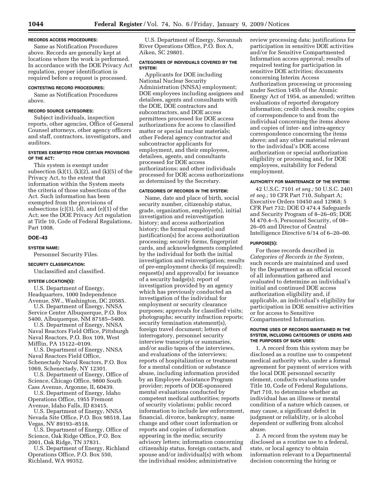### **RECORDS ACCESS PROCEDURES:**

Same as Notification Procedures above. Records are generally kept at locations where the work is performed. In accordance with the DOE Privacy Act regulation, proper identification is required before a request is processed.

### **CONTESTING RECORD PROCEDURES:**

Same as Notification Procedures above.

### **RECORD SOURCE CATEGORIES:**

Subject individuals, inspection reports, other agencies, Office of General Counsel attorneys, other agency officers and staff, contractors, investigators, and auditors.

### **SYSTEMS EXEMPTED FROM CERTAIN PROVISIONS OF THE ACT:**

This system is exempt under subsection  $(k)(1)$ ,  $(k)(2)$ , and  $(k)(5)$  of the Privacy Act, to the extent that information within the System meets the criteria of those subsections of the Act. Such information has been exempted from the provisions of subsections  $(c)(3)$ ,  $(d)$ , and  $(e)(1)$  of the Act; see the DOE Privacy Act regulation at Title 10, Code of Federal Regulations, Part 1008.

#### **DOE–43**

#### **SYSTEM NAME:**

Personnel Security Files.

### **SECURITY CLASSIFICATION:**

Unclassified and classified.

### **SYSTEM LOCATION(S):**

U.S. Department of Energy, Headquarters, 1000 Independence Avenue, SW., Washington, DC 20585. U.S. Department of Energy, NNSA

Service Center Albuquerque, P.O. Box 5400, Albuquerque, NM 87185–5400.

U.S. Department of Energy, NNSA Naval Reactors Field Office, Pittsburgh Naval Reactors, P.O. Box 109, West Mifflin, PA 15122–0109.

U.S. Department of Energy, NNSA Naval Reactors Field Office, Schenectady Naval Reactors, P.O. Box 1069, Schenectady, NY 12301.

U.S. Department of Energy, Office of Science, Chicago Office, 9800 South Cass Avenue, Argonne, IL 60439.

U.S. Department of Energy, Idaho Operations Office, 1955 Fremont Avenue, Idaho Falls, ID 83415.

U.S. Department of Energy, NNSA Nevada Site Office, P.O. Box 98518, Las Vegas, NV 89193–8518.

U.S. Department of Energy, Office of Science, Oak Ridge Office, P.O. Box 2001, Oak Ridge, TN 37831.

U.S. Department of Energy, Richland Operations Office, P.O. Box 550, Richland, WA 99352.

U.S. Department of Energy, Savannah River Operations Office, P.O. Box A, Aiken, SC 29801.

### **CATEGORIES OF INDIVIDUALS COVERED BY THE SYSTEM:**

Applicants for DOE including National Nuclear Security Administration (NNSA) employment; DOE employees including assignees and detailees, agents and consultants with the DOE, DOE contractors and subcontractors, and DOE access permittees processed for DOE access authorizations for access to classified matter or special nuclear materials; other Federal agency contractor and subcontractor applicants for employment, and their employees, detailees, agents, and consultants processed for DOE access authorizations; and other individuals processed for DOE access authorizations as determined by the Secretary.

#### **CATEGORIES OF RECORDS IN THE SYSTEM:**

Name, date and place of birth, social security number, citizenship status, grade, organization, employer(s), initial investigation and reinvestigation history; and access authorization history; the formal request(s) and justification(s) for access authorization processing; security forms, fingerprint cards, and acknowledgments completed by the individual for both the initial investigation and reinvestigation; results of pre-employment checks (if required); request(s) and approval(s) for issuance of a security badge(s); report of investigation provided by an agency which has previously conducted an investigation of the individual for employment or security clearance purposes; approvals for classified visits; photographs; security infraction reports; security termination statement(s), foreign travel document; letters of interrogatory, personnel security interview transcripts or summaries, and/or audio tapes of the interviews, and evaluations of the interviews; reports of hospitalization or treatment for a mental condition or substance abuse, including information provided by an Employee Assistance Program provider; reports of DOE-sponsored mental evaluations conducted by competent medical authorities; reports of security violations; public record information to include law enforcement, financial, divorce, bankruptcy, name change and other court information or reports and copies of information appearing in the media; security advisory letters; information concerning citizenship status, foreign contacts, and spouse and/or individual(s) with whom the individual resides; administrative

review processing data; justifications for participation in sensitive DOE activities and/or for Sensitive Compartmented Information access approval; results of required testing for participation in sensitive DOE activities; documents concerning Interim Access Authorization processing or processing under Section 145b of the Atomic Energy Act of 1954, as amended; written evaluations of reported derogatory information; credit check results; copies of correspondence to and from the individual concerning the items above and copies of inter- and intra-agency correspondence concerning the items above; and any other material relevant to the individual's DOE access authorization or special authorization eligibility or processing and, for DOE employees, suitability for Federal employment.

#### **AUTHORITY FOR MAINTENANCE OF THE SYSTEM:**

42 U.S.C. 7101 *et seq.;* 50 U.S.C. 2401 *et seq.;* 10 CFR Part 710, Subpart A; Executive Orders 10450 and 12968; 5 CFR Part 732; DOE O 474.4 Safeguards and Security Program of 8–26–05; DOE M 470.4–5, Personnel Security, of 08– 26–05 and Director of Central Intelligence Directive 6/14 of 6–20–00.

#### **PURPOSE(S):**

For those records described in *Categories of Records in the System,*  such records are maintained and used by the Department as an official record of all information gathered and evaluated to determine an individual's initial and continued DOE access authorization eligibility and, if applicable, an individual's eligibility for participation in DOE sensitive activities or for access to Sensitive Compartmented Information.

#### **ROUTINE USES OF RECORDS MAINTAINED IN THE SYSTEM, INCLUDING CATEGORIES OF USERS AND THE PURPOSES OF SUCH USES:**

1. A record from this system may be disclosed as a routine use to competent medical authority who, under a formal agreement for payment of services with the local DOE personnel security element, conducts evaluations under Title 10, Code of Federal Regulations, Part 710, to determine whether an individual has an illness or mental condition of a nature which causes, or may cause, a significant defect in judgment or reliability, or is alcohol dependent or suffering from alcohol abuse.

2. A record from the system may be disclosed as a routine use to a federal, state, or local agency to obtain information relevant to a Departmental decision concerning the hiring or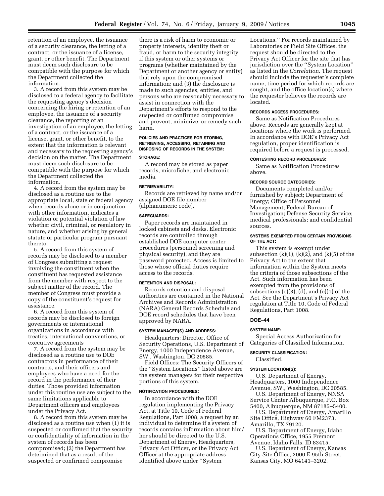retention of an employee, the issuance of a security clearance, the letting of a contract, or the issuance of a license, grant, or other benefit. The Department must deem such disclosure to be compatible with the purpose for which the Department collected the information.

3. A record from this system may be disclosed to a federal agency to facilitate the requesting agency's decision concerning the hiring or retention of an employee, the issuance of a security clearance, the reporting of an investigation of an employee, the letting of a contract, or the issuance of a license, grant, or other benefit, to the extent that the information is relevant and necessary to the requesting agency's decision on the matter. The Department must deem such disclosure to be compatible with the purpose for which the Department collected the information.

4. A record from the system may be disclosed as a routine use to the appropriate local, state or federal agency when records alone or in conjunction with other information, indicates a violation or potential violation of law whether civil, criminal, or regulatory in nature, and whether arising by general statute or particular program pursuant thereto.

5. A record from this system of records may be disclosed to a member of Congress submitting a request involving the constituent when the constituent has requested assistance from the member with respect to the subject matter of the record. The member of Congress must provide a copy of the constituent's request for assistance.

6. A record from this system of records may be disclosed to foreign governments or international organizations in accordance with treaties, international conventions, or executive agreements

7. A record from the system may be disclosed as a routine use to DOE contractors in performance of their contracts, and their officers and employees who have a need for the record in the performance of their duties. Those provided information under this routine use are subject to the same limitations applicable to Department officers and employees under the Privacy Act.

8. A record from this system may be disclosed as a routine use when (1) it is suspected or confirmed that the security or confidentiality of information in the system of records has been compromised; (2) the Department has determined that as a result of the suspected or confirmed compromise

there is a risk of harm to economic or property interests, identity theft or fraud, or harm to the security integrity if this system or other systems or programs (whether maintained by the Department or another agency or entity) that rely upon the compromised information; and (3) the disclosure is made to such agencies, entities, and persons who are reasonably necessary to assist in connection with the Department's efforts to respond to the suspected or confirmed compromise and prevent, minimize, or remedy such harm.

### **POLICIES AND PRACTICES FOR STORING, RETRIEVING, ACCESSING, RETAINING AND DISPOSING OF RECORDS IN THE SYSTEM: STORAGE:**

A record may be stored as paper records, microfiche, and electronic media.

### **RETRIEVABILITY:**

Records are retrieved by name and/or assigned DOE file number (alphanumeric code).

#### **SAFEGUARDS:**

Paper records are maintained in locked cabinets and desks. Electronic records are controlled through established DOE computer center procedures (personnel screening and physical security), and they are password protected. Access is limited to those whose official duties require access to the records.

### **RETENTION AND DISPOSAL:**

Records retention and disposal authorities are contained in the National Archives and Records Administration (NARA) General Records Schedule and DOE record schedules that have been approved by NARA.

## **SYSTEM MANAGER(S) AND ADDRESS:**

Headquarters: Director, Office of Security Operations, U.S. Department of Energy, 1000 Independence Avenue, SW., Washington, DC 20585.

Field Offices: The Security Officers of the ''System Locations'' listed above are the system managers for their respective portions of this system.

### **NOTIFICATION PROCEDURES:**

In accordance with the DOE regulation implementing the Privacy Act, at Title 10, Code of Federal Regulations, Part 1008, a request by an individual to determine if a system of records contains information about him/ her should be directed to the U.S. Department of Energy, Headquarters, Privacy Act Officer, or the Privacy Act Officer at the appropriate address identified above under ''System

Locations.'' For records maintained by Laboratories or Field Site Offices, the request should be directed to the Privacy Act Officer for the site that has jurisdiction over the ''System Location'' as listed in the *Correlation*. The request should include the requester's complete name, time period for which records are sought, and the office location(s) where the requester believes the records are located.

#### **RECORDS ACCESS PROCEDURES:**

Same as Notification Procedures above. Records are generally kept at locations where the work is performed. In accordance with DOE's Privacy Act regulation, proper identification is required before a request is processed.

### **CONTESTING RECORD PROCEDURES:**

Same as Notification Procedures above.

### **RECORD SOURCE CATEGORIES:**

Documents completed and/or furnished by subject; Department of Energy; Office of Personnel Management; Federal Bureau of Investigation; Defense Security Service; medical professionals; and confidential sources.

#### **SYSTEMS EXEMPTED FROM CERTAIN PROVISIONS OF THE ACT:**

This system is exempt under subsection  $(k)(1)$ ,  $(k)(2)$ , and  $(k)(5)$  of the Privacy Act to the extent that information within the System meets the criteria of those subsections of the Act. Such information has been exempted from the provisions of subsections (c)(3), (d), and (e)(1) of the Act. See the Department's Privacy Act regulation at Title 10, Code of Federal Regulations, Part 1008.

### **DOE–44**

#### **SYSTEM NAME:**

Special Access Authorization for Categories of Classified Information.

#### **SECURITY CLASSIFICATION:**

### Classified.

**SYSTEM LOCATION(S):** 

U.S. Department of Energy, Headquarters, 1000 Independence Avenue, SW., Washington, DC 20585.

U.S. Department of Energy, NNSA Service Center Albuquerque, P.O. Box

5400, Albuquerque, NM 87185–5400. U.S. Department of Energy, Amarillo Site Office, Highway 60 FM2373,

Amarillo, TX 79120.

U.S. Department of Energy, Idaho Operations Office, 1955 Fremont Avenue, Idaho Falls, ID 83415.

U.S. Department of Energy, Kansas City Site Office, 2000 E 95th Street, Kansas City, MO 64141–3202.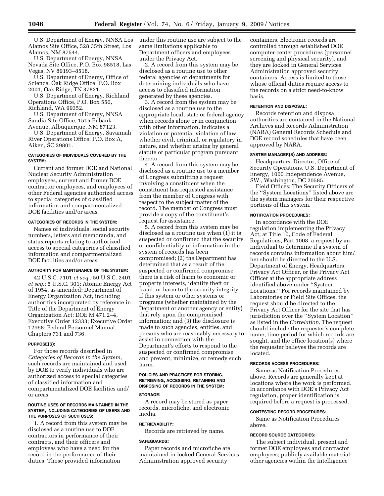U.S. Department of Energy, NNSA Los Alamos Site Office, 528 35th Street, Los Alamos, NM 87544.

U.S. Department of Energy, NNSA Nevada Site Office, P.O. Box 98518, Las Vegas, NV 89193–8518.

U.S. Department of Energy, Office of Science, Oak Ridge Office, P.O. Box 2001, Oak Ridge, TN 37831.

U.S. Department of Energy, Richland Operations Office, P.O. Box 550, Richland, WA 99352.

U.S. Department of Energy, NNSA Sandia Site Office, 1515 Eubank Avenue, Albuquerque, NM 87123.

U.S. Department of Energy, Savannah River Operations Office, P.O. Box A, Aiken, SC 29801.

### **CATEGORIES OF INDIVIDUALS COVERED BY THE SYSTEM:**

Current and former DOE and National Nuclear Security Administration employees, current and former DOE contractor employees, and employees of other Federal agencies authorized access to special categories of classified information and compartmentalized DOE facilities and/or areas.

### **CATEGORIES OF RECORDS IN THE SYSTEM:**

Names of individuals, social security numbers, letters and memoranda, and status reports relating to authorized access to special categories of classified information and compartmentalized DOE facilities and/or areas.

### **AUTHORITY FOR MAINTENANCE OF THE SYSTEM:**

42 U.S.C. 7101 *et seq.;* 50 U.S.C. 2401 *et seq.*; 5 U.S.C. 301; Atomic Energy Act of 1954, as amended; Department of Energy Organization Act, including authorities incorporated by reference in Title of the Department of Energy Organization Act; DOE M 471.2–4, Executive Order 12333; Executive Order 12968; Federal Personnel Manual, Chapters 731 and 736.

#### **PURPOSE(S):**

For those records described in *Categories of Records in the System,*  such records are maintained and used by DOE to verify individuals who are authorized access to special categories of classified information and compartmentalized DOE facilities and/ or areas.

#### **ROUTINE USES OF RECORDS MAINTAINED IN THE SYSTEM, INCLUDING CATEGORIES OF USERS AND THE PURPOSES OF SUCH USES:**

1. A record from this system may be disclosed as a routine use to DOE contractors in performance of their contracts, and their officers and employees who have a need for the record in the performance of their duties. Those provided information

under this routine use are subject to the same limitations applicable to Department officers and employees under the Privacy Act.

2. A record from this system may be disclosed as a routine use to other federal agencies or departments for determining individuals who have access to classified information generated by these agencies.

3. A record from the system may be disclosed as a routine use to the appropriate local, state or federal agency when records alone or in conjunction with other information, indicates a violation or potential violation of law whether civil, criminal, or regulatory in nature, and whether arising by general statute or particular program pursuant thereto.

4. A record from this system may be disclosed as a routine use to a member of Congress submitting a request involving a constituent when the constituent has requested assistance from the member of Congress with respect to the subject matter of the record. The member of Congress must provide a copy of the constituent's request for assistance.

5. A record from this system may be disclosed as a routine use when (1) it is suspected or confirmed that the security or confidentiality of information in the system of records has been compromised; (2) the Department has determined that as a result of the suspected or confirmed compromise there is a risk of harm to economic or property interests, identity theft or fraud, or harm to the security integrity if this system or other systems or programs (whether maintained by the Department or another agency or entity) that rely upon the compromised information; and (3) the disclosure is made to such agencies, entities, and persons who are reasonably necessary to assist in connection with the Department's efforts to respond to the suspected or confirmed compromise and prevent, minimize, or remedy such harm.

### **POLICIES AND PRACTICES FOR STORING, RETRIEVING, ACCESSING, RETAINING AND DISPOSING OF RECORDS IN THE SYSTEM:**

#### **STORAGE:**

A record may be stored as paper records, microfiche, and electronic media.

### **RETRIEVABILITY:**

Records are retrieved by name.

#### **SAFEGUARDS:**

Paper records and microfiche are maintained in locked General Services Administration approved security

containers. Electronic records are controlled through established DOE computer center procedures (personnel screening and physical security), and they are locked in General Services Administration approved security containers. Access is limited to those whose official duties require access to the records on a strict need-to-know basis.

### **RETENTION AND DISPOSAL:**

Records retention and disposal authorities are contained in the National Archives and Records Administration (NARA) General Records Schedule and DOE record schedules that have been approved by NARA.

#### **SYSTEM MANAGER(S) AND ADDRESS:**

Headquarters: Director, Office of Security Operations, U.S. Department of Energy, 1000 Independence Avenue, SW., Washington, DC 20585.

Field Offices: The Security Officers of the ''System Locations'' listed above are the system managers for their respective portions of this system.

### **NOTIFICATION PROCEDURES:**

In accordance with the DOE regulation implementing the Privacy Act, at Title 10, Code of Federal Regulations, Part 1008, a request by an individual to determine if a system of records contains information about him/ her should be directed to the U.S. Department of Energy, Headquarters, Privacy Act Officer, or the Privacy Act Officer at the appropriate address identified above under ''System Locations.'' For records maintained by Laboratories or Field Site Offices, the request should be directed to the Privacy Act Officer for the site that has jurisdiction over the ''System Location'' as listed in the *Correlation*. The request should include the requester's complete name, time period for which records are sought, and the office location(s) where the requester believes the records are located.

#### **RECORDS ACCESS PROCEDURES:**

Same as Notification Procedures above. Records are generally kept at locations where the work is performed. In accordance with DOE's Privacy Act regulation, proper identification is required before a request is processed.

#### **CONTESTING RECORD PROCEDURES:**

Same as Notification Procedures above.

### **RECORD SOURCE CATEGORIES:**

The subject individual, present and former DOE employees and contractor employees; publicly available material; other agencies within the Intelligence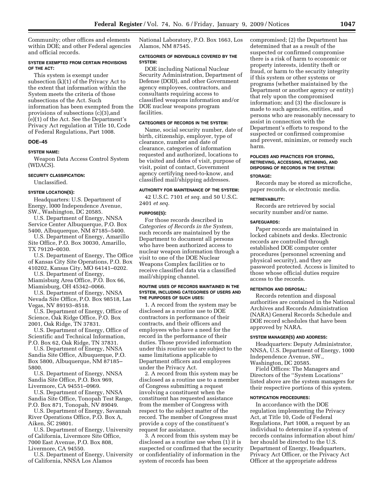Community; other offices and elements within DOE; and other Federal agencies and official records.

#### **SYSTEM EXEMPTED FROM CERTAIN PROVISIONS OF THE ACT:**

This system is exempt under subsection (k)(1) of the Privacy Act to the extent that information within the System meets the criteria of those subsections of the Act. Such information has been exempted from the provisions of subsections (c)(3),and (e)(1) of the Act. See the Department's Privacy Act regulation at Title 10, Code of Federal Regulations, Part 1008.

### **DOE–45**

#### **SYSTEM NAME:**

Weapon Data Access Control System (WDACS).

#### **SECURITY CLASSIFICATION:**

Unclassified.

### **SYSTEM LOCATION(S):**

Headquarters: U.S. Department of Energy, l000 Independence Avenue, SW., Washington, DC 20585.

U.S. Department of Energy, NNSA Service Center Albuquerque, P.O. Box 5400, Albuquerque, NM 87185–5400.

U.S. Department of Energy, Amarillo Site Office, P.O. Box 30030, Amarillo, TX 79120–0030.

U.S. Department of Energy, The Office of Kansas City Site Operations, P.O. Box 410202, Kansas City, MO 64141–0202.

U.S. Department of Energy, Miamisburg Area Office, P.O. Box 66,

Miamisburg, OH 45342–0066. U.S. Department of Energy, NNSA

Nevada Site Office, P.O. Box 98518, Las Vegas, NV 89193–8518.

U.S. Department of Energy, Office of Science, Oak Ridge Office, P.O. Box 2001, Oak Ridge, TN 37831.

U.S. Department of Energy, Office of Scientific and Technical Information, P.O. Box 62, Oak Ridge, TN 37831.

U.S. Department of Energy, NNSA Sandia Site Office, Albuquerque, P.O. Box 5800, Albuquerque, NM 87185– 5800.

U.S. Department of Energy, NNSA Sandia Site Office, P.O. Box 969, Livermore, CA 94551–0969.

U.S. Department of Energy, NNSA Sandia Site Office, Tonopah Test Range, P.O. Box 871, Tonopah, NV 89049.

U.S. Department of Energy, Savannah River Operations Office, P.O. Box A, Aiken, SC 29801.

U.S. Department of Energy, University of California, Livermore Site Office, 7000 East Avenue, P.O. Box 808, Livermore, CA 94550.

U.S. Department of Energy, University of California, NNSA Los Alamos

National Laboratory, P.O. Box 1663, Los Alamos, NM 87545.

### **CATEGORIES OF INDIVIDUALS COVERED BY THE SYSTEM:**

DOE including National Nuclear Security Administration, Department of Defense (DOD), and other Government agency employees, contractors, and consultants requiring access to classified weapons information and/or DOE nuclear weapons program facilities.

### **CATEGORIES OF RECORDS IN THE SYSTEM:**

Name, social security number, date of birth, citizenship, employer, type of clearance, number and date of clearance, categories of information requested and authorized, locations to be visited and dates of visit, purpose of visit, point of contact, Government agency certifying need-to-know, and classified mail/shipping addresses.

### **AUTHORITY FOR MAINTENANCE OF THE SYSTEM:**

42 U.S.C. 7101 *et seq.* and 50 U.S.C. 2401 *et seq.* 

### **PURPOSE(S):**

For those records described in *Categories of Records in the System,*  such records are maintained by the Department to document all persons who have been authorized access to nuclear weapon information through a visit to one of the DOE Nuclear Weapons Complex facilities or to receive classified data via a classified mail/shipping channel.

#### **ROUTINE USES OF RECORDS MAINTAINED IN THE SYSTEM, INCLUDING CATEGORIES OF USERS AND THE PURPOSES OF SUCH USES:**

1. A record from the system may be disclosed as a routine use to DOE contractors in performance of their contracts, and their officers and employees who have a need for the record in the performance of their duties. Those provided information under this routine use are subject to the same limitations applicable to Department officers and employees under the Privacy Act.

2. A record from this system may be disclosed as a routine use to a member of Congress submitting a request involving a constituent when the constituent has requested assistance from the member of Congress with respect to the subject matter of the record. The member of Congress must provide a copy of the constituent's request for assistance.

3. A record from this system may be disclosed as a routine use when (1) it is suspected or confirmed that the security or confidentiality of information in the system of records has been

compromised; (2) the Department has determined that as a result of the suspected or confirmed compromise there is a risk of harm to economic or property interests, identity theft or fraud, or harm to the security integrity if this system or other systems or programs (whether maintained by the Department or another agency or entity) that rely upon the compromised information; and (3) the disclosure is made to such agencies, entities, and persons who are reasonably necessary to assist in connection with the Department's efforts to respond to the suspected or confirmed compromise and prevent, minimize, or remedy such harm.

# **POLICIES AND PRACTICES FOR STORING, RETRIEVING, ACCESSING, RETAINING, AND DISPOSING OF RECORDS IN THE SYSTEM:**

### **STORAGE:**

Records may be stored as microfiche, paper records, or electronic media.

#### **RETRIEVABILITY:**

Records are retrieved by social security number and/or name.

#### **SAFEGUARDS:**

Paper records are maintained in locked cabinets and desks. Electronic records are controlled through established DOE computer center procedures (personnel screening and physical security), and they are password protected. Access is limited to those whose official duties require access to the records.

### **RETENTION AND DISPOSAL:**

Records retention and disposal authorities are contained in the National Archives and Records Administration (NARA) General Records Schedule and DOE record schedules that have been approved by NARA.

### **SYSTEM MANAGER(S) AND ADDRESS:**

Headquarters: Deputy Administrator, NNSA, U.S. Department of Energy, 1000 Independence Avenue, SW., Washington, DC 20585.

Field Offices: The Managers and Directors of the ''System Locations'' listed above are the system managers for their respective portions of this system.

#### **NOTIFICATION PROCEDURES:**

In accordance with the DOE regulation implementing the Privacy Act, at Title 10, Code of Federal Regulations, Part 1008, a request by an individual to determine if a system of records contains information about him/ her should be directed to the U.S. Department of Energy, Headquarters, Privacy Act Officer, or the Privacy Act Officer at the appropriate address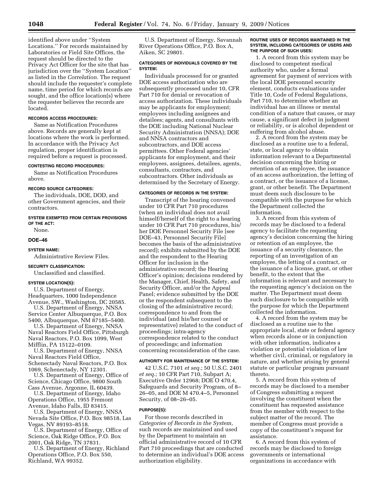identified above under ''System Locations.'' For records maintained by Laboratories or Field Site Offices, the request should be directed to the Privacy Act Officer for the site that has jurisdiction over the ''System Location'' as listed in the *Correlation.* The request should include the requester's complete name, time period for which records are sought, and the office location(s) where the requester believes the records are located.

### **RECORDS ACCESS PROCEDURES:**

Same as Notification Procedures above. Records are generally kept at locations where the work is performed. In accordance with the Privacy Act regulation, proper identification is required before a request is processed.

#### **CONTESTING RECORD PROCEDURES:**

Same as Notification Procedures above.

### **RECORD SOURCE CATEGORIES:**

The individuals, DOE, DOD, and other Government agencies, and their contractors.

### **SYSTEM EXEMPTED FROM CERTAIN PROVISIONS OF THE ACT:**

None.

#### **DOE–46**

#### **SYSTEM NAME:**

Administrative Review Files.

#### **SECURITY CLASSIFICATION:**

Unclassified and classified.

### **SYSTEM LOCATION(S):**

U.S. Department of Energy, Headquarters, 1000 Independence Avenue, SW., Washington, DC 20585. U.S. Department of Energy, NNSA

Service Center Albuquerque, P.O. Box 5400, Albuquerque, NM 87185–5400. U.S. Department of Energy, NNSA

Naval Reactors Field Office, Pittsburgh Naval Reactors, P.O. Box 1099, West Mifflin, PA 15122–0109.

U.S. Department of Energy, NNSA Naval Reactors Field Office, Schenectady Naval Reactors, P.O. Box 1069, Schenectady, NY 12301.

U.S. Department of Energy, Office of Science, Chicago Office, 9800 South Cass Avenue, Argonne, IL 60439.

U.S. Department of Energy, Idaho Operations Office, 1955 Fremont Avenue, Idaho Falls, ID 83415.

U.S. Department of Energy, NNSA Nevada Site Office, P.O. Box 98518, Las Vegas, NV 89193–8518.

U.S. Department of Energy, Office of Science, Oak Ridge Office, P.O. Box 2001, Oak Ridge, TN 37831.

U.S. Department of Energy, Richland Operations Office, P.O. Box 550, Richland, WA 99352.

U.S. Department of Energy, Savannah River Operations Office, P.O. Box A, Aiken, SC 29801.

### **CATEGORIES OF INDIVIDUALS COVERED BY THE SYSTEM:**

Individuals processed for or granted DOE access authorization who are subsequently processed under 10, CFR Part 710 for denial or revocation of access authorization. These individuals may be applicants for employment; employees including assignees and detailees; agents, and consultants with the DOE including National Nuclear Security Administration (NNSA); DOE and NNSA contractors and subcontractors, and DOE access permittees. Other Federal agencies' applicants for employment, and their employees, assignees, detailees, agents, consultants, contractors, and subcontractors. Other individuals as determined by the Secretary of Energy.

#### **CATEGORIES OF RECORDS IN THE SYSTEM:**

Transcript of the hearing convened under 10 CFR Part 710 procedures (when an individual does not avail himself/herself of the right to a hearing under 10 CFR Part 710 procedures, his/ her DOE Personnel Security File [see DOE–43, Personnel Security File] becomes the basis of the administrative record); exhibits submitted by the DOE and the respondent to the Hearing Officer for inclusion in the administrative record; the Hearing Officer's opinion; decisions rendered by the Manager, Chief, Health, Safety, and Security Officer, and/or the Appeal Panel; evidence submitted by the DOE or the respondent subsequent to the closing of the administrative record; correspondence to and from the individual (and his/her counsel or representative) related to the conduct of proceedings; intra-agency correspondence related to the conduct of proceedings; and information concerning reconsideration of the case.

#### **AUTHORITY FOR MAINTENANCE OF THE SYSTEM:**

42 U.S.C. 7101 *et seq.*; 50 U.S.C. 2401 *et seq.*; 10 CFR Part 710, Subpart A; Executive Order 12968; DOE O 470.4, Safeguards and Security Program, of 8– 26–05, and DOE M 470.4–5, Personnel Security, of 08–26–05.

#### **PURPOSE(S):**

For those records described in *Categories of Records in the System,*  such records are maintained and used by the Department to maintain an official administrative record of 10 CFR Part 710 proceedings that are conducted to determine an individual's DOE access authorization eligibility.

#### **ROUTINE USES OF RECORDS MAINTAINED IN THE SYSTEM, INCLUDING CATEGORIES OF USERS AND THE PURPOSE OF SUCH USES:**

1. A record from this system may be disclosed to competent medical authority who, under a formal agreement for payment of services with the local DOE personnel security element, conducts evaluations under Title 10, Code of Federal Regulations, Part 710, to determine whether an individual has an illness or mental condition of a nature that causes, or may cause, a significant defect in judgment or reliability, or is alcohol dependent or suffering from alcohol abuse.

2. A record from the system may be disclosed as a routine use to a federal, state, or local agency to obtain information relevant to a Departmental decision concerning the hiring or retention of an employee, the issuance of an access authorization, the letting of a contract, or the issuance of a license, grant, or other benefit. The Department must deem such disclosure to be compatible with the purpose for which the Department collected the information.

3. A record from this system of records may be disclosed to a federal agency to facilitate the requesting agency's decision concerning the hiring or retention of an employee, the issuance of a security clearance, the reporting of an investigation of an employee, the letting of a contract, or the issuance of a license, grant, or other benefit, to the extent that the information is relevant and necessary to the requesting agency's decision on the matter. The Department must deem such disclosure to be compatible with the purpose for which the Department collected the information.

4. A record from the system may be disclosed as a routine use to the appropriate local, state or federal agency when records alone or in conjunction with other information, indicates a violation or potential violation of law whether civil, criminal, or regulatory in nature, and whether arising by general statute or particular program pursuant thereto.

5. A record from this system of records may be disclosed to a member of Congress submitting a request involving the constituent when the constituent has requested assistance from the member with respect to the subject matter of the record. The member of Congress must provide a copy of the constituent's request for assistance.

6. A record from this system of records may be disclosed to foreign governments or international organizations in accordance with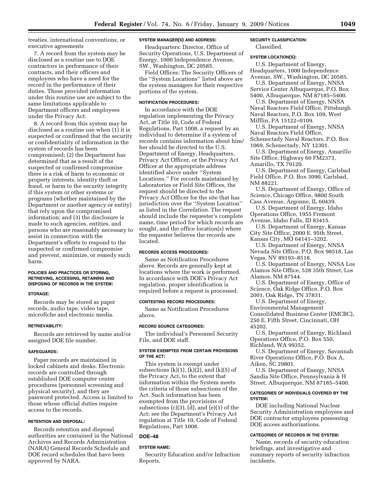treaties, international conventions, or executive agreements

7. A record from the system may be disclosed as a routine use to DOE contractors in performance of their contracts, and their officers and employees who have a need for the record in the performance of their duties. Those provided information under this routine use are subject to the same limitations applicable to Department officers and employees under the Privacy Act.

8. A record from this system may be disclosed as a routine use when (1) it is suspected or confirmed that the security or confidentiality of information in the system of records has been compromised; (2) the Department has determined that as a result of the suspected or confirmed compromise there is a risk of harm to economic or property interests, identity theft or fraud, or harm to the security integrity if this system or other systems or programs (whether maintained by the Department or another agency or entity) that rely upon the compromised information; and (3) the disclosure is made to such agencies, entities, and persons who are reasonably necessary to assist in connection with the Department's efforts to respond to the suspected or confirmed compromise and prevent, minimize, or remedy such harm.

### **POLICIES AND PRACTICES OR STORING, RETRIEVING, ACCESSING, RETAINING AND DISPOSING OF RECORDS IN THE SYSTEM:**

#### **STORAGE:**

Records may be stored as paper records, audio tape, video tape, microfiche and electronic media.

#### **RETRIEVABILITY:**

Records are retrieved by name and/or assigned DOE file number.

#### **SAFEGUARDS:**

Paper records are maintained in locked cabinets and desks. Electronic records are controlled through established DOE computer center procedures (personnel screening and physical security), and they are password protected. Access is limited to those whose official duties require access to the records.

### **RETENTION AND DISPOSAL:**

Records retention and disposal authorities are contained in the National Archives and Records Administration (NARA) General Records Schedule and DOE record schedules that have been approved by NARA.

### **SYSTEM MANAGER(S) AND ADDRESS:**

Headquarters: Director, Office of Security Operations, U.S. Department of Energy, 1000 Independence Avenue, SW., Washington, DC 20585.

Field Offices: The Security Officers of the ''System Locations'' listed above are the system managers for their respective portions of the system.

### **NOTIFICATION PROCEDURES:**

In accordance with the DOE regulation implementing the Privacy Act, at Title 10, Code of Federal Regulations, Part 1008, a request by an individual to determine if a system of records contains information about him/ her should be directed to the U.S. Department of Energy, Headquarters, Privacy Act Officer, or the Privacy Act Officer at the appropriate address identified above under ''System Locations.'' For records maintained by Laboratories or Field Site Offices, the request should be directed to the Privacy Act Officer for the site that has jurisdiction over the ''System Location'' as listed in the *Correlation.* The request should include the requester's complete name, time period for which records are sought, and the office location(s) where the requester believes the records are located.

#### **RECORDS ACCESS PROCEDURES:**

Same as Notification Procedures above. Records are generally kept at locations where the work is performed. In accordance with DOE's Privacy Act regulation, proper identification is required before a request is processed.

### **CONTESTING RECORD PROCEDURES:**

Same as Notification Procedures above.

### **RECORD SOURCE CATEGORIES:**

The individual's Personnel Security File, and DOE staff.

### **SYSTEM EXEMPTED FROM CERTAIN PROVISIONS OF THE ACT:**

This system is exempt under subsections  $(k)(1)$ ,  $(k)(2)$ , and  $(k)(5)$  of the Privacy Act, to the extent that information within the System meets the criteria of those subsections of the Act. Such information has been exempted from the provisions of subsections (c)(3), (d), and (e)(1) of the Act; see the Department's Privacy Act regulation at Title 10, Code of Federal Regulations, Part 1008.

### **DOE–48**

### **SYSTEM NAME:**

Security Education and/or Infraction Reports.

### **SECURITY CLASSIFICATION:**

Classified.

#### **SYSTEM LOCATION(S):**

U.S. Department of Energy, Headquarters, 1000 Independence Avenue, SW., Washington, DC 20585.

U.S. Department of Energy, NNSA Service Center Albuquerque, P.O. Box 5400, Albuquerque, NM 87185–5400.

U.S. Department of Energy, NNSA Naval Reactors Field Office, Pittsburgh Naval Reactors, P.O. Box 109, West Mifflin, PA 15122–0109.

U.S. Department of Energy, NNSA Naval Reactors Field Office, Schenectady Naval Reactors, P.O. Box 1069, Schenectady, NY 12301.

U.S. Department of Energy, Amarillo Site Office, Highway 60 FM2373, Amarillo, TX 79120.

U.S. Department of Energy, Carlsbad Field Office, P.O. Box 3090, Carlsbad, NM 88221.

U.S. Department of Energy, Office of Science, Chicago Office, 9800 South Cass Avenue, Argonne, IL 60439.

U.S. Department of Energy, Idaho Operations Office, 1955 Fremont Avenue, Idaho Falls, ID 83415.

U.S. Department of Energy, Kansas City Site Office, 2000 E. 95th Street, Kansas City, MO 64141–3202.

U.S. Department of Energy, NNSA Nevada Site Office, P.O. Box 98518, Las Vegas, NV 89193–8518.

U.S. Department of Energy, NNSA Los Alamos Site Office, 528 35th Street, Los Alamos, NM 87544.

U.S. Department of Energy, Office of Science, Oak Ridge Office, P.O. Box 2001, Oak Ridge, TN 37831.

U.S. Department of Energy, Environmental Management Consolidated Business Center (EMCBC), 250 E. Fifth Street, Cincinnati, OH 45202.

U.S. Department of Energy, Richland Operations Office, P.O. Box 550, Richland, WA 99352.

U.S. Department of Energy, Savannah River Operations Office, P.O. Box A, Aiken, SC 29801.

U.S. Department of Energy, NNSA Sandia Site Office, Pennsylvania & H Street, Albuquerque, NM 87185–5400.

#### **CATEGORIES OF INDIVIDUALS COVERED BY THE SYSTEM:**

DOE including National Nuclear Security Administration employees and DOE contractor employees possessing DOE access authorizations.

### **CATEGORIES OF RECORDS IN THE SYSTEM:**

Name, records of security education briefings, and investigative and summary reports of security infraction incidents.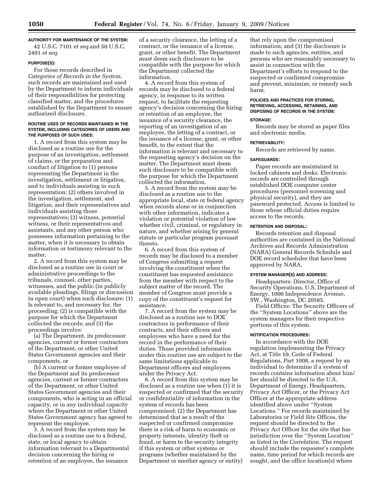**AUTHORITY FOR MAINTENANCE OF THE SYSTEM:** 

42 U.S.C. 7101 *et seq.*and 50 U.S.C. 2401 *et seq.* 

#### **PURPOSE(S):**

For those records described in *Categories of Records in the System,*  such records are maintained and used by the Department to inform individuals of their responsibilities for protecting classified matter, and the procedures established by the Department to ensure authorized disclosure.

#### **ROUTINE USES OF RECORDS MAINTAINED IN THE SYSTEM, INCLUDING CATEGORIES OF USERS AND THE PURPOSES OF SUCH USES:**

1. A record from this system may be disclosed as a routine use for the purpose of an investigation, settlement of claims, or the preparation and conduct of litigation to (1) persons representing the Department in the investigation, settlement or litigation, and to individuals assisting in such representation; (2) others involved in the investigation, settlement, and litigation, and their representatives and individuals assisting those representatives; (3) witness, potential witness, or their representatives and assistants, and any other person who possesses information pertaining to the matter, when it is necessary to obtain information or testimony relevant to the matter.

2. A record from this system may be disclosed as a routine use in court or administrative proceedings to the tribunals, counsel, other parties, witnesses, and the public (in publicly available pleadings, filings or discussion in open court) when such disclosure: (1) Is relevant to, and necessary for, the proceeding; (2) is compatible with the purpose for which the Department collected the records; and (3) the proceedings involve:

(a) The Department, its predecessor agencies, current or former contractors of the Department, or other United States Government agencies and their components, or

(b) A current or former employee of the Department and its predecessor agencies, current or former contractors of the Department, or other United States Government agencies and their components, who is acting in an official capacity, or in any individual capacity where the Department or other United States Government agency has agreed to represent the employee.

3. A record from the system may be disclosed as a routine use to a federal, state, or local agency to obtain information relevant to a Departmental decision concerning the hiring or retention of an employee, the issuance

of a security clearance, the letting of a contract, or the issuance of a license, grant, or other benefit. The Department must deem such disclosure to be compatible with the purpose for which the Department collected the information.

4. A record from this system of records may be disclosed to a federal agency, in response to its written request, to facilitate the requesting agency's decision concerning the hiring or retention of an employee, the issuance of a security clearance, the reporting of an investigation of an employee, the letting of a contract, or the issuance of a license, grant, or other benefit, to the extent that the information is relevant and necessary to the requesting agency's decision on the matter. The Department must deem such disclosure to be compatible with the purpose for which the Department collected the information.

5. A record from the system may be disclosed as a routine use to the appropriate local, state or federal agency when records alone or in conjunction with other information, indicates a violation or potential violation of law whether civil, criminal, or regulatory in nature, and whether arising by general statute or particular program pursuant thereto.

6. A record from this system of records may be disclosed to a member of Congress submitting a request involving the constituent when the constituent has requested assistance from the member with respect to the subject matter of the record. The member of Congress must provide a copy of the constituent's request for assistance.

7. A record from the system may be disclosed as a routine use to DOE contractors in performance of their contracts, and their officers and employees who have a need for the record in the performance of their duties. Those provided information under this routine use are subject to the same limitations applicable to Department officers and employees under the Privacy Act.

8. A record from this system may be disclosed as a routine use when (1) it is suspected or confirmed that the security or confidentiality of information in the system of records has been compromised; (2) the Department has determined that as a result of the suspected or confirmed compromise there is a risk of harm to economic or property interests, identity theft or fraud, or harm to the security integrity if this system or other systems or programs (whether maintained by the Department or another agency or entity)

that rely upon the compromised information; and (3) the disclosure is made to such agencies, entities, and persons who are reasonably necessary to assist in connection with the Department's efforts to respond to the suspected or confirmed compromise and prevent, minimize, or remedy such harm.

### **POLICIES AND PRACTICES FOR STORING, RETRIEVING, ACCESSING, RETAINING, AND DISPOSING OF RECORDS IN THE SYSTEM:**

### **STORAGE:**

Records may be stored as paper files and electronic media.

### **RETRIEVABILITY:**

Records are retrieved by name.

#### **SAFEGUARDS:**

Paper records are maintained in locked cabinets and desks. Electronic records are controlled through established DOE computer center procedures (personnel screening and physical security), and they are password protected. Access is limited to those whose official duties require access to the records.

### **RETENTION AND DISPOSAL:**

Records retention and disposal authorities are contained in the National Archives and Records Administration (NARA) General Records Schedule and DOE record schedules that have been approved by NARA.

### **SYSTEM MANAGER(S) AND ADDRESS:**

Headquarters: Director, Office of Security Operations, U.S. Department of Energy, 1000 Independence Avenue, SW., Washington, DC 20585.

Field Offices: The Security Officers of the ''System Locations'' above are the system managers for their respective portions of this system.

#### **NOTIFICATION PROCEDURES:**

In accordance with the DOE regulation implementing the Privacy Act, at Title 10, Code of Federal Regulations, Part 1008, a request by an individual to determine if a system of records contains information about him/ her should be directed to the U.S. Department of Energy, Headquarters, Privacy Act Officer, or the Privacy Act Officer at the appropriate address identified above under ''System Locations.'' For records maintained by Laboratories or Field Site Offices, the request should be directed to the Privacy Act Officer for the site that has jurisdiction over the ''System Location'' as listed in the *Correlation.* The request should include the requester's complete name, time period for which records are sought, and the office location(s) where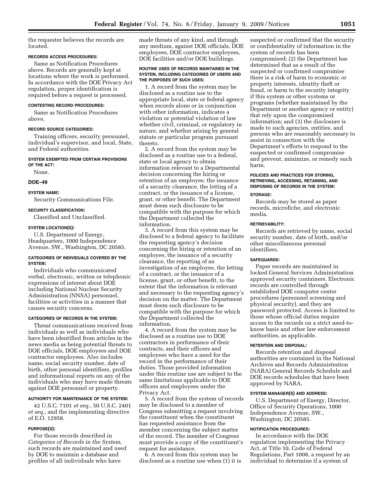the requester believes the records are located.

### **RECORDS ACCESS PROCEDURES:**

Same as Notification Procedures above. Records are generally kept at locations where the work is performed. In accordance with the DOE Privacy Act regulation, proper identification is required before a request is processed.

#### **CONTESTING RECORD PROCEDURES:**

Same as Notification Procedures above.

### **RECORD SOURCE CATEGORIES:**

Training officers, security personnel, individual's supervisor, and local, State, and Federal authorities.

#### **SYSTEM EXEMPTED FROM CERTAIN PROVISIONS OF THE ACT:**

None.

#### **DOE–49**

#### **SYSTEM NAME:**

Security Communications File.

### **SECURITY CLASSIFICATION:**

Classified and Unclassified.

#### **SYSTEM LOCATION(S):**

U.S. Department of Energy, Headquarters, 1000 Independence Avenue, SW., Washington, DC 20585.

#### **CATEGORIES OF INDIVIDUALS COVERED BY THE SYSTEM:**

Individuals who communicated verbal, electronic, written or telephonic expressions of interest about DOE including National Nuclear Security Administration (NNSA) personnel, facilities or activities in a manner that causes security concerns.

#### **CATEGORIES OF RECORDS IN THE SYSTEM:**

Threat communications received from individuals as well as individuals who have been identified from articles in the news media as being potential threats to DOE officials, DOE employees and DOE contractor employees. Also includes name, social security number, date of birth, other personal identifiers, profiles and informational reports on any of the individuals who may have made threats against DOE personnel or property.

### **AUTHORITY FOR MAINTENANCE OF THE SYSTEM:**

42 U.S.C. 7101 *et seq.*, 50 U.S.C. 2401 *et seq.*, and the implementing directive of E.O. 12958.

#### **PURPOSE(S):**

For those records described in *Categories of Records in the System,*  such records are maintained and used by DOE to maintain a database and profiles of all individuals who have

made threats of any kind, and through any medium, against DOE officials, DOE employees, DOE contractor employees, DOE facilities and/or DOE buildings.

#### **ROUTINE USES OF RECORDS MAINTAINED IN THE SYSTEM, INCLUDING CATEGORIES OF USERS AND THE PURPOSES OF SUCH USES:**

1. A record from the system may be disclosed as a routine use to the appropriate local, state or federal agency when records alone or in conjunction with other information, indicates a violation or potential violation of law whether civil, criminal, or regulatory in nature, and whether arising by general statute or particular program pursuant thereto.

2. A record from the system may be disclosed as a routine use to a federal, state or local agency to obtain information relevant to a Departmental decision concerning the hiring or retention of an employee, the issuance of a security clearance, the letting of a contract, or the issuance of a license, grant, or other benefit. The Department must deem such disclosure to be compatible with the purpose for which the Department collected the information.

3. A record from this system may be disclosed to a federal agency to facilitate the requesting agency's decision concerning the hiring or retention of an employee, the issuance of a security clearance, the reporting of an investigation of an employee, the letting of a contract, or the issuance of a license, grant, or other benefit, to the extent that the information is relevant and necessary to the requesting agency's decision on the matter. The Department must deem such disclosure to be compatible with the purpose for which the Department collected the information.

4. A record from the system may be disclosed as a routine use to DOE contractors in performance of their contracts, and their officers and employees who have a need for the record in the performance of their duties. Those provided information under this routine use are subject to the same limitations applicable to DOE officers and employees under the Privacy Act.

5. A record from the system of records may be disclosed to a member of Congress submitting a request involving the constituent when the constituent has requested assistance from the member concerning the subject matter of the record. The member of Congress must provide a copy of the constituent's request for assistance.

6. A record from this system may be disclosed as a routine use when (1) it is

suspected or confirmed that the security or confidentiality of information in the system of records has been compromised; (2) the Department has determined that as a result of the suspected or confirmed compromise there is a risk of harm to economic or property interests, identity theft or fraud, or harm to the security integrity if this system or other systems or programs (whether maintained by the Department or another agency or entity) that rely upon the compromised information; and (3) the disclosure is made to such agencies, entities, and persons who are reasonably necessary to assist in connection with the Department's efforts to respond to the suspected or confirmed compromise and prevent, minimize, or remedy such harm.

### **POLICIES AND PRACTICES FOR STORING, RETRIEVING, ACCESSING, RETAINING, AND DISPOSING OF RECORDS IN THE SYSTEM:**

#### **STORAGE:**

Records may be stored as paper records, microfiche, and electronic media.

#### **RETRIEVABILITY:**

Records are retrieved by name, social security number, date of birth, and/or other miscellaneous personal identifiers.

#### **SAFEGUARDS:**

Paper records are maintained in locked General Services Administration approved security containers. Electronic records are controlled through established DOE computer center procedures (personnel screening and physical security), and they are password protected. Access is limited to those whose official duties require access to the records on a strict need-toknow basis and other law enforcement authorities, as applicable.

#### **RETENTION AND DISPOSAL:**

Records retention and disposal authorities are contained in the National Archives and Records Administration (NARA) General Records Schedule and DOE records schedules that have been approved by NARA.

### **SYSTEM MANAGER(S) AND ADDRESS:**

U.S. Department of Energy, Director, Office of Security Operations, 1000 Independence Avenue, SW., Washington, DC 20585.

#### **NOTIFICATION PROCEDURES:**

In accordance with the DOE regulation implementing the Privacy Act, at Title 10, Code of Federal Regulations, Part 1008, a request by an individual to determine if a system of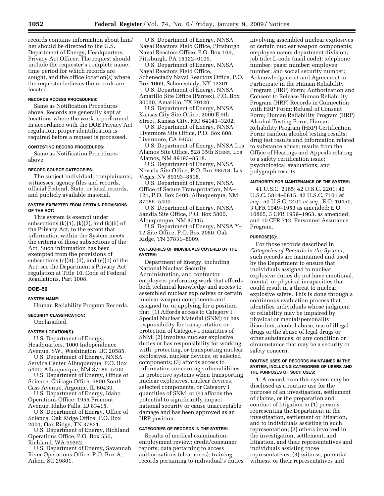records contains information about him/ her should be directed to the U.S. Department of Energy, Headquarters, Privacy Act Officer. The request should include the requester's complete name, time period for which records are sought, and the office location(s) where the requester believes the records are located.

### **RECORDS ACCESS PROCEDURES:**

Same as Notification Procedures above. Records are generally kept at locations where the work is performed. In accordance with the DOE Privacy Act regulation, proper identification is required before a request is processed.

### **CONTESTING RECORD PROCEDURES:**

Same as Notification Procedures above.

#### **RECORD SOURCE CATEGORIES:**

The subject individual, complainants, witnesses, agency files and records, official Federal, State, or local records, and publicly available material.

### **SYSTEM EXEMPTED FROM CERTAIN PROVISIONS OF THE ACT:**

This system is exempt under subsections  $(k)(1)$ ,  $(k)(2)$ , and  $(k)(5)$  of the Privacy Act, to the extent that information within the System meets the criteria of those subsections of the Act. Such information has been exempted from the provisions of subsections (c)(3), (d), and (e)(1) of the Act; see the Department's Privacy Act regulation at Title 10, Code of Federal Regulations, Part 1008.

### **DOE–50**

## **SYSTEM NAME:**

Human Reliability Program Records.

#### **SECURITY CLASSIFICATION:**

Unclassified.

#### **SYSTEM LOCATION(S):**

U.S. Department of Energy, Headquarters, 1000 Independence Avenue, SW., Washington, DC 20585.

U.S. Department of Energy, NNSA Service Center Albuquerque, P.O. Box 5400, Albuquerque, NM 87185–5400.

U.S. Department of Energy, Office of Science, Chicago Office, 9800 South Cass Avenue, Argonne, IL 60439.

U.S. Department of Energy, Idaho Operations Office, 1955 Fremont Avenue, Idaho Falls, ID 83415.

U.S. Department of Energy, Office of Science, Oak Ridge Office, P.O. Box 2001, Oak Ridge, TN 37831.

U.S. Department of Energy, Richland Operations Office, P.O. Box 550, Richland, WA 99352.

U.S. Department of Energy, Savannah River Operations Office, P.O. Box A, Aiken, SC 29801.

U.S. Department of Energy, NNSA Naval Reactors Field Office, Pittsburgh Naval Reactors Office, P.O. Box 109, Pittsburgh, PA 15122–0109.

U.S. Department of Energy, NNSA Naval Reactors Field Office, Schenectady Naval Reactors Office, P.O. Box 1069, Schenectady, NY 12301.

U.S. Department of Energy, NNSA Amarillo Site Office (Pantex), P.O. Box 30030, Amarillo, TX 79120.

U.S. Department of Energy, NNSA Kansas City Site Office, 2000 E 9th Street, Kansas City, MO 64141–3202.

U.S. Department of Energy, NNSA Livermore Site Office, P.O. Box 808, Livermore, CA 94551.

U.S. Department of Energy, NNSA Los Alamos Site Office, 528 35th Street, Los Alamos, NM 89193–8518.

U.S. Department of Energy, NNSA Nevada Site Office, P.O. Box 98518, Las Vegas, NV 89193–8518.

U.S. Department of Energy, NNSA Office of Secure Transportation, NA– 121, P.O. Box 5400, Albuquerque, NM 87185–5400.

U.S. Department of Energy, NNSA Sandia Site Office, P.O. Box 5800, Albuquerque, NM 87115.

U.S. Department of Energy, NNSA Y– 12 Site Office, P.O. Box 2050, Oak Ridge, TN 37831–8009.

#### **CATEGORIES OF INDIVIDUALS COVERED BY THE SYSTEM:**

Department of Energy, including National Nuclear Security Administration, and contractor employees performing work that affords both technical knowledge and access to assembled nuclear explosives or certain nuclear weapon components and assigned to, or applying for a position that: (1) Affords access to Category I Special Nuclear Material (SNM) or has responsibility for transportation or protection of Category I quantities of SNM; (2) involves nuclear explosive duties or has responsibility for working with, protecting, or transporting nuclear explosives, nuclear devices, or selected components; (3) affords access to information concerning vulnerabilities in protective systems when transporting nuclear explosives, nuclear devices, selected components, or Category I quantities of SNM; or (4) affords the potential to significantly impact national security or cause unacceptable damage and has been approved as an HRP position.

### **CATEGORIES OF RECORDS IN THE SYSTEM:**

Results of medical examination; employment review; credit/consumer reports; data pertaining to access authorizations (clearances); training records pertaining to individual's duties involving assembled nuclear explosives or certain nuclear weapon components; employee name; department division; job title; L-code (mail code); telephone number; pager number; employee number; and social security number; Acknowledgement and Agreement to Participate in the Human Reliability Program (HRP) Form; Authorization and Consent to Release Human Reliability Program (HRP) Records in Connection with HRP Form; Refusal of Consent Form; Human Reliability Program (HRP) Alcohol Testing Form; Human Reliability Program (HRP) Certification Form; random alcohol testing results; drug test results and information related to substance abuse; results from the Office of Hearings and Appeals relating to a safety certification issue; psychological evaluations; and polygraph results.

### **AUTHORITY FOR MAINTENANCE OF THE SYSTEM:**

41 U.S.C. 2165; 42 U.S.C. 2201; 42 U.S.C. 5814–5815; 42 U.S.C. 7101 *et seq.*; 50 U.S.C. 2401 *et seq.*; E.O. 10450, 3 CFR 1949–1953 as amended; E.O. 10865, 3 CFR 1959–1963, as amended; and 10 CFR 712, Personnel Assurance Program.

#### **PURPOSE(S):**

For those records described in *Categories of Records in the System*, such records are maintained and used by the Department to ensure that individuals assigned to nuclear explosive duties do not have emotional, mental, or physical incapacities that could result in a threat to nuclear explosive safety. This is done through a continuous evaluation process that identifies individuals whose judgment or reliability may be impaired by physical or mental/personality disorders, alcohol abuse, use of illegal drugs or the abuse of legal drugs or other substances, or any condition or circumstance that may be a security or safety concern.

### **ROUTINE USES OF RECORDS MAINTAINED IN THE SYSTEM, INCLUDING CATEGORIES OF USERS AND THE PURPOSES OF SUCH USES:**

1. A record from this system may be disclosed as a routine use for the purpose of an investigation, settlement of claims, or the preparation and conduct of litigation to (1) persons representing the Department in the investigation, settlement or litigation, and to individuals assisting in such representation; (2) others involved in the investigation, settlement, and litigation, and their representatives and individuals assisting those representatives; (3) witness, potential witness, or their representatives and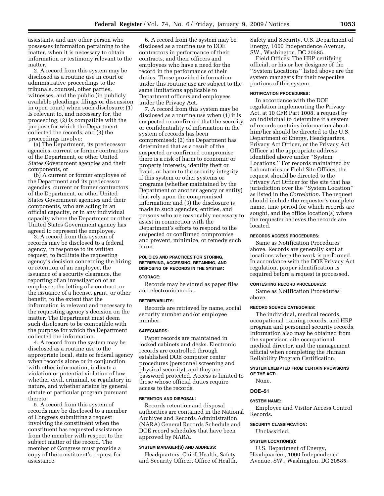assistants, and any other person who possesses information pertaining to the matter, when it is necessary to obtain information or testimony relevant to the matter.

2. A record from this system may be disclosed as a routine use in court or administrative proceedings to the tribunals, counsel, other parties, witnesses, and the public (in publicly available pleadings, filings or discussion in open court) when such disclosure: (1) Is relevant to, and necessary for, the proceeding; (2) is compatible with the purpose for which the Department collected the records; and (3) the proceedings involve:

(a) The Department, its predecessor agencies, current or former contractors of the Department, or other United States Government agencies and their components, or

(b) A current or former employee of the Department and its predecessor agencies, current or former contractors of the Department, or other United States Government agencies and their components, who are acting in an official capacity, or in any individual capacity where the Department or other United States Government agency has agreed to represent the employee.

3. A record from this system of records may be disclosed to a federal agency, in response to its written request, to facilitate the requesting agency's decision concerning the hiring or retention of an employee, the issuance of a security clearance, the reporting of an investigation of an employee, the letting of a contract, or the issuance of a license, grant, or other benefit, to the extent that the information is relevant and necessary to the requesting agency's decision on the matter. The Department must deem such disclosure to be compatible with the purpose for which the Department collected the information.

4. A record from the system may be disclosed as a routine use to the appropriate local, state or federal agency when records alone or in conjunction with other information, indicate a violation or potential violation of law whether civil, criminal, or regulatory in nature, and whether arising by general statute or particular program pursuant thereto.

5. A record from this system of records may be disclosed to a member of Congress submitting a request involving the constituent when the constituent has requested assistance from the member with respect to the subject matter of the record. The member of Congress must provide a copy of the constituent's request for assistance.

6. A record from the system may be disclosed as a routine use to DOE contractors in performance of their contracts, and their officers and employees who have a need for the record in the performance of their duties. Those provided information under this routine use are subject to the same limitations applicable to Department officers and employees under the Privacy Act.

7. A record from this system may be disclosed as a routine use when (1) it is suspected or confirmed that the security or confidentiality of information in the system of records has been compromised; (2) the Department has determined that as a result of the suspected or confirmed compromise there is a risk of harm to economic or property interests, identity theft or fraud, or harm to the security integrity if this system or other systems or programs (whether maintained by the Department or another agency or entity) that rely upon the compromised information; and (3) the disclosure is made to such agencies, entities, and persons who are reasonably necessary to assist in connection with the Department's efforts to respond to the suspected or confirmed compromise and prevent, minimize, or remedy such harm.

### **POLICIES AND PRACTICES FOR STORING, RETRIEVING, ACCESSING, RETAINING, AND DISPOSING OF RECORDS IN THE SYSTEM:**

#### **STORAGE:**

Records may be stored as paper files and electronic media.

#### **RETRIEVABILITY:**

Records are retrieved by name, social security number and/or employee number.

### **SAFEGUARDS:**

Paper records are maintained in locked cabinets and desks. Electronic records are controlled through established DOE computer center procedures (personnel screening and physical security), and they are password protected. Access is limited to those whose official duties require access to the records.

#### **RETENTION AND DISPOSAL:**

Records retention and disposal authorities are contained in the National Archives and Records Administration (NARA) General Records Schedule and DOE record schedules that have been approved by NARA.

#### **SYSTEM MANAGER(S) AND ADDRESS:**

Headquarters: Chief, Health, Safety and Security Officer, Office of Health, Safety and Security, U.S. Department of Energy, 1000 Independence Avenue, SW., Washington, DC 20585.

Field Offices: The HRP certifying official, or his or her designee of the ''System Locations'' listed above are the system managers for their respective portions of this system.

#### **NOTIFICATION PROCEDURES:**

In accordance with the DOE regulation implementing the Privacy Act, at 10 CFR Part 1008, a request by an individual to determine if a system of records contains information about him/her should be directed to the U.S. Department of Energy, Headquarters, Privacy Act Officer, or the Privacy Act Officer at the appropriate address identified above under ''System Locations.'' For records maintained by Laboratories or Field Site Offices, the request should be directed to the Privacy Act Officer for the site that has jurisdiction over the ''System Location'' as listed in the *Correlation*. The request should include the requester's complete name, time period for which records are sought, and the office location(s) where the requester believes the records are located.

#### **RECORDS ACCESS PROCEDURES:**

Same as Notification Procedures above. Records are generally kept at locations where the work is performed. In accordance with the DOE Privacy Act regulation, proper identification is required before a request is processed.

#### **CONTESTING RECORD PROCEDURES:**

Same as Notification Procedures above.

### **RECORD SOURCE CATEGORIES:**

The individual, medical records, occupational training records, and HRP program and personnel security records. Information also may be obtained from the supervisor, site occupational medical director, and the management official when completing the Human Reliability Program Certification.

### **SYSTEM EXEMPTED FROM CERTAIN PROVISIONS OF THE ACT:**

None.

### **DOE–51**

### **SYSTEM NAME:**

Employee and Visitor Access Control Records.

# **SECURITY CLASSIFICATION:**

# Unclassified.

# **SYSTEM LOCATION(S):**

U.S. Department of Energy, Headquarters, 1000 Independence Avenue, SW., Washington, DC 20585.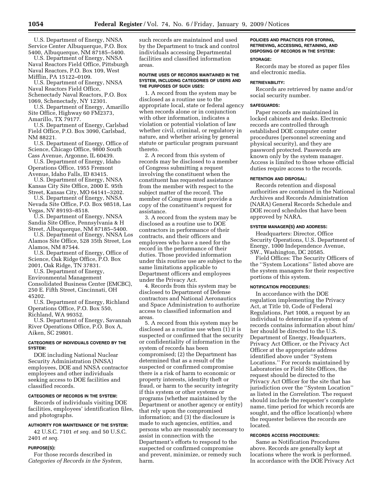U.S. Department of Energy, NNSA Service Center Albuquerque, P.O. Box 5400, Albuquerque, NM 87185–5400.

U.S. Department of Energy, NNSA Naval Reactors Field Office, Pittsburgh Naval Reactors, P.O. Box 109, West Mifflin, PA 15122–0109.

U.S. Department of Energy, NNSA Naval Reactors Field Office, Schenectady Naval Reactors, P.O. Box 1069, Schenectady, NY 12301.

U.S. Department of Energy, Amarillo Site Office, Highway 60 FM2373, Amarillo, TX 79177.

U.S. Department of Energy, Carlsbad Field Office, P.O. Box 3090, Carlsbad, NM 88221.

U.S. Department of Energy, Office of Science, Chicago Office, 9800 South Cass Avenue, Argonne, IL 60439.

U.S. Department of Energy, Idaho Operations Office, 1955 Fremont Avenue, Idaho Falls, ID 83415.

U.S. Department of Energy, NNSA Kansas City Site Office, 2000 E. 95th Street, Kansas City, MO 64141–3202.

U.S. Department of Energy, NNSA Nevada Site Office, P.O. Box 98518, Las Vegas, NV 89193–8518.

U.S. Department of Energy, NNSA Sandia Site Office, Pennsylvania & H Street, Albuquerque, NM 87185–5400.

U.S. Department of Energy, NNSA Los Alamos Site Office, 528 35th Street, Los Alamos, NM 87544.

U.S. Department of Energy, Office of Science, Oak Ridge Office, P.O. Box 2001, Oak Ridge, TN 37831.

U.S. Department of Energy, Environmental Management Consolidated Business Center (EMCBC), 250 E. Fifth Street, Cincinnati, OH 45202.

U.S. Department of Energy, Richland Operations Office, P.O. Box 550, Richland, WA 99352.

U.S. Department of Energy, Savannah River Operations Office, P.O. Box A, Aiken, SC 29801.

### **CATEGORIES OF INDIVIDUALS COVERED BY THE SYSTEM:**

DOE including National Nuclear Security Administration (NNSA) employees, DOE and NNSA contractor employees and other individuals seeking access to DOE facilities and classified records.

#### **CATEGORIES OF RECORDS IN THE SYSTEM:**

Records of individuals visiting DOE facilities, employees' identification files, and photographs.

### **AUTHORITY FOR MAINTENANCE OF THE SYSTEM:**

42 U.S.C. 7101 *et seq.* and 50 U.S.C. 2401 *et seq.* 

### **PURPOSE(S):**

For those records described in *Categories of Records in the System*, such records are maintained and used by the Department to track and control individuals accessing Departmental facilities and classified information areas.

#### **ROUTINE USES OF RECORDS MAINTAINED IN THE SYSTEM, INCLUDING CATEGORIES OF USERS AND THE PURPOSES OF SUCH USES:**

1. A record from the system may be disclosed as a routine use to the appropriate local, state or federal agency when records alone or in conjunction with other information, indicates a violation or potential violation of law whether civil, criminal, or regulatory in nature, and whether arising by general statute or particular program pursuant thereto.

2. A record from this system of records may be disclosed to a member of Congress submitting a request involving the constituent when the constituent has requested assistance from the member with respect to the subject matter of the record. The member of Congress must provide a copy of the constituent's request for assistance.

3. A record from the system may be disclosed as a routine use to DOE contractors in performance of their contracts, and their officers and employees who have a need for the record in the performance of their duties. Those provided information under this routine use are subject to the same limitations applicable to Department officers and employees under the Privacy Act.

4. Records from this system may be disclosed to Department of Defense contractors and National Aeronautics and Space Administration to authorize access to classified information and areas.

5. A record from this system may be disclosed as a routine use when (1) it is suspected or confirmed that the security or confidentiality of information in the system of records has been compromised; (2) the Department has determined that as a result of the suspected or confirmed compromise there is a risk of harm to economic or property interests, identity theft or fraud, or harm to the security integrity if this system or other systems or programs (whether maintained by the Department or another agency or entity) that rely upon the compromised information; and (3) the disclosure is made to such agencies, entities, and persons who are reasonably necessary to assist in connection with the Department's efforts to respond to the suspected or confirmed compromise and prevent, minimize, or remedy such harm.

## **POLICIES AND PRACTICES FOR STORING, RETRIEVING, ACCESSING, RETAINING, AND DISPOSING OF RECORDS IN THE SYSTEM:**

### **STORAGE:**

Records may be stored as paper files and electronic media.

#### **RETRIEVABILITY:**

Records are retrieved by name and/or social security number.

#### **SAFEGUARDS:**

Paper records are maintained in locked cabinets and desks. Electronic records are controlled through established DOE computer center procedures (personnel screening and physical security), and they are password protected. Passwords are known only by the system manager. Access is limited to those whose official duties require access to the records.

### **RETENTION AND DISPOSAL:**

Records retention and disposal authorities are contained in the National Archives and Records Administration (NARA) General Records Schedule and DOE record schedules that have been approved by NARA.

### **SYSTEM MANAGER(S) AND ADDRESS:**

Headquarters: Director, Office Security Operations, U.S. Department of Energy, 1000 Independence Avenue, SW., Washington, DC 20585.

Field Offices: The Security Officers of the ''System Locations'' listed above are the system managers for their respective portions of this system.

### **NOTIFICATION PROCEDURES:**

In accordance with the DOE regulation implementing the Privacy Act, at Title 10, Code of Federal Regulations, Part 1008, a request by an individual to determine if a system of records contains information about him/ her should be directed to the U.S. Department of Energy, Headquarters, Privacy Act Officer, or the Privacy Act Officer at the appropriate address identified above under ''System Locations.'' For records maintained by Laboratories or Field Site Offices, the request should be directed to the Privacy Act Officer for the site that has jurisdiction over the ''System Location'' as listed in the *Correlation*. The request should include the requester's complete name, time period for which records are sought, and the office location(s) where the requester believes the records are located.

### **RECORDS ACCESS PROCEDURES:**

Same as Notification Procedures above. Records are generally kept at locations where the work is performed. In accordance with the DOE Privacy Act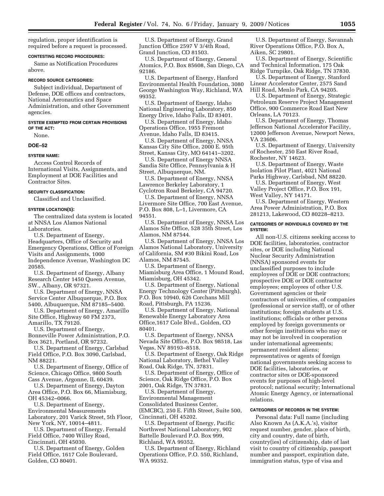regulation, proper identification is required before a request is processed.

### **CONTESTING RECORD PROCEDURES:**

Same as Notification Procedures above.

#### **RECORD SOURCE CATEGORIES:**

Subject individual, Department of Defense, DOE offices and contractors, National Aeronautics and Space Administration, and other Government agencies.

#### **SYSTEM EXEMPTED FROM CERTAIN PROVISIONS OF THE ACT:**

None.

#### **DOE–52**

### **SYSTEM NAME:**

Access Control Records of International Visits, Assignments, and Employment at DOE Facilities and Contractor Sites.

### **SECURITY CLASSIFICATION:**

Classified and Unclassified.

#### **SYSTEM LOCATION(S):**

The centralized data system is located at NNSA Los Alamos National Laboratories.

U.S. Department of Energy, Headquarters, Office of Security and Emergency Operations, Office of Foreign Visits and Assignments, 1000 Independence Avenue, Washington DC 20585.

U.S. Department of Energy, Albany Research Center 1450 Queen Avenue, SW., Albany, OR 97321.

U.S. Department of Energy, NNSA Service Center Albuquerque, P.O. Box 5400, Albuquerque, NM 87185–5400.

U.S. Department of Energy, Amarillo Site Office, Highway 60 FM 2373, Amarillo, TX 79120.

U.S. Department of Energy, Bonneville Power Administration, P.O. Box 3621, Portland, OR 97232.

U.S. Department of Energy, Carlsbad Field Office, P.O. Box 3090, Carlsbad, NM 88221.

U.S. Department of Energy, Office of Science, Chicago Office, 9800 South Cass Avenue, Argonne, IL 60439.

U.S. Department of Energy, Dayton Area Office, P.O. Box 66, Miamisburg, OH 45342–0066.

U.S. Department of Energy, Environmental Measurements Laboratory, 201 Varick Street, 5th Floor, New York, NY, 10014–4811.

U.S. Department of Energy, Fernald Field Office, 7400 Willey Road, Cincinnati, OH 45030.

U.S. Department of Energy, Golden Field Office, 1617 Cole Boulevard, Golden, CO 80401.

U.S. Department of Energy, Grand Junction Office 2597 V 3/4th Road, Grand Junction, CO 81503.

U.S. Department of Energy, General Atomics, P.O. Box 85608, San Diego, CA 92186.

U.S. Department of Energy, Hanford Environmental Health Foundation, 3080 George Washington Way, Richland, WA 99352.

U.S. Department of Energy, Idaho National Engineering Laboratory, 850 Energy Drive, Idaho Falls, ID 83401.

U.S. Department of Energy, Idaho Operations Office, 1955 Fremont Avenue, Idaho Falls, ID 83415.

U.S. Department of Energy, NNSA Kansas City Site Office, 2000 E. 95th Street, Kansas City, MO 64141–3202.

U.S. Department of Energy NNSA Sandia Site Office, Pennsylvania & H Street, Albuquerque, NM.

U.S. Department of Energy, NNSA Lawrence Berkeley Laboratory, 1 Cyclotron Road Berkeley, CA 94720.

U.S. Department of Energy, NNSA Livermore Site Office, 700 East Avenue,

P.O. Box 808, L–1, Livermore, CA 94551.

U.S. Department of Energy, NNSA Los Alamos Site Office, 528 35th Street, Los Alamos, NM 87544.

U.S. Department of Energy, NNSA Los Alamos National Laboratory, University of California, SM #30 Bikini Road, Los Alamos, NM 87545.

U.S. Department of Energy, Miamisburg Area Office, 1 Mound Road, Miamisburg, OH 45342.

U.S. Department of Energy, National Energy Technology Center (Pittsburgh), P.O. Box 10940, 626 Corchans Mill Road, Pittsburgh, PA 15236.

U.S. Department of Energy, National Renewable Energy Laboratory Area Office,1617 Cole Blvd., Golden, CO 80401.

U.S. Department of Energy, NNSA Nevada Site Office, P.O. Box 98518, Las Vegas, NV 89193–8518.

U.S. Department of Energy, Oak Ridge National Laboratory, Bethel Valley Road, Oak Ridge, TN, 37831.

U.S. Department of Energy, Office of Science, Oak Ridge Office, P.O. Box 2001, Oak Ridge, TN 37831.

U.S. Department of Energy, Environmental Management Consolidated Business Center, (EMCBC), 250 E. Fifth Street, Suite 500, Cincinnati, OH 45202.

U.S. Department of Energy, Pacific Northwest National Laboratory, 902 Battelle Boulevard P.O. Box 999, Richland, WA 99352.

U.S. Department of Energy, Richland Operations Office, P.O. 550, Richland, WA 99352.

U.S. Department of Energy, Savannah River Operations Office, P.O. Box A, Aiken, SC 29801.

U.S. Department of Energy, Scientific and Technical Information, 175 Oak Ridge Turnpike, Oak Ridge, TN 37830.

U.S. Department of Energy, Stanford Linear Accelerator Center, 2575 Sand Hill Road, Menlo Park, CA 94205.

U.S. Department of Energy, Strategic Petroleum Reserve Project Management Office, 900 Commerce Road East New Orleans, LA 70123.

U.S. Department of Energy, Thomas Jefferson National Accelerator Facility, 12000 Jefferson Avenue, Newport News, VA 23606.

U.S. Department of Energy, University of Rochester, 250 East River Road, Rochester, NY 14623.

U.S. Department of Energy, Waste Isolation Pilot Plant, 4021 National Parks Highway, Carlsbad, NM 88220.

U.S. Department of Energy, West Valley Project Office, P.O. Box 191,

West Valley, NY 14171.

U.S. Department of Energy, Western Area Power Administration, P.O. Box 281213, Lakewood, CO 80228–8213.

### **CATEGORIES OF INDIVIDUALS COVERED BY THE SYSTEM:**

All non-U.S. citizens seeking access to DOE facilities, laboratories, contractor sites, or DOE including National Nuclear Security Administration (NNSA) sponsored events for unclassified purposes to include employees of DOE or DOE contractors; prospective DOE or DOE contractor employees; employees of other U.S. Government agencies or their contractors of universities, of companies (professional or service staff), or of other institutions; foreign students at U.S. institutions; officials or other persons employed by foreign governments or other foreign institutions who may or may not be involved in cooperation under international agreements; permanent resident aliens; representatives or agents of foreign national governments seeking access to DOE facilities, laboratories, or contractor sites or DOE-sponsored events for purposes of high-level protocol; national security; International Atomic Energy Agency, or international relations.

### **CATEGORIES OF RECORDS IN THE SYSTEM:**

Personal data: Full name (including Also Known As (A.K.A.'s), visitor request number, gender, place of birth, city and country, date of birth, country(ies) of citizenship, date of last visit to country of citizenship, passport number and passport, expiration date, immigration status, type of visa and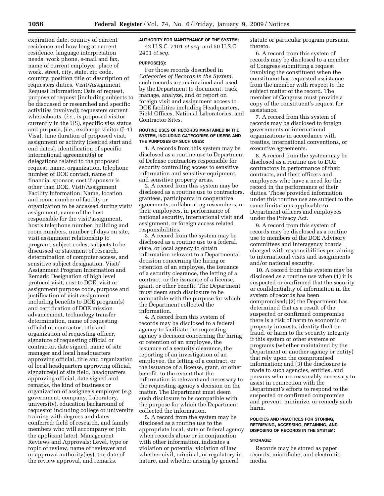expiration date, country of current residence and how long at current residence, language interpretation needs, work phone, e-mail and fax, name of current employer, place of work, street, city, state, zip code, country; position title or description of requesters duties. Visit/Assignment Request Information: Date of request, purpose of request (including subjects to be discussed or researched and specific activities involved); requesters current whereabouts, (*i.e.*, is proposed visitor currently in the US), specific visa status and purpose, (*i.e.*, exchange visitor (J–1) Visa), time duration of proposed visit, assignment or activity (desired start and end dates), identification of specific international agreement(s) or delegations related to the proposed request, name, organization, telephone number of DOE contact, name of financial sponsor, cost if sponsor is other than DOE. Visit/Assignment Facility Information: Name, location and room number of facility or organization to be accessed during visit/ assignment, name of the host responsible for the visit/assignment, host's telephone number, building and room numbers, number of days on site, visit assignment relationship to program, subject codes, subjects to be discussed or statement of research, determination of computer access, and sensitive subject designation. Visit/ Assignment Program Information and Remark: Designation of high level protocol visit, cost to DOE, visit or assignment purpose code, purpose and justification of visit assignment including benefits to DOE program(s) and certification of DOE mission advancement, technology transfer determination, name of requesting official or contractor, title and organization of requesting officer, signature of requesting official or contractor, date signed, name of site manager and local headquarters approving official, title and organization of local headquarters approving official, signature(s) of site field, headquarters approving official, date signed and remarks, the kind of business or organization of assignee's employer (*e.g.*  government, company, Laboratory, university), education background of requestor including college or university training with degrees and dates conferred; field of research, and family members who will accompany or join the applicant later). Management Reviews and Approvals: Level, type or topic of review, name of reviewer and or approval authority(ies), the date of the review approval, and remarks.

# **AUTHORITY FOR MAINTENANCE OF THE SYSTEM:**

42 U.S.C. 7101 *et seq.* and 50 U.S.C. 2401 *et seq.* 

### **PURPOSE(S):**

For those records described in *Categories of Records in the System,*  such records are maintained and used by the Department to document, track, manage, analyze, and or report on foreign visit and assignment access to DOE facilities including Headquarters, Field Offices, National Laboratories, and Contractor Sites.

### **ROUTINE USES OF RECORDS MAINTAINED IN THE SYSTEM, INCLUDING CATEGORIES OF USERS AND THE PURPOSES OF SUCH USES:**

1. A records from this system may be disclosed as a routine use to Department of Defense contractors responsible for security controlling access to sensitive information and sensitive equipment, and sensitive property areas.

2. A record from this system may be disclosed as a routine use to contractors, grantees, participants in cooperative agreements, collaborating researchers, or their employees, in performance of national security, international visit and assignment, or foreign access related responsibilities.

3. A record from the system may be disclosed as a routine use to a federal, state, or local agency to obtain information relevant to a Departmental decision concerning the hiring or retention of an employee, the issuance of a security clearance, the letting of a contract, or the issuance of a license, grant, or other benefit. The Department must deem such disclosure to be compatible with the purpose for which the Department collected the information.

4. A record from this system of records may be disclosed to a federal agency to facilitate the requesting agency's decision concerning the hiring or retention of an employee, the issuance of a security clearance, the reporting of an investigation of an employee, the letting of a contract, or the issuance of a license, grant, or other benefit, to the extent that the information is relevant and necessary to the requesting agency's decision on the matter. The Department must deem such disclosure to be compatible with the purpose for which the Department collected the information.

5. A record from the system may be disclosed as a routine use to the appropriate local, state or federal agency when records alone or in conjunction with other information, indicates a violation or potential violation of law whether civil, criminal, or regulatory in nature, and whether arising by general

statute or particular program pursuant thereto.

6. A record from this system of records may be disclosed to a member of Congress submitting a request involving the constituent when the constituent has requested assistance from the member with respect to the subject matter of the record. The member of Congress must provide a copy of the constituent's request for assistance.

7. A record from this system of records may be disclosed to foreign governments or international organizations in accordance with treaties, international conventions, or executive agreements.

8. A record from the system may be disclosed as a routine use to DOE contractors in performance of their contracts, and their officers and employees who have a need for the record in the performance of their duties. Those provided information under this routine use are subject to the same limitations applicable to Department officers and employees under the Privacy Act.

9. A record from this system of records may be disclosed as a routine use to members of the DOE Advisory committees and interagency boards charged with responsibilities pertaining to international visits and assignments and/or national security.

10. A record from this system may be disclosed as a routine use when (1) it is suspected or confirmed that the security or confidentiality of information in the system of records has been compromised; (2) the Department has determined that as a result of the suspected or confirmed compromise there is a risk of harm to economic or property interests, identity theft or fraud, or harm to the security integrity if this system or other systems or programs (whether maintained by the Department or another agency or entity) that rely upon the compromised information; and (3) the disclosure is made to such agencies, entities, and persons who are reasonably necessary to assist in connection with the Department's efforts to respond to the suspected or confirmed compromise and prevent, minimize, or remedy such harm.

### **POLICIES AND PRACTICES FOR STORING, RETRIEVING, ACCESSING, RETAINING, AND DISPOSING OF RECORDS IN THE SYSTEM:**

#### **STORAGE:**

Records may be stored as paper records, microfiche, and electronic media.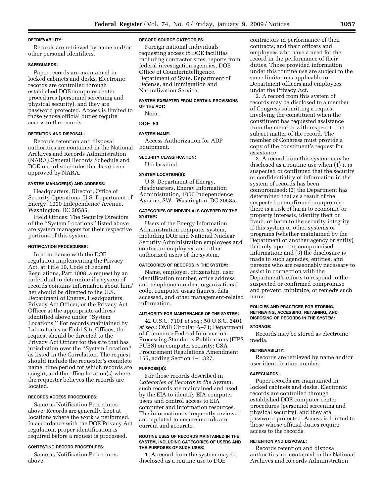#### **RETRIEVABILITY:**

Records are retrieved by name and/or other personal identifiers.

### **SAFEGUARDS:**

Paper records are maintained in locked cabinets and desks. Electronic records are controlled through established DOE computer center procedures (personnel screening and physical security), and they are password protected. Access is limited to those whose official duties require access to the records.

### **RETENTION AND DISPOSAL:**

Records retention and disposal authorities are contained in the National Archives and Records Administration (NARA) General Records Schedule and DOE record schedules that have been approved by NARA.

### **SYSTEM MANAGER(S) AND ADDRESS:**

Headquarters, Director, Office of Security Operations, U.S. Department of Energy, 1000 Independence Avenue, Washington, DC 20585.

Field Offices: The Security Directors of the ''System Locations'' listed above are system managers for their respective portions of this system.

### **NOTIFICATION PROCEDURES:**

In accordance with the DOE regulation implementing the Privacy Act, at Title 10, Code of Federal Regulations, Part 1008, a request by an individual to determine if a system of records contains information about him/ her should be directed to the U.S. Department of Energy, Headquarters, Privacy Act Officer, or the Privacy Act Officer at the appropriate address identified above under ''System Locations.'' For records maintained by Laboratories or Field Site Offices, the request should be directed to the Privacy Act Officer for the site that has jurisdiction over the ''System Location'' as listed in the Correlation. The request should include the requester's complete name, time period for which records are sought, and the office location(s) where the requester believes the records are located.

### **RECORDS ACCESS PROCEDURES:**

Same as Notification Procedures above. Records are generally kept at locations where the work is performed. In accordance with the DOE Privacy Act regulation, proper identification is required before a request is processed.

### **CONTESTING RECORD PROCEDURES:**

Same as Notification Procedures above.

### **RECORD SOURCE CATEGORIES:**

Foreign national individuals requesting access to DOE facilities including contractor sites, reports from federal investigation agencies, DOE Office of Counterintelligence, Department of State, Department of Defense, and Immigration and Naturalization Service.

### **SYSTEM EXEMPTED FROM CERTAIN PROVISIONS OF THE ACT:**

None.

# **DOE–53**

**SYSTEM NAME:**  Access Authorization for ADP Equipment.

#### **SECURITY CLASSIFICATION:**

Unclassified.

# **SYSTEM LOCATION(S):**

U.S. Department of Energy, Headquarters, Energy Information Administration, 1000 Independence Avenue, SW., Washington, DC 20585.

### **CATEGORIES OF INDIVIDUALS COVERED BY THE SYSTEM:**

Users of the Energy Information Administration computer system, including DOE and National Nuclear Security Administration employees and contractor employees and other authorized users of the system.

### **CATEGORIES OF RECORDS IN THE SYSTEM:**

Name, employer, citizenship, user identification number, office address and telephone number, organizational code, computer usage figures, data accessed, and other management-related information.

#### **AUTHORITY FOR MAINTENANCE OF THE SYSTEM:**

42 U.S.C. 7101 *et seq.*; 50 U.S.C. 2401 *et seq.*; OMB Circular A–71; Department of Commerce Federal Information Processing Standards Publications (FIPS PUBS) on computer security; GSA Procurement Regulations Amendment 155, adding Section 1–1.327.

### **PURPOSE(S):**

For those records described in *Categories of Records in the System,*  such records are maintained and used by the EIA to identify EIA computer users and control access to EIA computer and information resources. The information is frequently reviewed and updated to ensure records are current and accurate.

#### **ROUTINE USES OF RECORDS MAINTAINED IN THE SYSTEM, INCLUDING CATEGORIES OF USERS AND THE PURPOSES OF SUCH USES:**

1. A record from the system may be disclosed as a routine use to DOE

contractors in performance of their contracts, and their officers and employees who have a need for the record in the performance of their duties. Those provided information under this routine use are subject to the same limitations applicable to Department officers and employees under the Privacy Act.

2. A record from this system of records may be disclosed to a member of Congress submitting a request involving the constituent when the constituent has requested assistance from the member with respect to the subject matter of the record. The member of Congress must provide a copy of the constituent's request for assistance.

3. A record from this system may be disclosed as a routine use when (1) it is suspected or confirmed that the security or confidentiality of information in the system of records has been compromised; (2) the Department has determined that as a result of the suspected or confirmed compromise there is a risk of harm to economic or property interests, identity theft or fraud, or harm to the security integrity if this system or other systems or programs (whether maintained by the Department or another agency or entity) that rely upon the compromised information; and (3) the disclosure is made to such agencies, entities, and persons who are reasonably necessary to assist in connection with the Department's efforts to respond to the suspected or confirmed compromise and prevent, minimize, or remedy such harm.

#### **POLICIES AND PRACTICES FOR STORING, RETRIEVING, ACCESSING, RETAINING, AND DISPOSING OF RECORDS IN THE SYSTEM:**

#### **STORAGE:**

Records may be stored as electronic media.

### **RETRIEVABILITY:**

Records are retrieved by name and/or user identification number.

#### **SAFEGUARDS:**

Paper records are maintained in locked cabinets and desks. Electronic records are controlled through established DOE computer center procedures (personnel screening and physical security), and they are password protected. Access is limited to those whose official duties require access to the records.

### **RETENTION AND DISPOSAL:**

Records retention and disposal authorities are contained in the National Archives and Records Administration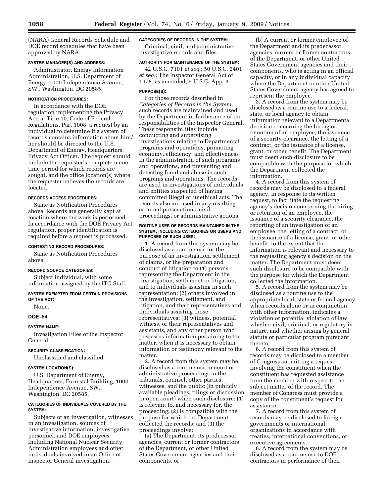(NARA) General Records Schedule and DOE record schedules that have been approved by NARA.

### **SYSTEM MANAGER(S) AND ADDRESS:**

Administrator, Energy Information Administration, U.S. Department of Energy, 1000 Independence Avenue, SW., Washington, DC 20585.

### **NOTIFICATION PROCEDURES:**

In accordance with the DOE regulation implementing the Privacy Act, at Title 10, Code of Federal Regulations, Part 1008, a request by an individual to determine if a system of records contains information about him/ her should be directed to the U.S. Department of Energy, Headquarters, Privacy Act Officer. The request should include the requester's complete name, time period for which records are sought, and the office location(s) where the requester believes the records are located.

#### **RECORDS ACCESS PROCEDURES:**

Same as Notification Procedures above. Records are generally kept at location where the work is performed. In accordance with the DOE Privacy Act regulation, proper identification is required before a request is processed.

### **CONTESTING RECORD PROCEDURES:**

Same as Notification Procedures above.

#### **RECORD SOURCE CATEGORIES:**

Subject individual, with some information assigned by the ITG Staff.

**SYSTEM EXEMPTED FROM CERTAIN PROVISIONS OF THE ACT:** 

None.

### **DOE–54**

### **SYSTEM NAME:**

Investigation Files of the Inspector General.

#### **SECURITY CLASSIFICATION:**

Unclassified and classified.

### **SYSTEM LOCATION(S):**

U.S. Department of Energy, Headquarters, Forrestal Building, 1000 Independence Avenue, SW., Washington, DC 20585.

### **CATEGORIES OF INDIVIDUALS COVERED BY THE SYSTEM:**

Subjects of an investigation, witnesses in an investigation, sources of investigative information, investigative personnel, and DOE employees including National Nuclear Security Administration employees and other individuals involved in an Office of Inspector General investigation.

## **CATEGORIES OF RECORDS IN THE SYSTEM:**

Criminal, civil, and administrative investigative records and files.

#### **AUTHORITY FOR MAINTENANCE OF THE SYSTEM:**

42 U.S.C. 7101 *et seq.*; 50 U.S.C. 2401 *et seq.*; The Inspector General Act of 1978, as amended, 5 U.S.C. App. 3.

### **PURPOSE(S):**

For those records described in *Categories of Records in the System,*  such records are maintained and used by the Department in furtherance of the responsibilities of the Inspector General. These responsibilities include conducting and supervising investigations relating to Departmental programs and operations; promoting economy, efficiency, and effectiveness in the administration of such programs and operations, and preventing and detecting fraud and abuse in such programs and operations. The records are used in investigations of individuals and entities suspected of having committed illegal or unethical acts. The records also are used in any resulting criminal prosecutions, civil proceedings, or administrative actions.

#### **ROUTINE USES OF RECORDS MAINTAINED IN THE SYSTEM, INCLUDING CATEGORIES OR USERS AND PURPOSES OF SUCH USES:**

1. A record from this system may be disclosed as a routine use for the purpose of an investigation, settlement of claims, or the preparation and conduct of litigation to (1) persons representing the Department in the investigation, settlement or litigation, and to individuals assisting in such representation; (2) others involved in the investigation, settlement, and litigation, and their representatives and individuals assisting those representatives; (3) witness, potential witness, or their representatives and assistants, and any other person who possesses information pertaining to the matter, when it is necessary to obtain information or testimony relevant to the matter.

2. A record from this system may be disclosed as a routine use in court or administrative proceedings to the tribunals, counsel, other parties, witnesses, and the public (in publicly available pleadings, filings or discussion in open court) when such disclosure: (1) Is relevant to, and necessary for, the proceeding; (2) is compatible with the purpose for which the Department collected the records; and (3) the proceedings involve:

(a) The Department, its predecessor agencies, current or former contractors of the Department, or other United States Government agencies and their components, or

(b) A current or former employee of the Department and its predecessor agencies, current or former contractors of the Department, or other United States Government agencies and their components, who is acting in an official capacity, or in any individual capacity where the Department or other United States Government agency has agreed to represent the employee.

3. A record from the system may be disclosed as a routine use to a federal, state, or local agency to obtain information relevant to a Departmental decision concerning the hiring or retention of an employee, the issuance of a security clearance, the letting of a contract, or the issuance of a license, grant, or other benefit. The Department must deem such disclosure to be compatible with the purpose for which the Department collected the information.

4. A record from this system of records may be disclosed to a federal agency, in response to its written request, to facilitate the requesting agency's decision concerning the hiring or retention of an employee, the issuance of a security clearance, the reporting of an investigation of an employee, the letting of a contract, or the issuance of a license, grant, or other benefit, to the extent that the information is relevant and necessary to the requesting agency's decision on the matter. The Department must deem such disclosure to be compatible with the purpose for which the Department collected the information.

5. A record from the system may be disclosed as a routine use to the appropriate local, state or federal agency when records alone or in conjunction with other information, indicates a violation or potential violation of law whether civil, criminal, or regulatory in nature, and whether arising by general statute or particular program pursuant thereto.

6. A record from this system of records may be disclosed to a member of Congress submitting a request involving the constituent when the constituent has requested assistance from the member with respect to the subject matter of the record. The member of Congress must provide a copy of the constituent's request for assistance.

7. A record from this system of records may be disclosed to foreign governments or international organizations in accordance with treaties, international conventions, or executive agreements.

8. A record from the system may be disclosed as a routine use to DOE contractors in performance of their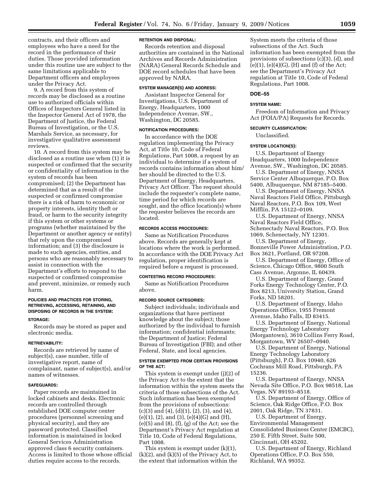contracts, and their officers and employees who have a need for the record in the performance of their duties. Those provided information under this routine use are subject to the same limitations applicable to Department officers and employees under the Privacy Act.

9. A record from this system of records may be disclosed as a routine use to authorized officials within Offices of Inspectors General listed in the Inspector General Act of 1978, the Department of Justice, the Federal Bureau of Investigation, or the U.S. Marshals Service, as necessary, for investigative qualitative assessment reviews.

10. A record from this system may be disclosed as a routine use when (1) it is suspected or confirmed that the security or confidentiality of information in the system of records has been compromised; (2) the Department has determined that as a result of the suspected or confirmed compromise there is a risk of harm to economic or property interests, identity theft or fraud, or harm to the security integrity if this system or other systems or programs (whether maintained by the Department or another agency or entity) that rely upon the compromised information; and (3) the disclosure is made to such agencies, entities, and persons who are reasonably necessary to assist in connection with the Department's efforts to respond to the suspected or confirmed compromise and prevent, minimize, or remedy such harm.

### **POLICIES AND PRACTICES FOR STORING, RETRIEVING, ACCESSING, RETAINING, AND DISPOSING OF RECORDS IN THE SYSTEM:**

#### **STORAGE:**

Records may be stored as paper and electronic media.

#### **RETRIEVABILITY:**

Records are retrieved by name of subject(s), case number, title of investigative report, name of complainant, name of subject(s), and/or names of witnesses.

### **SAFEGUARDS:**

Paper records are maintained in locked cabinets and desks. Electronic records are controlled through established DOE computer center procedures (personnel screening and physical security), and they are password protected. Classified information is maintained in locked General Services Administration approved class 6 security containers. Access is limited to those whose official duties require access to the records.

### **RETENTION AND DISPOSAL:**

Records retention and disposal authorities are contained in the National Archives and Records Administration (NARA) General Records Schedule and DOE record schedules that have been approved by NARA.

#### **SYSTEM MANAGER(S) AND ADDRESS:**

Assistant Inspector General for Investigations, U.S. Department of Energy, Headquarters, 1000 Independence Avenue, SW., Washington, DC 20585.

### **NOTIFICATION PROCEDURES:**

In accordance with the DOE regulation implementing the Privacy Act, at Title 10, Code of Federal Regulations, Part 1008, a request by an individual to determine if a system of records contains information about him/ her should be directed to the U.S. Department of Energy, Headquarters, Privacy Act Officer. The request should include the requester's complete name, time period for which records are sought, and the office location(s) where the requester believes the records are located.

#### **RECORDS ACCESS PROCEDURES:**

Same as Notification Procedures above. Records are generally kept at locations where the work is performed. In accordance with the DOE Privacy Act regulation, proper identification is required before a request is processed.

#### **CONTESTING RECORD PROCEDURES:**

Same as Notification Procedures above.

### **RECORD SOURCE CATEGORIES:**

Subject individuals; individuals and organizations that have pertinent knowledge about the subject; those authorized by the individual to furnish information; confidential informants; the Department of Justice; Federal Bureau of Investigation (FBI); and other Federal, State, and local agencies.

### **SYSTEM EXEMPTED FROM CERTAIN PROVISIONS OF THE ACT:**

This system is exempt under (j)(2) of the Privacy Act to the extent that the information within the system meets the criteria of those subsections of the Act. Such information has been exempted from the provisions of subsections:  $(c)(3)$  and  $(4)$ ,  $(d)(1)$ ,  $(2)$ ,  $(3)$ , and  $(4)$ , (e)(1), (2), and (3), (e)(4)(G) and (H), (e)(5) and (8), (f), (g) of the Act; see the Department's Privacy Act regulation at Title 10, Code of Federal Regulations, Part 1008.

This system is exempt under (k)(1),  $(k)(2)$ , and  $(k)(5)$  of the Privacy Act, to the extent that information within the

System meets the criteria of those subsections of the Act. Such information has been exempted from the provisions of subsections (c)(3), (d), and  $(e)(1)$ ,  $(e)(4)(G)$ ,  $(H)$  and  $(f)$  of the Act; see the Department's Privacy Act regulation at Title 10, Code of Federal Regulations, Part 1008.

#### **DOE–55**

#### **SYSTEM NAME:**

Freedom of Information and Privacy Act (FOIA/PA) Requests for Records.

#### **SECURITY CLASSIFICATION:**

Unclassified.

### **SYSTEM LOCATION(S):**

U.S. Department of Energy Headquarters, 1000 Independence Avenue, SW., Washington, DC 20585.

U.S. Department of Energy, NNSA Service Center Albuquerque, P.O. Box

5400, Albuquerque, NM 87185–5400. U.S. Department of Energy, NNSA Naval Reactors Field Office, Pittsburgh Naval Reactors, P.O. Box 109, West Mifflin, PA 15122–0109.

U.S. Department of Energy, NNSA Naval Reactors Field Office, Schenectady Naval Reactors, P.O. Box 1069, Schenectady, NY 12301.

U.S. Department of Energy, Bonneville Power Administration, P.O. Box 3621, Portland, OR 97208.

U.S. Department of Energy, Office of Science, Chicago Office, 9800 South Cass Avenue, Argonne, IL 60439.

U.S. Department of Energy, Grand Forks Energy Technology Center, P.O. Box 8213, University Station, Grand Forks, ND 58201.

U.S. Department of Energy, Idaho Operations Office, 1955 Fremont Avenue, Idaho Falls, ID 83415.

U.S. Department of Energy, National Energy Technology Laboratory (Morgantown), 3610 Collins Ferry Road, Morgantown, WV 26507–0940.

U.S. Department of Energy, National Energy Technology Laboratory (Pittsburgh), P.O. Box 10940, 626 Cochrans Mill Road, Pittsburgh, PA 15236.

U.S. Department of Energy, NNSA Nevada Site Office, P.O. Box 98518, Las Vegas, NV 89193–8518.

U.S. Department of Energy, Office of Science, Oak Ridge Office, P.O. Box 2001, Oak Ridge, TN 37831.

U.S. Department of Energy, Environmental Management Consolidated Business Center (EMCBC), 250 E. Fifth Street, Suite 500, Cincinnati, OH 45202.

U.S. Department of Energy, Richland Operations Office, P.O. Box 550, Richland, WA 99352.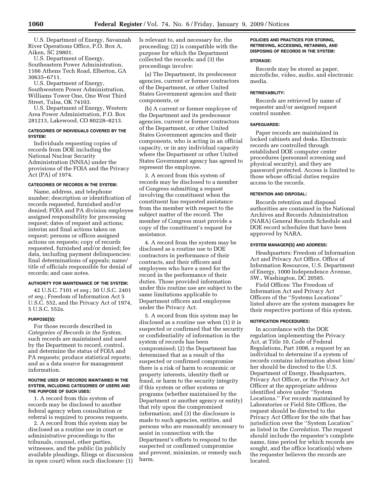U.S. Department of Energy, Savannah River Operations Office, P.O. Box A, Aiken, SC 29801.

U.S. Department of Energy, Southeastern Power Administration, 1166 Athens Tech Road, Elberton, GA 30635–6711.

U.S. Department of Energy, Southwestern Power Administration, Williams Tower One, One West Third Street, Tulsa, OK 74103.

U.S. Department of Energy, Western Area Power Administration, P.O. Box 281213, Lakewood, CO 80228–8213.

### **CATEGORIES OF INDIVIDUALS COVERED BY THE SYSTEM:**

Individuals requesting copies of records from DOE including the National Nuclear Security Administration (NNSA) under the provisions of the FOIA and the Privacy Act (PA) of 1974.

### **CATEGORIES OF RECORDS IN THE SYSTEM:**

Name, address, and telephone number; description or identification of records requested, furnished and/or denied; FOIA and PA division employee assigned responsibility for processing request; dates of request and actions; interim and final actions taken on request; persons or offices assigned actions on requests; copy of records requested, furnished and/or denied; fee data, including payment delinquencies; final determinations of appeals; name/ title of officials responsible for denial of records; and case notes.

### **AUTHORITY FOR MAINTENANCE OF THE SYSTEM:**

42 U.S.C. 7101 *et seq.*; 50 U.S.C. 2401 *et seq.*; Freedom of Information Act 5 U.S.C. 552, and the Privacy Act of 1974, 5 U.S.C. 552a.

### **PURPOSE(S):**

For those records described in *Categories of Records in the System,*  such records are maintained and used by the Department to record, control, and determine the status of FOIA and PA requests; produce statistical reports; and as a data source for management information.

#### **ROUTINE USES OF RECORDS MAINTAINED IN THE SYSTEM, INCLUDING CATEGORIES OF USERS AND THE PURPOSE OF SUCH USES:**

1. A record from this system of records may be disclosed to another federal agency when consultation or referral is required to process requests.

2. A record from this system may be disclosed as a routine use in court or administrative proceedings to the tribunals, counsel, other parties, witnesses, and the public (in publicly available pleadings, filings or discussion in open court) when such disclosure: (1) Is relevant to, and necessary for, the proceeding; (2) is compatible with the purpose for which the Department collected the records; and (3) the proceedings involve:

(a) The Department, its predecessor agencies, current or former contractors of the Department, or other United States Government agencies and their components, or

(b) A current or former employee of the Department and its predecessor agencies, current or former contractors of the Department, or other United States Government agencies and their components, who is acting in an official capacity, or in any individual capacity where the Department or other United States Government agency has agreed to represent the employee.

3. A record from this system of records may be disclosed to a member of Congress submitting a request involving the constituent when the constituent has requested assistance from the member with respect to the subject matter of the record. The member of Congress must provide a copy of the constituent's request for assistance.

4. A record from the system may be disclosed as a routine use to DOE contractors in performance of their contracts, and their officers and employees who have a need for the record in the performance of their duties. Those provided information under this routine use are subject to the same limitations applicable to Department officers and employees under the Privacy Act.

5. A record from this system may be disclosed as a routine use when (1) it is suspected or confirmed that the security or confidentiality of information in the system of records has been compromised; (2) the Department has determined that as a result of the suspected or confirmed compromise there is a risk of harm to economic or property interests, identity theft or fraud, or harm to the security integrity if this system or other systems or programs (whether maintained by the Department or another agency or entity) that rely upon the compromised information; and (3) the disclosure is made to such agencies, entities, and persons who are reasonably necessary to assist in connection with the Department's efforts to respond to the suspected or confirmed compromise and prevent, minimize, or remedy such harm.

### **POLICIES AND PRACTICES FOR STORING, RETRIEVING, ACCESSING, RETAINING, AND DISPOSING OF RECORDS IN THE SYSTEM:**

### **STORAGE:**

Records may be stored as paper, microfiche, video, audio, and electronic media.

### **RETRIEVABILITY:**

Records are retrieved by name of requester and/or assigned request control number.

### **SAFEGUARDS:**

Paper records are maintained in locked cabinets and desks. Electronic records are controlled through established DOE computer center procedures (personnel screening and physical security), and they are password protected. Access is limited to those whose official duties require access to the records.

### **RETENTION AND DISPOSAL:**

Records retention and disposal authorities are contained in the National Archives and Records Administration (NARA) General Records Schedule and DOE record schedules that have been approved by NARA.

### **SYSTEM MANAGER(S) AND ADDRESS:**

Headquarters: Freedom of Information Act and Privacy Act Office, Office of Information Resources, U.S. Department of Energy, 1000 Independence Avenue, SW., Washington, DC 20585.

Field Offices: The Freedom of Information Act and Privacy Act Officers of the ''Systems Locations'' listed above are the system managers for their respective portions of this system.

### **NOTIFICATION PROCEDURES:**

In accordance with the DOE regulation implementing the Privacy Act, at Title 10, Code of Federal Regulations, Part 1008, a request by an individual to determine if a system of records contains information about him/ her should be directed to the U.S. Department of Energy, Headquarters, Privacy Act Officer, or the Privacy Act Officer at the appropriate address identified above under ''System Locations.'' For records maintained by Laboratories or Field Site Offices, the request should be directed to the Privacy Act Officer for the site that has jurisdiction over the ''System Location'' as listed in the *Correlation*. The request should include the requester's complete name, time period for which records are sought, and the office location(s) where the requester believes the records are located.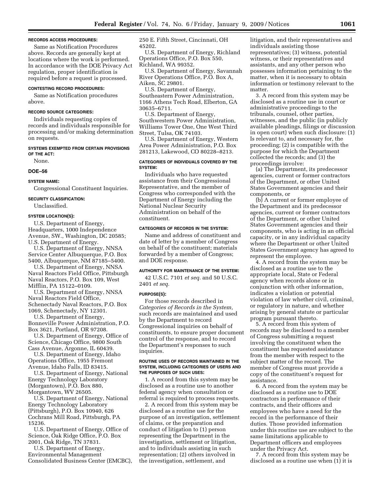### **RECORDS ACCESS PROCEDURES:**

Same as Notification Procedures above. Records are generally kept at locations where the work is performed. In accordance with the DOE Privacy Act regulation, proper identification is required before a request is processed.

#### **CONTESTING RECORD PROCEDURES:**

Same as Notification procedures above.

#### **RECORD SOURCE CATEGORIES:**

Individuals requesting copies of records and individuals responsible for processing and/or making determination on requests.

### **SYSTEMS EXEMPTED FROM CERTAIN PROVISIONS OF THE ACT:**

None.

### **DOE–56**

**SYSTEM NAME:** 

Congressional Constituent Inquiries.

#### **SECURITY CLASSIFICATION:**

Unclassified.

# **SYSTEM LOCATION(S):**

U.S. Department of Energy, Headquarters, 1000 Independence Avenue, SW., Washington, DC 20585; U.S. Department of Energy.

U.S. Department of Energy, NNSA Service Center Albuquerque, P.O. Box 5400, Albuquerque, NM 87185–5400.

U.S. Department of Energy, NNSA Naval Reactors Field Office, Pittsburgh Naval Reactors, P.O. Box 109, West Mifflin, PA 15122–0109.

U.S. Department of Energy, NNSA Naval Reactors Field Office, Schenectady Naval Reactors, P.O. Box

1069, Schenectady, NY 12301.

U.S. Department of Energy, Bonneville Power Administration, P.O. Box 3621, Portland, OR 97208.

U.S. Department of Energy, Office of Science, Chicago Office, 9800 South Cass Avenue, Argonne, IL 60439.

U.S. Department of Energy, Idaho Operations Office, 1955 Fremont Avenue, Idaho Falls, ID 83415.

U.S. Department of Energy, National Energy Technology Laboratory (Morgantown), P.O. Box 880, Morgantown, WV 26505.

U.S. Department of Energy, National Energy Technology Laboratory (Pittsburgh), P.O. Box 10940, 626 Cochrans Mill Road, Pittsburgh, PA 15236.

U.S. Department of Energy, Office of Science, Oak Ridge Office, P.O. Box 2001, Oak Ridge, TN 37831.

U.S. Department of Energy, Environmental Management Consolidated Business Center (EMCBC), 250 E. Fifth Street, Cincinnati, OH 45202.

U.S. Department of Energy, Richland Operations Office, P.O. Box 550, Richland, WA 99352.

U.S. Department of Energy, Savannah River Operations Office, P.O. Box A, Aiken, SC 29801.

U.S. Department of Energy, Southeastern Power Administration, 1166 Athens Tech Road, Elberton, GA 30635–6711.

U.S. Department of Energy, Southwestern Power Administration, Williams Tower One, One West Third Street, Tulsa, OK 74103.

U.S. Department of Energy, Western Area Power Administration, P.O. Box 281213, Lakewood, CO 80228–8213.

### **CATEGORIES OF INDIVIDUALS COVERED BY THE SYSTEM:**

Individuals who have requested assistance from their Congressional Representative, and the member of Congress who corresponded with the Department of Energy including the National Nuclear Security Administration on behalf of the constituent.

#### **CATEGORIES OF RECORDS IN THE SYSTEM:**

Name and address of constituent and date of letter by a member of Congress on behalf of the constituent; materials forwarded by a member of Congress; and DOE response.

### **AUTHORITY FOR MAINTENANCE OF THE SYSTEM:**

42 U.S.C. 7101 *et seq.* and 50 U.S.C. 2401 *et seq.* 

#### **PURPOSE(S):**

For those records described in *Categories of Records in the System,*  such records are maintained and used by the Department to record Congressional inquiries on behalf of constituents, to ensure proper document control of the response, and to record the Department's responses to such inquiries.

#### **ROUTINE USES OF RECORDS MAINTAINED IN THE SYSTEM, INCLUDING CATEGORIES OF USERS AND THE PURPOSES OF SUCH USES:**

1. A record from this system may be disclosed as a routine use to another federal agency when consultation or referral is required to process requests.

2. A record from this system may be disclosed as a routine use for the purpose of an investigation, settlement of claims, or the preparation and conduct of litigation to (1) person representing the Department in the investigation, settlement or litigation, and to individuals assisting in such representation; (2) others involved in the investigation, settlement, and

litigation, and their representatives and individuals assisting those representatives; (3) witness, potential witness, or their representatives and assistants, and any other person who possesses information pertaining to the matter, when it is necessary to obtain information or testimony relevant to the matter.

3. A record from this system may be disclosed as a routine use in court or administrative proceedings to the tribunals, counsel, other parties, witnesses, and the public (in publicly available pleadings, filings or discussion in open court) when such disclosure: (1) Is relevant to, and necessary for, the proceeding; (2) is compatible with the purpose for which the Department collected the records; and (3) the proceedings involve:

(a) The Department, its predecessor agencies, current or former contractors of the Department, or other United States Government agencies and their components, or

(b) A current or former employee of the Department and its predecessor agencies, current or former contractors of the Department, or other United States Government agencies and their components, who is acting in an official capacity, or in any individual capacity where the Department or other United States Government agency has agreed to represent the employee.

4. A record from the system may be disclosed as a routine use to the appropriate local, State or Federal agency when records alone or in conjunction with other information, indicates a violation or potential violation of law whether civil, criminal, or regulatory in nature, and whether arising by general statute or particular program pursuant thereto.

5. A record from this system of records may be disclosed to a member of Congress submitting a request involving the constituent when the constituent has requested assistance from the member with respect to the subject matter of the record. The member of Congress must provide a copy of the constituent's request for assistance.

6. A record from the system may be disclosed as a routine use to DOE contractors in performance of their contracts, and their officers and employees who have a need for the record in the performance of their duties. Those provided information under this routine use are subject to the same limitations applicable to Department officers and employees under the Privacy Act.

7. A record from this system may be disclosed as a routine use when (1) it is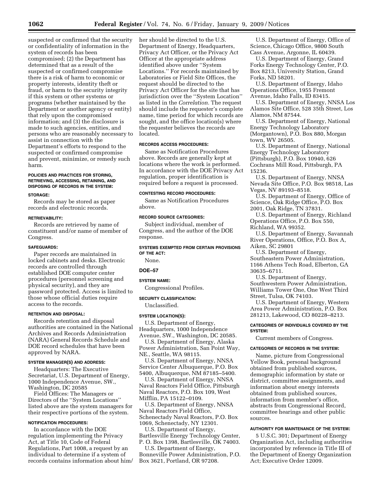suspected or confirmed that the security or confidentiality of information in the system of records has been compromised; (2) the Department has determined that as a result of the suspected or confirmed compromise there is a risk of harm to economic or property interests, identity theft or fraud, or harm to the security integrity if this system or other systems or programs (whether maintained by the Department or another agency or entity) that rely upon the compromised information; and (3) the disclosure is made to such agencies, entities, and persons who are reasonably necessary to assist in connection with the Department's efforts to respond to the suspected or confirmed compromise and prevent, minimize, or remedy such harm.

# **POLICIES AND PRACTICES FOR STORING, RETRIEVING, ACCESSING, RETAINING, AND DISPOSING OF RECORDS IN THE SYSTEM:**

#### **STORAGE:**

Records may be stored as paper records and electronic records.

### **RETRIEVABILITY:**

Records are retrieved by name of constituent and/or name of member of Congress.

#### **SAFEGUARDS:**

Paper records are maintained in locked cabinets and desks. Electronic records are controlled through established DOE computer center procedures (personnel screening and physical security), and they are password protected. Access is limited to those whose official duties require access to the records.

### **RETENTION AND DISPOSAL:**

Records retention and disposal authorities are contained in the National Archives and Records Administration (NARA) General Records Schedule and DOE record schedules that have been approved by NARA.

### **SYSTEM MANAGER(S) AND ADDRESS:**

Headquarters: The Executive Secretariat, U.S. Department of Energy, 1000 Independence Avenue, SW., Washington, DC 20585

Field Offices: The Managers or Directors of the ''System Locations'' listed above are the system managers for their respective portions of the system.

#### **NOTIFICATION PROCEDURES:**

In accordance with the DOE regulation implementing the Privacy Act, at Title 10, Code of Federal Regulations, Part 1008, a request by an individual to determine if a system of records contains information about him/

her should be directed to the U.S. Department of Energy, Headquarters, Privacy Act Officer, or the Privacy Act Officer at the appropriate address identified above under ''System Locations.'' For records maintained by Laboratories or Field Site Offices, the request should be directed to the Privacy Act Officer for the site that has jurisdiction over the ''System Location'' as listed in the *Correlation.* The request should include the requester's complete name, time period for which records are sought, and the office location(s) where the requester believes the records are located.

### **RECORDS ACCESS PROCEDURES:**

Same as Notification Procedures above. Records are generally kept at locations where the work is performed. In accordance with the DOE Privacy Act regulation, proper identification is required before a request is processed.

#### **CONTESTING RECORD PROCEDURES:**

Same as Notification Procedures above.

### **RECORD SOURCE CATEGORIES:**

Subject individual, member of Congress, and the author of the DOE response.

**SYSTEMS EXEMPTED FROM CERTAIN PROVISIONS OF THE ACT:** 

None.

### **DOE–57**

# **SYSTEM NAME:**

Congressional Profiles.

#### **SECURITY CLASSIFICATION:**

Unclassified.

### **SYSTEM LOCATION(S):**

U.S. Department of Energy, Headquarters, 1000 Independence Avenue, SW., Washington, DC 20585.

U.S. Department of Energy, Alaska Power Administration, San Point Way, NE., Seattle, WA 98115.

U.S. Department of Energy, NNSA Service Center Albuquerque, P.O. Box 5400, Albuquerque, NM 87185–5400.

U.S. Department of Energy, NNSA Naval Reactors Field Office, Pittsburgh Naval Reactors, P.O. Box 109, West Mifflin, PA 15122–0109.

U.S. Department of Energy, NNSA Naval Reactors Field Office, Schenectady Naval Reactors, P.O. Box 1069, Schenectady, NY 12301.

U.S. Department of Energy, Bartlesville Energy Technology Center, P. O. Box 1398, Bartlesville, OK 74003.

U.S. Department of Energy, Bonneville Power Administration, P.O. Box 3621, Portland, OR 97208.

U.S. Department of Energy, Office of Science, Chicago Office, 9800 South Cass Avenue, Argonne, IL 60439.

U.S. Department of Energy, Grand Forks Energy Technology Center, P.O. Box 8213, University Station, Grand Forks, ND 58201.

U.S. Department of Energy, Idaho Operations Office, 1955 Fremont Avenue, Idaho Falls, ID 83415.

U.S. Department of Energy, NNSA Los Alamos Site Office, 528 35th Street, Los Alamos, NM 87544.

U.S. Department of Energy, National Energy Technology Laboratory (Morgantown), P.O. Box 880, Morgan town, WV 26505.

U.S. Department of Energy, National Energy Technology Laboratory (Pittsburgh), P.O. Box 10940, 626 Cochrans Mill Road, Pittsburgh, PA 15236.

U.S. Department of Energy, NNSA Nevada Site Office, P.O. Box 98518, Las Vegas, NV 89193–8518.

U.S. Department of Energy, Office of Science, Oak Ridge Office, P.O. Box 2001, Oak Ridge, TN 37831.

U.S. Department of Energy, Richland Operations Office, P.O. Box 550, Richland, WA 99352.

U.S. Department of Energy, Savannah River Operations, Office, P.O. Box A, Aiken, SC 29801

U.S. Department of Energy, Southeastern Power Administration, 1166 Athens Tech Road, Elberton, GA 30635–6711.

U.S. Department of Energy, Southwestern Power Administration, Williams Tower One, One West Third Street, Tulsa, OK 74103.

U.S. Department of Energy, Western Area Power Administration, P.O. Box 281213, Lakewood, CO 80228–8213.

### **CATEGORIES OF INDIVIDUALS COVERED BY THE SYSTEM:**

Current members of Congress.

#### **CATEGORIES OF RECORDS IN THE SYSTEM:**

Name, picture from Congressional Yellow Book, personal background obtained from published sources, demographic information by state or district, committee assignments, and information about energy interests obtained from published sources, information from member's office, abstracts from Congressional Record, committee hearings and other public sources.

#### **AUTHORITY FOR MAINTENANCE OF THE SYSTEM:**

5 U.S.C. 301; Department of Energy Organization Act, including authorities incorporated by reference in Title III of the Department of Energy Organization Act; Executive Order 12009.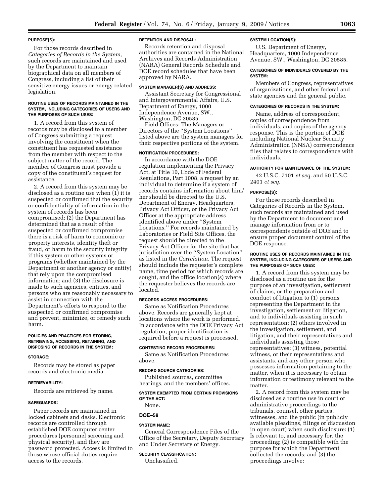#### **PURPOSE(S):**

For those records described in *Categories of Records in the System,*  such records are maintained and used by the Department to maintain biographical data on all members of Congress, including a list of their sensitive energy issues or energy related legislation.

#### **ROUTINE USES OF RECORDS MAINTAINED IN THE SYSTEM, INCLUDING CATEGORIES OF USERS AND THE PURPOSES OF SUCH USES:**

1. A record from this system of records may be disclosed to a member of Congress submitting a request involving the constituent when the constituent has requested assistance from the member with respect to the subject matter of the record. The member of Congress must provide a copy of the constituent's request for assistance.

2. A record from this system may be disclosed as a routine use when (1) it is suspected or confirmed that the security or confidentiality of information in the system of records has been compromised; (2) the Department has determined that as a result of the suspected or confirmed compromise there is a risk of harm to economic or property interests, identity theft or fraud, or harm to the security integrity if this system or other systems or programs (whether maintained by the Department or another agency or entity) that rely upon the compromised information; and (3) the disclosure is made to such agencies, entities, and persons who are reasonably necessary to assist in connection with the Department's efforts to respond to the suspected or confirmed compromise and prevent, minimize, or remedy such harm.

### **POLICIES AND PRACTICES FOR STORING, RETRIEVING, ACCESSING, RETAINING, AND DISPOSING OF RECORDS IN THE SYSTEM:**

#### **STORAGE:**

Records may be stored as paper records and electronic media.

#### **RETRIEVABILITY:**

Records are retrieved by name.

#### **SAFEGUARDS:**

Paper records are maintained in locked cabinets and desks. Electronic records are controlled through established DOE computer center procedures (personnel screening and physical security), and they are password protected. Access is limited to those whose official duties require access to the records.

### **RETENTION AND DISPOSAL:**

Records retention and disposal authorities are contained in the National Archives and Records Administration (NARA) General Records Schedule and DOE record schedules that have been approved by NARA.

#### **SYSTEM MANAGER(S) AND ADDRESS:**

Assistant Secretary for Congressional and Intergovernmental Affairs, U.S. Department of Energy, 1000 Independence Avenue, SW., Washington, DC 20585.

Field Offices: The Managers or Directors of the ''System Locations'' listed above are the system managers for their respective portions of the system.

#### **NOTIFICATION PROCEDURES:**

In accordance with the DOE regulation implementing the Privacy Act, at Title 10, Code of Federal Regulations, Part 1008, a request by an individual to determine if a system of records contains information about him/ her should be directed to the U.S. Department of Energy, Headquarters, Privacy Act Officer, or the Privacy Act Officer at the appropriate address identified above under ''System Locations.'' For records maintained by Laboratories or Field Site Offices, the request should be directed to the Privacy Act Officer for the site that has jurisdiction over the ''System Location'' as listed in the *Correlation.* The request should include the requester's complete name, time period for which records are sought, and the office location(s) where the requester believes the records are located.

### **RECORDS ACCESS PROCEDURES:**

Same as Notification Procedures above. Records are generally kept at locations where the work is performed. In accordance with the DOE Privacy Act regulation, proper identification is required before a request is processed.

### **CONTESTING RECORD PROCEDURES:**

Same as Notification Procedures above.

### **RECORD SOURCE CATEGORIES:**

Published sources, committee hearings, and the members' offices.

#### **SYSTEM EXEMPTED FROM CERTAIN PROVISIONS OF THE ACT:**

None.

#### **DOE–58**

**SYSTEM NAME:**  General Correspondence Files of the Office of the Secretary, Deputy Secretary and Under Secretary of Energy.

### **SECURITY CLASSIFICATION:**  Unclassified.

**SYSTEM LOCATION(S):** 

U.S. Department of Energy, Headquarters, 1000 Independence Avenue, SW., Washington, DC 20585.

#### **CATEGORIES OF INDIVIDUALS COVERED BY THE SYSTEM:**

Members of Congress, representatives of organizations, and other federal and state agencies and the general public.

#### **CATEGORIES OF RECORDS IN THE SYSTEM:**

Name, address of correspondent, copies of correspondence from individuals, and copies of the agency response. This is the portion of DOE including National Nuclear Security Administration (NNSA) correspondence files that relates to correspondence with individuals.

### **AUTHORITY FOR MAINTENANCE OF THE SYSTEM:**

42 U.S.C. 7101 *et seq.* and 50 U.S.C. 2401 *et seq.* 

### **PURPOSE(S):**

For those records described in Categories of Records in the System, such records are maintained and used by the Department to document and manage information from or to correspondents outside of DOE and to ensure proper document control of the DOE response.

### **ROUTINE USES OF RECORDS MAINTAINED IN THE SYSTEM, INCLUDING CATEGORIES OF USERS AND THE PURPOSES OF SUCH USES:**

1. A record from this system may be disclosed as a routine use for the purpose of an investigation, settlement of claims, or the preparation and conduct of litigation to (1) persons representing the Department in the investigation, settlement or litigation, and to individuals assisting in such representation; (2) others involved in the investigation, settlement, and litigation, and their representatives and individuals assisting those representatives; (3) witness, potential witness, or their representatives and assistants, and any other person who possesses information pertaining to the matter, when it is necessary to obtain information or testimony relevant to the matter.

2. A record from this system may be disclosed as a routine use in court or administrative proceedings to the tribunals, counsel, other parties, witnesses, and the public (in publicly available pleadings, filings or discussion in open court) when such disclosure: (1) Is relevant to, and necessary for, the proceeding; (2) is compatible with the purpose for which the Department collected the records; and (3) the proceedings involve: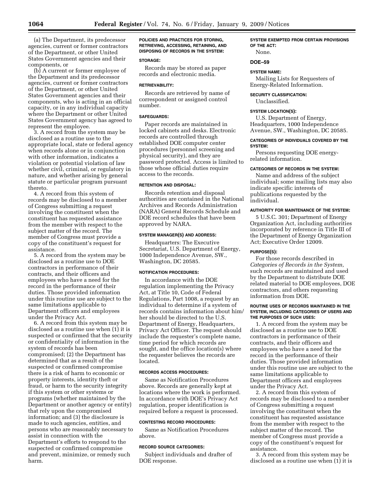(a) The Department, its predecessor agencies, current or former contractors of the Department, or other United States Government agencies and their components, or

(b) A current or former employee of the Department and its predecessor agencies, current or former contractors of the Department, or other United States Government agencies and their components, who is acting in an official capacity, or in any individual capacity where the Department or other United States Government agency has agreed to represent the employee.

3. A record from the system may be disclosed as a routine use to the appropriate local, state or federal agency when records alone or in conjunction with other information, indicates a violation or potential violation of law whether civil, criminal, or regulatory in nature, and whether arising by general statute or particular program pursuant thereto.

4. A record from this system of records may be disclosed to a member of Congress submitting a request involving the constituent when the constituent has requested assistance from the member with respect to the subject matter of the record. The member of Congress must provide a copy of the constituent's request for assistance.

5. A record from the system may be disclosed as a routine use to DOE contractors in performance of their contracts, and their officers and employees who have a need for the record in the performance of their duties. Those provided information under this routine use are subject to the same limitations applicable to Department officers and employees under the Privacy Act.

6. A record from this system may be disclosed as a routine use when (1) it is suspected or confirmed that the security or confidentiality of information in the system of records has been compromised; (2) the Department has determined that as a result of the suspected or confirmed compromise there is a risk of harm to economic or property interests, identity theft or fraud, or harm to the security integrity if this system or other systems or programs (whether maintained by the Department or another agency or entity) that rely upon the compromised information; and (3) the disclosure is made to such agencies, entities, and persons who are reasonably necessary to assist in connection with the Department's efforts to respond to the suspected or confirmed compromise and prevent, minimize, or remedy such harm.

**POLICIES AND PRACTICES FOR STORING, RETRIEVING, ACCESSING, RETAINING, AND DISPOSING OF RECORDS IN THE SYSTEM:** 

#### **STORAGE:**

Records may be stored as paper records and electronic media.

### **RETRIEVABILITY:**

Records are retrieved by name of correspondent or assigned control number.

### **SAFEGUARDS:**

Paper records are maintained in locked cabinets and desks. Electronic records are controlled through established DOE computer center procedures (personnel screening and physical security), and they are password protected. Access is limited to those whose official duties require access to the records.

#### **RETENTION AND DISPOSAL:**

Records retention and disposal authorities are contained in the National Archives and Records Administration (NARA) General Records Schedule and DOE record schedules that have been approved by NARA.

### **SYSTEM MANAGER(S) AND ADDRESS:**

Headquarters: The Executive Secretariat, U.S. Department of Energy, 1000 Independence Avenue, SW., Washington, DC 20585.

#### **NOTIFICATION PROCEDURES:**

In accordance with the DOE regulation implementing the Privacy Act, at Title 10, Code of Federal Regulations, Part 1008, a request by an individual to determine if a system of records contains information about him/ her should be directed to the U.S. Department of Energy, Headquarters, Privacy Act Officer. The request should include the requester's complete name, time period for which records are sought, and the office location(s) where the requester believes the records are located.

### **RECORDS ACCESS PROCEDURES:**

Same as Notification Procedures above. Records are generally kept at locations where the work is performed. In accordance with DOE's Privacy Act regulation, proper identification is required before a request is processed.

#### **CONTESTING RECORD PROCEDURES:**

Same as Notification Procedures above.

#### **RECORD SOURCE CATEGORIES:**

Subject individuals and drafter of DOE response.

**SYSTEM EXEMPTED FROM CERTAIN PROVISIONS OF THE ACT:**  None.

### **DOE–59**

# **SYSTEM NAME:**

Mailing Lists for Requesters of Energy-Related Information.

### **SECURITY CLASSIFICATION:**  Unclassified.

# **SYSTEM LOCATION(S):**

U.S. Department of Energy, Headquarters, 1000 Independence Avenue, SW., Washington, DC 20585.

### **CATEGORIES OF INDIVIDUALS COVERED BY THE SYSTEM:**

Persons requesting DOE energyrelated information.

### **CATEGORIES OF RECORDS IN THE SYSTEM:**

Name and address of the subject individual; some mailing lists may also indicate specific interests of publications requested by the individual.

### **AUTHORITY FOR MAINTENANCE OF THE SYSTEM:**

5 U.S.C. 301; Department of Energy Organization Act, including authorities incorporated by reference in Title III of the Department of Energy Organization Act; Executive Order 12009.

#### **PURPOSE(S):**

For those records described in *Categories of Records in the System,*  such records are maintained and used by the Department to distribute DOE related material to DOE employees, DOE contractors, and others requesting information from DOE.

### **ROUTINE USES OF RECORDS MAINTAINED IN THE SYSTEM, INCLUDING CATEGORIES OF USERS AND THE PURPOSES OF SUCH USES:**

1. A record from the system may be disclosed as a routine use to DOE contractors in performance of their contracts, and their officers and employees who have a need for the record in the performance of their duties. Those provided information under this routine use are subject to the same limitations applicable to Department officers and employees under the Privacy Act.

2. A record from this system of records may be disclosed to a member of Congress submitting a request involving the constituent when the constituent has requested assistance from the member with respect to the subject matter of the record. The member of Congress must provide a copy of the constituent's request for assistance.

3. A record from this system may be disclosed as a routine use when (1) it is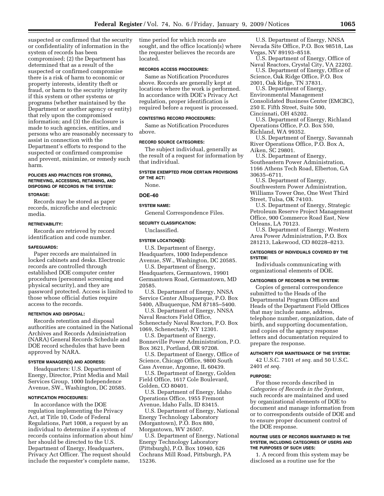suspected or confirmed that the security or confidentiality of information in the system of records has been compromised; (2) the Department has determined that as a result of the suspected or confirmed compromise there is a risk of harm to economic or property interests, identity theft or fraud, or harm to the security integrity if this system or other systems or programs (whether maintained by the Department or another agency or entity) that rely upon the compromised information; and (3) the disclosure is made to such agencies, entities, and persons who are reasonably necessary to assist in connection with the Department's efforts to respond to the suspected or confirmed compromise and prevent, minimize, or remedy such harm.

## **POLICIES AND PRACTICES FOR STORING, RETRIEVING, ACCESSING, RETAINING, AND DISPOSING OF RECORDS IN THE SYSTEM:**

#### **STORAGE:**

Records may be stored as paper records, microfiche and electronic media.

#### **RETRIEVABILITY:**

Records are retrieved by record identification and code number.

#### **SAFEGUARDS:**

Paper records are maintained in locked cabinets and desks. Electronic records are controlled through established DOE computer center procedures (personnel screening and physical security), and they are password protected. Access is limited to those whose official duties require access to the records.

### **RETENTION AND DISPOSAL:**

Records retention and disposal authorities are contained in the National Archives and Records Administration (NARA) General Records Schedule and DOE record schedules that have been approved by NARA.

## **SYSTEM MANAGER(S) AND ADDRESS:**

Headquarters: U.S. Department of Energy, Director, Print Media and Mail Services Group, 1000 Independence Avenue, SW., Washington, DC 20585.

#### **NOTIFICATION PROCEDURES:**

In accordance with the DOE regulation implementing the Privacy Act, at Title 10, Code of Federal Regulations, Part 1008, a request by an individual to determine if a system of records contains information about him/ her should be directed to the U.S. Department of Energy, Headquarters, Privacy Act Officer. The request should include the requester's complete name,

time period for which records are sought, and the office location(s) where the requester believes the records are located.

## **RECORDS ACCESS PROCEDURES:**

Same as Notification Procedures above. Records are generally kept at locations where the work is performed. In accordance with DOE's Privacy Act regulation, proper identification is required before a request is processed.

#### **CONTESTING RECORD PROCEDURES:**

Same as Notification Procedures above.

#### **RECORD SOURCE CATEGORIES:**

The subject individual, generally as the result of a request for information by that individual.

# **SYSTEM EXEMPTED FROM CERTAIN PROVISIONS OF THE ACT:**

None.

### **DOE–60**

#### **SYSTEM NAME:**

General Correspondence Files.

### **SECURITY CLASSIFICATION:**

Unclassified.

#### **SYSTEM LOCATION(S):**

U.S. Department of Energy, Headquarters, 1000 Independence Avenue, SW., Washington, DC 20585.

U.S. Department of Energy, Headquarters, Germantown, 19901 Germantown Road, Germantown, MD 20585.

U.S. Department of Energy, NNSA Service Center Albuquerque, P.O. Box 5400, Albuquerque, NM 87185–5400.

U.S. Department of Energy, NNSA Naval Reactors Field Office, Schenectady Naval Reactors, P.O. Box 1069, Schenectady, NY 12301.

U.S. Department of Energy, Bonneville Power Administration, P.O. Box 3621, Portland, OR 97208.

U.S. Department of Energy, Office of Science, Chicago Office, 9800 South Cass Avenue, Argonne, IL 60439.

U.S. Department of Energy, Golden Field Office, 1617 Cole Boulevard, Golden, CO 80401.

U.S. Department of Energy, Idaho Operations Office, 1955 Fremont Avenue, Idaho Falls, ID 83415.

U.S. Department of Energy, National Energy Technology Laboratory (Morgantown), P.O. Box 880, Morgantown, WV 26507.

U.S. Department of Energy, National Energy Technology Laboratory (Pittsburgh), P.O. Box 10940, 626 Cochrans Mill Road, Pittsburgh, PA 15236.

U.S. Department of Energy, NNSA Nevada Site Office, P.O. Box 98518, Las Vegas, NV 89193–8518.

U.S. Department of Energy, Office of Naval Reactors, Crystal City, VA 22202. U.S. Department of Energy, Office of

Science, Oak Ridge Office, P.O. Box 2001, Oak Ridge, TN 37831.

U.S. Department of Energy, Environmental Management Consolidated Business Center (EMCBC), 250 E. Fifth Street, Suite 500, Cincinnati, OH 45202.

U.S. Department of Energy, Richland Operations Office, P.O. Box 550,

Richland, WA 99352.

U.S. Department of Energy, Savannah River Operations Office, P.O. Box A, Aiken, SC 29801.

U.S. Department of Energy, Southeastern Power Administration, 1166 Athens Tech Road, Elberton, GA 30635–6711.

U.S. Department of Energy, Southwestern Power Administration, Williams Tower One, One West Third Street, Tulsa, OK 74103.

U.S. Department of Energy, Strategic Petroleum Reserve Project Management Office, 900 Commerce Road East, New Orleans, LA 70123.

U.S. Department of Energy, Western Area Power Administration, P.O. Box 281213, Lakewood, CO 80228–8213.

# **CATEGORIES OF INDIVIDUALS COVERED BY THE SYSTEM:**

Individuals communicating with organizational elements of DOE.

#### **CATEGORIES OF RECORDS IN THE SYSTEM:**

Copies of general correspondence submitted to the Heads of the Departmental Program Offices and Heads of the Department Field Offices that may include name, address, telephone number, organization, date of birth, and supporting documentation, and copies of the agency response letters and documentation required to prepare the response.

### **AUTHORITY FOR MAINTENANCE OF THE SYSTEM:**

42 U.S.C. 7101 *et seq.* and 50 U.S.C. 2401 *et seq.* 

#### **PURPOSE:**

For those records described in *Categories of Records in the System,*  such records are maintained and used by organizational elements of DOE to document and manage information from or to correspondents outside of DOE and to ensure proper document control of the DOE response.

### **ROUTINE USES OF RECORDS MAINTAINED IN THE SYSTEM, INCLUDING CATEGORIES OF USERS AND THE PURPOSES OF SUCH USES:**

1. A record from this system may be disclosed as a routine use for the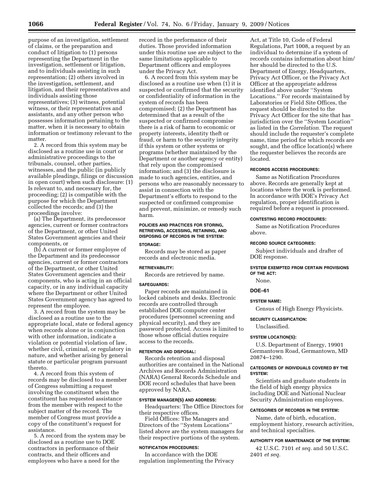purpose of an investigation, settlement of claims, or the preparation and conduct of litigation to (1) persons representing the Department in the investigation, settlement or litigation, and to individuals assisting in such representation; (2) others involved in the investigation, settlement, and litigation, and their representatives and individuals assisting those representatives; (3) witness, potential witness, or their representatives and assistants, and any other person who possesses information pertaining to the matter, when it is necessary to obtain information or testimony relevant to the matter.

2. A record from this system may be disclosed as a routine use in court or administrative proceedings to the tribunals, counsel, other parties, witnesses, and the public (in publicly available pleadings, filings or discussion in open court) when such disclosure: (1) Is relevant to, and necessary for, the proceeding; (2) is compatible with the purpose for which the Department collected the records; and (3) the proceedings involve:

(a) The Department, its predecessor agencies, current or former contractors of the Department, or other United States Government agencies and their components, or

(b) A current or former employee of the Department and its predecessor agencies, current or former contractors of the Department, or other United States Government agencies and their components, who is acting in an official capacity, or in any individual capacity where the Department or other United States Government agency has agreed to represent the employee.

3. A record from the system may be disclosed as a routine use to the appropriate local, state or federal agency when records alone or in conjunction with other information, indicate a violation or potential violation of law, whether civil, criminal, or regulatory in nature, and whether arising by general statute or particular program pursuant thereto.

4. A record from this system of records may be disclosed to a member of Congress submitting a request involving the constituent when the constituent has requested assistance from the member with respect to the subject matter of the record. The member of Congress must provide a copy of the constituent's request for assistance.

5. A record from the system may be disclosed as a routine use to DOE contractors in performance of their contracts, and their officers and employees who have a need for the

record in the performance of their duties. Those provided information under this routine use are subject to the same limitations applicable to Department officers and employees under the Privacy Act.

6. A record from this system may be disclosed as a routine use when (1) it is suspected or confirmed that the security or confidentiality of information in the system of records has been compromised; (2) the Department has determined that as a result of the suspected or confirmed compromise there is a risk of harm to economic or property interests, identity theft or fraud, or harm to the security integrity if this system or other systems or programs (whether maintained by the Department or another agency or entity) that rely upon the compromised information; and (3) the disclosure is made to such agencies, entities, and persons who are reasonably necessary to assist in connection with the Department's efforts to respond to the suspected or confirmed compromise and prevent, minimize, or remedy such harm.

# **POLICIES AND PRACTICES FOR STORING, RETRIEVING, ACCESSING, RETAINING, AND DISPOSING OF RECORDS IN THE SYSTEM:**

#### **STORAGE:**

Records may be stored as paper records and electronic media.

## **RETRIEVABILITY:**

Records are retrieved by name.

#### **SAFEGUARDS:**

Paper records are maintained in locked cabinets and desks. Electronic records are controlled through established DOE computer center procedures (personnel screening and physical security), and they are password protected. Access is limited to those whose official duties require access to the records.

#### **RETENTION AND DISPOSAL:**

Records retention and disposal authorities are contained in the National Archives and Records Administration (NARA) General Records Schedule and DOE record schedules that have been approved by NARA.

## **SYSTEM MANAGER(S) AND ADDRESS:**

Headquarters: The Office Directors for their respective offices.

Field Offices: The Managers and Directors of the ''System Locations'' listed above are the system managers for their respective portions of the system.

## **NOTIFICATION PROCEDURES:**

In accordance with the DOE regulation implementing the Privacy

Act, at Title 10, Code of Federal Regulations, Part 1008, a request by an individual to determine if a system of records contains information about him/ her should be directed to the U.S. Department of Energy, Headquarters, Privacy Act Officer, or the Privacy Act Officer at the appropriate address identified above under ''System Locations.'' For records maintained by Laboratories or Field Site Offices, the request should be directed to the Privacy Act Officer for the site that has jurisdiction over the ''System Location'' as listed in the *Correlation.* The request should include the requester's complete name, time period for which records are sought, and the office location(s) where the requester believes the records are located.

#### **RECORDS ACCESS PROCEDURES:**

Same as Notification Procedures above. Records are generally kept at locations where the work is performed. In accordance with DOE's Privacy Act regulation, proper identification is required before a request is processed.

#### **CONTESTING RECORD PROCEDURES:**

Same as Notification Procedures above.

#### **RECORD SOURCE CATEGORIES:**

Subject individuals and drafter of DOE response.

#### **SYSTEM EXEMPTED FROM CERTAIN PROVISIONS OF THE ACT:**

None.

# **DOE–61**

# **SYSTEM NAME:**

Census of High Energy Physicists.

**SECURITY CLASSIFICATION:** 

Unclassified.

# **SYSTEM LOCATION(S):**

U.S. Department of Energy, 19901 Germantown Road, Germantown, MD 20874–1290.

## **CATEGORIES OF INDIVIDUALS COVERED BY THE SYSTEM:**

Scientists and graduate students in the field of high energy physics including DOE and National Nuclear Security Administration employees.

# **CATEGORIES OF RECORDS IN THE SYSTEM:**

Name, date of birth, education, employment history, research activities, and technical specialties.

# **AUTHORITY FOR MAINTENANCE OF THE SYSTEM:**

42 U.S.C. 7101 *et seq.* and 50 U.S.C. 2401 *et seq.*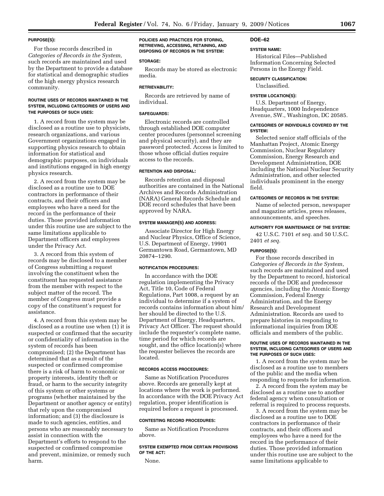### **PURPOSE(S):**

For those records described in *Categories of Records in the System,*  such records are maintained and used by the Department to provide a database for statistical and demographic studies of the high energy physics research community.

## **ROUTINE USES OF RECORDS MAINTAINED IN THE SYSTEM, INCLUDING CATEGORIES OF USERS AND THE PURPOSES OF SUCH USES:**

1. A record from the system may be disclosed as a routine use to physicists, research organizations, and various Government organizations engaged in supporting physics research to obtain information for statistical and demographic purposes, on individuals and institutions engaged in high energy physics research.

2. A record from the system may be disclosed as a routine use to DOE contractors in performance of their contracts, and their officers and employees who have a need for the record in the performance of their duties. Those provided information under this routine use are subject to the same limitations applicable to Department officers and employees under the Privacy Act.

3. A record from this system of records may be disclosed to a member of Congress submitting a request involving the constituent when the constituent has requested assistance from the member with respect to the subject matter of the record. The member of Congress must provide a copy of the constituent's request for assistance.

4. A record from this system may be disclosed as a routine use when (1) it is suspected or confirmed that the security or confidentiality of information in the system of records has been compromised; (2) the Department has determined that as a result of the suspected or confirmed compromise there is a risk of harm to economic or property interests, identity theft or fraud, or harm to the security integrity of this system or other systems or programs (whether maintained by the Department or another agency or entity) that rely upon the compromised information; and (3) the disclosure is made to such agencies, entities, and persons who are reasonably necessary to assist in connection with the Department's efforts to respond to the suspected or confirmed compromise and prevent, minimize, or remedy such harm.

**POLICIES AND PRACTICES FOR STORING, RETRIEVING, ACCESSING, RETAINING, AND DISPOSING OF RECORDS IN THE SYSTEM:** 

## **STORAGE:**

Records may be stored as electronic media.

### **RETRIEVABILITY:**

Records are retrieved by name of individual.

#### **SAFEGUARDS:**

Electronic records are controlled through established DOE computer center procedures (personnel screening and physical security), and they are password protected. Access is limited to those whose official duties require access to the records.

### **RETENTION AND DISPOSAL:**

Records retention and disposal authorities are contained in the National Archives and Records Administration (NARA) General Records Schedule and DOE record schedules that have been approved by NARA.

#### **SYSTEM MANAGER(S) AND ADDRESS:**

Associate Director for High Energy and Nuclear Physics, Office of Science, U.S. Department of Energy, 19901 Germantown Road, Germantown, MD 20874–1290.

## **NOTIFICATION PROCEDURES:**

In accordance with the DOE regulation implementing the Privacy Act, Title 10, Code of Federal Regulations, Part 1008, a request by an individual to determine if a system of records contains information about him/ her should be directed to the U.S. Department of Energy, Headquarters, Privacy Act Officer. The request should include the requester's complete name, time period for which records are sought, and the office location(s) where the requester believes the records are located.

## **RECORDS ACCESS PROCEDURES:**

Same as Notification Procedures above. Records are generally kept at locations where the work is performed. In accordance with the DOE Privacy Act regulation, proper identification is required before a request is processed.

## **CONTESTING RECORD PROCEDURES:**

Same as Notification Procedures above.

# **SYSTEM EXEMPTED FROM CERTAIN PROVISIONS OF THE ACT:**

None.

### **DOE–62**

#### **SYSTEM NAME:**

Historical Files—Published Information Concerning Selected Persons in the Energy Field.

### **SECURITY CLASSIFICATION:**

Unclassified.

## **SYSTEM LOCATION(S):**

U.S. Department of Energy, Headquarters, 1000 Independence Avenue, SW., Washington, DC 20585.

### **CATEGORIES OF INDIVIDUALS COVERED BY THE SYSTEM:**

Selected senior staff officials of the Manhattan Project, Atomic Energy Commission, Nuclear Regulatory Commission, Energy Research and Development Administration, DOE including the National Nuclear Security Administration, and other selected individuals prominent in the energy field.

#### **CATEGORIES OF RECORDS IN THE SYSTEM:**

Name of selected person, newspaper and magazine articles, press releases, announcements, and speeches.

## **AUTHORITY FOR MAINTENANCE OF THE SYSTEM:**

42 U.S.C. 7101 *et seq.* and 50 U.S.C. 2401 *et seq.* 

#### **PURPOSE(S):**

For those records described in *Categories of Records in the System*, such records are maintained and used by the Department to record, historical records of the DOE and predecessor agencies, including the Atomic Energy Commission, Federal Energy Administration, and the Energy Research and Development Administration. Records are used to prepare histories in responding to informational inquiries from DOE officials and members of the public.

### **ROUTINE USES OF RECORDS MAINTAINED IN THE SYSTEM, INCLUDING CATEGORIES OF USERS AND THE PURPOSES OF SUCH USES:**

1. A record from the system may be disclosed as a routine use to members of the public and the media when responding to requests for information.

2. A record from the system may be disclosed as a routine use to another federal agency when consultation or referral is required to process requests.

3. A record from the system may be disclosed as a routine use to DOE contractors in performance of their contracts, and their officers and employees who have a need for the record in the performance of their duties. Those provided information under this routine use are subject to the same limitations applicable to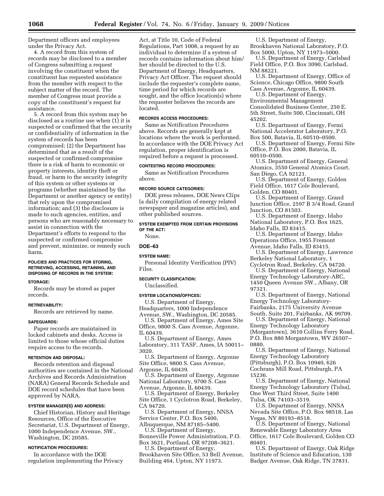Department officers and employees under the Privacy Act.

4. A record from this system of records may be disclosed to a member of Congress submitting a request involving the constituent when the constituent has requested assistance from the member with respect to the subject matter of the record. The member of Congress must provide a copy of the constituent's request for assistance.

5. A record from this system may be disclosed as a routine use when (1) it is suspected or confirmed that the security or confidentiality of information in the system of records has been compromised; (2) the Department has determined that as a result of the suspected or confirmed compromise there is a risk of harm to economic or property interests, identity theft or fraud, or harm to the security integrity of this system or other systems or programs (whether maintained by the Department or another agency or entity) that rely upon the compromised information; and (3) the disclosure is made to such agencies, entities, and persons who are reasonably necessary to assist in connection with the Department's efforts to respond to the suspected or confirmed compromise and prevent, minimize, or remedy such harm.

## **POLICIES AND PRACTICES FOR STORING, RETRIEVING, ACCESSING, RETAINING, AND DISPOSING OF RECORDS IN THE SYSTEM:**

### **STORAGE:**

Records may be stored as paper records.

## **RETRIEVABILITY:**

Records are retrieved by name.

#### **SAFEGUARDS:**

Paper records are maintained in locked cabinets and desks. Access is limited to those whose official duties require access to the records.

## **RETENTION AND DISPOSAL:**

Records retention and disposal authorities are contained in the National Archives and Records Administration (NARA) General Records Schedule and DOE record schedules that have been approved by NARA.

## **SYSTEM MANAGER(S) AND ADDRESS:**

Chief Historian, History and Heritage Resources, Office of the Executive Secretariat, U.S. Department of Energy, 1000 Independence Avenue, SW., Washington, DC 20585.

### **NOTIFICATION PROCEDURES:**

In accordance with the DOE regulation implementing the Privacy Act, at Title 10, Code of Federal Regulations, Part 1008, a request by an individual to determine if a system of records contains information about him/ her should be directed to the U.S. Department of Energy, Headquarters, Privacy Act Officer. The request should include the requester's complete name, time period for which records are sought, and the office location(s) where the requester believes the records are located.

### **RECORDS ACCESS PROCEDURES:**

Same as Notification Procedures above. Records are generally kept at locations where the work is performed. In accordance with the DOE Privacy Act regulation, proper identification is required before a request is processed.

## **CONTESTING RECORD PROCEDURES:**

Same as Notification Procedures above.

### **RECORD SOURCE CATEGORIES:**

DOE press releases, DOE News Clips (a daily compilation of energy related newspaper and magazine articles), and other published sources.

**SYSTEM EXEMPTED FROM CERTAIN PROVISIONS OF THE ACT:**  None.

# **DOE–63**

### **SYSTEM NAME:**

Personal Identity Verification (PIV) Files.

**SECURITY CLASSIFICATION:** 

Unclassified.

#### **SYSTEM LOCATIONS/OFFICES:**

U.S. Department of Energy, Headquarters, 1000 Independence

Avenue, SW., Washington, DC 20585. U.S. Department of Energy, Ames Site Office, 9800 S. Cass Avenue, Argonne, IL 60439.

U.S. Department of Energy, Ames Laboratory, 311 TASF, Ames, IA 50011– 3020.

U.S. Department of Energy, Argonne Site Office, 9800 S. Cass Avenue, Argonne, IL 60439.

U.S. Department of Energy, Argonne National Laboratory, 9700 S. Cass Avenue, Argonne, IL 60439.

U.S. Department of Energy, Berkeley Site Office, 1 Cyclotron Road, Berkeley, CA 94720.

U.S. Department of Energy, NNSA Service Center, P.O. Box 5400, Albuquerque, NM 87185–5400.

U.S. Department of Energy,

Bonneville Power Administration, P.O. Box 3621, Portland, OR 97208–3621.

U.S. Department of Energy, Brookhaven Site Office, 53 Bell Avenue, Building 464, Upton, NY 11973.

U.S. Department of Energy, Brookhaven National Laboratory, P.O. Box 5000, Upton, NY 11973–5000.

U.S. Department of Energy, Carlsbad Field Office, P.O. Box 3090, Carlsbad, NM 88221.

U.S. Department of Energy, Office of Science, Chicago Office, 9800 South Cass Avenue, Argonne, IL 60439.

U.S. Department of Energy, Environmental Management Consolidated Business Center, 250 E. 5th Street, Suite 500, Cincinnati, OH 45202.

U.S. Department of Energy, Fermi National Accelerator Laboratory, P.O. Box 500, Batavia, IL 60510–0500.

U.S. Department of Energy, Fermi Site Office, P.O. Box 2000, Batavia, IL 60510–0500.

U.S. Department of Energy, General Atomics, 3550 General Atomics Court, San Diego, CA 92121.

U.S. Department of Energy, Golden Field Office, 1617 Cole Boulevard, Golden, CO 80401.

U.S. Department of Energy, Grand Junction Office, 2597 B 3/4 Road, Grand Junction, CO 81503.

U.S. Department of Energy, Idaho National Laboratory, P.O. Box 1625, Idaho Falls, ID 83415.

U.S. Department of Energy, Idaho

Operations Office, 1955 Fremont

Avenue, Idaho Falls, ID 83415. U.S. Department of Energy, Lawrence

Berkeley National Laboratory, 1 Cyclotron Road, Berkeley, CA 94720.

U.S. Department of Energy, National Energy Technology Laboratory-ARC, 1450 Queen Avenue SW., Albany, OR 97321.

U.S. Department of Energy, National Energy Technology Laboratory-Fairbanks, 2175 University Avenue

South, Suite 201, Fairbanks, AK 99709. U.S. Department of Energy, National Energy Technology Laboratory (Morgantown), 3610 Collins Ferry Road, P.O. Box 880 Morgantown, WV 26507– 0880.

U.S. Department of Energy, National Energy Technology Laboratory (Pittsburgh), P.O. Box 10940, 626 Cochrans Mill Road, Pittsburgh, PA 15236.

U.S. Department of Energy, National Energy Technology Laboratory (Tulsa), One West Third Street, Suite 1400 Tulsa, OK 74103–3519.

U.S. Department of Energy, NNSA Nevada Site Office, P.O. Box 98518, Las Vegas, NV 89193–8518.

U.S. Department of Energy, National Renewable Energy Laboratory Area Office, 1617 Cole Boulevard, Golden CO 80401.

U.S. Department of Energy, Oak Ridge Institute of Science and Education, 130 Badger Avenue, Oak Ridge, TN 37831.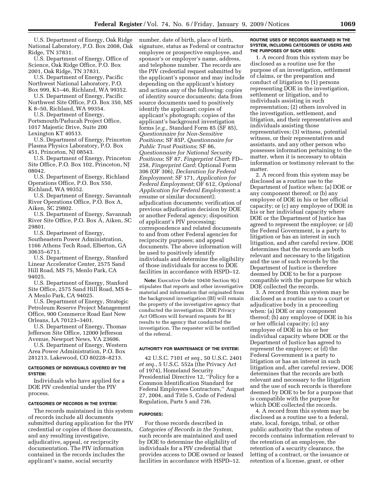U.S. Department of Energy, Oak Ridge National Laboratory, P.O. Box 2008, Oak Ridge, TN 37831.

U.S. Department of Energy, Office of Science, Oak Ridge Office, P.O. Box 2001, Oak Ridge, TN 37831.

U.S. Department of Energy, Pacific Northwest National Laboratory, P.O. Box 999, K1–46, Richland, WA 99352.

U.S. Department of Energy, Pacific Northwest Site Office, P.O. Box 350, MS K 8–50, Richland, WA 99354.

U.S. Department of Energy, Portsmouth/Paducah Project Office, 1017 Majestic Drive, Suite 200

Lexington KT 40513.

U.S. Department of Energy, Princeton Plasma Physics Laboratory, P.O. Box 451, Princeton, NJ 08543.

U.S. Department of Energy, Princeton Site Office, P.O. Box 102, Princeton, NJ 08042.

U.S. Department of Energy, Richland Operations Office, P.O. Box 550, Richland, WA 99352.

U.S. Department of Energy, Savannah River Operations Office, P.O. Box A, Aiken, SC 29802.

U.S. Department of Energy, Savannah River Site Office, P.O. Box A, Aiken, SC 29801.

U.S. Department of Energy, Southeastern Power Administration, 1166 Athens Tech Road, Elberton, GA

30635–6711. U.S. Department of Energy, Stanford Linear Accelerator Center, 2575 Sand

Hill Road, MS 75, Menlo Park, CA 94025.

U.S. Department of Energy, Stanford Site Office, 2575 Sand Hill Road, MS 8– A Menlo Park, CA 94025.

U.S. Department of Energy, Strategic Petroleum Reserve Project Management Office, 900 Commerce Road East New Orleans, LA 70123–3401.

U.S. Department of Energy, Thomas Jefferson Site Office, 12000 Jefferson Avenue, Newport News, VA 23606.

U.S. Department of Energy, Western Area Power Administration, P.O. Box 281213, Lakewood, CO 80228–8213.

## **CATEGORIES OF INDIVIDUALS COVERED BY THE SYSTEM:**

Individuals who have applied for a DOE PIV credential under the PIV process.

### **CATEGORIES OF RECORDS IN THE SYSTEM:**

The records maintained in this system of records include all documents submitted during application for the PIV credential or copies of those documents, and any resulting investigative, adjudicative, appeal, or reciprocity documentation. The PIV information contained in the records includes the applicant's name, social security

number, date of birth, place of birth, signature, status as Federal or contractor employee or prospective employee, and sponsor's or employer's name, address, and telephone number. The records are the PIV credential request submitted by the applicant's sponsor and may include depending on the applicant's history and actions any of the following: copies of identity source documents; data from source documents used to positively identify the applicant; copies of applicant's photograph; copies of the applicant's background investigation forms [*e.g.*, Standard Form 85 (SF 85), *Questionnaire for Non-Sensitive Positions*; SF 85P, *Questionnaire for Public Trust Positions*; SF 86, *Questionnaire for National Security Positions*; SF 87, *Fingerprint Chart*; FD– 258, *Fingerprint Card*; Optional Form 306 (OF 306), *Declaration for Federal Employment*; SF 171, *Application for Federal Employment*; OF 612, *Optional Application for Federal Employment*; a resume or similar document]; adjudication documents; verification of previous adjudication decision by DOE or another Federal agency; disposition of applicant's PIV processing; correspondence and related documents to and from other Federal agencies for reciprocity purposes; and appeal documents. The above information will be used to positively identify individuals and determine the eligibility of those individuals for access to DOE facilities in accordance with HSPD–12.

**Note:** Executive Order 10450 Section 9(c) stipulates that reports and other investigative material and information that originated from the background investigation (BI) will remain the property of the investigative agency that conducted the investigation. DOE Privacy Act Officers will forward requests for BI results to the agency that conducted the investigation. The requester will be notified of the referral.

### **AUTHORITY FOR MAINTENANCE OF THE SYSTEM:**

42 U.S.C. 7101 *et seq.*, 50 U.S.C. 2401 *et seq.*, 5 U.S.C. 552a (the Privacy Act of 1974), Homeland Security Presidential Directive 12, ''Policy for a Common Identification Standard for Federal Employees Contractors,'' August 27, 2004, and Title 5, Code of Federal Regulation, Parts 5 and 736.

## **PURPOSES:**

For those records described in *Categories of Records in the System*, such records are maintained and used by DOE to determine the eligibility of individuals for a PIV credential that provides access to DOE owned or leased facilities in accordance with HSPD–12.

### **ROUTINE USES OF RECORDS MAINTAINED IN THE SYSTEM, INCLUDING CATEGORIES OF USERS AND THE PURPOSES OF SUCH USES:**

1. A record from this system may be disclosed as a routine use for the purpose of an investigation, settlement of claims, or the preparation and conduct of litigation to (1) persons representing DOE in the investigation, settlement or litigation, and to individuals assisting in such representation; (2) others involved in the investigation, settlement, and litigation, and their representatives and individuals assisting those representatives; (3) witness, potential witness, or their representatives and assistants, and any other person who possesses information pertaining to the matter, when it is necessary to obtain information or testimony relevant to the matter.

2. A record from this system may be disclosed as a routine use to the Department of Justice when: (a) DOE or any component thereof; or (b) any employee of DOE in his or her official capacity; or (c) any employee of DOE in his or her individual capacity where DOE or the Department of Justice has agreed to represent the employee; or (d) the Federal Government, is a party to litigation or has an interest in such litigation, and after careful review, DOE determines that the records are both relevant and necessary to the litigation and the use of such records by the Department of Justice is therefore deemed by DOE to be for a purpose compatible with the purpose for which DOE collected the records.

3. A record from this system may be disclosed as a routine use to a court or adjudicative body in a proceeding when: (a) DOE or any component thereof; (b) any employee of DOE in his or her official capacity; (c) any employee of DOE in his or her individual capacity where DOE or the Department of Justice has agreed to represent the employee; or (d) the Federal Government is a party to litigation or has an interest in such litigation and, after careful review, DOE determines that the records are both relevant and necessary to the litigation and the use of such records is therefore deemed by DOE to be for a purpose that is compatible with the purpose for which DOE collected the records.

4. A record from this system may be disclosed as a routine use to a federal, state, local, foreign, tribal, or other public authority that the system of records contains information relevant to the retention of an employee, the retention of a security clearance, the letting of a contract, or the issuance or retention of a license, grant, or other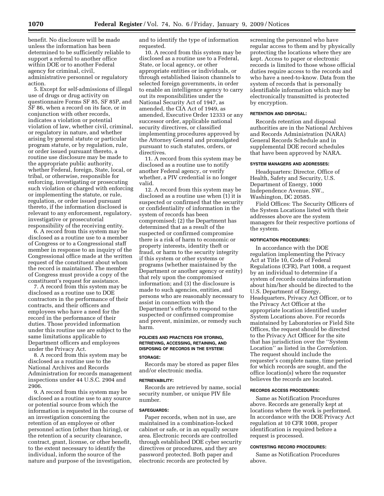benefit. No disclosure will be made unless the information has been determined to be sufficiently reliable to support a referral to another office within DOE or to another Federal agency for criminal, civil, administrative personnel or regulatory action.

5. Except for self-admissions of illegal use of drugs or drug activity on questionnaire Forms SF 85, SF 85P, and SF 86, when a record on its face, or in conjunction with other records, indicates a violation or potential violation of law, whether civil, criminal, or regulatory in nature, and whether arising by general statute or particular program statute, or by regulation, rule, or order issued pursuant thereto, a routine use disclosure may be made to the appropriate public authority, whether Federal, foreign, State, local, or tribal, or otherwise, responsible for enforcing, investigating or prosecuting such violation or charged with enforcing or implementing the statute, or rule, regulation, or order issued pursuant thereto, if the information disclosed is relevant to any enforcement, regulatory, investigative or prosecutorial responsibility of the receiving entity.

6. A record from this system may be disclosed as a routine use to a member of Congress or to a Congressional staff member in response to an inquiry of the Congressional office made at the written request of the constituent about whom the record is maintained. The member of Congress must provide a copy of the constituent's request for assistance.

7. A record from this system may be disclosed as a routine use to DOE contractors in the performance of their contracts, and their officers and employees who have a need for the record in the performance of their duties. Those provided information under this routine use are subject to the same limitations applicable to Department officers and employees under the Privacy Act.

8. A record from this system may be disclosed as a routine use to the National Archives and Records Administration for records management inspections under 44 U.S.C. 2904 and 2906.

9. A record from this system may be disclosed as a routine use to any source or potential source from which the information is requested in the course of an investigation concerning the retention of an employee or other personnel action (other than hiring), or the retention of a security clearance, contract, grant, license, or other benefit, to the extent necessary to identify the individual, inform the source of the nature and purpose of the investigation,

and to identify the type of information requested.

10. A record from this system may be disclosed as a routine use to a Federal, State, or local agency, or other appropriate entities or individuals, or through established liaison channels to selected foreign governments, in order to enable an intelligence agency to carry out its responsibilities under the National Security Act of 1947, as amended, the CIA Act of 1949, as amended, Executive Order 12333 or any successor order, applicable national security directives, or classified implementing procedures approved by the Attorney General and promulgated pursuant to such statutes, orders, or directives.

11. A record from this system may be disclosed as a routine use to notify another Federal agency, or verify whether, a PIV credential is no longer valid.

12. A record from this system may be disclosed as a routine use when (1) it is suspected or confirmed that the security or confidentiality of information in the system of records has been compromised; (2) the Department has determined that as a result of the suspected or confirmed compromise there is a risk of harm to economic or property interests, identity theft or fraud, or harm to the security integrity if this system or other systems or programs (whether maintained by the Department or another agency or entity) that rely upon the compromised information; and (3) the disclosure is made to such agencies, entities, and persons who are reasonably necessary to assist in connection with the Department's efforts to respond to the suspected or confirmed compromise and prevent, minimize, or remedy such harm.

### **POLICIES AND PRACTICES FOR STORING, RETRIEVING, ACCESSING, RETAINING, AND DISPOSING OF RECORDS IN THE SYSTEM:**

#### **STORAGE:**

Records may be stored as paper files and/or electronic media.

## **RETRIEVABILITY:**

Records are retrieved by name, social security number, or unique PIV file number.

### **SAFEGUARDS:**

Paper records, when not in use, are maintained in a combination-locked cabinet or safe, or in an equally secure area. Electronic records are controlled through established DOE cyber security directives or procedures, and they are password protected. Both paper and electronic records are protected by

screening the personnel who have regular access to them and by physically protecting the locations where they are kept. Access to paper or electronic records is limited to those whose official duties require access to the records and who have a need-to-know. Data from the system of records that is personally identifiable information which may be electronically transmitted is protected by encryption.

#### **RETENTION AND DISPOSAL:**

Records retention and disposal authorities are in the National Archives and Records Administration (NARA) General Records Schedule and in supplemental DOE record schedules that have been approved by NARA.

## **SYSTEM MANAGERS AND ADDRESSES:**

Headquarters: Director, Office of Health, Safety and Security, U.S. Department of Energy, 1000 Independence Avenue, SW., Washington, DC 20585.

Field Offices: The Security Officers of the System Locations listed with their addresses above are the system managers for their respective portions of the system.

### **NOTIFICATION PROCEDURES:**

In accordance with the DOE regulation implementing the Privacy Act at Title 10, Code of Federal Regulations (CFR), Part 1008, a request by an individual to determine if a system of records contains information about him/her should be directed to the U.S. Department of Energy, Headquarters, Privacy Act Officer, or to the Privacy Act Officer at the appropriate location identified under System Locations above. For records maintained by Laboratories or Field Site Offices, the request should be directed to the Privacy Act Officer for the site that has jurisdiction over the ''System Location'' as listed in the *Correlation*. The request should include the requester's complete name, time period for which records are sought, and the office location(s) where the requester believes the records are located.

### **RECORDS ACCESS PROCEDURES:**

Same as Notification Procedures above. Records are generally kept at locations where the work is performed. In accordance with the DOE Privacy Act regulation at 10 CFR 1008, proper identification is required before a request is processed.

### **CONTESTING RECORD PROCEDURES:**

Same as Notification Procedures above.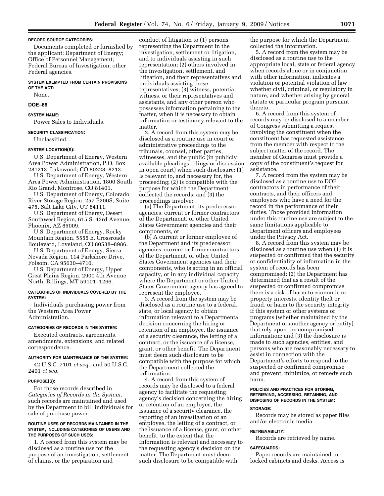### **RECORD SOURCE CATEGORIES:**

Documents completed or furnished by the applicant; Department of Energy; Office of Personnel Management; Federal Bureau of Investigation; other Federal agencies.

# **SYSTEM EXEMPTED FROM CERTAIN PROVISIONS OF THE ACT:**

None.

## **DOE–66**

## **SYSTEM NAME:**

Power Sales to Individuals.

### **SECURITY CLASSIFICATION:**

Unclassified.

#### **SYSTEM LOCATION(S):**

U.S. Department of Energy, Western Area Power Administration, P.O. Box 281213, Lakewood, CO 80228–8213.

U.S. Department of Energy, Western Area Power Administration, 1800 South Rio Grand, Montrose, CO 81401.

U.S. Department of Energy, Colorado River Storage Region, 257 E200S, Suite 475, Salt Lake City, UT 84111.

U.S. Department of Energy, Desert Southwest Region, 615 S. 43rd Avenue, Phoenix, AZ 85009.

U.S. Department of Energy, Rocky Mountain Region, 5555 E. Crossroads Boulevard, Loveland, CO 80538–8986.

U.S. Department of Energy, Sierra Nevada Region, 114 Parkshore Drive, Folsom, CA 95630–4710.

U.S. Department of Energy, Upper Great Plains Region, 2900 4th Avenue North, Billings, MT 59101–1266.

## **CATEGORIES OF INDIVIDUALS COVERED BY THE SYSTEM:**

Individuals purchasing power from the Western Area Power Administration.

### **CATEGORIES OF RECORDS IN THE SYSTEM:**

Executed contracts, agreements, amendments, extensions, and related correspondence.

### **AUTHORITY FOR MAINTENANCE OF THE SYSTEM:**

42 U.S.C. 7101 *et seq.*, and 50 U.S.C. 2401 *et seq.* 

#### **PURPOSE(S):**

For those records described in *Categories of Records in the System,*  such records are maintained and used by the Department to bill individuals for sale of purchase power.

### **ROUTINE USES OF RECORDS MAINTAINED IN THE SYSTEM, INCLUDING CATEGORIES OF USERS AND THE PURPOSES OF SUCH USES:**

1. A record from this system may be disclosed as a routine use for the purpose of an investigation, settlement of claims, or the preparation and

conduct of litigation to (1) persons representing the Department in the investigation, settlement or litigation, and to individuals assisting in such representation; (2) others involved in the investigation, settlement, and litigation, and their representatives and individuals assisting those representatives; (3) witness, potential witness, or their representatives and assistants, and any other person who possesses information pertaining to the matter, when it is necessary to obtain information or testimony relevant to the matter.

2. A record from this system may be disclosed as a routine use in court or administrative proceedings to the tribunals, counsel, other parties, witnesses, and the public (in publicly available pleadings, filings or discussion in open court) when such disclosure: (1) Is relevant to, and necessary for, the proceeding; (2) is compatible with the purpose for which the Department collected the records; and (3) the proceedings involve:

(a) The Department, its predecessor agencies, current or former contractors of the Department, or other United States Government agencies and their components, or

(b) A current or former employee of the Department and its predecessor agencies, current or former contractors of the Department, or other United States Government agencies and their components, who is acting in an official capacity, or in any individual capacity where the Department or other United States Government agency has agreed to represent the employee.

3. A record from the system may be disclosed as a routine use to a federal, state, or local agency to obtain information relevant to a Departmental decision concerning the hiring or retention of an employee, the issuance of a security clearance, the letting of a contract, or the issuance of a license, grant, or other benefit. The Department must deem such disclosure to be compatible with the purpose for which the Department collected the information.

4. A record from this system of records may be disclosed to a federal agency to facilitate the requesting agency's decision concerning the hiring or retention of an employee, the issuance of a security clearance, the reporting of an investigation of an employee, the letting of a contract, or the issuance of a license, grant, or other benefit, to the extent that the information is relevant and necessary to the requesting agency's decision on the matter. The Department must deem such disclosure to be compatible with

the purpose for which the Department collected the information.

5. A record from the system may be disclosed as a routine use to the appropriate local, state or federal agency when records alone or in conjunction with other information, indicates a violation or potential violation of law whether civil, criminal, or regulatory in nature, and whether arising by general statute or particular program pursuant thereto.

6. A record from this system of records may be disclosed to a member of Congress submitting a request involving the constituent when the constituent has requested assistance from the member with respect to the subject matter of the record. The member of Congress must provide a copy of the constituent's request for assistance.

7. A record from the system may be disclosed as a routine use to DOE contractors in performance of their contracts, and their officers and employees who have a need for the record in the performance of their duties. Those provided information under this routine use are subject to the same limitations applicable to Department officers and employees under the Privacy Act.

8. A record from this system may be disclosed as a routine use when (1) it is suspected or confirmed that the security or confidentiality of information in the system of records has been compromised; (2) the Department has determined that as a result of the suspected or confirmed compromise there is a risk of harm to economic or property interests, identity theft or fraud, or harm to the security integrity if this system or other systems or programs (whether maintained by the Department or another agency or entity) that rely upon the compromised information; and (3) the disclosure is made to such agencies, entities, and persons who are reasonably necessary to assist in connection with the Department's efforts to respond to the suspected or confirmed compromise and prevent, minimize, or remedy such harm.

# **POLICIES AND PRACTICES FOR STORING, RETRIEVING, ACCESSING, RETAINING, AND DISPOSING OF RECORDS IN THE SYSTEM:**

# **STORAGE:**

Records may be stored as paper files and/or electronic media.

## **RETRIEVABILITY:**

Records are retrieved by name.

#### **SAFEGUARDS:**

Paper records are maintained in locked cabinets and desks. Access is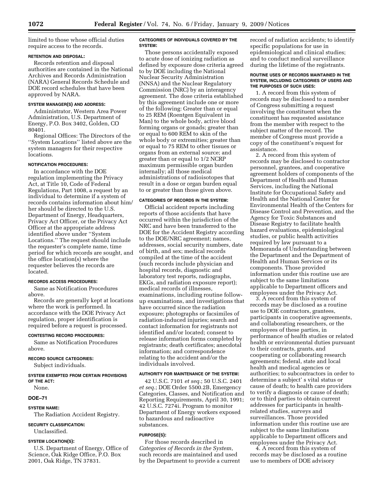limited to those whose official duties require access to the records.

### **RETENTION AND DISPOSAL:**

Records retention and disposal authorities are contained in the National Archives and Records Administration (NARA) General Records Schedule and DOE record schedules that have been approved by NARA.

# **SYSTEM MANAGER(S) AND ADDRESS:**

Administrator, Western Area Power Administration, U.S. Department of Energy, P.O. Box 3402, Golden, CO 80401.

Regional Offices: The Directors of the ''System Locations'' listed above are the system managers for their respective locations.

### **NOTIFICATION PROCEDURES:**

In accordance with the DOE regulation implementing the Privacy Act, at Title 10, Code of Federal Regulations, Part 1008, a request by an individual to determine if a system of records contains information about him/ her should be directed to the U.S. Department of Energy, Headquarters, Privacy Act Officer, or the Privacy Act Officer at the appropriate address identified above under ''System Locations.'' The request should include the requester's complete name, time period for which records are sought, and the office location(s) where the requester believes the records are located.

### **RECORDS ACCESS PROCEDURES:**

Same as Notification Procedures above.

Records are generally kept at locations where the work is performed. In accordance with the DOE Privacy Act regulation, proper identification is required before a request is processed.

## **CONTESTING RECORD PROCEDURES:**

Same as Notification Procedures above.

# **RECORD SOURCE CATEGORIES:**

Subject individuals.

**SYSTEM EXEMPTED FROM CERTAIN PROVISIONS OF THE ACT:** 

None.

## **DOE–71**

### **SYSTEM NAME:**

The Radiation Accident Registry.

## **SECURITY CLASSIFICATION:**

Unclassified.

# **SYSTEM LOCATION(S):**

U.S. Department of Energy, Office of Science, Oak Ridge Office, P.O. Box 2001, Oak Ridge, TN 37831.

## **CATEGORIES OF INDIVIDUALS COVERED BY THE SYSTEM:**

Those persons accidentally exposed to acute dose of ionizing radiation as defined by exposure dose criteria agreed to by DOE including the National Nuclear Security Administration (NNSA) and the Nuclear Regulatory Commission (NRC) by an interagency agreement. The dose criteria established by this agreement include one or more of the following: Greater than or equal to 25 REM (Roentgen Equivalent in Man) to the whole body, active blood forming organs or gonads; greater than or equal to 600 REM to skin of the whole body or extremities; greater than or equal to 75 REM to other tissues or organs from an external source; and greater than or equal to 1/2 NCRP maximum permissible organ burden internally; all those medical administrations of radioisotopes that result in a dose or organ burden equal to or greater than those given above.

## **CATEGORIES OF RECORDS IN THE SYSTEM:**

Official accident reports including reports of those accidents that have occurred within the jurisdiction of the NRC and have been transferred to the DOE for the Accident Registry according to the DOE/NRC agreement; names, addresses, social security numbers, date of birth, and sex; medical records compiled at the time of the accident (such records include physician and hospital records, diagnostic and laboratory test reports, radiographs, EKGs, and radiation exposure report); medical records of illnesses, examinations, including routine followup examinations, and investigations that have occurred since the radiation exposure; photographs or facsimiles of radiation-induced injuries; search and contact information for registrants not identified and/or located; consent to release information forms completed by registrants; death certificates; anecdotal information; and correspondence relating to the accident and/or the individuals involved.

#### **AUTHORITY FOR MAINTENANCE OF THE SYSTEM:**

42 U.S.C. 7101 *et seq.*; 50 U.S.C. 2401 *et seq.*; DOE Order 5500.2B, Emergency Categories, Classes, and Notification and Reporting Requirements, April 30, 1991; 42 U.S.C. 7274i. Program to monitor Department of Energy workers exposed to hazardous and radioactive substances.

### **PURPOSE(S):**

For those records described in *Categories of Records in the System*, such records are maintained and used by the Department to provide a current record of radiation accidents; to identify specific populations for use in epidemiological and clinical studies; and to conduct medical surveillance during the lifetime of the registrants.

### **ROUTINE USES OF RECORDS MAINTAINED IN THE SYSTEM, INCLUDING CATEGORIES OF USERS AND THE PURPOSES OF SUCH USES:**

1. A record from this system of records may be disclosed to a member of Congress submitting a request involving the constituent when the constituent has requested assistance from the member with respect to the subject matter of the record. The member of Congress must provide a copy of the constituent's request for assistance.

2. A record from this system of records may be disclosed to contractor personnel, grantees, and cooperative agreement holders of components of the Department of Health and Human Services, including the National Institute for Occupational Safety and Health and the National Center for Environmental Health of the Centers for Disease Control and Prevention, and the Agency for Toxic Substances and Disease Registry to facilitate health hazard evaluations, epidemiological studies, or public health activities required by law pursuant to a Memoranda of Understanding between the Department and the Department of Health and Human Services or its components. Those provided information under this routine use are subject to the same limitations applicable to Department officers and employees under the Privacy Act.

3. A record from this system of records may be disclosed as a routine use to DOE contractors, grantees, participants in cooperative agreements, and collaborating researchers, or the employees of these parties, in performance of health studies or related health or environmental duties pursuant to their contracts, grants, and cooperating or collaborating research agreements; federal, state and local health and medical agencies or authorities; to subcontractors in order to determine a subject' s vital status or cause of death; to health care providers to verify a diagnosis or cause of death; or to third parties to obtain current addresses for participants in healthrelated studies, surveys and surveillances. Those provided information under this routine use are subject to the same limitations applicable to Department officers and employees under the Privacy Act.

4. A record from this system of records may be disclosed as a routine use to members of DOE advisory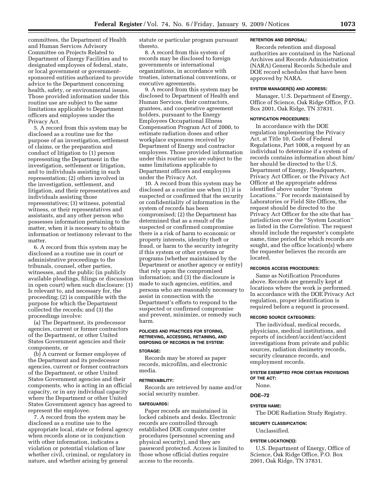committees, the Department of Health and Human Services Advisory Committee on Projects Related to Department of Energy Facilities and to designated employees of federal, state, or local government or governmentsponsored entities authorized to provide advice to the Department concerning health, safety, or environmental issues. Those provided information under this routine use are subject to the same limitations applicable to Department officers and employees under the Privacy Act.

5. A record from this system may be disclosed as a routine use for the purpose of an investigation, settlement of claims, or the preparation and conduct of litigation to (1) person representing the Department in the investigation, settlement or litigation, and to individuals assisting in such representation; (2) others involved in the investigation, settlement, and litigation, and their representatives and individuals assisting those representatives; (3) witness, potential witness, or their representatives and assistants, and any other person who possesses information pertaining to the matter, when it is necessary to obtain information or testimony relevant to the matter.

6. A record from this system may be disclosed as a routine use in court or administrative proceedings to the tribunals, counsel, other parties, witnesses, and the public (in publicly available pleadings, filings or discussion in open court) when such disclosure: (1) Is relevant to, and necessary for, the proceeding; (2) is compatible with the purpose for which the Department collected the records; and (3) the proceedings involve:

(a) The Department, its predecessor agencies, current or former contractors of the Department, or other United States Government agencies and their components, or

(b) A current or former employee of the Department and its predecessor agencies, current or former contractors of the Department, or other United States Government agencies and their components, who is acting in an official capacity, or in any individual capacity where the Department or other United States Government agency has agreed to represent the employee.

7. A record from the system may be disclosed as a routine use to the appropriate local, state or federal agency when records alone or in conjunction with other information, indicates a violation or potential violation of law whether civil, criminal, or regulatory in nature, and whether arising by general

statute or particular program pursuant thereto.

8. A record from this system of records may be disclosed to foreign governments or international organizations, in accordance with treaties, international conventions, or executive agreements.

9. A record from this system may be disclosed to Department of Health and Human Services, their contractors, grantees, and cooperative agreement holders, pursuant to the Energy Employees Occupational Illness Compensation Program Act of 2000, to estimate radiation doses and other workplace exposures received by Department of Energy and contractor employees. Those provided information under this routine use are subject to the same limitations applicable to Department officers and employees under the Privacy Act.

10. A record from this system may be disclosed as a routine use when (1) it is suspected or confirmed that the security or confidentiality of information in the system of records has been compromised; (2) the Department has determined that as a result of the suspected or confirmed compromise there is a risk of harm to economic or property interests, identity theft or fraud, or harm to the security integrity if this system or other systems or programs (whether maintained by the Department or another agency or entity) that rely upon the compromised information; and (3) the disclosure is made to such agencies, entities, and persons who are reasonably necessary to assist in connection with the Department's efforts to respond to the suspected or confirmed compromise and prevent, minimize, or remedy such harm.

## **POLICIES AND PRACTICES FOR STORING, RETRIEVING, ACCESSING, RETAINING, AND DISPOSING OF RECORDS IN THE SYSTEM:**

## **STORAGE:**

Records may be stored as paper records, microfilm, and electronic media.

#### **RETRIEVABILITY:**

Records are retrieved by name and/or social security number.

#### **SAFEGUARDS:**

Paper records are maintained in locked cabinets and desks. Electronic records are controlled through established DOE computer center procedures (personnel screening and physical security), and they are password protected. Access is limited to those whose official duties require access to the records.

## **RETENTION AND DISPOSAL:**

Records retention and disposal authorities are contained in the National Archives and Records Administration (NARA) General Records Schedule and DOE record schedules that have been approved by NARA.

## **SYSTEM MANAGER(S) AND ADDRESS:**

Manager, U.S. Department of Energy, Office of Science, Oak Ridge Office, P.O. Box 2001, Oak Ridge, TN 37831.

#### **NOTIFICATION PROCEDURES:**

In accordance with the DOE regulation implementing the Privacy Act, at Title 10, Code of Federal Regulations, Part 1008, a request by an individual to determine if a system of records contains information about him/ her should be directed to the U.S. Department of Energy, Headquarters, Privacy Act Officer, or the Privacy Act Officer at the appropriate address identified above under ''System Locations.'' For records maintained by Laboratories or Field Site Offices, the request should be directed to the Privacy Act Officer for the site that has jurisdiction over the ''System Location'' as listed in the *Correlation.* The request should include the requester's complete name, time period for which records are sought, and the office location(s) where the requester believes the records are located.

# **RECORDS ACCESS PROCEDURES:**

Same as Notification Procedures above. Records are generally kept at locations where the work is performed. In accordance with the DOE Privacy Act regulation, proper identification is required before a request is processed.

### **RECORD SOURCE CATEGORIES:**

The individual, medical records, physicians, medical institutions, and reports of incident/accident/accident investigations from private and public sources, radiation dosimetry records, security clearance records, and employment records.

## **SYSTEM EXEMPTED FROM CERTAIN PROVISIONS OF THE ACT:**

None.

### **DOE–72**

### **SYSTEM NAME:**

The DOE Radiation Study Registry.

### **SECURITY CLASSIFICATION:**

Unclassified.

### **SYSTEM LOCATION(S):**

U.S. Department of Energy, Office of Science, Oak Ridge Office, P.O. Box 2001, Oak Ridge, TN 37831.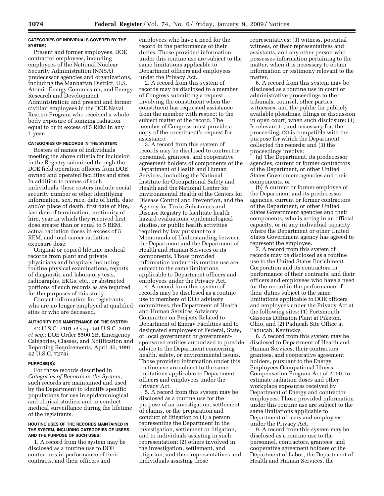### **CATEGORIES OF INDIVIDUALS COVERED BY THE SYSTEM:**

Present and former employees, DOE contractor employees, including employees of the National Nuclear Security Administration (NNSA) predecessor agencies and organizations, including the Manhattan District, U.S. Atomic Energy Commission, and Energy Research and Development Administration; and present and former civilian employees in the DOE Naval Reactor Program who received a whole body exposure of ionizing radiation equal to or in excess of 5 REM in any 1 year.

# **CATEGORIES OF RECORDS IN THE SYSTEM:**

Rosters of names of individuals meeting the above criteria for inclusion in the Registry submitted through the DOE field operation officers from DOE owned and operated facilities and sites. In addition to names of such individuals, these rosters include social security number or other identifying information, sex, race, date of birth, date and/or place of death, first date of hire, last date of termination, continuity of hire, year in which they received first dose greater than or equal to 5 REM, actual radiation doses in excess of 5 REM, and total career radiation exposure dose.

Original or copied lifetime medical records from plant and private physicians and hospitals including routine physical examinations, reports of diagnostic and laboratory tests, radiographs, EKGs, etc., or abstracted portions of such records as are required for the purposes of this study.

Contact information for registrants who are no longer employed at qualified sites or who are deceased.

### **AUTHORITY FOR MAINTENANCE OF THE SYSTEM:**

42 U.S.C. 7101 *et seq.*; 50 U.S.C. 2401 *et seq.*; DOE Order 5500.2B, Emergency Categories, Classes, and Notification and Reporting Requirements, April 30, 1991; 42 U.S.C. 7274i.

#### **PURPOSE(S):**

For those records described in *Categories of Records in the System*, such records are maintained and used by the Department to identify specific populations for use in epidemiological and clinical studies; and to conduct medical surveillance during the lifetime of the registrants.

### **ROUTINE USES OF THE RECORDS MAINTAINED IN THE SYSTEM, INCLUDING CATEGORIES OF USERS AND THE PURPOSE OF SUCH USES:**

1. A record from the system may be disclosed as a routine use to DOE contractors in performance of their contracts, and their officers and

employees who have a need for the record in the performance of their duties. Those provided information under this routine use are subject to the same limitations applicable to Department officers and employees under the Privacy Act.

2. A record from this system of records may be disclosed to a member of Congress submitting a request involving the constituent when the constituent has requested assistance from the member with respect to the subject matter of the record. The member of Congress must provide a copy of the constituent's request for assistance.

3. A record from this system of records may be disclosed to contractor personnel, grantees, and cooperative agreement holders of components of the Department of Health and Human Services, including the National Institute for Occupational Safety and Health and the National Center for Environmental Health of the Centers for Disease Control and Prevention, and the Agency for Toxic Substances and Disease Registry to facilitate health hazard evaluations, epidemiological studies, or public health activities required by law pursuant to a Memoranda of Understanding between the Department and the Department of Health and Human Services or its components. Those provided information under this routine use are subject to the same limitations applicable to Department officers and employees under the Privacy Act.

4. A record from this system of records may be disclosed as a routine use to members of DOE advisory committees, the Department of Health and Human Services Advisory Committee on Projects Related to Department of Energy Facilities and to designated employees of Federal, State, or local government or governmentsponsored entities authorized to provide advice to the Department concerning health, safety, or environmental issues. Those provided information under this routine use are subject to the same limitations applicable to Department officers and employees under the Privacy Act.

5. A record from this system may be disclosed as a routine use for the purpose of an investigation, settlement of claims, or the preparation and conduct of litigation to (1) a person representing the Department in the investigation, settlement or litigation, and to individuals assisting in such representation; (2) others involved in the investigation, settlement, and litigation, and their representatives and individuals assisting those

representatives; (3) witness, potential witness, or their representatives and assistants, and any other person who possesses information pertaining to the matter, when it is necessary to obtain information or testimony relevant to the matter.

6. A record from this system may be disclosed as a routine use in court or administrative proceedings to the tribunals, counsel, other parties, witnesses, and the public (in publicly available pleadings, filings or discussion in open court) when such disclosure: (1) Is relevant to, and necessary for, the proceeding; (2) is compatible with the purpose for which the Department collected the records; and (3) the proceedings involve:

(a) The Department, its predecessor agencies, current or former contractors of the Department, or other United States Government agencies and their components, or

(b) A current or former employee of the Department and its predecessor agencies, current or former contractors of the Department, or other United States Government agencies and their components, who is acting in an official capacity, or in any individual capacity where the Department or other United States Government agency has agreed to represent the employee.

7. A record from this system of records may be disclosed as a routine use to the United States Enrichment Corporation and its contractors in performance of their contracts, and their officers and employees who have a need for the record in the performance of their duties subject to the same limitations applicable to DOE officers and employees under the Privacy Act at the following sites: (1) Portsmouth Gaseous Diffusion Plant at Piketon, Ohio, and (2) Paducah Site Office at Paducah, Kentucky.

8. A record from this system may be disclosed to Department of Health and Human Services, their contractors, grantees, and cooperative agreement holders, pursuant to the Energy Employees Occupational Illness Compensation Program Act of 2000, to estimate radiation doses and other workplace exposures received by Department of Energy and contractor employees. Those provided information under this routine use are subject to the same limitations applicable to Department officers and employees under the Privacy Act.

9. A record from this system may be disclosed as a routine use to the personnel, contractors, grantees, and cooperative agreement holders of the Department of Labor, the Department of Health and Human Services, the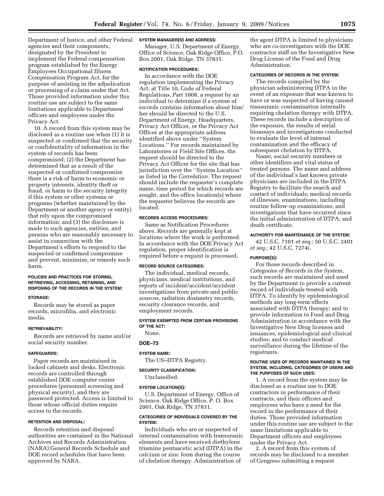Department of Justice, and other Federal agencies and their components, designated by the President to implement the Federal compensation program established by the Energy Employees Occupational Illness Compensation Program Act, for the purpose of assisting in the adjudication or processing of a claim under that Act. Those provided information under this routine use are subject to the same limitations applicable to Department officers and employees under the Privacy Act.

10. A record from this system may be disclosed as a routine use when (1) it is suspected or confirmed that the security or confidentiality of information in the system of records has been compromised; (2) the Department has determined that as a result of the suspected or confirmed compromise there is a risk of harm to economic or property interests, identity theft or fraud, or harm to the security integrity if this system or other systems or programs (whether maintained by the Department or another agency or entity) that rely upon the compromised information; and (3) the disclosure is made to such agencies, entities, and persons who are reasonably necessary to assist in connection with the Department's efforts to respond to the suspected or confirmed compromise and prevent, minimize, or remedy such harm.

### **POLICIES AND PRACTICES FOR STORING, RETRIEVING, ACCESSING, RETAINING, AND DISPOSING OF THE RECORDS IN THE SYSTEM:**

#### **STORAGE:**

Records may be stored as paper records, microfilm, and electronic media.

#### **RETRIEVABILITY:**

Records are retrieved by name and/or social security number.

#### **SAFEGUARDS:**

Paper records are maintained in locked cabinets and desks. Electronic records are controlled through established DOE computer center procedures (personnel screening and physical security), and they are password protected. Access is limited to those whose official duties require access to the records.

## **RETENTION AND DISPOSAL:**

Records retention and disposal authorities are contained in the National Archives and Records Administration (NARA) General Records Schedule and DOE record schedules that have been approved by NARA.

### **SYSTEM MANAGER(S) AND ADDRESS:**

Manager, U.S. Department of Energy, Office of Science, Oak Ridge Office, P.O. Box 2001, Oak Ridge, TN 37831.

## **NOTIFICATION PROCEDURES:**

In accordance with the DOE regulation implementing the Privacy Act, at Title 10, Code of Federal Regulations, Part 1008, a request by an individual to determine if a system of records contains information about him/ her should be directed to the U.S. Department of Energy, Headquarters, Privacy Act Officer, or the Privacy Act Officer at the appropriate address identified above under ''System Locations.'' For records maintained by Laboratories or Field Site Offices, the request should be directed to the Privacy Act Officer for the site that has jurisdiction over the ''System Location'' as listed in the *Correlation.* The request should include the requester's complete name, time period for which records are sought, and the office location(s) where the requester believes the records are located.

#### **RECORDS ACCESS PROCEDURES:**

Same as Notification Procedures above. Records are generally kept at locations where the work is performed. In accordance with the DOE Privacy Act regulation, proper identification is required before a request is processed.

## **RECORD SOURCE CATEGORIES:**

The individual, medical records, physicians, medical institutions, and reports of incident/accident/accident investigations from private and public sources, radiation dosimetry records, security clearance records, and employment records.

### **SYSTEM EXEMPTED FROM CERTAIN PROVISIONS OF THE ACT:**

None.

## **DOE–73**

#### **SYSTEM NAME:**

The US–DTPA Registry.

**SECURITY CLASSIFICATION:**  Unclassified.

### **SYSTEM LOCATION(S):**

U.S. Department of Energy, Office of Science, Oak Ridge Office, P. O. Box 2001, Oak Ridge, TN 37831.

## **CATEGORIES OF INDIVIDUALS COVERED BY THE SYSTEM:**

Individuals who are or suspected of internal contamination with transuranic elements and have received diethylene triamine pentaacetic acid (DTPA) in the calcium or zinc form during the course of chelation therapy. Administration of

the agent DTPA is limited to physicians who are co-investigators with the DOE contractor staff on the Investigative New Drug License of the Food and Drug Administration.

## **CATEGORIES OF RECORDS IN THE SYSTEM:**

The records compiled by the physician administering DTPA in the event of an exposure that was known to have or was suspected of having caused transuranic contamination internally requiring chelation therapy with DTPA. These records include a description of the exposure, the results of serial bioassays and investigations conducted to evaluate the level of internal contamination and the efficacy of subsequent chelation by DTPA.

Name, social security numbers or other identifiers and vital status of treated persons. The name and address of the individual's last known private physicians are included in the DTPA Registry to facilitate the search and contact of individuals; medical records of illnesses, examinations, including routine follow-up examinations, and investigations that have occurred since the initial administration of DTPA; and death certificate.

### **AUTHORITY FOR MAINTENANCE OF THE SYSTEM:**

42 U.S.C. 7101 *et seq.*; 50 U.S.C. 2401 *et seq.*; 42 U.S.C. 7274i.

#### **PURPOSE(S):**

For those records described in *Categories of Records in the System*, such records are maintained and used by the Department to provide a current record of individuals treated with DTPA. To identify by epidemiological methods any long-term effects associated with DTPA therapy; and to provide information to Food and Drug Administration in accordance with the Investigative New Drug licenses and issuances, epidemiological and clinical studies; and to conduct medical surveillance during the lifetime of the registrants.

### **ROUTINE USES OF RECORDS MAINTAINED IN THE SYSTEM, INCLUDING, CATEGORIES OF USERS AND THE PURPOSES OF SUCH USES:**

1. A record from the system may be disclosed as a routine use to DOE contractors in performance of their contracts, and their officers and employees who have a need for the record in the performance of their duties. Those provided information under this routine use are subject to the same limitations applicable to Department officers and employees under the Privacy Act.

2. A record from this system of records may be disclosed to a member of Congress submitting a request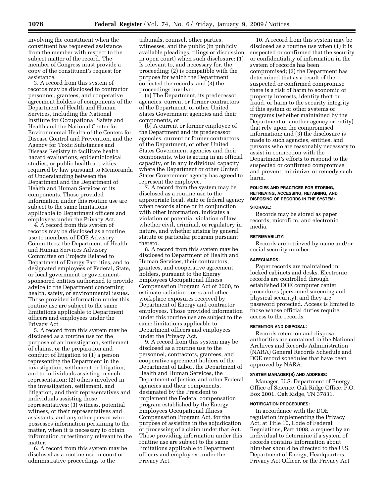involving the constituent when the constituent has requested assistance from the member with respect to the subject matter of the record. The member of Congress must provide a copy of the constituent's request for assistance.

3. A record from this system of records may be disclosed to contractor personnel, grantees, and cooperative agreement holders of components of the Department of Health and Human Services, including the National Institute for Occupational Safety and Health and the National Center for Environmental Health of the Centers for Disease Control and Prevention, and the Agency for Toxic Substances and Disease Registry to facilitate health hazard evaluations, epidemiological studies, or public health activities required by law pursuant to Memoranda of Understanding between the Department and the Department of Health and Human Services or its components. Those provided information under this routine use are subject to the same limitations applicable to Department officers and employees under the Privacy Act.

4. A record from this system of records may be disclosed as a routine use to members of DOE Advisory Committees, the Department of Health and Human Services Advisory Committee on Projects Related to Department of Energy Facilities, and to designated employees of Federal, State, or local government or governmentsponsored entities authorized to provide advice to the Department concerning health, safety, or environmental issues. Those provided information under this routine use are subject to the same limitations applicable to Department officers and employees under the Privacy Act.

5. A record from this system may be disclosed as a routine use for the purpose of an investigation, settlement of claims, or the preparation and conduct of litigation to (1) a person representing the Department in the investigation, settlement or litigation, and to individuals assisting in such representation; (2) others involved in the investigation, settlement, and litigation, and their representatives and individuals assisting those representatives; (3) witness, potential witness, or their representatives and assistants, and any other person who possesses information pertaining to the matter, when it is necessary to obtain information or testimony relevant to the matter.

6. A record from this system may be disclosed as a routine use in court or administrative proceedings to the

tribunals, counsel, other parties, witnesses, and the public (in publicly available pleadings, filings or discussion in open court) when such disclosure: (1) Is relevant to, and necessary for, the proceeding; (2) is compatible with the purpose for which the Department collected the records; and (3) the proceedings involve:

(a) The Department, its predecessor agencies, current or former contractors of the Department, or other United States Government agencies and their components, or

(b) A current or former employee of the Department and its predecessor agencies, current or former contractors of the Department, or other United States Government agencies and their components, who is acting in an official capacity, or in any individual capacity where the Department or other United States Government agency has agreed to represent the employee.

7. A record from the system may be disclosed as a routine use to the appropriate local, state or federal agency when records alone or in conjunction with other information, indicates a violation or potential violation of law whether civil, criminal, or regulatory in nature, and whether arising by general statute or particular program pursuant thereto.

8. A record from this system may be disclosed to Department of Health and Human Services, their contractors, grantees, and cooperative agreement holders, pursuant to the Energy Employees Occupational Illness Compensation Program Act of 2000, to estimate radiation doses and other workplace exposures received by Department of Energy and contractor employees. Those provided information under this routine use are subject to the same limitations applicable to Department officers and employees under the Privacy Act.

9. A record from this system may be disclosed as a routine use to the personnel, contractors, grantees, and cooperative agreement holders of the Department of Labor, the Department of Health and Human Services, the Department of Justice, and other Federal agencies and their components, designated by the President to implement the Federal compensation program established by the Energy Employees Occupational Illness Compensation Program Act, for the purpose of assisting in the adjudication or processing of a claim under that Act. Those providing information under this routine use are subject to the same limitations applicable to Department officers and employees under the Privacy Act.

10. A record from this system may be disclosed as a routine use when (1) it is suspected or confirmed that the security or confidentiality of information in the system of records has been compromised; (2) the Department has determined that as a result of the suspected or confirmed compromise there is a risk of harm to economic or property interests, identity theft or fraud, or harm to the security integrity if this system or other systems or programs (whether maintained by the Department or another agency or entity) that rely upon the compromised information; and (3) the disclosure is made to such agencies, entities, and persons who are reasonably necessary to assist in connection with the Department's efforts to respond to the suspected or confirmed compromise and prevent, minimize, or remedy such harm.

### **POLICIES AND PRACTICES FOR STORING, RETRIEVING, ACCESSING, RETAINING, AND DISPOSING OF RECORDS IN THE SYSTEM:**

#### **STORAGE:**

Records may be stored as paper records, microfilm, and electronic media.

## **RETRIEVABILITY:**

Records are retrieved by name and/or social security number.

#### **SAFEGUARDS:**

Paper records are maintained in locked cabinets and desks. Electronic records are controlled through established DOE computer center procedures (personnel screening and physical security), and they are password protected. Access is limited to those whose official duties require access to the records.

#### **RETENTION AND DISPOSAL:**

Records retention and disposal authorities are contained in the National Archives and Records Administration (NARA) General Records Schedule and DOE record schedules that have been approved by NARA.

#### **SYSTEM MANAGER(S) AND ADDRESS:**

Manager, U.S. Department of Energy, Office of Science, Oak Ridge Office, P.O. Box 2001, Oak Ridge, TN 37831.

### **NOTIFICATION PROCEDURES:**

In accordance with the DOE regulation implementing the Privacy Act, at Title 10, Code of Federal Regulations, Part 1008, a request by an individual to determine if a system of records contains information about him/her should be directed to the U.S. Department of Energy, Headquarters, Privacy Act Officer, or the Privacy Act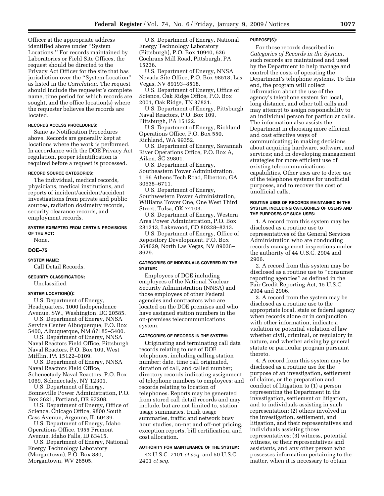Officer at the appropriate address identified above under ''System Locations.'' For records maintained by Laboratories or Field Site Offices, the request should be directed to the Privacy Act Officer for the site that has jurisdiction over the ''System Location'' as listed in the *Correlation*. The request should include the requester's complete name, time period for which records are sought, and the office location(s) where the requester believes the records are located.

### **RECORDS ACCESS PROCEDURES:**

Same as Notification Procedures above. Records are generally kept at locations where the work is performed. In accordance with the DOE Privacy Act regulation, proper identification is required before a request is processed.

#### **RECORD SOURCE CATEGORIES:**

The individual, medical records, physicians, medical institutions, and reports of incident/accident/accident investigations from private and public sources, radiation dosimetry records, security clearance records, and employment records.

#### **SYSTEM EXEMPTED FROM CERTAIN PROVISIONS OF THE ACT:**

None.

#### **DOE–75**

**SYSTEM NAME:**  Call Detail Records.

#### **SECURITY CLASSIFICATION:**

Unclassified.

### **SYSTEM LOCATION(S):**

U.S. Department of Energy, Headquarters, 1000 Independence Avenue, SW., Washington, DC 20585. U.S. Department of Energy, NNSA Service Center Albuquerque, P.O. Box

5400, Albuquerque, NM 87185–5400. U.S. Department of Energy, NNSA Naval Reactors Field Office, Pittsburgh

Naval Reactors, P.O. Box 109, West Mifflin, PA 15122–0109.

U.S. Department of Energy, NNSA Naval Reactors Field Office, Schenectady Naval Reactors, P.O. Box

1069, Schenectady, NY 12301.

U.S. Department of Energy, Bonneville Power Administration, P.O. Box 3621, Portland, OR 97208.

U.S. Department of Energy, Office of Science, Chicago Office, 9800 South Cass Avenue, Argonne, IL 60439.

U.S. Department of Energy, Idaho Operations Office, 1955 Fremont Avenue, Idaho Falls, ID 83415.

U.S. Department of Energy, National Energy Technology Laboratory (Morgantown), P.O. Box 880, Morgantown, WV 26505.

U.S. Department of Energy, National Energy Technology Laboratory (Pittsburgh), P.O. Box 10940, 626 Cochrans Mill Road, Pittsburgh, PA 15236.

U.S. Department of Energy, NNSA Nevada Site Office, P.O. Box 98518, Las Vegas, NV 89193–8518.

U.S. Department of Energy, Office of Science, Oak Ridge Office, P.O. Box 2001, Oak Ridge, TN 37831.

U.S. Department of Energy, Pittsburgh Naval Reactors, P.O. Box 109, Pittsburgh, PA 15122.

U.S. Department of Energy, Richland Operations Office, P.O. Box 550, Richland, WA 99352.

U.S. Department of Energy, Savannah River Operations Office, P.O. Box A, Aiken, SC 29801.

U.S. Department of Energy, Southeastern Power Administration, 1166 Athens Tech Road, Elberton, GA 30635–6711.

U.S. Department of Energy, Southwestern Power Administration, Williams Tower One, One West Third Street, Tulsa, OK 74103.

U.S. Department of Energy, Western Area Power Administration, P.O. Box 281213, Lakewood, CO 80228–8213.

U.S. Department of Energy, Office of Repository Development, P.O. Box 364629, North Las Vegas, NV 89036– 8629.

## **CATEGORIES OF INDIVIDUALS COVERED BY THE SYSTEM:**

Employees of DOE including employees of the National Nuclear Security Administration (NNSA) and those employees of other Federal agencies and contractors who are located on the DOE premises and who have assigned station numbers in the on-premises telecommunications system.

## **CATEGORIES OF RECORDS IN THE SYSTEM:**

Originating and terminating call data records relating to use of DOE telephones, including calling station number; date, time call originated, duration of call, and called number; directory records indicating assignment of telephone numbers to employees; and records relating to location of telephones. Reports may be generated from stored call detail records and may include, but are not limited to, station usage summaries, trunk usage summaries, traffic and network busy hour studies, on-net and off-net pricing, exception reports, bill certification, and cost allocation.

# **AUTHORITY FOR MAINTENANCE OF THE SYSTEM:**

42 U.S.C. 7101 *et seq.* and 50 U.S.C. 2401 *et seq.* 

#### **PURPOSE(S):**

For those records described in *Categories of Records in the System*, such records are maintained and used by the Department to help manage and control the costs of operating the Department's telephone systems. To this end, the program will collect information about the use of the agency's telephone system for local, long distance, and other toll calls and may attempt to assign responsibility to an individual person for particular calls. The information also assists the Department in choosing more efficient and cost effective ways of communicating; in making decisions about acquiring hardware, software, and services; and in developing management strategies for more efficient use of existing telecommunications capabilities. Other uses are to deter use of the telephone systems for unofficial purposes, and to recover the cost of unofficial calls.

### **ROUTINE USES OF RECORDS MAINTAINED IN THE SYSTEM, INCLUDING CATEGORIES OF USERS AND THE PURPOSES OF SUCH USES:**

1. A record from this system may be disclosed as a routine use to representatives of the General Services Administration who are conducting records management inspections under the authority of 44 U.S.C. 2904 and 2906.

2. A record from this system may be disclosed as a routine use to ''consumer reporting agencies'' as defined in the Fair Credit Reporting Act, 15 U.S.C. 2904 and 2906.

3. A record from the system may be disclosed as a routine use to the appropriate local, state or federal agency when records alone or in conjunction with other information, indicate a violation or potential violation of law whether civil, criminal, or regulatory in nature, and whether arising by general statute or particular program pursuant thereto.

4. A record from this system may be disclosed as a routine use for the purpose of an investigation, settlement of claims, or the preparation and conduct of litigation to (1) a person representing the Department in the investigation, settlement or litigation, and to individuals assisting in such representation; (2) others involved in the investigation, settlement, and litigation, and their representatives and individuals assisting those representatives; (3) witness, potential witness, or their representatives and assistants, and any other person who possesses information pertaining to the matter, when it is necessary to obtain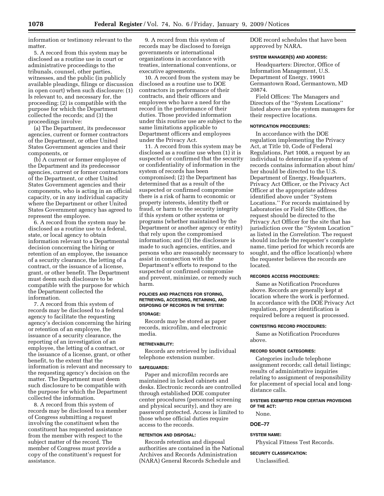information or testimony relevant to the matter.

5. A record from this system may be disclosed as a routine use in court or administrative proceedings to the tribunals, counsel, other parties, witnesses, and the public (in publicly available pleadings, filings or discussion in open court) when such disclosure: (1) Is relevant to, and necessary for, the proceeding; (2) is compatible with the purpose for which the Department collected the records; and (3) the proceedings involve:

(a) The Department, its predecessor agencies, current or former contractors of the Department, or other United States Government agencies and their components, or

(b) A current or former employee of the Department and its predecessor agencies, current or former contractors of the Department, or other United States Government agencies and their components, who is acting in an official capacity, or in any individual capacity where the Department or other United States Government agency has agreed to represent the employee.

6. A record from the system may be disclosed as a routine use to a federal, state, or local agency to obtain information relevant to a Departmental decision concerning the hiring or retention of an employee, the issuance of a security clearance, the letting of a contract, or the issuance of a license, grant, or other benefit. The Department must deem such disclosure to be compatible with the purpose for which the Department collected the information.

7. A record from this system of records may be disclosed to a federal agency to facilitate the requesting agency's decision concerning the hiring or retention of an employee, the issuance of a security clearance, the reporting of an investigation of an employee, the letting of a contract, or the issuance of a license, grant, or other benefit, to the extent that the information is relevant and necessary to the requesting agency's decision on the matter. The Department must deem such disclosure to be compatible with the purpose for which the Department collected the information.

8. A record from this system of records may be disclosed to a member of Congress submitting a request involving the constituent when the constituent has requested assistance from the member with respect to the subject matter of the record. The member of Congress must provide a copy of the constituent's request for assistance.

9. A record from this system of records may be disclosed to foreign governments or international organizations in accordance with treaties, international conventions, or executive agreements.

10. A record from the system may be disclosed as a routine use to DOE contractors in performance of their contracts, and their officers and employees who have a need for the record in the performance of their duties. Those provided information under this routine use are subject to the same limitations applicable to Department officers and employees under the Privacy Act.

11. A record from this system may be disclosed as a routine use when (1) it is suspected or confirmed that the security or confidentiality of information in the system of records has been compromised; (2) the Department has determined that as a result of the suspected or confirmed compromise there is a risk of harm to economic or property interests, identity theft or fraud, or harm to the security integrity if this system or other systems or programs (whether maintained by the Department or another agency or entity) that rely upon the compromised information; and (3) the disclosure is made to such agencies, entities, and persons who are reasonably necessary to assist in connection with the Department's efforts to respond to the suspected or confirmed compromise and prevent, minimize, or remedy such harm.

# **POLICIES AND PRACTICES FOR STORING, RETRIEVING, ACCESSING, RETAINING, AND DISPOSING OF RECORDS IN THE SYSTEM:**

### **STORAGE:**

Records may be stored as paper records, microfilm, and electronic media.

## **RETRIEVABILITY:**

Records are retrieved by individual telephone extension number.

#### **SAFEGUARDS:**

Paper and microfilm records are maintained in locked cabinets and desks. Electronic records are controlled through established DOE computer center procedures (personnel screening and physical security), and they are password protected. Access is limited to those whose official duties require access to the records.

### **RETENTION AND DISPOSAL:**

Records retention and disposal authorities are contained in the National Archives and Records Administration (NARA) General Records Schedule and

DOE record schedules that have been approved by NARA.

#### **SYSTEM MANAGER(S) AND ADDRESS:**

Headquarters: Director, Office of Information Management, U.S. Department of Energy, 19901 Germantown Road, Germantown, MD 20874.

Field Offices: The Managers and Directors of the ''System Locations'' listed above are the system managers for their respective locations.

## **NOTIFICATION PROCEDURES:**

In accordance with the DOE regulation implementing the Privacy Act, at Title 10, Code of Federal Regulations, Part 1008, a request by an individual to determine if a system of records contains information about him/ her should be directed to the U.S. Department of Energy, Headquarters, Privacy Act Officer, or the Privacy Act Officer at the appropriate address identified above under ''System Locations.'' For records maintained by Laboratories or Field Site Offices, the request should be directed to the Privacy Act Officer for the site that has jurisdiction over the ''System Location'' as listed in the *Correlation.* The request should include the requester's complete name, time period for which records are sought, and the office location(s) where the requester believes the records are located.

# **RECORDS ACCESS PROCEDURES:**

Same as Notification Procedures above. Records are generally kept at location where the work is performed. In accordance with the DOE Privacy Act regulation, proper identification is required before a request is processed.

### **CONTESTING RECORD PROCEDURES:**

Same as Notification Procedures above.

## **RECORD SOURCE CATEGORIES:**

Categories include telephone assignment records; call detail listings; results of administrative inquiries relating to assignment of responsibility for placement of special local and longdistance calls.

# **SYSTEMS EXEMPTED FROM CERTAIN PROVISIONS OF THE ACT:**

None.

## **DOE–77**

### **SYSTEM NAME:**

Physical Fitness Test Records.

#### **SECURITY CLASSIFICATION:**

Unclassified.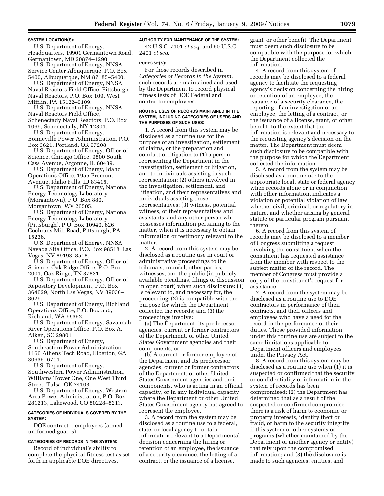### **SYSTEM LOCATION(S):**

U.S. Department of Energy, Headquarters, 19901 Germantown Road, Germantown, MD 20874–1290.

U.S. Department of Energy, NNSA Service Center Albuquerque, P.O. Box 5400, Albuquerque, NM 87185–5400.

U.S. Department of Energy, NNSA Naval Reactors Field Office, Pittsburgh Naval Reactors, P.O. Box 109, West Mifflin, PA 15122–0109.

U.S. Department of Energy, NNSA Naval Reactors Field Office, Schenectady Naval Reactors, P.O. Box 1069, Schenectady, NY 12301.

U.S. Department of Energy, Bonneville Power Administration, P.O. Box 3621, Portland, OR 97208.

U.S. Department of Energy, Office of Science, Chicago Office, 9800 South Cass Avenue, Argonne, IL 60439.

U.S. Department of Energy, Idaho Operations Office, 1955 Fremont Avenue, Idaho Falls, ID 83415.

U.S. Department of Energy, National Energy Technology Laboratory (Morgantown), P.O. Box 880, Morgantown, WV 26505.

U.S. Department of Energy, National Energy Technology Laboratory (Pittsburgh), P.O. Box 10940, 626 Cochrans Mill Road, Pittsburgh, PA 15236.

U.S. Department of Energy, NNSA Nevada Site Office, P.O. Box 98518, Las Vegas, NV 89193–8518.

U.S. Department of Energy, Office of Science, Oak Ridge Office, P.O. Box 2001, Oak Ridge, TN 37831.

U.S. Department of Energy, Office of Repository Development, P.O. Box 364629, North Las Vegas, NV 89036– 8629.

U.S. Department of Energy, Richland Operations Office, P.O. Box 550, Richland, WA 99352.

U.S. Department of Energy, Savannah River Operations Office, P.O. Box A, Aiken, SC 29801.

U.S. Department of Energy, Southeastern Power Administration, 1166 Athens Tech Road, Elberton, GA 30635–6711.

U.S. Department of Energy, Southwestern Power Administration, Williams Tower One, One West Third Street, Tulsa, OK 74103.

U.S. Department of Energy, Western Area Power Administration, P.O. Box 281213, Lakewood, CO 80228–8213.

## **CATEGORIES OF INDIVIDUALS COVERED BY THE SYSTEM:**

DOE contractor employees (armed uniformed guards).

## **CATEGORIES OF RECORDS IN THE SYSTEM:**

Record of individual's ability to complete the physical fitness test as set forth in applicable DOE directives.

# **AUTHORITY FOR MAINTENANCE OF THE SYSTEM:**

42 U.S.C. 7101 *et seq.* and 50 U.S.C. 2401 *et seq.* 

## **PURPOSE(S):**

For those records described in *Categories of Records in the System*, such records are maintained and used by the Department to record physical fitness tests of DOE Federal and contractor employees.

### **ROUTINE USES OF RECORDS MAINTAINED IN THE SYSTEM, INCLUDING CATEGORIES OF USERS AND THE PURPOSES OF SUCH USES:**

1. A record from this system may be disclosed as a routine use for the purpose of an investigation, settlement of claims, or the preparation and conduct of litigation to (1) a person representing the Department in the investigation, settlement or litigation, and to individuals assisting in such representation; (2) others involved in the investigation, settlement, and litigation, and their representatives and individuals assisting those representatives; (3) witness, potential witness, or their representatives and assistants, and any other person who possesses information pertaining to the matter, when it is necessary to obtain information or testimony relevant to the matter.

2. A record from this system may be disclosed as a routine use in court or administrative proceedings to the tribunals, counsel, other parties, witnesses, and the public (in publicly available pleadings, filings or discussion in open court) when such disclosure: (1) Is relevant to, and necessary for, the proceeding; (2) is compatible with the purpose for which the Department collected the records; and (3) the proceedings involve:

(a) The Department, its predecessor agencies, current or former contractors of the Department, or other United States Government agencies and their components, or

(b) A current or former employee of the Department and its predecessor agencies, current or former contractors of the Department, or other United States Government agencies and their components, who is acting in an official capacity, or in any individual capacity where the Department or other United States Government agency has agreed to represent the employee.

3. A record from the system may be disclosed as a routine use to a federal, state, or local agency to obtain information relevant to a Departmental decision concerning the hiring or retention of an employee, the issuance of a security clearance, the letting of a contract, or the issuance of a license,

grant, or other benefit. The Department must deem such disclosure to be compatible with the purpose for which the Department collected the information.

4. A record from this system of records may be disclosed to a federal agency to facilitate the requesting agency's decision concerning the hiring or retention of an employee, the issuance of a security clearance, the reporting of an investigation of an employee, the letting of a contract, or the issuance of a license, grant, or other benefit, to the extent that the information is relevant and necessary to the requesting agency's decision on the matter. The Department must deem such disclosure to be compatible with the purpose for which the Department collected the information.

5. A record from the system may be disclosed as a routine use to the appropriate local, state or federal agency when records alone or in conjunction with other information, indicates a violation or potential violation of law whether civil, criminal, or regulatory in nature, and whether arising by general statute or particular program pursuant thereto.

6. A record from this system of records may be disclosed to a member of Congress submitting a request involving the constituent when the constituent has requested assistance from the member with respect to the subject matter of the record. The member of Congress must provide a copy of the constituent's request for assistance.

7. A record from the system may be disclosed as a routine use to DOE contractors in performance of their contracts, and their officers and employees who have a need for the record in the performance of their duties. Those provided information under this routine use are subject to the same limitations applicable to Department officers and employees under the Privacy Act.

8. A record from this system may be disclosed as a routine use when (1) it is suspected or confirmed that the security or confidentiality of information in the system of records has been compromised; (2) the Department has determined that as a result of the suspected or confirmed compromise there is a risk of harm to economic or property interests, identity theft or fraud, or harm to the security integrity if this system or other systems or programs (whether maintained by the Department or another agency or entity) that rely upon the compromised information; and (3) the disclosure is made to such agencies, entities, and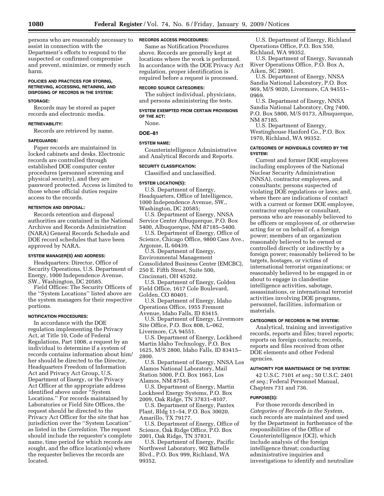persons who are reasonably necessary to assist in connection with the Department's efforts to respond to the suspected or confirmed compromise and prevent, minimize, or remedy such harm.

# **POLICIES AND PRACTICES FOR STORING, RETRIEVING, ACCESSING, RETAINING, AND DISPOSING OF RECORDS IN THE SYSTEM:**

### **STORAGE:**

Records may be stored as paper records and electronic media.

## **RETRIEVABILITY:**

Records are retrieved by name.

# **SAFEGUARDS:**

Paper records are maintained in locked cabinets and desks. Electronic records are controlled through established DOE computer center procedures (personnel screening and physical security), and they are password protected. Access is limited to those whose official duties require access to the records.

#### **RETENTION AND DISPOSAL:**

Records retention and disposal authorities are contained in the National Archives and Records Administration (NARA) General Records Schedule and DOE record schedules that have been approved by NARA.

### **SYSTEM MANAGER(S) AND ADDRESS:**

Headquarters: Director, Office of Security Operations, U.S. Department of Energy, 1000 Independence Avenue, SW., Washington, DC 20585.

Field Offices: The Security Officers of the ''System Locations'' listed above are the system managers for their respective portions.

## **NOTIFICATION PROCEDURES:**

In accordance with the DOE regulation implementing the Privacy Act, at Title 10, Code of Federal Regulations, Part 1008, a request by an individual to determine if a system of records contains information about him/ her should be directed to the Director, Headquarters Freedom of Information Act and Privacy Act Group, U.S. Department of Energy, or the Privacy Act Officer at the appropriate address identified above under ''System Locations.'' For records maintained by Laboratories or Field Site Offices, the request should be directed to the Privacy Act Officer for the site that has jurisdiction over the ''System Location'' as listed in the *Correlation*. The request should include the requester's complete name, time period for which records are sought, and the office location(s) where the requester believes the records are located.

## **RECORDS ACCESS PROCEDURES:**

Same as Notification Procedures above. Records are generally kept at locations where the work is performed. In accordance with the DOE Privacy Act regulation, proper identification is required before a request is processed.

### **RECORD SOURCE CATEGORIES:**

The subject individual, physicians, and persons administering the tests.

## **SYSTEM EXEMPTED FROM CERTAIN PROVISIONS OF THE ACT:**

None.

# **DOE–81**

## **SYSTEM NAME:**

Counterintelligence Administrative and Analytical Records and Reports.

### **SECURITY CLASSIFICATION:**

Classified and unclassified.

### **SYSTEM LOCATION(S):**

U.S. Department of Energy, Headquarters, Office of Intelligence, 1000 Independence Avenue, SW., Washington, DC 20585;

U.S. Department of Energy, NNSA Service Center Albuquerque, P.O. Box 5400, Albuquerque, NM 87185–5400.

U.S. Department of Energy, Office of Science, Chicago Office, 9800 Cass Ave., Argonne, IL 60439.

U.S. Department of Energy, Environmental Management Consolidated Business Center (EMCBC), 250 E. Fifth Street, Suite 500,

Cincinnati, OH 45202.

U.S. Department of Energy, Golden Field Office, 1617 Cole Boulevard, Golden, CO 80401.

U.S. Department of Energy, Idaho Operations Office, 1955 Fremont Avenue, Idaho Falls, ID 83415.

U.S. Department of Energy, Livermore Site Office, P.O. Box 808, L–062, Livermore, CA 94551.

U.S. Department of Energy, Lockheed Martin Idaho Technology, P.O. Box 1625, M/S 2800, Idaho Falls, ID 83415– 2800.

U.S. Department of Energy, NNSA Los Alamos National Laboratory, Mail Station 5000, P.O. Box 1663, Los Alamos, NM 87545.

U.S. Department of Energy, Martin Lockheed Energy Systems, P.O. Box 2009, Oak Ridge, TN 37831–8107.

U.S. Department of Energy, Pantex Plant, Bldg 11–54, P.O. Box 30020, Amarillo, TX 79177.

U.S. Department of Energy, Office of Science, Oak Ridge Office, P.O. Box 2001, Oak Ridge, TN 37831.

U.S. Department of Energy, Pacific Northwest Laboratory, 902 Battelle Blvd., P.O. Box 999, Richland, WA 99352.

U.S. Department of Energy, Richland Operations Office, P.O. Box 550, Richland, WA 99352.

U.S. Department of Energy, Savannah River Operations Office, P.O. Box A, Aiken, SC 29801.

U.S. Department of Energy, NNSA Sandia National Laboratory, P.O. Box 969, M/S 9020, Livermore, CA 94551– 0969.

U.S. Department of Energy, NNSA Sandia National Laboratory, Org 7400, P.O. Box 5800, M/S 0173, Albuquerque, NM 87185.

U.S. Department of Energy, Westinghouse Hanford Co., P.O. Box 1970, Richland, WA 99352.

## **CATEGORIES OF INDIVIDUALS COVERED BY THE SYSTEM:**

Current and former DOE employees including employees of the National Nuclear Security Administration (NNSA), contractor employees, and consultants; persons suspected of violating DOE regulations or laws; and, where there are indications of contact with a current or former DOE employee, contractor employee or consultant, persons who are reasonably believed to be officers or employees of, or otherwise acting for or on behalf of, a foreign power; members of an organization reasonably believed to be owned or controlled directly or indirectly by a foreign power; reasonably believed to be targets, hostages, or victims of international terrorist organizations; or reasonably believed to be engaged in or about to engage in clandestine intelligence activities, sabotage, assassinations, or international terrorist activities involving DOE programs, personnel, facilities, information or materials.

## **CATEGORIES OF RECORDS IN THE SYSTEM:**

Analytical, training and investigative records, reports and files; travel reports; reports on foreign contacts; records, reports and files received from other DOE elements and other Federal agencies.

### **AUTHORITY FOR MAINTENANCE OF THE SYSTEM:**

42 U.S.C. 7101 *et seq.*; 50 U.S.C. 2401 *et seq.*; Federal Personnel Manual, Chapters 731 and 736.

#### **PURPOSE(S):**

For those records described in *Categories of Records in the System*, such records are maintained and used by the Department in furtherance of the responsibilities of the Office of Counterintelligence (OCI), which include analysis of the foreign intelligence threat; conducting administrative inquiries and investigations to identify and neutralize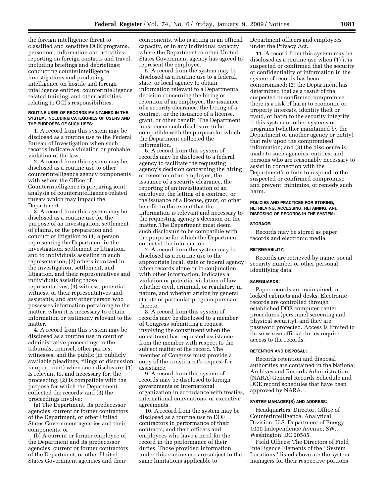the foreign intelligence threat to classified and sensitive DOE programs, personnel, information and activities; reporting on foreign contacts and travel, including briefings and debriefings; conducting counterintelligence investigations and producing intelligence on hostile and foreign intelligence entities; counterintelligence related training; and other activities relating to OCI's responsibilities.

### **ROUTINE USES OF RECORDS MAINTAINED IN THE SYSTEM, INCLUDING CATEGORIES OF USERS AND THE PURPOSES OF SUCH USES:**

1. A record from this system may be disclosed as a routine use to the Federal Bureau of Investigation when such records indicate a violation or probable violation of the law.

2. A record from this system may be disclosed as a routine use to other counterintelligence agency components with whom the Office of Counterintelligence is preparing joint analysis of counterintelligence-related threats which may impact the Department.

3. A record from this system may be disclosed as a routine use for the purpose of an investigation, settlement of claims, or the preparation and conduct of litigation to (1) a person representing the Department in the investigation, settlement or litigation, and to individuals assisting in such representation; (2) others involved in the investigation, settlement, and litigation, and their representatives and individuals assisting those representatives; (3) witness, potential witness, or their representatives and assistants, and any other person who possesses information pertaining to the matter, when it is necessary to obtain information or testimony relevant to the matter.

4. A record from this system may be disclosed as a routine use in court or administrative proceedings to the tribunals, counsel, other parties, witnesses, and the public (in publicly available pleadings, filings or discussion in open court) when such disclosure: (1) Is relevant to, and necessary for, the proceeding; (2) is compatible with the purpose for which the Department collected the records; and (3) the proceedings involve:

(a) The Department, its predecessor agencies, current or former contractors of the Department, or other United States Government agencies and their components, or

(b) A current or former employee of the Department and its predecessor agencies, current or former contractors of the Department, or other United States Government agencies and their

components, who is acting in an official capacity, or in any individual capacity where the Department or other United States Government agency has agreed to represent the employee.

5. A record from the system may be disclosed as a routine use to a federal, state, or local agency to obtain information relevant to a Departmental decision concerning the hiring or retention of an employee, the issuance of a security clearance, the letting of a contract, or the issuance of a license, grant, or other benefit. The Department must deem such disclosure to be compatible with the purpose for which the Department collected the information.

6. A record from this system of records may be disclosed to a federal agency to facilitate the requesting agency's decision concerning the hiring or retention of an employee, the issuance of a security clearance, the reporting of an investigation of an employee, the letting of a contract, or the issuance of a license, grant, or other benefit, to the extent that the information is relevant and necessary to the requesting agency's decision on the matter. The Department must deem such disclosure to be compatible with the purpose for which the Department collected the information.

7. A record from the system may be disclosed as a routine use to the appropriate local, state or federal agency when records alone or in conjunction with other information, indicates a violation or potential violation of law whether civil, criminal, or regulatory in nature, and whether arising by general statute or particular program pursuant thereto.

8. A record from this system of records may be disclosed to a member of Congress submitting a request involving the constituent when the constituent has requested assistance from the member with respect to the subject matter of the record. The member of Congress must provide a copy of the constituent's request for assistance.

9. A record from this system of records may be disclosed to foreign governments or international organization in accordance with treaties, international conventions, or executive agreements.

10. A record from the system may be disclosed as a routine use to DOE contractors in performance of their contracts, and their officers and employees who have a need for the record in the performance of their duties. Those provided information under this routine use are subject to the same limitations applicable to

Department officers and employees under the Privacy Act.

11. A record from this system may be disclosed as a routine use when (1) it is suspected or confirmed that the security or confidentiality of information in the system of records has been compromised; (2) the Department has determined that as a result of the suspected or confirmed compromise there is a risk of harm to economic or property interests, identity theft or fraud, or harm to the security integrity if this system or other systems or programs (whether maintained by the Department or another agency or entity) that rely upon the compromised information; and (3) the disclosure is made to such agencies, entities, and persons who are reasonably necessary to assist in connection with the Department's efforts to respond to the suspected or confirmed compromise and prevent, minimize, or remedy such harm.

### **POLICIES AND PRACTICES FOR STORING, RETRIEVING, ACCESSING, RETAINING, AND DISPOSING OF RECORDS IN THE SYSTEM:**

#### **STORAGE:**

Records may be stored as paper records and electronic media.

#### **RETRIEVABILITY:**

Records are retrieved by name, social security number or other personal identifying data.

### **SAFEGUARDS:**

Paper records are maintained in locked cabinets and desks. Electronic records are controlled through established DOE computer center procedures (personnel screening and physical security), and they are password protected. Access is limited to those whose official duties require access to the records.

#### **RETENTION AND DISPOSAL:**

Records retention and disposal authorities are contained in the National Archives and Records Administration (NARA) General Records Schedule and DOE record schedules that have been approved by NARA.

## **SYSTEM MANAGER(S) AND ADDRESS:**

Headquarters: Director, Office of Counterintelligence, Analytical Division, U.S. Department of Energy, 1000 Independence Avenue, SW., Washington, DC 20585.

Field Offices: The Directors of Field Intelligence Elements of the ''System Locations'' listed above are the system managers for their respective portions.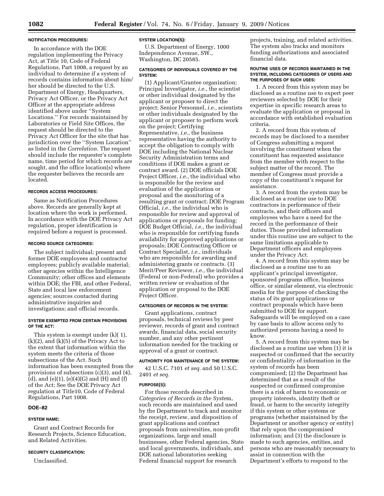### **NOTIFICATION PROCEDURES:**

In accordance with the DOE regulation implementing the Privacy Act, at Title 10, Code of Federal Regulations, Part 1008, a request by an individual to determine if a system of records contains information about him/ her should be directed to the U.S. Department of Energy, Headquarters, Privacy Act Officer, or the Privacy Act Officer at the appropriate address identified above under ''System Locations.'' For records maintained by Laboratories or Field Site Offices, the request should be directed to the Privacy Act Officer for the site that has jurisdiction over the ''System Location'' as listed in the *Correlation.* The request should include the requester's complete name, time period for which records are sought, and the office location(s) where the requester believes the records are located.

## **RECORDS ACCESS PROCEDURES:**

Same as Notification Procedures above. Records are generally kept at location where the work is performed. In accordance with the DOE Privacy Act regulation, proper identification is required before a request is processed.

### **RECORD SOURCE CATEGORIES:**

The subject individual; present and former DOE employees and contractor employees; publicly available material; other agencies within the Intelligence Community; other offices and elements within DOE; the FBI, and other Federal, State and local law enforcement agencies; sources contacted during administrative inquiries and investigations; and official records.

### **SYSTEM EXEMPTED FROM CERTAIN PROVISIONS OF THE ACT:**

This system is exempt under (k)( 1),  $(k)(2)$ , and  $(k)(5)$  of the Privacy Act to the extent that information within the system meets the criteria of those subsections of the Act. Such information has been exempted from the provisions of subsections (c)(3), and (4), (d), and (e)(1), (e)(4)(G) and (H) and (f) of the Act; See the DOE Privacy Act regulation at Title10, Code of Federal Regulations, Part 1008.

### **DOE–82**

## **SYSTEM NAME:**

Grant and Contract Records for Research Projects, Science Education, and Related Activities.

## **SECURITY CLASSIFICATION:**

Unclassified.

### **SYSTEM LOCATION(S):**

U.S. Department of Energy, 1000 Independence Avenue, SW., Washington, DC 20585.

### **CATEGORIES OF INDIVIDUALS COVERED BY THE SYSTEM:**

(1) Applicant/Grantee organization; Principal Investigator, *i.e.*, the scientist or other individual designated by the applicant or proposer to direct the project; Senior Personnel, *i.e.*, scientists or other individuals designated by the applicant or proposer to perform work on the project; Certifying Representative, *i.e.*, the business representative having the authority to accept the obligation to comply with DOE including the National Nuclear Security Administration terms and conditions if DOE makes a grant or contract award. (2) DOE officials DOE Project Officer, *i.e.*, the individual who is responsible for the review and evaluation of the application or proposal and the monitoring of a resulting grant or contract; DOE Program Official, *i.e.*, the individual who is responsible for review and approval of applications or proposals for funding; DOE Budget Official, *i.e.*, the individual who is responsible for certifying funds availability for approved applications or proposals; DOE Contracting Officer or Contract Specialist, *i.e.*, individuals who are responsible for awarding and administering grants or contracts. (3) Merit/Peer Reviewer, *i.e.*, the individual (Federal or non-Federal) who provides a written review or evaluation of the application or proposal to the DOE Project Officer.

### **CATEGORIES OF RECORDS IN THE SYSTEM:**

Grant applications, contract proposals, technical reviews by peer reviewer, records of grant and contract awards, financial data, social security number, and any other pertinent information needed for the tracking or approval of a grant or contract.

## **AUTHORITY FOR MAINTENANCE OF THE SYSTEM:**

42 U.S.C. 7101 *et seq.* and 50 U.S.C. 2401 *et seq.* 

# **PURPOSE(S):**

For those records described in *Categories of Records in the Syste*m, such records are maintained and used by the Department to track and monitor the receipt, review, and disposition of grant applications and contract proposals from universities, non-profit organizations, large and small businesses, other Federal agencies, State and local governments, individuals, and DOE national laboratories seeking Federal financial support for research

projects, training, and related activities. The system also tracks and monitors funding authorizations and associated financial data.

### **ROUTINE USES OF RECORDS MAINTAINED IN THE SYSTEM, INCLUDING CATEGORIES OF USERS AND THE PURPOSES OF SUCH USES:**

1. A record from this system may be disclosed as a routine use to expert peer reviewers selected by DOE for their expertise in specific research areas to evaluate the application or proposal in accordance with established evaluation criteria.

2. A record from this system of records may be disclosed to a member of Congress submitting a request involving the constituent when the constituent has requested assistance from the member with respect to the subject matter of the record. The member of Congress must provide a copy of the constituent's request for assistance.

3. A record from the system may be disclosed as a routine use to DOE contractors in performance of their contracts, and their officers and employees who have a need for the record in the performance of their duties. Those provided information under this routine use are subject to the same limitations applicable to Department officers and employees under the Privacy Act.

4. A record from this system may be disclosed as a routine use to an applicant's principal investigator, sponsored programs office, business office, or similar element, via electronic media for the purpose of checking the status of its grant applications or contract proposals which have been submitted to DOE for support. Safeguards will be employed on a case by case basis to allow access only to authorized persons having a need to know.

5. A record from this system may be disclosed as a routine use when (1) it is suspected or confirmed that the security or confidentiality of information in the system of records has been compromised; (2) the Department has determined that as a result of the suspected or confirmed compromise there is a risk of harm to economic or property interests, identity theft or fraud, or harm to the security integrity if this system or other systems or programs (whether maintained by the Department or another agency or entity) that rely upon the compromised information; and (3) the disclosure is made to such agencies, entities, and persons who are reasonably necessary to assist in connection with the Department's efforts to respond to the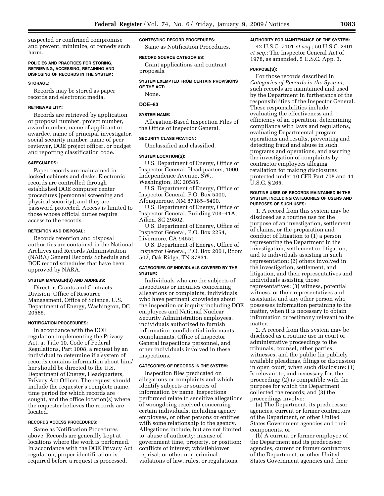suspected or confirmed compromise and prevent, minimize, or remedy such harm.

### **POLICIES AND PRACTICES FOR STORING, RETRIEVING, ACCESSING, RETAINING AND DISPOSING OF RECORDS IN THE SYSTEM:**

#### **STORAGE:**

Records may be stored as paper records and electronic media.

#### **RETRIEVABILITY:**

Records are retrieved by application or proposal number, project number, award number, name of applicant or awardee, name of principal investigator, social security number, name of peer reviewer, DOE project officer, or budget and reporting classification code.

#### **SAFEGUARDS:**

Paper records are maintained in locked cabinets and desks. Electronic records are controlled through established DOE computer center procedures (personnel screening and physical security), and they are password protected. Access is limited to those whose official duties require access to the records.

### **RETENTION AND DISPOSAL:**

Records retention and disposal authorities are contained in the National Archives and Records Administration (NARA) General Records Schedule and DOE record schedules that have been approved by NARA.

#### **SYSTEM MANAGER(S) AND ADDRESS:**

Director, Grants and Contracts Division, Office of Resource Management, Office of Science, U.S. Department of Energy, Washington, DC 20585.

#### **NOTIFICATION PROCEDURES:**

In accordance with the DOE regulation implementing the Privacy Act, at Title 10, Code of Federal Regulations, Part 1008, a request by an individual to determine if a system of records contains information about him/ her should be directed to the U.S. Department of Energy, Headquarters, Privacy Act Officer. The request should include the requester's complete name, time period for which records are sought, and the office location(s) where the requester believes the records are located.

## **RECORDS ACCESS PROCEDURES:**

Same as Notification Procedures above. Records are generally kept at locations where the work is performed. In accordance with the DOE Privacy Act regulation, proper identification is required before a request is processed.

#### **CONTESTING RECORD PROCEDURES:**

Same as Notification Procedures.

#### **RECORD SOURCE CATEGORIES:**

Grant applications and contract proposals.

#### **SYSTEM EXEMPTED FROM CERTAIN PROVISIONS OF THE ACT:**

None.

# **DOE–83**

## **SYSTEM NAME:**

Allegation-Based Inspection Files of the Office of Inspector General.

#### **SECURITY CLASSIFICATION:**

Unclassified and classified.

#### **SYSTEM LOCATION(S):**

U.S. Department of Energy, Office of Inspector General, Headquarters, 1000 Independence Avenue, SW., Washington, DC 20585.

U.S. Department of Energy, Office of Inspector General, P.O. Box 5400,

Albuquerque, NM 87185–5400. U.S. Department of Energy, Office of

Inspector General, Building 703–41A, Aiken, SC 29802.

U.S. Department of Energy, Office of Inspector General, P.O. Box 2254, Livermore, CA 94551.

U.S. Department of Energy, Office of Inspector General, P.O. Box 2001, Room 502, Oak Ridge, TN 37831.

## **CATEGORIES OF INDIVIDUALS COVERED BY THE SYSTEM:**

Individuals who are the subjects of inspections or inquiries concerning allegations or complaints, individuals who have pertinent knowledge about the inspection or inquiry including DOE employees and National Nuclear Security Administration employees, individuals authorized to furnish information, confidential informants, complainants, Office of Inspector General inspections personnel, and other individuals involved in these inspections.

#### **CATEGORIES OF RECORDS IN THE SYSTEM:**

Inspection files predicated on allegations or complaints and which identify subjects or sources of information by name. Inspections performed relate to sensitive allegations of wrongdoing received concerning certain individuals, including agency employees, or other persons or entities with some relationship to the agency. Allegations include, but are not limited to, abuse of authority; misuse of government time, property, or position; conflicts of interest; whistleblower reprisal; or other non-criminal violations of law, rules, or regulations.

### **AUTHORITY FOR MAINTENANCE OF THE SYSTEM:**

42 U.S.C. 7101 *et seq.*; 50 U.S.C. 2401 *et seq.*; The Inspector General Act of 1978, as amended, 5 U.S.C. App. 3.

#### **PURPOSE(S):**

For those records described in *Categories of Records in the System,*  such records are maintained and used by the Department in furtherance of the responsibilities of the Inspector General. These responsibilities include evaluating the effectiveness and efficiency of an operation, determining compliance with laws and regulations, evaluating Departmental program operations and results, preventing and detecting fraud and abuse in such programs and operations, and assuring the investigation of complaints by contractor employees alleging retaliation for making disclosures protected under 10 CFR Part 708 and 41 U.S.C. § 265.

## **ROUTINE USES OF RECORDS MAINTAINED IN THE SYSTEM, INCLUDING CATEGORIES OF USERS AND PURPOSES OF SUCH USES:**

1. A record from this system may be disclosed as a routine use for the purpose of an investigation, settlement of claims, or the preparation and conduct of litigation to (1) a person representing the Department in the investigation, settlement or litigation, and to individuals assisting in such representation; (2) others involved in the investigation, settlement, and litigation, and their representatives and individuals assisting those representatives; (3) witness, potential witness, or their representatives and assistants, and any other person who possesses information pertaining to the matter, when it is necessary to obtain information or testimony relevant to the matter.

2. A record from this system may be disclosed as a routine use in court or administrative proceedings to the tribunals, counsel, other parties, witnesses, and the public (in publicly available pleadings, filings or discussion in open court) when such disclosure: (1) Is relevant to, and necessary for, the proceeding; (2) is compatible with the purpose for which the Department collected the records; and (3) the proceedings involve:

(a) The Department, its predecessor agencies, current or former contractors of the Department, or other United States Government agencies and their components, or

(b) A current or former employee of the Department and its predecessor agencies, current or former contractors of the Department, or other United States Government agencies and their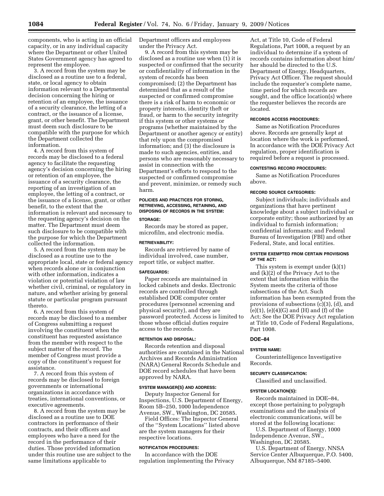components, who is acting in an official capacity, or in any individual capacity where the Department or other United States Government agency has agreed to represent the employee.

3. A record from the system may be disclosed as a routine use to a federal, state, or local agency to obtain information relevant to a Departmental decision concerning the hiring or retention of an employee, the issuance of a security clearance, the letting of a contract, or the issuance of a license, grant, or other benefit. The Department must deem such disclosure to be compatible with the purpose for which the Department collected the information.

4. A record from this system of records may be disclosed to a federal agency to facilitate the requesting agency's decision concerning the hiring or retention of an employee, the issuance of a security clearance, the reporting of an investigation of an employee, the letting of a contract, or the issuance of a license, grant, or other benefit, to the extent that the information is relevant and necessary to the requesting agency's decision on the matter. The Department must deem such disclosure to be compatible with the purpose for which the Department collected the information.

5. A record from the system may be disclosed as a routine use to the appropriate local, state or federal agency when records alone or in conjunction with other information, indicates a violation or potential violation of law whether civil, criminal, or regulatory in nature, and whether arising by general statute or particular program pursuant thereto.

6. A record from this system of records may be disclosed to a member of Congress submitting a request involving the constituent when the constituent has requested assistance from the member with respect to the subject matter of the record. The member of Congress must provide a copy of the constituent's request for assistance.

7. A record from this system of records may be disclosed to foreign governments or international organizations in accordance with treaties, international conventions, or executive agreements.

8. A record from the system may be disclosed as a routine use to DOE contractors in performance of their contracts, and their officers and employees who have a need for the record in the performance of their duties. Those provided information under this routine use are subject to the same limitations applicable to

Department officers and employees under the Privacy Act.

9. A record from this system may be disclosed as a routine use when (1) it is suspected or confirmed that the security or confidentiality of information in the system of records has been compromised; (2) the Department has determined that as a result of the suspected or confirmed compromise there is a risk of harm to economic or property interests, identity theft or fraud, or harm to the security integrity if this system or other systems or programs (whether maintained by the Department or another agency or entity) that rely upon the compromised information; and (3) the disclosure is made to such agencies, entities, and persons who are reasonably necessary to assist in connection with the Department's efforts to respond to the suspected or confirmed compromise and prevent, minimize, or remedy such harm.

# **POLICIES AND PRACTICES FOR STORING, RETRIEVING, ACCESSING, RETAINING, AND DISPOSING OF RECORDS IN THE SYSTEM: STORAGE:**

Records may be stored as paper, microfilm, and electronic media.

#### **RETRIEVABILITY:**

Records are retrieved by name of individual involved, case number, report title, or subject matter.

## **SAFEGUARDS:**

Paper records are maintained in locked cabinets and desks. Electronic records are controlled through established DOE computer center procedures (personnel screening and physical security), and they are password protected. Access is limited to those whose official duties require access to the records.

#### **RETENTION AND DISPOSAL:**

Records retention and disposal authorities are contained in the National Archives and Records Administration (NARA) General Records Schedule and DOE record schedules that have been approved by NARA.

# **SYSTEM MANAGER(S) AND ADDRESS:**

Deputy Inspector General for Inspections, U.S. Department of Energy, Room 5B–250, 1000 Independence Avenue, SW., Washington, DC 20585.

Field Offices: The Inspector General of the ''System Locations'' listed above are the system managers for their respective locations.

### **NOTIFICATION PROCEDURES:**

In accordance with the DOE regulation implementing the Privacy

Act, at Title 10, Code of Federal Regulations, Part 1008, a request by an individual to determine if a system of records contains information about him/ her should be directed to the U.S. Department of Energy, Headquarters, Privacy Act Officer. The request should include the requester's complete name, time period for which records are sought, and the office location(s) where the requester believes the records are located.

## **RECORDS ACCESS PROCEDURES:**

Same as Notification Procedures above. Records are generally kept at location where the work is performed. In accordance with the DOE Privacy Act regulation, proper identification is required before a request is processed.

### **CONTESTING RECORD PROCEDURES:**

Same as Notification Procedures above.

## **RECORD SOURCE CATEGORIES:**

Subject individuals; individuals and organizations that have pertinent knowledge about a subject individual or corporate entity; those authorized by an individual to furnish information; confidential informants; and Federal Bureau of Investigation (FBI) and other Federal, State, and local entities.

## **SYSTEM EXEMPTED FROM CERTAIN PROVISIONS OF THE ACT:**

This system is exempt under (k)(1) and (k)(2) of the Privacy Act to the extent that information within the System meets the criteria of those subsections of the Act. Such information has been exempted from the provisions of subsections (c)(3), (d), and  $(e)(1)$ ,  $(e)(4)(G)$  and  $(H)$  and  $(f)$  of the Act; See the DOE Privacy Act regulation at Title 10, Code of Federal Regulations, Part 1008.

# **DOE–84**

## **SYSTEM NAME:**

Counterintelligence Investigative Records.

## **SECURITY CLASSIFICATION:**

Classified and unclassified.

#### **SYSTEM LOCATION(S):**

Records maintained in DOE–84, except those pertaining to polygraph examinations and the analysis of electronic communications, will be stored at the following locations:

U.S. Department of Energy, 1000 Independence Avenue, SW., Washington, DC 20585.

U.S. Department of Energy, NNSA Service Center Albuquerque, P.O. 5400, Albuquerque, NM 87185–5400.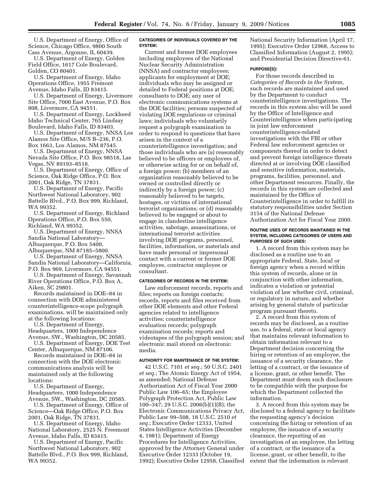U.S. Department of Energy, Office of Science, Chicago Office, 9800 South Cass Avenue, Argonne, IL 60439.

U.S. Department of Energy, Golden Field Office, 1617 Cole Boulevard, Golden, CO 80401.

U.S. Department of Energy, Idaho Operations Office, 1955 Fremont Avenue, Idaho Falls, ID 83415.

U.S. Department of Energy, Livermore Site Office, 7000 East Avenue, P.O. Box 808, Livermore, CA 94551.

U.S. Department of Energy, Lockheed Idaho Technical Center, 765 Lindsay Boulevard, Idaho Falls, ID 83403.

U.S. Department of Energy, NNSA Los Alamos Site Office, M/S B–236, P.O. Box 1663, Los Alamos, NM 87545.

U.S. Department of Energy, NNSA Nevada Site Office, P.O. Box 98518, Las Vegas, NV 89193–8518.

U.S. Department of Energy, Office of Science, Oak Ridge Office, P.O. Box 2001, Oak Ridge, TN 37831.

U.S. Department of Energy, Pacific Northwest National Laboratory, 902 Battelle Blvd., P.O. Box 999, Richland, WA 99352.

U.S. Department of Energy, Richland Operations Office, P.O. Box 550, Richland, WA 99352.

U.S. Department of Energy, NNSA Sandia National Laboratory— Albuquerque, P.O. Box 5400, Albuquerque, NM 87185–5800.

U.S. Department of Energy, NNSA Sandia National Laboratory—California, P.O. Box 969, Livermore, CA 94551.

U.S. Department of Energy, Savannah River Operations Office, P.O. Box A, Aiken, SC 29801.

Records maintained in DOE–84 in connection with DOE administered counterintelligence-scope polygraph examinations, will be maintained only at the following locations:

U.S. Department of Energy, Headquarters, 1000 Independence Avenue, SW., Washington, DC 20585.

U.S. Department of Energy, DOE Test Center, Albuquerque, NM 87106.

Records maintained in DOE–84 in connection with the DOE electronic communications analysis will be maintained only at the following locations:

U.S. Department of Energy, Headquarters, 1000 Independence Avenue, SW., Washington, DC 20585.

U.S. Department of Energy, Office of Science—Oak Ridge Office, P.O. Box 2001, Oak Ridge, TN 37831.

U.S. Department of Energy, Idaho National Laboratory, 2525 N. Freemont Avenue, Idaho Falls, ID 83415.

U.S. Department of Energy, Pacific Northwest National Laboratory, 902 Battelle Blvd., P.O. Box 999, Richland, WA 99352.

### **CATEGORIES OF INDIVIDUALS COVERED BY THE SYSTEM:**

Current and former DOE employees including employees of the National Nuclear Security Administration (NNSA) and contractor employees; applicants for employment at DOE; individuals who may be assigned or detailed to Federal positions at DOE; consultants to DOE; any user of electronic communications systems at the DOE facilities; persons suspected of violating DOE regulations or criminal laws; individuals who voluntarily request a polygraph examination in order to respond to questions that have arisen in the context of a counterintelligence investigation; and those individuals who are (a) reasonably believed to be officers or employees of, or otherwise acting for or on behalf of, a foreign power; (b) members of an organization reasonably believed to be owned or controlled directly or indirectly by a foreign power; (c) reasonably believed to be targets, hostages, or victims of international terrorist organizations; or (d) reasonably believed to be engaged or about to engage in clandestine intelligence activities, sabotage, assassinations, or international terrorist activities involving DOE programs, personnel, facilities, information, or materials and have made personal or impersonal contact with a current or former DOE employee, contractor employee or consultant.

#### **CATEGORIES OF RECORDS IN THE SYSTEM:**

Law enforcement records, reports and files; reports on foreign contacts; records, reports and files received from other DOE elements and other Federal agencies related to intelligence activities; counterintelligence evaluation records; polygraph examination records; reports and videotapes of the polygraph session; and electronic mail stored on electronic media.

#### **AUTHORITY FOR MAINTENANCE OF THE SYSTEM:**

42 U.S.C. 7101 *et seq.*; 50 U.S.C. 2401 *et seq.*; The Atomic Energy Act of 1954, as amended; National Defense Authorization Act of Fiscal Year 2000 Public Law 106–65; the Employee Polygraph Protection Act, Public Law 100–347; 29 U.S.C. 2006(b)(1)(B); the Electronic Communications Privacy Act, Public Law 99–508, 18 U.S.C. 2510 *et seq.*; Executive Order 12333, United States Intelligence Activities (December 4, 1981); Department of Energy Procedures for Intelligence Activities, approved by the Attorney General under Executive Order 12333 (October 19, 1992); Executive Order 12958, Classified

National Security Information (April 17, 1995); Executive Order 12968, Access to Classified Information (August 2, 1995); and Presidential Decision Directive-61.

#### **PURPOSE(S):**

For those records described in *Categories of Records in the System,*  such records are maintained and used by the Department to conduct counterintelligence investigations. The records in this system also will be used by the Office of Intelligence and Counterintelligence when participating in joint law enforcement counterintelligence-related investigations with the FBI or other Federal law enforcement agencies or components thereof in order to detect and prevent foreign intelligence threats directed at or involving DOE classified and sensitive information, materials, programs, facilities, personnel, and other Department resources. Finally, the records in this system are collected and maintained by the Office of Counterintelligence in order to fulfill its statutory responsibilities under Section 3154 of the National Defense Authorization Act for Fiscal Year 2000.

### **ROUTINE USES OF RECORDS MAINTAINED IN THE SYSTEM, INCLUDING CATEGORIES OF USERS AND PURPOSES OF SUCH USES:**

1. A record from this system may be disclosed as a routine use to an appropriate Federal, State, local or foreign agency when a record within this system of records, alone or in conjunction with other information, indicates a violation or potential violation of law whether civil, criminal, or regulatory in nature, and whether arising by general statute of particular program pursuant thereto.

2. A record from this system of records may be disclosed, as a routine use, to a federal, state or local agency that maintains relevant information to obtain information relevant to a Department decision concerning the hiring or retention of an employee, the issuance of a security clearance, the letting of a contract, or the issuance of a license, grant, or other benefit. The Department must deem such disclosure to be compatible with the purpose for which the Department collected the information.

3. A record from this system may be disclosed to a federal agency to facilitate the requesting agency's decision concerning the hiring or retention of an employee, the issuance of a security clearance, the reporting of an investigation of an employee, the letting of a contract, or the issuance of a license, grant, or other benefit, to the extent that the information is relevant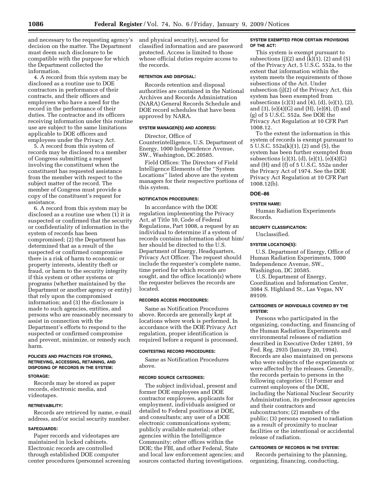and necessary to the requesting agency's decision on the matter. The Department must deem such disclosure to be compatible with the purpose for which the Department collected the information.

4. A record from this system may be disclosed as a routine use to DOE contractors in performance of their contracts, and their officers and employees who have a need for the record in the performance of their duties. The contractor and its officers receiving information under this routine use are subject to the same limitations applicable to DOE officers and employees under the Privacy Act.

5. A record from this system of records may be disclosed to a member of Congress submitting a request involving the constituent when the constituent has requested assistance from the member with respect to the subject matter of the record. The member of Congress must provide a copy of the constituent's request for assistance.

6. A record from this system may be disclosed as a routine use when (1) it is suspected or confirmed that the security or confidentiality of information in the system of records has been compromised; (2) the Department has determined that as a result of the suspected or confirmed compromise there is a risk of harm to economic or property interests, identity theft or fraud, or harm to the security integrity if this system or other systems or programs (whether maintained by the Department or another agency or entity) that rely upon the compromised information; and (3) the disclosure is made to such agencies, entities, and persons who are reasonably necessary to assist in connection with the Department's efforts to respond to the suspected or confirmed compromise and prevent, minimize, or remedy such harm.

# **POLICIES AND PRACTICES FOR STORING, RETRIEVING, ACCESSING, RETAINING, AND DISPOSING OF RECORDS IN THE SYSTEM:**

## **STORAGE:**

Records may be stored as paper records, electronic media, and videotapes.

## **RETRIEVABILITY:**

Records are retrieved by name, e-mail address, and/or social security number.

### **SAFEGUARDS:**

Paper records and videotapes are maintained in locked cabinets. Electronic records are controlled through established DOE computer center procedures (personnel screening and physical security), secured for classified information and are password protected. Access is limited to those whose official duties require access to the records.

## **RETENTION AND DISPOSAL:**

Records retention and disposal authorities are contained in the National Archives and Records Administration (NARA) General Records Schedule and DOE record schedules that have been approved by NARA.

### **SYSTEM MANAGER(S) AND ADDRESS:**

Director, Office of Counterintelligence, U.S. Department of Energy, 1000 Independence Avenue, SW., Washington, DC 20585.

Field Offices: The Directors of Field Intelligence Elements of the ''System Locations'' listed above are the system managers for their respective portions of this system.

### **NOTIFICATION PROCEDURES:**

In accordance with the DOE regulation implementing the Privacy Act, at Title 10, Code of Federal Regulations, Part 1008, a request by an individual to determine if a system of records contains information about him/ her should be directed to the U.S. Department of Energy, Headquarters, Privacy Act Officer. The request should include the requester's complete name, time period for which records are sought, and the office location(s) where the requester believes the records are located.

# **RECORDS ACCESS PROCEDURES:**

Same as Notification Procedures above. Records are generally kept at locations where work is performed. In accordance with the DOE Privacy Act regulation, proper identification is required before a request is processed.

#### **CONTESTING RECORD PROCEDURES:**

Same as Notification Procedures above.

#### **RECORD SOURCE CATEGORIES:**

The subject individual, present and former DOE employees and DOE contractor employees, applicants for employment, individuals assigned or detailed to Federal positions at DOE, and consultants; any user of a DOE electronic communications system; publicly available material; other agencies within the Intelligence Community; other offices within the DOE; the FBI, and other Federal, State and local law enforcement agencies; and sources contacted during investigations.

### **SYSTEM EXEMPTED FROM CERTAIN PROVISIONS OF THE ACT:**

This system is exempt pursuant to subsections  $(j)(2)$  and  $(k)(1)$ ,  $(2)$  and  $(5)$ of the Privacy Act, 5 U.S.C. 552a, to the extent that information within the system meets the requirements of those subsections of the Act. Under subsection (j)(2) of the Privacy Act, this system has been exempted from subsections (c)(3) and (4), (d), (e)(1), (2), and (3), (e)(4)(G) and (H), (e)(8), (f) and (g) of 5 U.S.C. 552a. See DOE the Privacy Act Regulation at 10 CFR Part 1008.12.

To the extent the information in this system of records is exempt pursuant to 5 U.S.C. 552a(k)(1), (2) and (5), the system has been further exempted from subsections (c)(3), (d), (e)(1), (e)(4)(G) and (H) and (f) of 5 U.S.C. 552a under the Privacy Act of 1974. See the DOE Privacy Act Regulation at 10 CFR Part 1008.12(b).

# **DOE–86**

# **SYSTEM NAME:**

Human Radiation Experiments Records.

# **SECURITY CLASSIFICATION:**

Unclassified.

# **SYSTEM LOCATION(S):**

U.S. Department of Energy, Office of Human Radiation Experiments, 1000 Independence Avenue, SW., Washington, DC 20585.

U.S. Department of Energy, Coordination and Information Center, 3084 S. Highland St., Las Vegas, NV 89109.

## **CATEGORIES OF INDIVIDUALS COVERED BY THE SYSTEM:**

Persons who participated in the organizing, conducting, and financing of the Human Radiation Experiments and environmental releases of radiation described in Executive Order 12891, 59 Fed. Reg. 2935 (January 20, 1994). Records are also maintained on persons who were subjects of the experiments or were affected by the releases. Generally, the records pertain to persons in the following categories: (1) Former and current employees of the DOE, including the National Nuclear Security Administration, its predecessor agencies and their contractors and subcontractors; (2) members of the public; (3) persons exposed to radiation as a result of proximity to nuclear facilities or the intentional or accidental release of radiation.

#### **CATEGORIES OF RECORDS IN THE SYSTEM:**

Records pertaining to the planning, organizing, financing, conducting,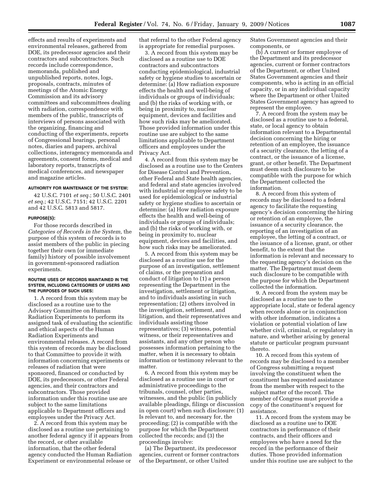effects and results of experiments and environmental releases, gathered from DOE, its predecessor agencies and their contractors and subcontractors. Such records include correspondence, memoranda, published and unpublished reports, notes, logs, proposals, contracts, minutes of meetings of the Atomic Energy Commission and its advisory committees and subcommittees dealing with radiation, correspondence with members of the public, transcripts of interviews of persons associated with the organizing, financing and conducting of the experiments, reports of Congressional hearings, personal notes, diaries and papers, archival collections, interagency memoranda and agreements, consent forms, medical and laboratory reports, transcripts of medical conferences, and newspaper and magazine articles.

## **AUTHORITY FOR MAINTENANCE OF THE SYSTEM:**

42 U.S.C. 7101 *et seq.*; 50 U.S.C. 2401 *et seq.*; 42 U.S.C. 7151; 42 U.S.C. 2201 and 42 U.S.C. 5813 and 5817.

#### **PURPOSE(S):**

For those records described in *Categories of Records in the System,* the purpose of this system of records is to assist members of the public in piecing together their own (or immediate family) history of possible involvement in government-sponsored radiation experiments.

### **ROUTINE USES OF RECORDS MAINTAINED IN THE SYSTEM, INCLUDING CATEGORIES OF USERS AND THE PURPOSES OF SUCH USES:**

1. A record from this system may be disclosed as a routine use to the Advisory Committee on Human Radiation Experiments to perform its assigned task of evaluating the scientific and ethical aspects of the Human Radiation Experiments and environmental releases. A record from this system of records may be disclosed to that Committee to provide it with information concerning experiments or releases of radiation that were sponsored, financed or conducted by DOE, its predecessors, or other Federal agencies, and their contractors and subcontractors. Those provided information under this routine use are subject to the same limitations applicable to Department officers and employees under the Privacy Act.

2. A record from this system may be disclosed as a routine use pertaining to another federal agency if it appears from the record, or other available information, that the other federal agency conducted the Human Radiation Experiment or environmental release or

that referral to the other Federal agency is appropriate for remedial purposes.

3. A record from this system may be disclosed as a routine use to DOE contractors and subcontractors conducting epidemiological, industrial safety or hygiene studies to ascertain or determine: (a) How radiation exposure effects the health and well-being of individuals or groups of individuals; and (b) the risks of working with, or being in proximity to, nuclear equipment, devices and facilities and how such risks may be ameliorated. Those provided information under this routine use are subject to the same limitations applicable to Department officers and employees under the Privacy Act.

4. A record from this system may be disclosed as a routine use to the Centers for Disease Control and Prevention, other Federal and State health agencies, and federal and state agencies involved with industrial or employee safety to be used for epidemiological or industrial safety or hygiene studies to ascertain or determine: (a) How radiation exposure effects the health and well-being of individuals or groups of individuals; and (b) the risks of working with, or being in proximity to, nuclear equipment, devices and facilities, and how such risks may be ameliorated.

5. A record from this system may be disclosed as a routine use for the purpose of an investigation, settlement of claims, or the preparation and conduct of litigation to (1) a person representing the Department in the investigation, settlement or litigation, and to individuals assisting in such representation; (2) others involved in the investigation, settlement, and litigation, and their representatives and individuals assisting those representatives; (3) witness, potential witness, or their representatives and assistants, and any other person who possesses information pertaining to the matter, when it is necessary to obtain information or testimony relevant to the matter.

6. A record from this system may be disclosed as a routine use in court or administrative proceedings to the tribunals, counsel, other parties, witnesses, and the public (in publicly available pleadings, filings or discussion in open court) when such disclosure: (1) Is relevant to, and necessary for, the proceeding; (2) is compatible with the purpose for which the Department collected the records; and (3) the proceedings involve:

(a) The Department, its predecessor agencies, current or former contractors of the Department, or other United

States Government agencies and their components, or

(b) A current or former employee of the Department and its predecessor agencies, current or former contractors of the Department, or other United States Government agencies and their components, who is acting in an official capacity, or in any individual capacity where the Department or other United States Government agency has agreed to represent the employee.

7. A record from the system may be disclosed as a routine use to a federal, state, or local agency to obtain information relevant to a Departmental decision concerning the hiring or retention of an employee, the issuance of a security clearance, the letting of a contract, or the issuance of a license, grant, or other benefit. The Department must deem such disclosure to be compatible with the purpose for which the Department collected the information.

8. A record from this system of records may be disclosed to a federal agency to facilitate the requesting agency's decision concerning the hiring or retention of an employee, the issuance of a security clearance, the reporting of an investigation of an employee, the letting of a contract, or the issuance of a license, grant, or other benefit, to the extent that the information is relevant and necessary to the requesting agency's decision on the matter. The Department must deem such disclosure to be compatible with the purpose for which the Department collected the information.

9. A record from the system may be disclosed as a routine use to the appropriate local, state or federal agency when records alone or in conjunction with other information, indicates a violation or potential violation of law whether civil, criminal, or regulatory in nature, and whether arising by general statute or particular program pursuant thereto.

10. A record from this system of records may be disclosed to a member of Congress submitting a request involving the constituent when the constituent has requested assistance from the member with respect to the subject matter of the record. The member of Congress must provide a copy of the constituent's request for assistance.

11. A record from the system may be disclosed as a routine use to DOE contractors in performance of their contracts, and their officers and employees who have a need for the record in the performance of their duties. Those provided information under this routine use are subject to the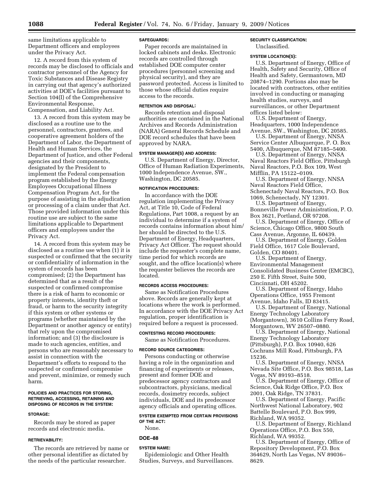same limitations applicable to Department officers and employees under the Privacy Act.

12. A record from this system of records may be disclosed to officials and contractor personnel of the Agency for Toxic Substances and Disease Registry in carrying out that agency's authorized activities at DOE's facilities pursuant to Section 104(I) of the Comprehensive Environmental Response, Compensation, and Liability Act.

13. A record from this system may be disclosed as a routine use to the personnel, contractors, grantees, and cooperative agreement holders of the Department of Labor, the Department of Health and Human Services, the Department of Justice, and other Federal agencies and their components, designated by the President to implement the Federal compensation program established by the Energy Employees Occupational Illness Compensation Program Act, for the purpose of assisting in the adjudication or processing of a claim under that Act. Those provided information under this routine use are subject to the same limitations applicable to Department officers and employees under the Privacy Act.

14. A record from this system may be disclosed as a routine use when (1) it is suspected or confirmed that the security or confidentiality of information in the system of records has been compromised; (2) the Department has determined that as a result of the suspected or confirmed compromise there is a risk of harm to economic or property interests, identity theft or fraud, or harm to the security integrity if this system or other systems or programs (whether maintained by the Department or another agency or entity) that rely upon the compromised information; and (3) the disclosure is made to such agencies, entities, and persons who are reasonably necessary to assist in connection with the Department's efforts to respond to the suspected or confirmed compromise and prevent, minimize, or remedy such harm.

#### **POLICIES AND PRACTICES FOR STORING, RETRIEVING, ACCESSING, RETAINING AND DISPOSING OF RECORDS IN THE SYSTEM:**

## **STORAGE:**

Records may be stored as paper records and electronic media.

## **RETRIEVABILITY:**

The records are retrieved by name or other personal identifier as dictated by the needs of the particular researcher.

### **SAFEGUARDS:**

Paper records are maintained in locked cabinets and desks. Electronic records are controlled through established DOE computer center procedures (personnel screening and physical security), and they are password protected. Access is limited to those whose official duties require access to the records.

## **RETENTION AND DISPOSAL:**

Records retention and disposal authorities are contained in the National Archives and Records Administration (NARA) General Records Schedule and DOE record schedules that have been approved by NARA.

#### **SYSTEM MANAGER(S) AND ADDRESS:**

U.S. Department of Energy, Director, Office of Human Radiation Experiments, 1000 Independence Avenue, SW., Washington, DC 20585.

## **NOTIFICATION PROCEDURES:**

In accordance with the DOE regulation implementing the Privacy Act, at Title 10, Code of Federal Regulations, Part 1008, a request by an individual to determine if a system of records contains information about him/ her should be directed to the U.S. Department of Energy, Headquarters, Privacy Act Officer. The request should include the requester's complete name, time period for which records are sought, and the office location(s) where the requester believes the records are located.

## **RECORDS ACCESS PROCEDURES:**

Same as Notification Procedures above. Records are generally kept at locations where the work is performed. In accordance with the DOE Privacy Act regulation, proper identification is required before a request is processed.

### **CONTESTING RECORD PROCEDURES:**

Same as Notification Procedures.

### **RECORD SOURCE CATEGORIES:**

Persons conducting or otherwise having a role in the organization and financing of experiments or releases, present and former DOE and predecessor agency contractors and subcontractors, physicians, medical records, dosimetry records, subject individuals, DOE and its predecessor agency officials and operating offices.

### **SYSTEM EXEMPTED FROM CERTAIN PROVISIONS OF THE ACT:**

None.

#### **DOE–88**

## **SYSTEM NAME:**

Epidemiologic and Other Health Studies, Surveys, and Surveillances.

# **SECURITY CLASSIFICATION:**

Unclassified.

# **SYSTEM LOCATION(S):**

U.S. Department of Energy, Office of Health, Safety and Security, Office of Health and Safety, Germantown, MD 20874–1290. Portions also may be located with contractors, other entities involved in conducting or managing health studies, surveys, and surveillances, or other Department offices listed below:

U.S. Department of Energy, Headquarters, 1000 Independence Avenue, SW., Washington, DC 20585.

U.S. Department of Energy, NNSA Service Center Albuquerque, P. O. Box

5400, Albuquerque, NM 87185–5400. U.S. Department of Energy, NNSA Naval Reactors Field Office, Pittsburgh Naval Reactors, P.O. Box 109, West Mifflin, PA 15122–0109.

U.S. Department of Energy, NNSA Naval Reactors Field Office, Schenectady Naval Reactors, P.O. Box 1069, Schenectady, NY 12301.

U.S. Department of Energy, Bonneville Power Administration, P. O. Box 3621, Portland, OR 97208.

U.S. Department of Energy, Office of Science, Chicago Office, 9800 South Cass Avenue, Argonne, IL 60439.

U.S. Department of Energy, Golden Field Office, 1617 Cole Boulevard, Golden, CO 80401.

U.S. Department of Energy, Environmental Management Consolidated Business Center (EMCBC), 250 E. Fifth Street, Suite 500, Cincinnati, OH 45202.

U.S. Department of Energy, Idaho Operations Office, 1955 Fremont Avenue, Idaho Falls, ID 83415.

U.S. Department of Energy, National Energy Technology Laboratory (Morgantown), 3610 Collins Ferry Road, Morgantown, WV 26507–0880.

U.S. Department of Energy, National Energy Technology Laboratory (Pittsburgh), P.O. Box 10940, 626 Cochrans Mill Road, Pittsburgh, PA 15236.

U.S. Department of Energy, NNSA Nevada Site Office, P.O. Box 98518, Las Vegas, NV 89193–8518.

U.S. Department of Energy, Office of Science, Oak Ridge Office, P.O. Box 2001, Oak Ridge, TN 37831.

U.S. Department of Energy, Pacific Northwest National Laboratory, 902 Battelle Boulevard, P.O. Box 999, Richland, WA 99352.

U.S. Department of Energy, Richland Operations Office, P.O. Box 550, Richland, WA 99352.

U.S. Department of Energy, Office of Repository Development, P.O. Box 364629, North Las Vegas, NV 89036– 8629.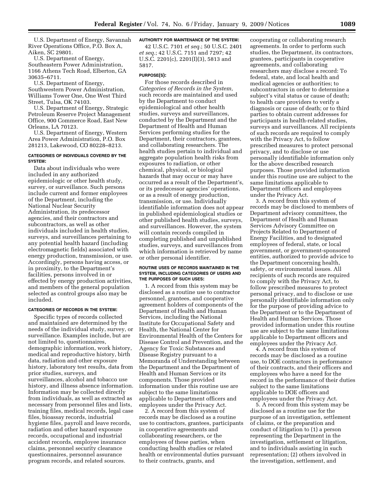U.S. Department of Energy, Savannah River Operations Office, P.O. Box A, Aiken, SC 29801.

U.S. Department of Energy, Southeastern Power Administration, 1166 Athens Tech Road, Elberton, GA 30635–6711.

U.S. Department of Energy, Southwestern Power Administration, Williams Tower One, One West Third Street, Tulsa, OK 74103.

U.S. Department of Energy, Strategic Petroleum Reserve Project Management Office, 900 Commerce Road, East New Orleans, LA 70123.

U.S. Department of Energy, Western Area Power Administration, P.O. Box 281213, Lakewood, CO 80228–8213.

### **CATEGORIES OF INDIVIDUALS COVERED BY THE SYSTEM:**

Data about individuals who were included in any authorized epidemiologic or other health study, survey, or surveillance. Such persons include current and former employees of the Department, including the National Nuclear Security Administration, its predecessor agencies, and their contractors and subcontractors, as well as other individuals included in health studies, surveys, and surveillances pertaining to any potential health hazard (including electromagnetic fields) associated with energy production, transmission, or use. Accordingly, persons having access, or in proximity, to the Department's facilities, persons involved in or effected by energy production activities, and members of the general population selected as control groups also may be included.

### **CATEGORIES OF RECORDS IN THE SYSTEM:**

Specific types of records collected and maintained are determined by the needs of the individual study, survey, or surveillance. Examples include, but are not limited to, questionnaires, demographic information, work history, medical and reproductive history, birth data, radiation and other exposure history, laboratory test results, data from prior studies, surveys, and surveillances, alcohol and tobacco use history, and illness absence information. Information may be collected directly from individuals, as well as extracted as necessary from personnel files and lists, training files, medical records, legal case files, bioassay records, industrial hygiene files, payroll and leave records, radiation and other hazard exposure records, occupational and industrial accident records, employee insurance claims, personnel security clearance questionnaires, personnel assurance program records, and related sources.

## **AUTHORITY FOR MAINTENANCE OF THE SYSTEM:**

42 U.S.C. 7101 *et seq.*; 50 U.S.C. 2401 *et seq.*; 42 U.S.C. 7151 and 7297; 42 U.S.C. 2201(c), 2201(I)(3), 5813 and 5817.

### **PURPOSE(S):**

For those records described in *Categories of Records in the System,*  such records are maintained and used by the Department to conduct epidemiological and other health studies, surveys and surveillances, conducted by the Department and the Department of Health and Human Services performing studies for the Department, their contractors, grantees, and collaborating researchers. The health studies pertain to individual and aggregate population health risks from exposures to radiation, or other chemical, physical, or biological hazards that may occur or may have occurred as a result of the Department's, or its predecessor agencies' operations, or as a result of energy production, transmission, or use. Individually identifiable information does not appear in published epidemiological studies or other published health studies, surveys, and surveillances. However, the system will contain records compiled in completing published and unpublished studies, surveys, and surveillances from which information is retrieved by name or other personal identifier.

#### **ROUTINE USES OF RECORDS MAINTAINED IN THE SYSTEM, INCLUDING CATEGORIES OF USERS AND THE PURPOSES OF SUCH USES:**

1. A record from this system may be disclosed as a routine use to contractor personnel, grantees, and cooperative agreement holders of components of the Department of Health and Human Services, including the National Institute for Occupational Safety and Health, the National Center for Environmental Health of the Centers for Disease Control and Prevention, and the Agency for Toxic Substances and Disease Registry pursuant to a Memoranda of Understanding between the Department and the Department of Health and Human Services or its components. Those provided information under this routine use are subject to the same limitations applicable to Department officers and employees under the Privacy Act.

2. A record from this system of records may be disclosed as a routine use to contractors, grantees, participants in cooperative agreements and collaborating researchers, or the employees of these parties, when conducting health studies or related health or environmental duties pursuant to their contracts, grants, and

cooperating or collaborating research agreements. In order to perform such studies, the Department, its contractors, grantees, participants in cooperative agreements, and collaborating researchers may disclose a record: To federal, state, and local health and medical agencies or authorities; to subcontractors in order to determine a subject's vital status or cause of death; to health care providers to verify a diagnosis or cause of death; or to third parties to obtain current addresses for participants in health-related studies, surveys and surveillances. All recipients of such records are required to comply with the Privacy Act, to follow prescribed measures to protect personal privacy, and to disclose or use personally identifiable information only for the above described research purposes. Those provided information under this routine use are subject to the same limitations applicable to Department officers and employees under the Privacy Act.

3. A record from this system of records may be disclosed to members of Department advisory committees, the Department of Health and Human Services Advisory Committee on Projects Related to Department of Energy Facilities, and to designated employees of federal, state, or local government, or government-sponsored entities, authorized to provide advice to the Department concerning health, safety, or environmental issues. All recipients of such records are required to comply with the Privacy Act, to follow prescribed measures to protect personal privacy, and to disclose or use personally identifiable information only for the purpose of providing advice to the Department or to the Department of Health and Human Services. Those provided information under this routine use are subject to the same limitations applicable to Department officers and employees under the Privacy Act.

4. A record from this system of records may be disclosed as a routine use, to DOE contractors in performance of their contracts, and their officers and employees who have a need for the record in the performance of their duties subject to the same limitations applicable to DOE officers and employees under the Privacy Act.

5. A record from this system may be disclosed as a routine use for the purpose of an investigation, settlement of claims, or the preparation and conduct of litigation to (1) a person representing the Department in the investigation, settlement or litigation, and to individuals assisting in such representation; (2) others involved in the investigation, settlement, and